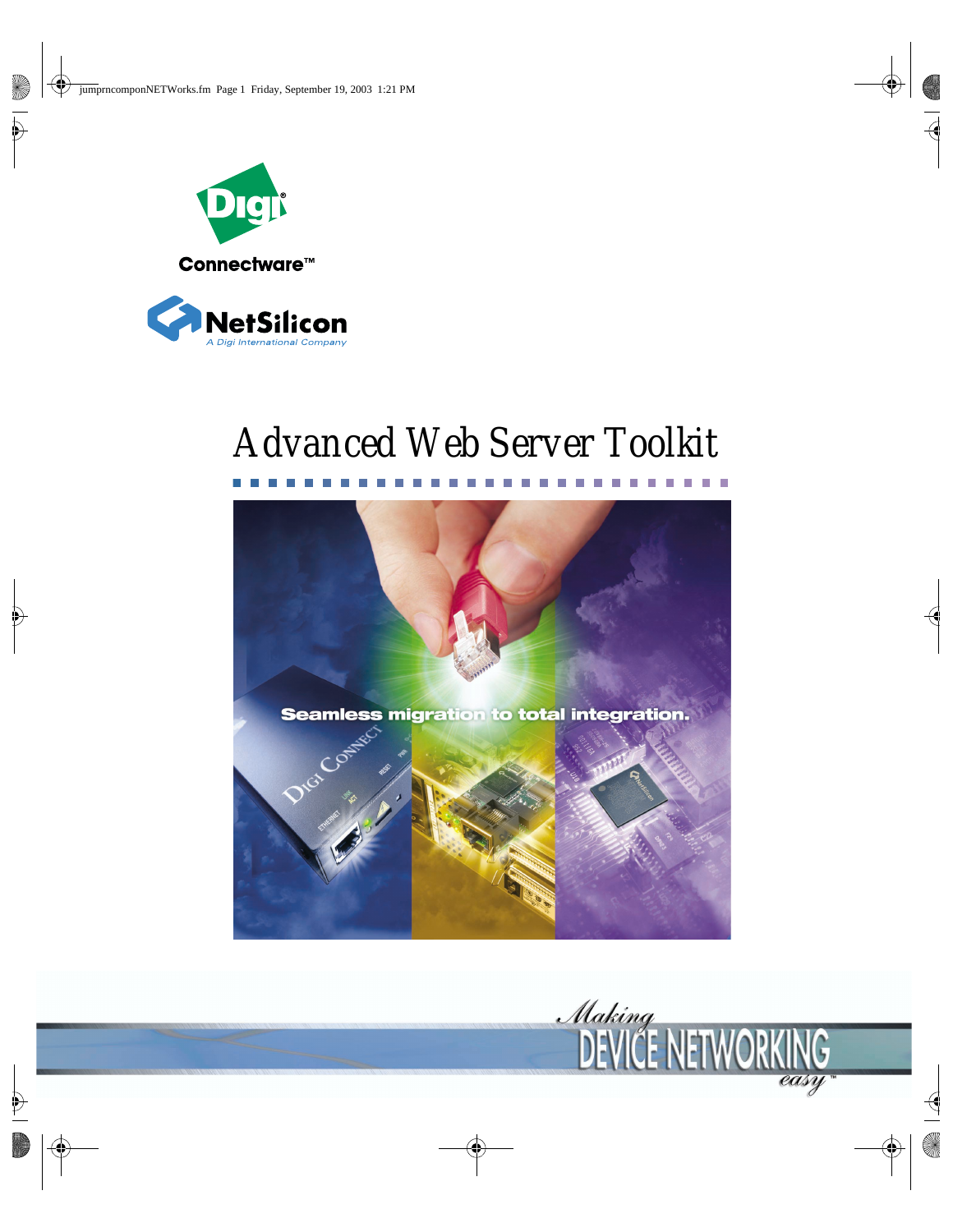



# *Advanced Web Server Toolkit*



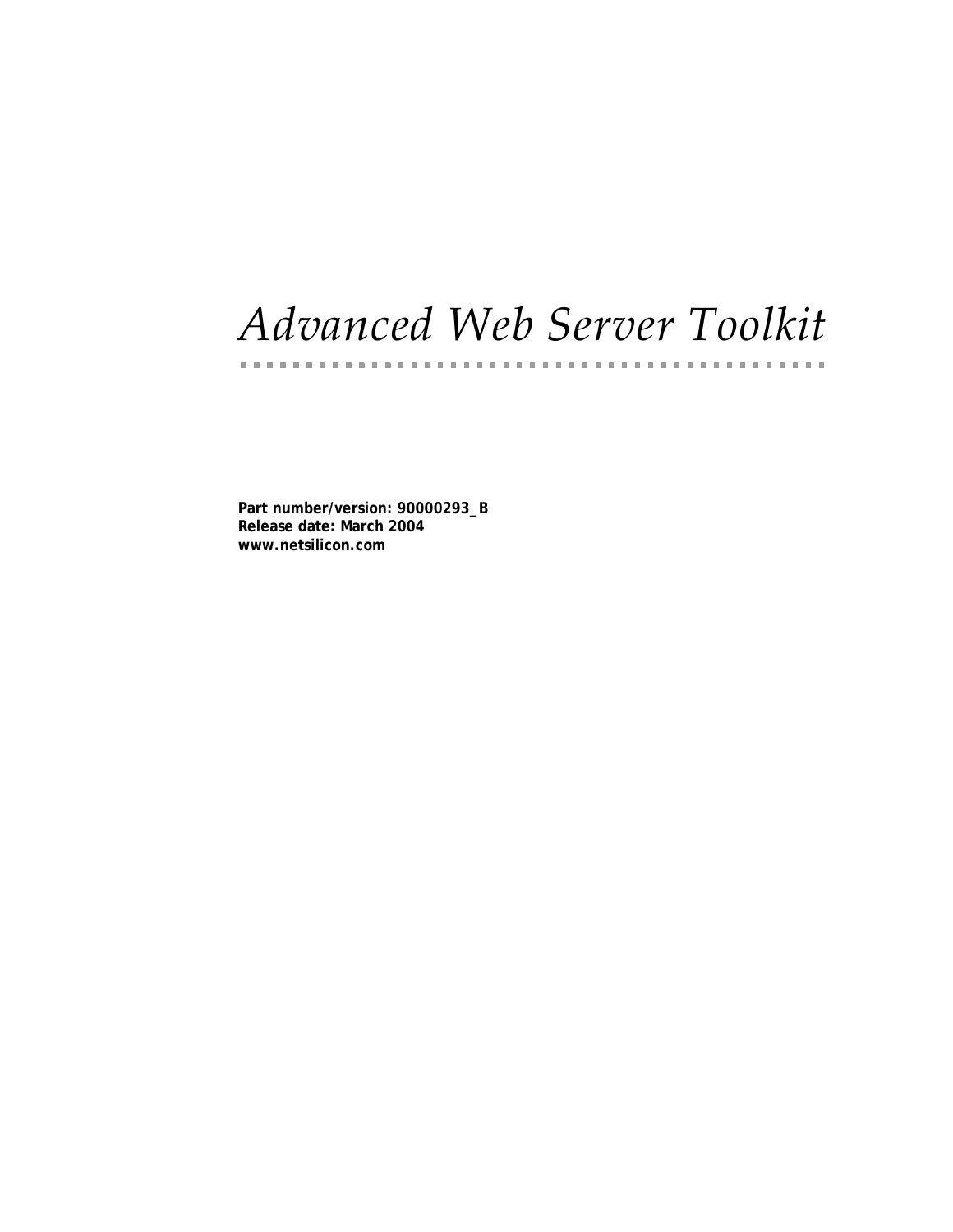# *Advanced Web Server Toolkit*

. . . . . . . . . . . . . . . . .

**Part number/version: 90000293\_B Release date: March 2004 www.netsilicon.com**

. . . . . . . . . . .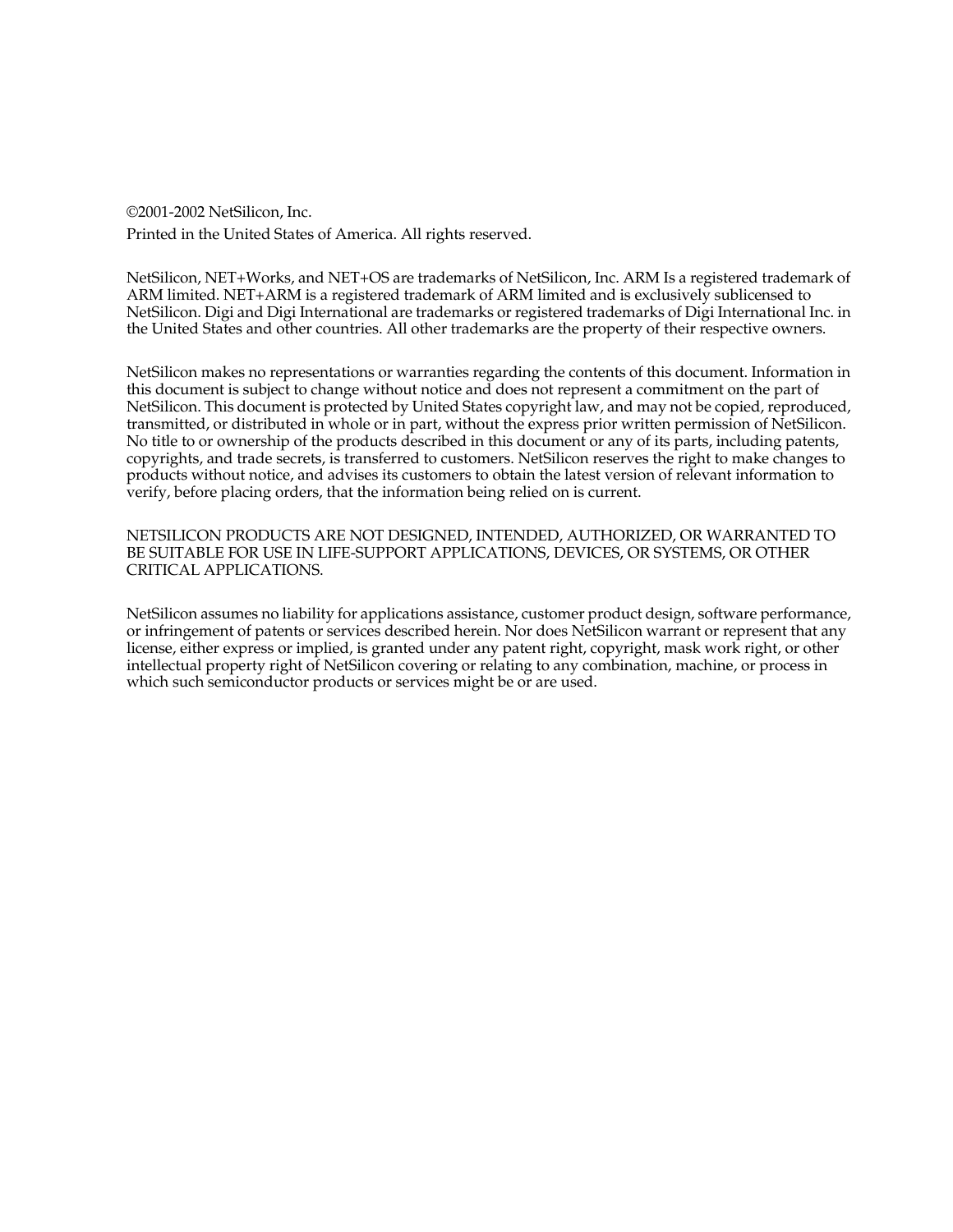©2001-2002 NetSilicon, Inc. Printed in the United States of America. All rights reserved.

NetSilicon, NET+Works, and NET+OS are trademarks of NetSilicon, Inc. ARM Is a registered trademark of ARM limited. NET+ARM is a registered trademark of ARM limited and is exclusively sublicensed to NetSilicon. Digi and Digi International are trademarks or registered trademarks of Digi International Inc. in the United States and other countries. All other trademarks are the property of their respective owners.

NetSilicon makes no representations or warranties regarding the contents of this document. Information in this document is subject to change without notice and does not represent a commitment on the part of NetSilicon. This document is protected by United States copyright law, and may not be copied, reproduced, transmitted, or distributed in whole or in part, without the express prior written permission of NetSilicon. No title to or ownership of the products described in this document or any of its parts, including patents, copyrights, and trade secrets, is transferred to customers. NetSilicon reserves the right to make changes to products without notice, and advises its customers to obtain the latest version of relevant information to verify, before placing orders, that the information being relied on is current.

NETSILICON PRODUCTS ARE NOT DESIGNED, INTENDED, AUTHORIZED, OR WARRANTED TO BE SUITABLE FOR USE IN LIFE-SUPPORT APPLICATIONS, DEVICES, OR SYSTEMS, OR OTHER CRITICAL APPLICATIONS.

NetSilicon assumes no liability for applications assistance, customer product design, software performance, or infringement of patents or services described herein. Nor does NetSilicon warrant or represent that any license, either express or implied, is granted under any patent right, copyright, mask work right, or other intellectual property right of NetSilicon covering or relating to any combination, machine, or process in which such semiconductor products or services might be or are used.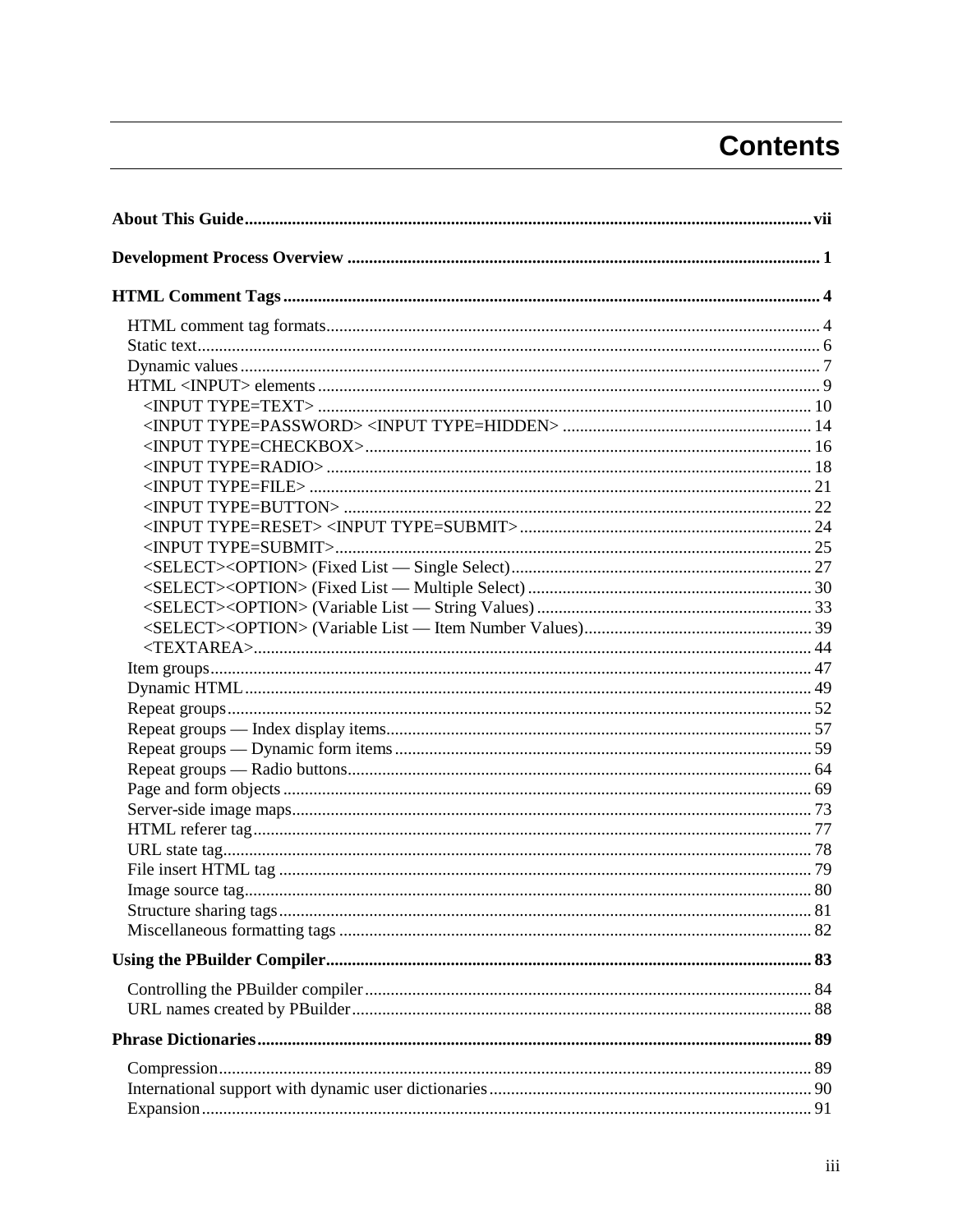# **Contents**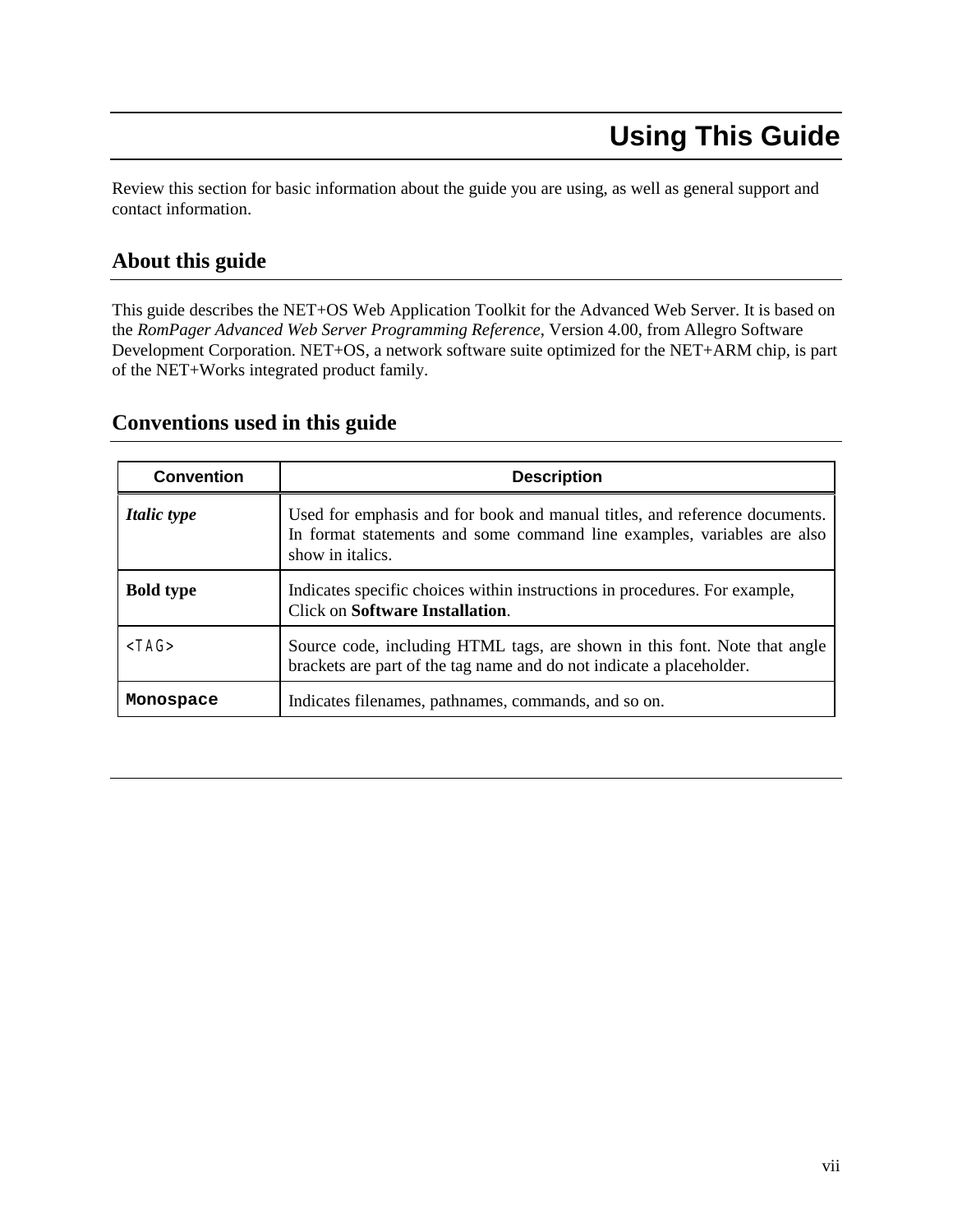# <span id="page-8-0"></span>**Using This Guide**

Review this section for basic information about the guide you are using, as well as general support and contact information.

# **About this guide**

This guide describes the NET+OS Web Application Toolkit for the Advanced Web Server. It is based on the *RomPager Advanced Web Server Programming Reference*, Version 4.00, from Allegro Software Development Corporation. NET+OS, a network software suite optimized for the NET+ARM chip, is part of the NET+Works integrated product family.

# **Conventions used in this guide**

| <b>Convention</b>  | <b>Description</b>                                                                                                                                                        |
|--------------------|---------------------------------------------------------------------------------------------------------------------------------------------------------------------------|
| <i>Italic type</i> | Used for emphasis and for book and manual titles, and reference documents.<br>In format statements and some command line examples, variables are also<br>show in italics. |
| <b>Bold type</b>   | Indicates specific choices within instructions in procedures. For example,<br>Click on Software Installation.                                                             |
| $<$ TAG $>$        | Source code, including HTML tags, are shown in this font. Note that angle<br>brackets are part of the tag name and do not indicate a placeholder.                         |
| Monospace          | Indicates filenames, pathnames, commands, and so on.                                                                                                                      |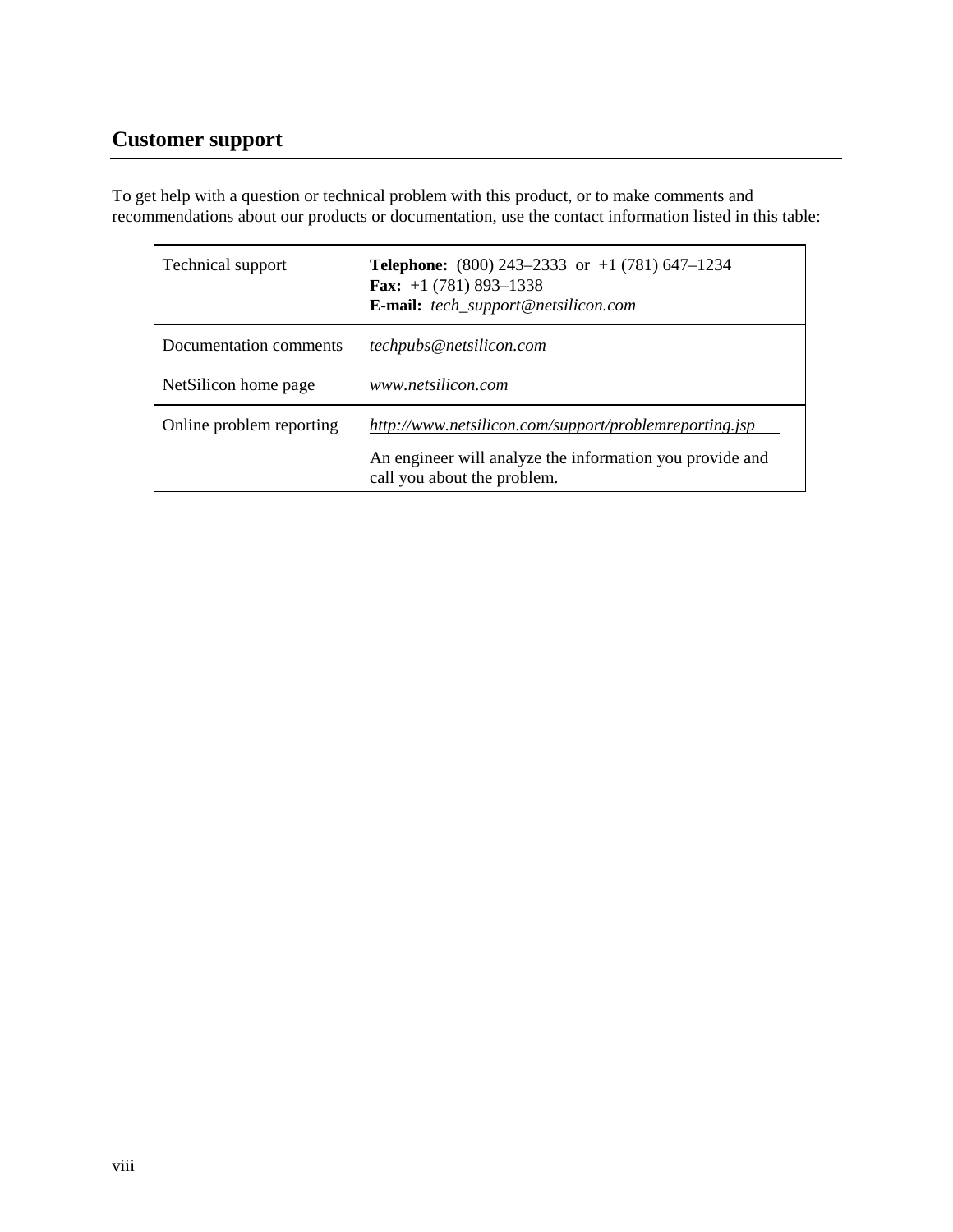# **Customer support**

To get help with a question or technical problem with this product, or to make comments and recommendations about our products or documentation, use the contact information listed in this table:

| Technical support        | <b>Telephone:</b> (800) 243–2333 or $+1$ (781) 647–1234<br><b>Fax:</b> $+1$ (781) 893-1338<br><b>E-mail:</b> tech_support@netsilicon.com          |
|--------------------------|---------------------------------------------------------------------------------------------------------------------------------------------------|
| Documentation comments   | techpubs@netsilicon.com                                                                                                                           |
| NetSilicon home page     | www.netsilicon.com                                                                                                                                |
| Online problem reporting | http://www.netsilicon.com/support/problemreporting.jsp<br>An engineer will analyze the information you provide and<br>call you about the problem. |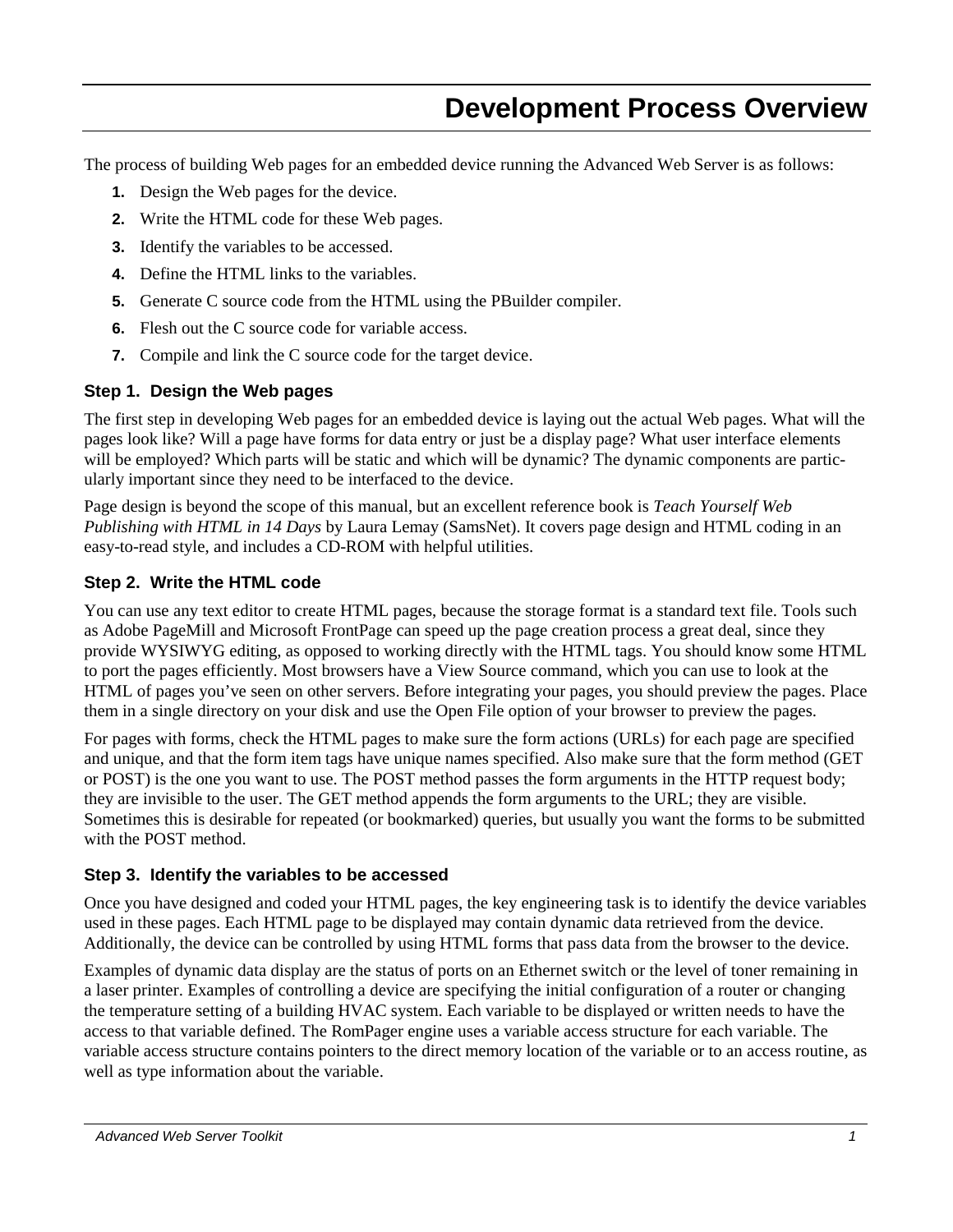# <span id="page-10-0"></span>**Development Process Overview**

The process of building Web pages for an embedded device running the Advanced Web Server is as follows:

- **1.** Design the Web pages for the device.
- **2.** Write the HTML code for these Web pages.
- **3.** Identify the variables to be accessed.
- **4.** Define the HTML links to the variables.
- **5.** Generate C source code from the HTML using the PBuilder compiler.
- **6.** Flesh out the C source code for variable access.
- **7.** Compile and link the C source code for the target device.

#### **Step 1. Design the Web pages**

The first step in developing Web pages for an embedded device is laying out the actual Web pages. What will the pages look like? Will a page have forms for data entry or just be a display page? What user interface elements will be employed? Which parts will be static and which will be dynamic? The dynamic components are particularly important since they need to be interfaced to the device.

Page design is beyond the scope of this manual, but an excellent reference book is *Teach Yourself Web Publishing with HTML in 14 Days* by Laura Lemay (SamsNet). It covers page design and HTML coding in an easy-to-read style, and includes a CD-ROM with helpful utilities.

#### **Step 2. Write the HTML code**

You can use any text editor to create HTML pages, because the storage format is a standard text file. Tools such as Adobe PageMill and Microsoft FrontPage can speed up the page creation process a great deal, since they provide WYSIWYG editing, as opposed to working directly with the HTML tags. You should know some HTML to port the pages efficiently. Most browsers have a View Source command, which you can use to look at the HTML of pages you've seen on other servers. Before integrating your pages, you should preview the pages. Place them in a single directory on your disk and use the Open File option of your browser to preview the pages.

For pages with forms, check the HTML pages to make sure the form actions (URLs) for each page are specified and unique, and that the form item tags have unique names specified. Also make sure that the form method (GET or POST) is the one you want to use. The POST method passes the form arguments in the HTTP request body; they are invisible to the user. The GET method appends the form arguments to the URL; they are visible. Sometimes this is desirable for repeated (or bookmarked) queries, but usually you want the forms to be submitted with the POST method.

#### **Step 3. Identify the variables to be accessed**

Once you have designed and coded your HTML pages, the key engineering task is to identify the device variables used in these pages. Each HTML page to be displayed may contain dynamic data retrieved from the device. Additionally, the device can be controlled by using HTML forms that pass data from the browser to the device.

Examples of dynamic data display are the status of ports on an Ethernet switch or the level of toner remaining in a laser printer. Examples of controlling a device are specifying the initial configuration of a router or changing the temperature setting of a building HVAC system. Each variable to be displayed or written needs to have the access to that variable defined. The RomPager engine uses a variable access structure for each variable. The variable access structure contains pointers to the direct memory location of the variable or to an access routine, as well as type information about the variable.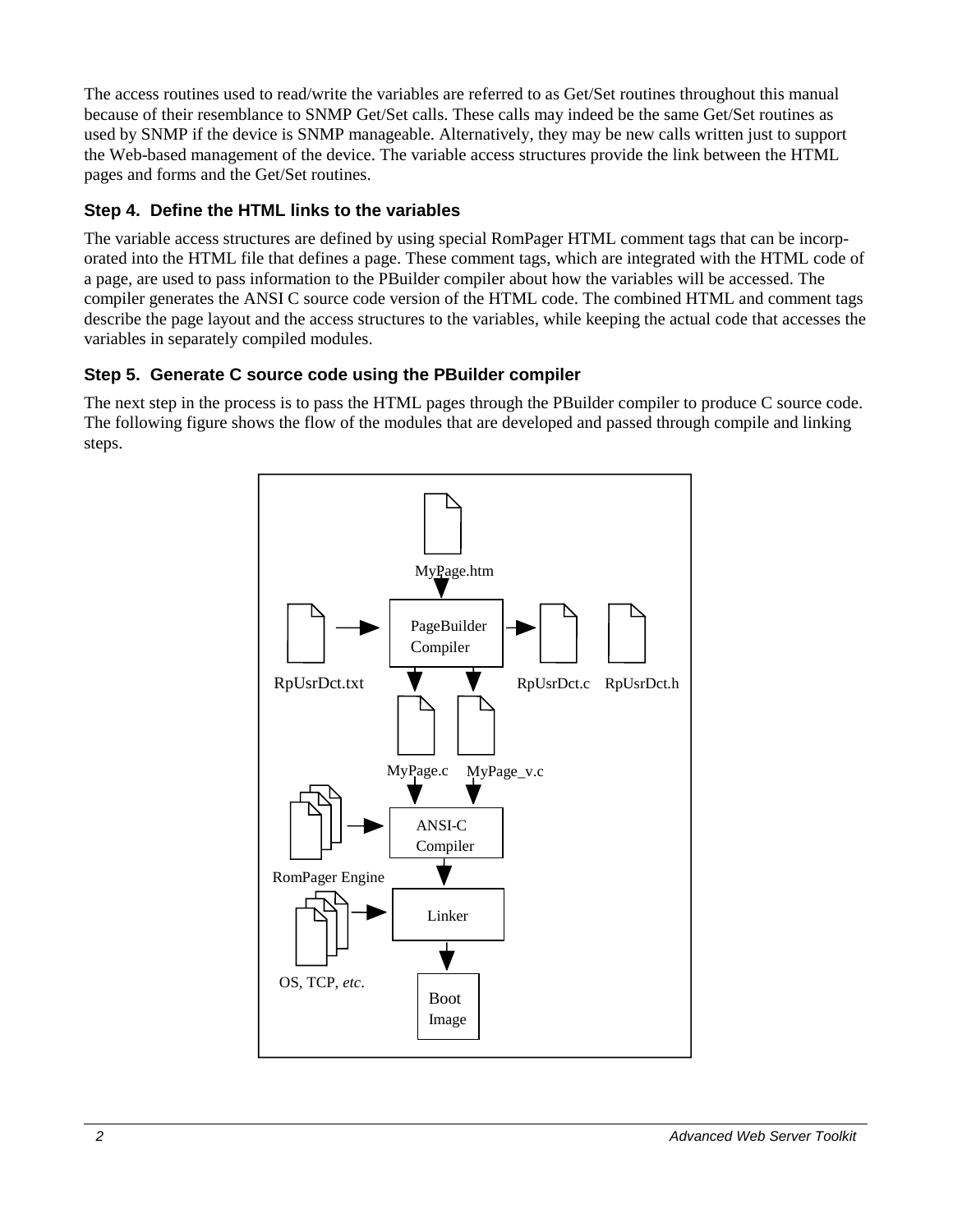The access routines used to read/write the variables are referred to as Get/Set routines throughout this manual because of their resemblance to SNMP Get/Set calls. These calls may indeed be the same Get/Set routines as used by SNMP if the device is SNMP manageable. Alternatively, they may be new calls written just to support the Web-based management of the device. The variable access structures provide the link between the HTML pages and forms and the Get/Set routines.

# **Step 4. Define the HTML links to the variables**

The variable access structures are defined by using special RomPager HTML comment tags that can be incorporated into the HTML file that defines a page. These comment tags, which are integrated with the HTML code of a page, are used to pass information to the PBuilder compiler about how the variables will be accessed. The compiler generates the ANSI C source code version of the HTML code. The combined HTML and comment tags describe the page layout and the access structures to the variables, while keeping the actual code that accesses the variables in separately compiled modules.

#### **Step 5. Generate C source code using the PBuilder compiler**

The next step in the process is to pass the HTML pages through the PBuilder compiler to produce C source code. The following figure shows the flow of the modules that are developed and passed through compile and linking steps.

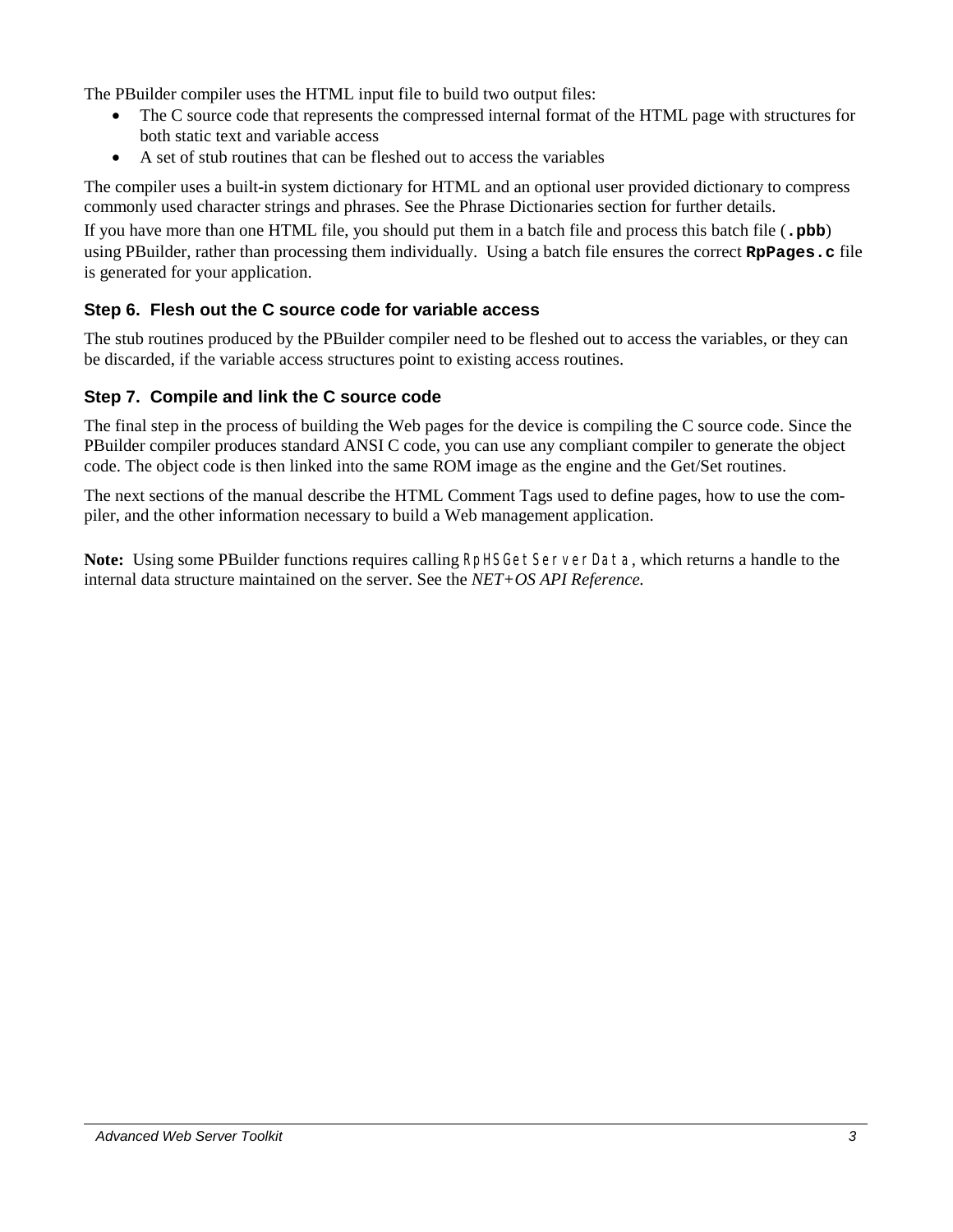The PBuilder compiler uses the HTML input file to build two output files:

- - The C source code that represents the compressed internal format of the HTML page with structures for both static text and variable access
- $\bullet$ A set of stub routines that can be fleshed out to access the variables

The compiler uses a built-in system dictionary for HTML and an optional user provided dictionary to compress commonly used character strings and phrases. See the Phrase Dictionaries section for further details.

If you have more than one HTML file, you should put them in a batch file and process this batch file (**.pbb**) using PBuilder, rather than processing them individually. Using a batch file ensures the correct **RpPages.c** file is generated for your application.

#### **Step 6. Flesh out the C source code for variable access**

The stub routines produced by the PBuilder compiler need to be fleshed out to access the variables, or they can be discarded, if the variable access structures point to existing access routines.

#### **Step 7. Compile and link the C source code**

The final step in the process of building the Web pages for the device is compiling the C source code. Since the PBuilder compiler produces standard ANSI C code, you can use any compliant compiler to generate the object code. The object code is then linked into the same ROM image as the engine and the Get/Set routines.

The next sections of the manual describe the HTML Comment Tags used to define pages, how to use the compiler, and the other information necessary to build a Web management application.

**Note:** Using some PBuilder functions requires calling RpHSGetServerData, which returns a handle to the internal data structure maintained on the server. See the *NET+OS API Reference.*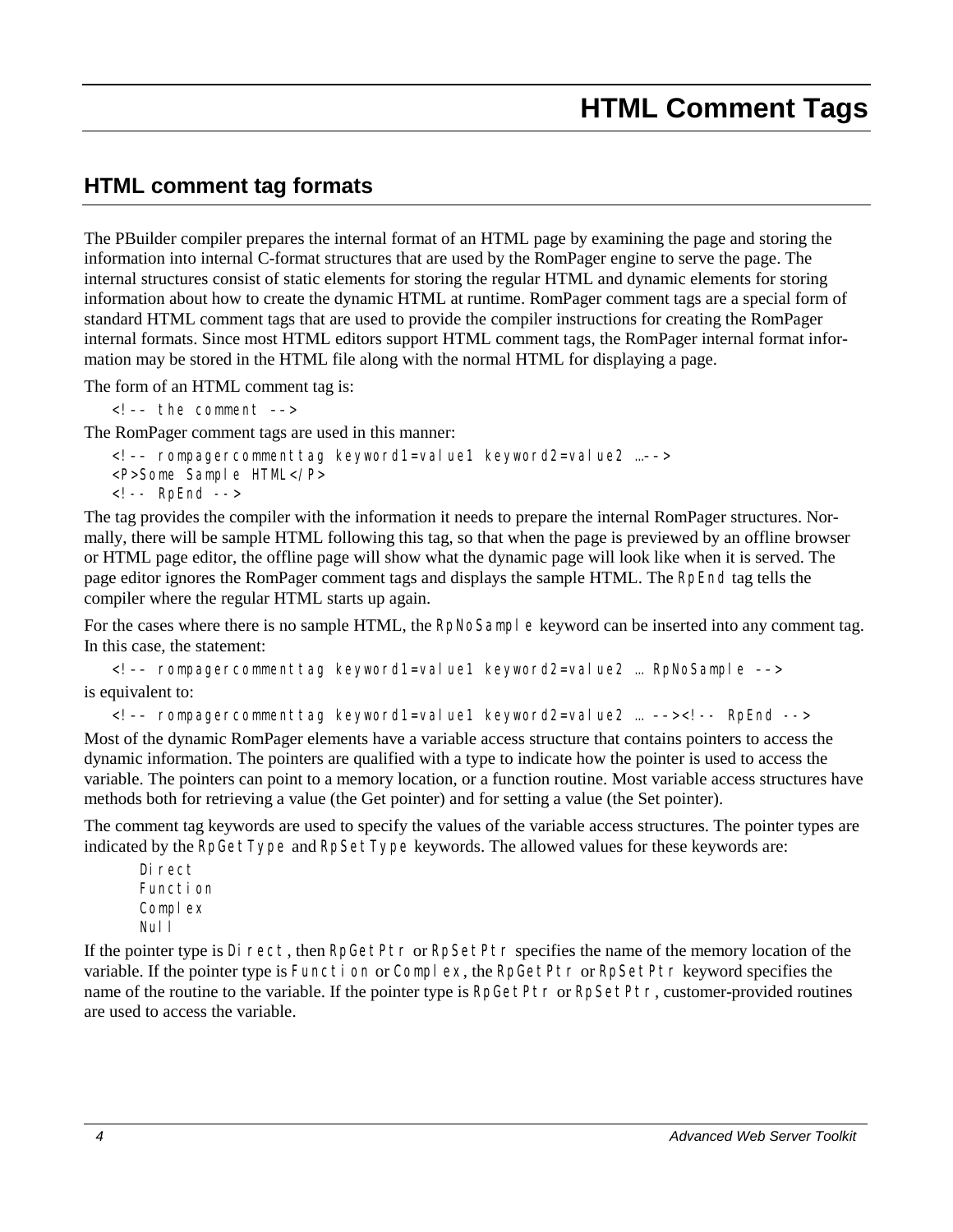# <span id="page-13-1"></span><span id="page-13-0"></span>**HTML comment tag formats**

The PBuilder compiler prepares the internal format of an HTML page by examining the page and storing the information into internal C-format structures that are used by the RomPager engine to serve the page. The internal structures consist of static elements for storing the regular HTML and dynamic elements for storing information about how to create the dynamic HTML at runtime. RomPager comment tags are a special form of standard HTML comment tags that are used to provide the compiler instructions for creating the RomPager internal formats. Since most HTML editors support HTML comment tags, the RomPager internal format information may be stored in the HTML file along with the normal HTML for displaying a page.

The form of an HTML comment tag is:

<!–– the comment ––>

The RomPager comment tags are used in this manner:

<!–– *rompagercommenttag keyword1=value1 keyword2=value2* …––> <P>*Some Sample HTML*</P> <!-- RpEnd -->

The tag provides the compiler with the information it needs to prepare the internal RomPager structures. Normally, there will be sample HTML following this tag, so that when the page is previewed by an offline browser or HTML page editor, the offline page will show what the dynamic page will look like when it is served. The page editor ignores the RomPager comment tags and displays the sample HTML. The RpEnd tag tells the compiler where the regular HTML starts up again.

For the cases where there is no sample HTML, the RpNoSample keyword can be inserted into any comment tag. In this case, the statement:

<!–– *rompagercommenttag keyword1=value1 keyword2=value2* … RpNoSample ––> is equivalent to:

<!–– *rompagercommenttag keyword1=value1 keyword2=value2* … ––><!-- RpEnd -->

Most of the dynamic RomPager elements have a variable access structure that contains pointers to access the dynamic information. The pointers are qualified with a type to indicate how the pointer is used to access the variable. The pointers can point to a memory location, or a function routine. Most variable access structures have methods both for retrieving a value (the Get pointer) and for setting a value (the Set pointer).

The comment tag keywords are used to specify the values of the variable access structures. The pointer types are indicated by the RpGetType and RpSetType keywords. The allowed values for these keywords are:

Di rect Function Complex Nul I

If the pointer type is Direct, then RpGetPtr or RpSetPtr specifies the name of the memory location of the variable. If the pointer type is Function or Complex, the RpGetPtr or RpSetPtr keyword specifies the name of the routine to the variable. If the pointer type is RpGetPtr or RpSetPtr, customer-provided routines are used to access the variable.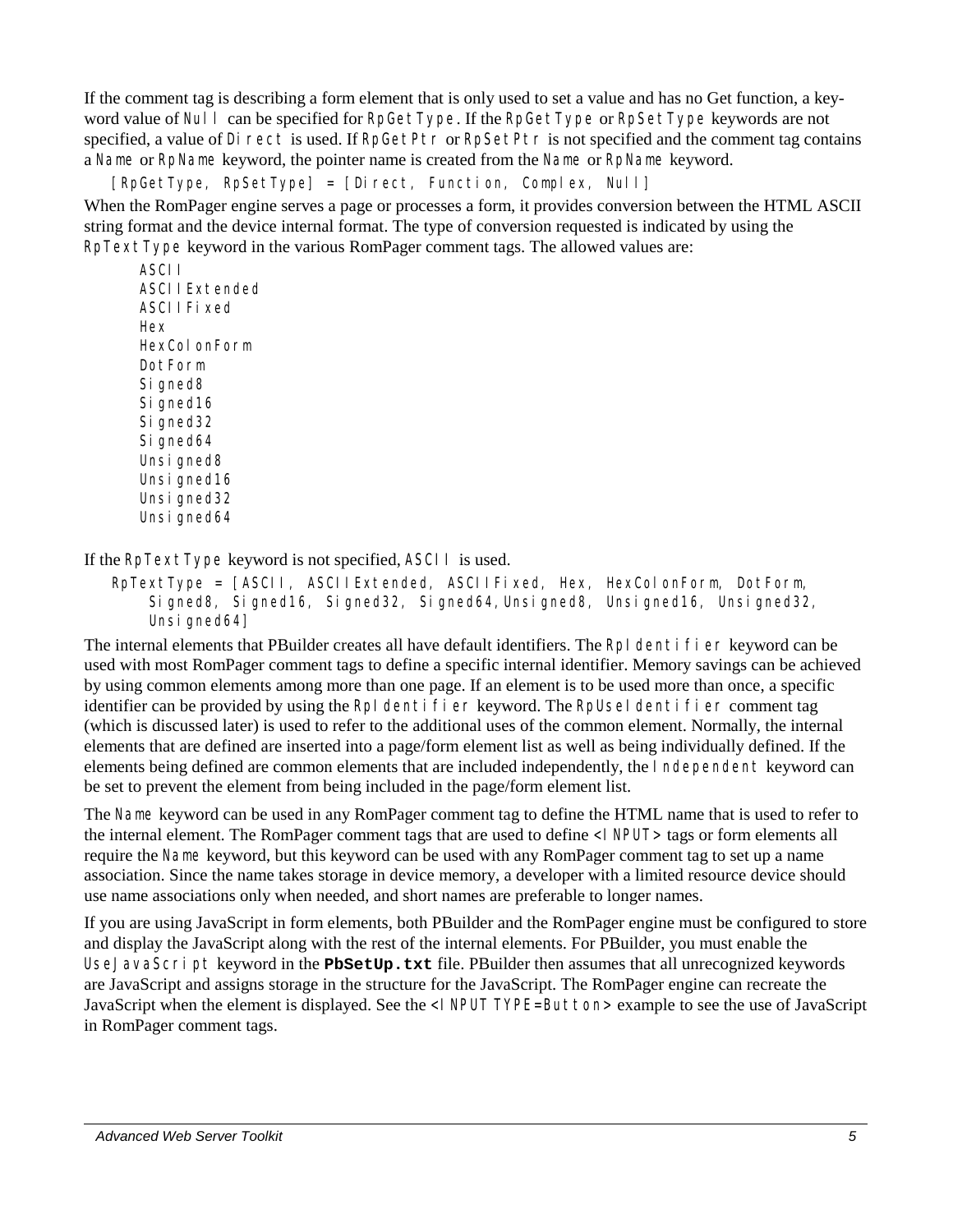If the comment tag is describing a form element that is only used to set a value and has no Get function, a keyword value of Nulles and be specified for RpGetType. If the RpGetType or RpSetType keywords are not specified, a value of Direct is used. If RpGetPtr or RpSetPtr is not specified and the comment tag contains a Name or RpName keyword, the pointer name is created from the Name or RpName keyword.

[RpGetType, RpSetType] = [Direct, Function, Complex, Null]

When the RomPager engine serves a page or processes a form, it provides conversion between the HTML ASCII string format and the device internal format. The type of conversion requested is indicated by using the RpTextType keyword in the various RomPager comment tags. The allowed values are:

ASCII ASCIIExtended ASCIIFi xed Hex HexColonForm DotForm Si gned8 Signed<sub>16</sub> Si gned32 Si gned64 Unsi gned8 Unsi gned16 Unsi gned32 Unsi gned64

If the RpTextType keyword is not specified, ASCII is used.

RpTextType = [ASCII, ASCIIExtended, ASCIIFixed, Hex, HexColonForm, DotForm, Signed8, Signed16, Signed32, Signed64,Unsigned8, Unsigned16, Unsigned32, Unsi gned64]

The internal elements that PBuilder creates all have default identifiers. The RpI dentifier keyword can be used with most RomPager comment tags to define a specific internal identifier. Memory savings can be achieved by using common elements among more than one page. If an element is to be used more than once, a specific identifier can be provided by using the RpI dentifier keyword. The RpUseI dentifier comment tag (which is discussed later) is used to refer to the additional uses of the common element. Normally, the internal elements that are defined are inserted into a page/form element list as well as being individually defined. If the elements being defined are common elements that are included independently, the Independent keyword can be set to prevent the element from being included in the page/form element list.

The Name keyword can be used in any RomPager comment tag to define the HTML name that is used to refer to the internal element. The RomPager comment tags that are used to define <INPUT> tags or form elements all require the Name keyword, but this keyword can be used with any RomPager comment tag to set up a name association. Since the name takes storage in device memory, a developer with a limited resource device should use name associations only when needed, and short names are preferable to longer names.

If you are using JavaScript in form elements, both PBuilder and the RomPager engine must be configured to store and display the JavaScript along with the rest of the internal elements. For PBuilder, you must enable the UseJavaScript keyword in the **PbSetUp.txt** file. PBuilder then assumes that all unrecognized keywords are JavaScript and assigns storage in the structure for the JavaScript. The RomPager engine can recreate the JavaScript when the element is displayed. See the <I NPUT TYPE=Button> example to see the use of JavaScript in RomPager comment tags.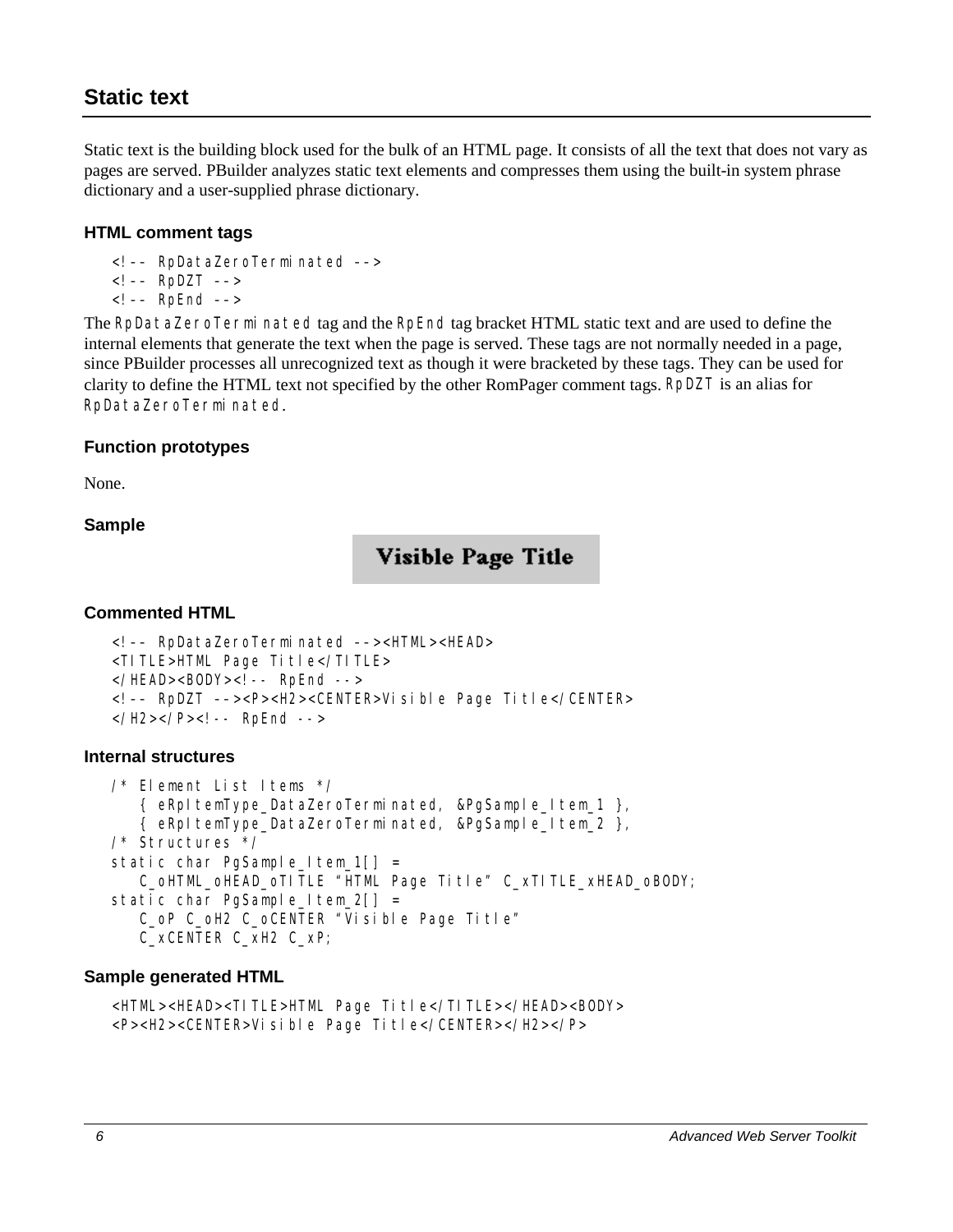# <span id="page-15-0"></span>**Static text**

Static text is the building block used for the bulk of an HTML page. It consists of all the text that does not vary as pages are served. PBuilder analyzes static text elements and compresses them using the built-in system phrase dictionary and a user-supplied phrase dictionary.

#### **HTML comment tags**

- <!–– RpDataZeroTerminated ––>
- $\leftarrow$  -– RpDZT -–>
- <!–– RpEnd ––>

The RpDataZeroTerminated tag and the RpEnd tag bracket HTML static text and are used to define the internal elements that generate the text when the page is served. These tags are not normally needed in a page, since PBuilder processes all unrecognized text as though it were bracketed by these tags. They can be used for clarity to define the HTML text not specified by the other RomPager comment tags. RpDZT is an alias for RpDataZeroTerminated.

#### **Function prototypes**

None.

#### **Sample**

# Visible Page Title

#### **Commented HTML**

```
<!–– RpDataZeroTerminated ––><HTML><HEAD> 
<TITLE>HTML Page Title</TITLE> 
</HEAD><BODY><! -- RpEnd -->
<!–– RpDZT ––><P><H2><CENTER>Visible Page Title</CENTER> 
</H2></P><! -- RpEnd -->
```
#### **Internal structures**

```
/* Element List Items */ 
    { eRpItemType_DataZeroTerminated, &PgSample_Item_1 }, 
    { eRpItemType_DataZeroTerminated, &PgSample_Item_2 }, 
/* Structures */ 
static char PgSample_Item_1[] =
    C_oHTML_oHEAD_oTITLE "HTML Page Title" C_xTITLE_xHEAD_oBODY; 
static char PgSample_Item_2[] =
    C_oP C_oH2 C_oCENTER "Visible Page Title" 
    C_xCENTER C_xH2 C_xP;
```
#### **Sample generated HTML**

```
<HTML><HEAD><TITLE>HTML Page Title</TITLE></HEAD><BODY> 
<P><H2><CENTER>Visible Page Title</CENTER></H2></P>
```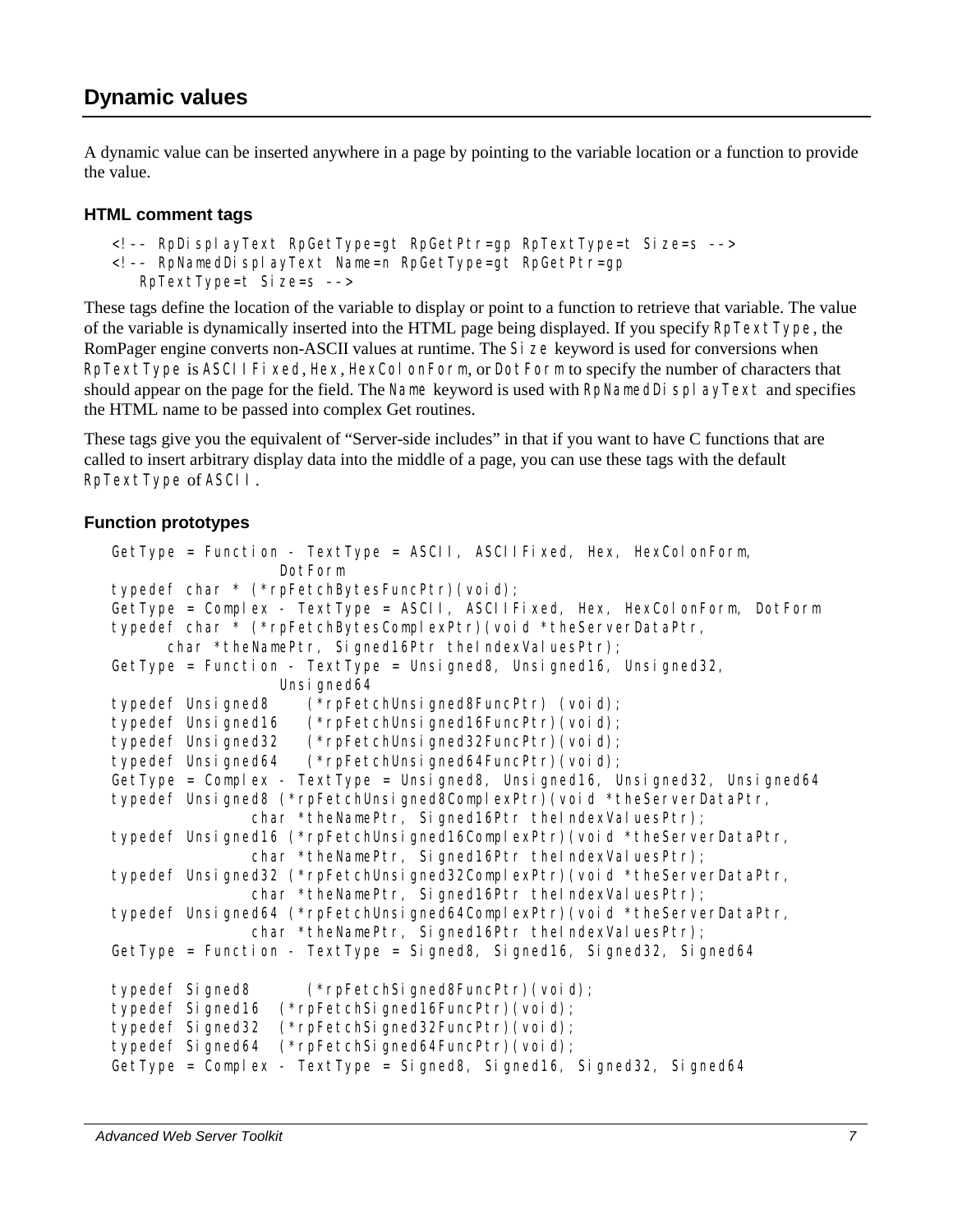<span id="page-16-0"></span>A dynamic value can be inserted anywhere in a page by pointing to the variable location or a function to provide the value.

#### **HTML comment tags**

```
<!–– RpDisplayText RpGetType=gt RpGetPtr=gp RpTextType=t Size=s ––>
```

```
<!–– RpNamedDisplayText Name=n RpGetType=gt RpGetPtr=gp
```

```
 RpTextType=t Size=s ––>
```
These tags define the location of the variable to display or point to a function to retrieve that variable. The value of the variable is dynamically inserted into the HTML page being displayed. If you specify RpTextType, the RomPager engine converts non-ASCII values at runtime. The Si ze keyword is used for conversions when RpTextType is ASCIIFixed, Hex, HexColonForm, or DotForm to specify the number of characters that should appear on the page for the field. The Name keyword is used with RpNamedDi  $\text{spl}$  ayText and specifies the HTML name to be passed into complex Get routines.

These tags give you the equivalent of "Server-side includes" in that if you want to have C functions that are called to insert arbitrary display data into the middle of a page, you can use these tags with the default RpTextType of ASCII.

# **Function prototypes**

```
GetType = Function - TextType = ASCII, ASCIIFixed, Hex, HexColonForm, 
                   DotForm 
typedef char * (*rpFetchBytesFuncPtr)(void); 
GetType = Complex - TextType = ASCII, ASCIIFixed, Hex, HexColonForm, DotForm
typedef char * (*rpFetchBytesComplexPtr)(void *theServerDataPtr, 
      char *theNamePtr, Signed16Ptr theIndexValuesPtr);
GetType = Function - TextType = Unsigned8, Unsigned16, Unsigned32,
                  Unsi gned64
typedef Unsigned8 (*rpFetchUnsigned8FuncPtr) (void); 
typedef Unsigned16 (*rpFetchUnsigned16FuncPtr)(void); 
typedef Unsigned32 (*rpFetchUnsigned32FuncPtr)(void); 
typedef Unsigned64 (*rpFetchUnsigned64FuncPtr)(void); 
GetType = Complex - TextType = Unsigned8, Unsigned16, Unsigned32, Unsigned64
typedef Unsigned8 (*rpFetchUnsigned8ComplexPtr)(void *theServerDataPtr, 
               char *theNamePtr, Signed16Ptr theIndexValuesPtr);
typedef Unsigned16 (*rpFetchUnsigned16ComplexPtr)(void *theServerDataPtr, 
               char *theNamePtr, Signed16Ptr theIndexValuesPtr);
typedef Unsigned32 (*rpFetchUnsigned32ComplexPtr)(void *theServerDataPtr, 
               char *theNamePtr, Signed16Ptr theIndexValuesPtr);
typedef Unsigned64 (*rpFetchUnsigned64ComplexPtr)(void *theServerDataPtr, 
               char *theNamePtr, Signed16Ptr theIndexValuesPtr);
GetType = Function - TextType = Signed8, Signed16, Signed32, Signed64
typedef Signed8 (*rpFetchSigned8FuncPtr)(void); 
typedef Signed16 (*rpFetchSigned16FuncPtr)(void); 
typedef Signed32 (*rpFetchSigned32FuncPtr)(void); 
typedef Signed64 (*rpFetchSigned64FuncPtr)(void); 
GetType = Complex - TextType = Signed8, Signed16, Signed32, Signed64
```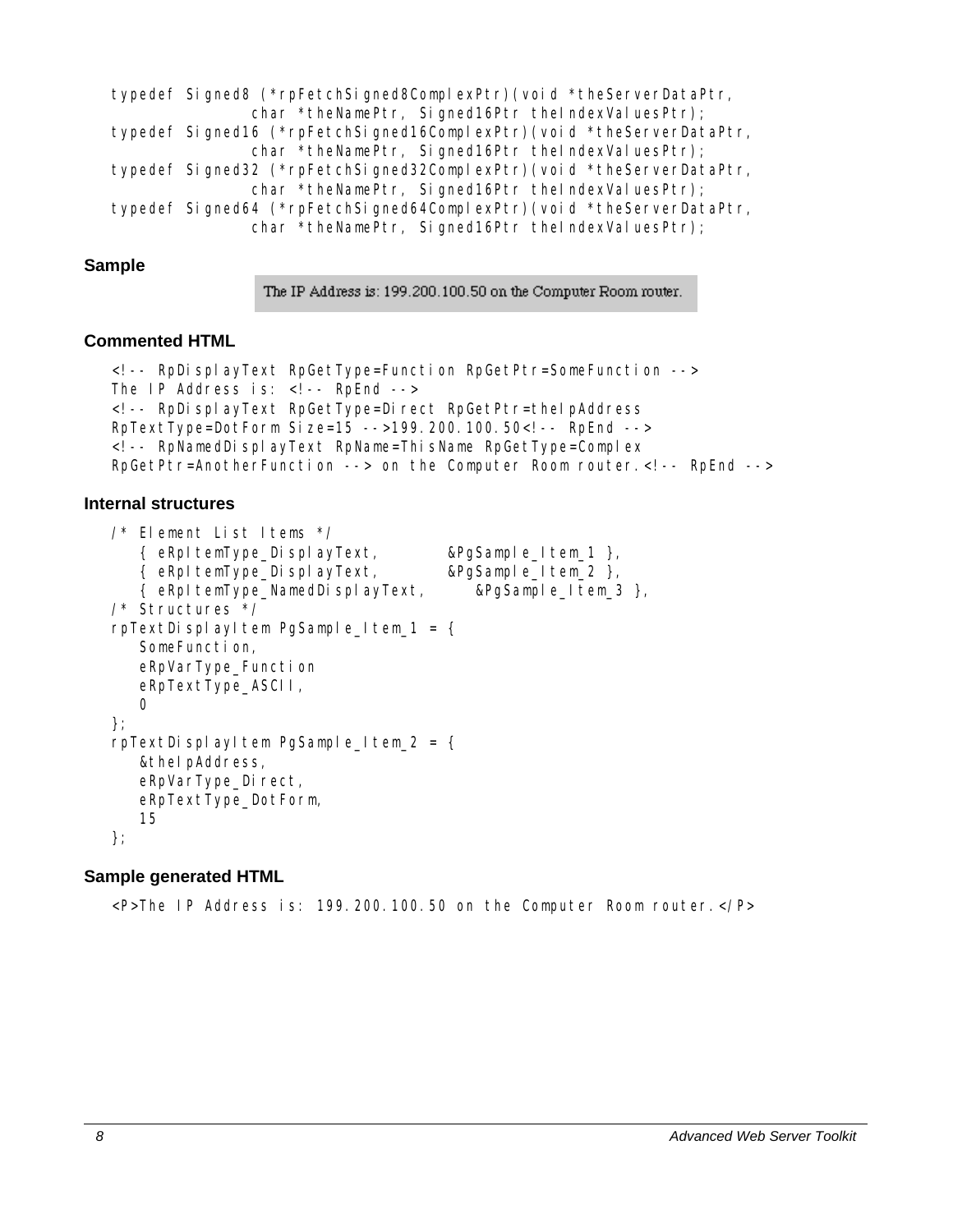```
typedef Signed8 (*rpFetchSigned8ComplexPtr)(void *theServerDataPtr, 
               char *theNamePtr, Signed16Ptr theIndexValuesPtr);
typedef Signed16 (*rpFetchSigned16ComplexPtr)(void *theServerDataPtr, 
               char *theNamePtr, Signed16Ptr theIndexValuesPtr);
typedef Signed32 (*rpFetchSigned32ComplexPtr)(void *theServerDataPtr, 
               char *theNamePtr, Signed16Ptr theIndexValuesPtr);
typedef Signed64 (*rpFetchSigned64ComplexPtr)(void *theServerDataPtr, 
               char *theNamePtr, Signed16Ptr theIndexValuesPtr);
```
#### **Sample**

The IP Address is: 199.200.100.50 on the Computer Room router.

#### **Commented HTML**

```
<!-- RpDisplayText RpGetType=Function RpGetPtr=SomeFunction --> 
The IP Address is: \langle! -- RpEnd -->
<!-- RpDisplayText RpGetType=Direct RpGetPtr=theIpAddress 
RpTextType=DotForm Size=15 -->199.200.100.50<!-- RpEnd --> 
<!-- RpNamedDisplayText RpName=ThisName RpGetType=Complex 
RpGetPtr=AnotherFunction --> on the Computer Room router.<!-- RpEnd -->
```
#### **Internal structures**

```
/* Element List Items */ 
    { eRpItemType_DisplayText, &PgSample_Item_1 }, 
    { eRpItemType_DisplayText, &PgSample_Item_2 }, 
    { eRpItemType_NamedDisplayText, &PgSample_Item_3 }, 
/* Structures */ 
rpTextDisplayItem PgSample Item 1 = \{ SomeFunction, 
    eRpVarType_Function 
    eRpTextType_ASCII, 
   \Omega}; 
rpTextDisplayItem PgSample Item 2 = \{ &theIpAddress, 
   eRpVarType_Direct,
    eRpTextType_DotForm, 
    15 
};
```
#### **Sample generated HTML**

<P>The IP Address is: 199.200.100.50 on the Computer Room router.</P>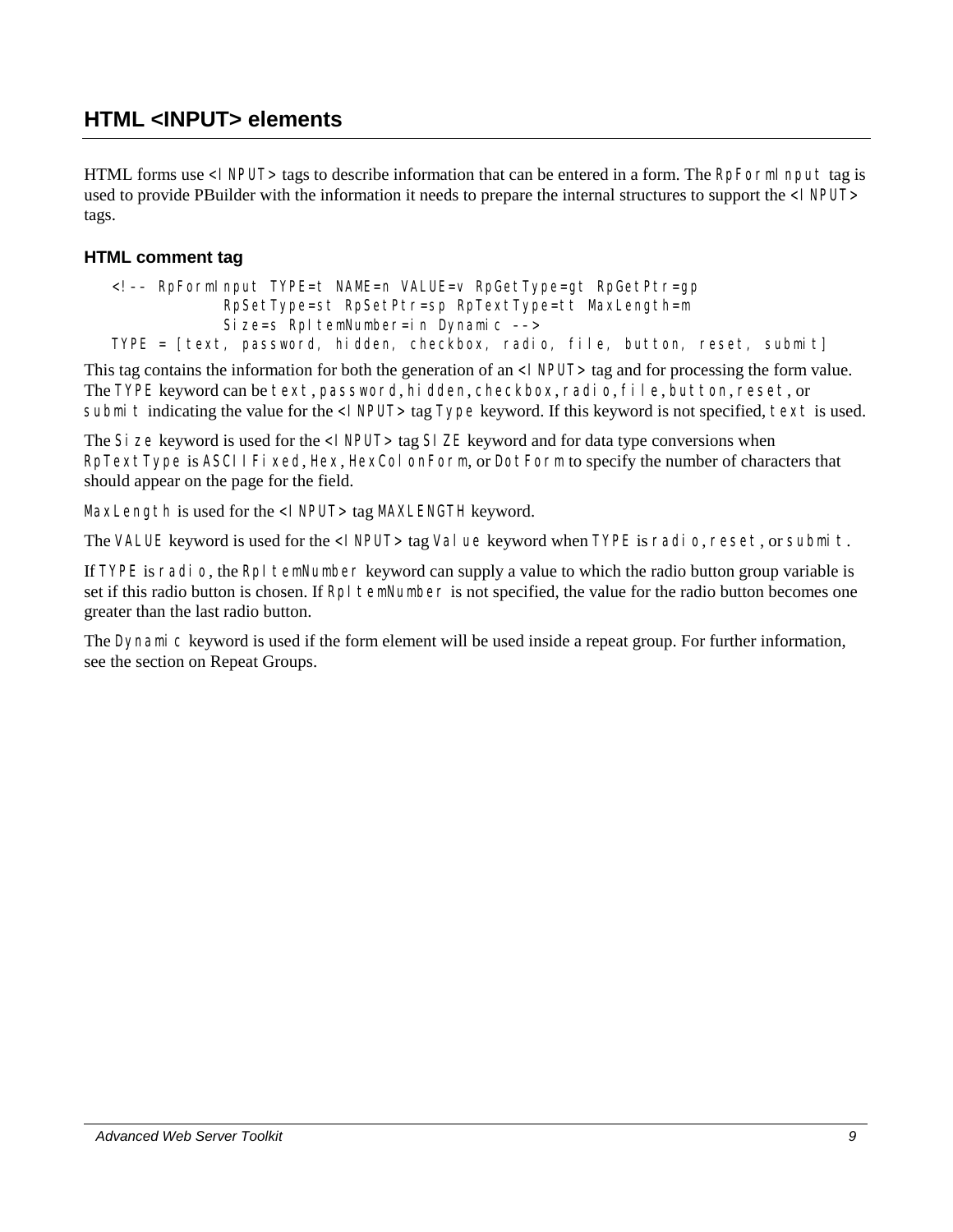<span id="page-18-0"></span>HTML forms use <I NPUT> tags to describe information that can be entered in a form. The RpFormI nput tag is used to provide PBuilder with the information it needs to prepare the internal structures to support the <I NPUT> tags.

## **HTML comment tag**

```
<!–– RpFormInput TYPE=t NAME=n VALUE=v RpGetType=gt RpGetPtr=gp 
             RpSetType=st RpSetPtr=sp RpTextType=tt MaxLength=m 
            Size=s RpItemNumber=in Dynamic -->
TYPE = [text, password, hidden, checkbox, radio, file, button, reset, submit]
```
This tag contains the information for both the generation of an <I NPUT> tag and for processing the form value. The TYPE keyword can be text, password, hidden, checkbox, radio, file, button, reset, or submit indicating the value for the <I NPUT> tag Type keyword. If this keyword is not specified, text is used.

The Si ze keyword is used for the <I NPUT> tag SI ZE keyword and for data type conversions when RpTextType is ASCIIFixed, Hex, HexColonForm, or DotForm to specify the number of characters that should appear on the page for the field.

MaxLength is used for the <I NPUT> tag MAXLENGTH keyword.

The VALUE keyword is used for the <INPUT>tag Value keyword when TYPE is radio, reset, or submit.

If TYPE is radio, the RpI temNumber keyword can supply a value to which the radio button group variable is set if this radio button is chosen. If RpI temNumber is not specified, the value for the radio button becomes one greater than the last radio button.

The Dynamic keyword is used if the form element will be used inside a repeat group. For further information, see the section on Repeat Groups.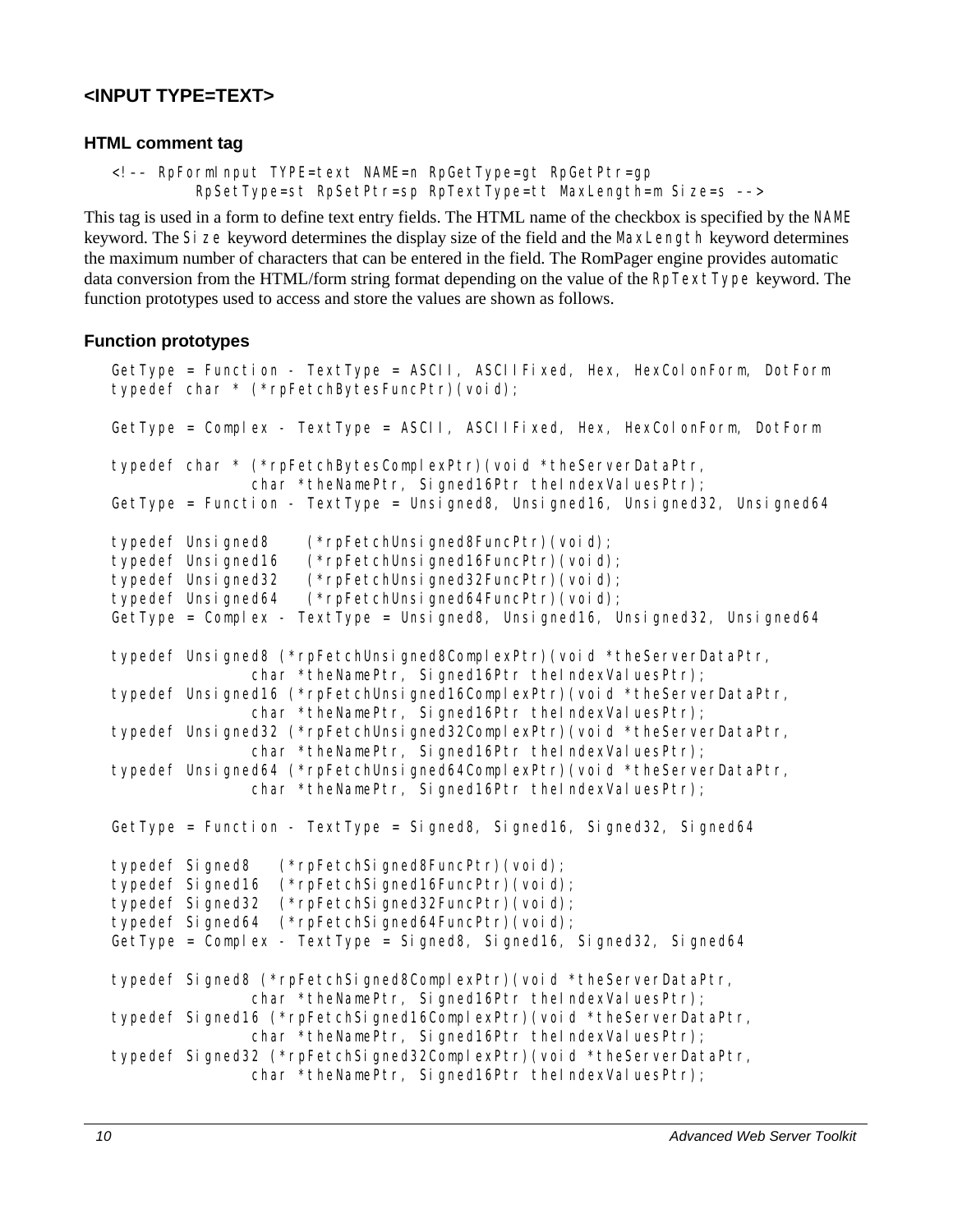# <span id="page-19-0"></span>**<INPUT TYPE=TEXT>**

#### **HTML comment tag**

```
<!–– RpFormInput TYPE=text NAME=n RpGetType=gt RpGetPtr=gp 
          RpSetType=st RpSetPtr=sp RpTextType=tt MaxLength=m Size=s ––>
```
This tag is used in a form to define text entry fields. The HTML name of the checkbox is specified by the NAME keyword. The Si ze keyword determines the display size of the field and the MaxLength keyword determines the maximum number of characters that can be entered in the field. The RomPager engine provides automatic data conversion from the HTML/form string format depending on the value of the RpTextType keyword. The function prototypes used to access and store the values are shown as follows.

#### **Function prototypes**

```
GetType = Function - TextType = ASCII, ASCIIFixed, Hex, HexColonForm, DotForm 
typedef char * (*rpFetchBytesFuncPtr)(void); 
GetType = Complex - TextType = ASCII, ASCIIFixed, Hex, HexColonForm, DotForm
typedef char * (*rpFetchBytesComplexPtr)(void *theServerDataPtr, 
               char *theNamePtr, Signed16Ptr theIndexValuesPtr);
GetType = Function - TextType = Unsigned8, Unsigned16, Unsigned32, Unsigned64
typedef Unsigned8 (*rpFetchUnsigned8FuncPtr)(void); 
typedef Unsigned16 (*rpFetchUnsigned16FuncPtr)(void); 
typedef Unsigned32 (*rpFetchUnsigned32FuncPtr)(void); 
typedef Unsigned64 (*rpFetchUnsigned64FuncPtr)(void); 
GetType = Complex - TextType = Unsigned8, Unsigned16, Unsigned32, Unsigned64
typedef Unsigned8 (*rpFetchUnsigned8ComplexPtr)(void *theServerDataPtr, 
               char *theNamePtr, Signed16Ptr theIndexValuesPtr);
typedef Unsigned16 (*rpFetchUnsigned16ComplexPtr)(void *theServerDataPtr, 
               char *theNamePtr, Signed16Ptr theIndexValuesPtr);
typedef Unsigned32 (*rpFetchUnsigned32ComplexPtr)(void *theServerDataPtr, 
               char *theNamePtr, Signed16Ptr theIndexValuesPtr);
typedef Unsigned64 (*rpFetchUnsigned64ComplexPtr)(void *theServerDataPtr, 
               char *theNamePtr, Signed16Ptr theIndexValuesPtr);
GetType = Function - TextType = Signed8, Signed16, Signed32, Signed64
typedef Signed8 (*rpFetchSigned8FuncPtr)(void); 
typedef Signed16 (*rpFetchSigned16FuncPtr)(void); 
typedef Signed32 (*rpFetchSigned32FuncPtr)(void); 
typedef Signed64 (*rpFetchSigned64FuncPtr)(void); 
GetType = Complex - TextType = Signed8, Signed16, Signed32, Signed64
typedef Signed8 (*rpFetchSigned8ComplexPtr)(void *theServerDataPtr, 
               char *theNamePtr, Signed16Ptr theIndexValuesPtr);
typedef Signed16 (*rpFetchSigned16ComplexPtr)(void *theServerDataPtr, 
               char *theNamePtr, Signed16Ptr theIndexValuesPtr);
typedef Signed32 (*rpFetchSigned32ComplexPtr)(void *theServerDataPtr, 
               char *theNamePtr, Signed16Ptr theIndexValuesPtr);
```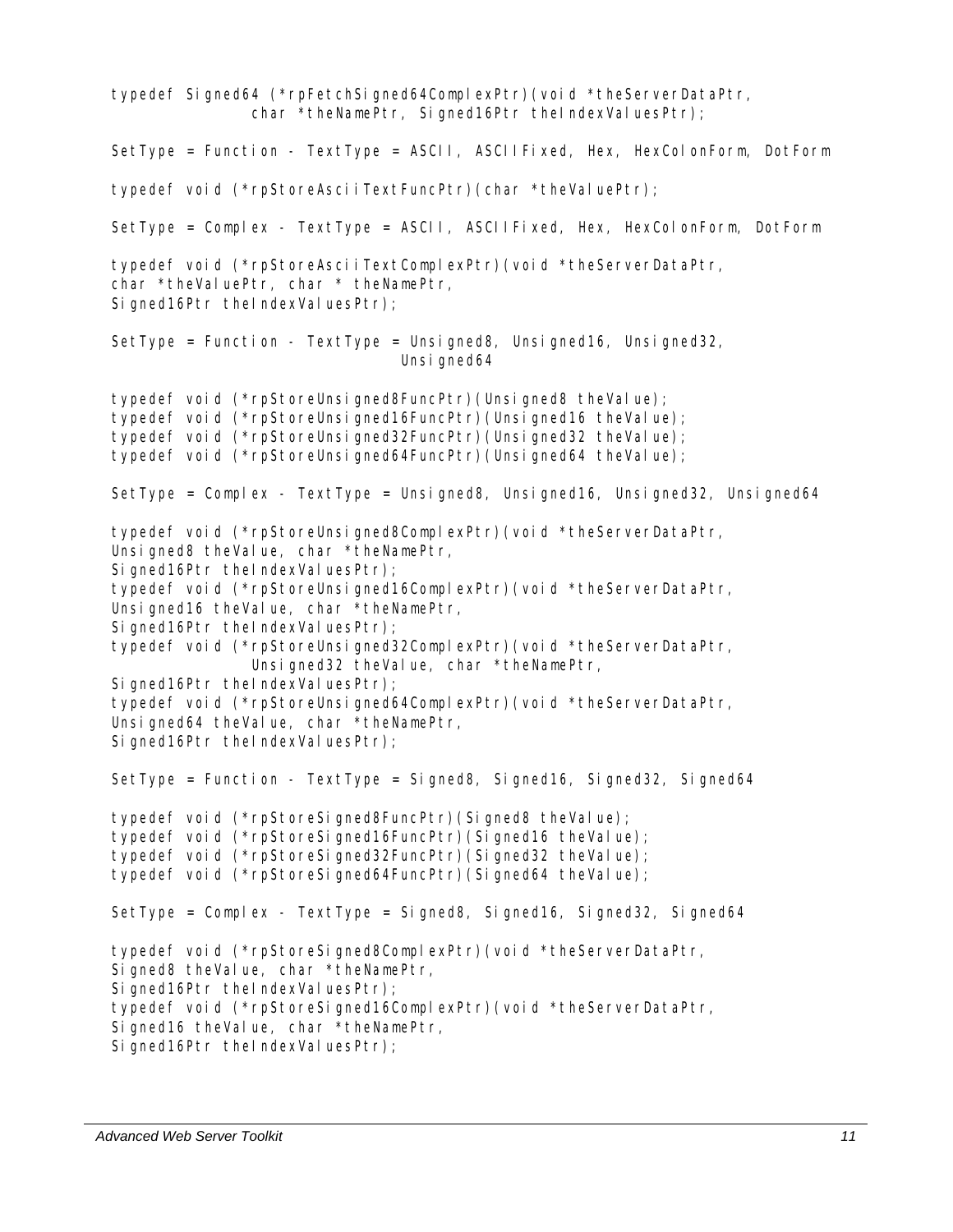typedef Signed64 (\*rpFetchSigned64ComplexPtr)(void \*theServerDataPtr, char \*theNamePtr, Signed16Ptr theIndexValuesPtr); SetType = Function - TextType = ASCII, ASCIIFixed, Hex, HexColonForm, DotForm typedef void (\*rpStoreAsciiTextFuncPtr)(char \*theValuePtr); SetType = Complex - TextType = ASCII, ASCIIFixed, Hex, HexColonForm, DotForm typedef void (\*rpStoreAsciiTextComplexPtr)(void \*theServerDataPtr, char \*theValuePtr, char \* theNamePtr, Signed16Ptr theIndexValuesPtr); SetType = Function - TextType = Unsigned8, Unsigned16, Unsigned32, Unsi gned64 typedef void (\*rpStoreUnsigned8FuncPtr)(Unsigned8 theValue); typedef void (\*rpStoreUnsigned16FuncPtr)(Unsigned16 theValue); typedef void (\*rpStoreUnsigned32FuncPtr)(Unsigned32 theValue); typedef void (\*rpStoreUnsigned64FuncPtr)(Unsigned64 theValue); SetType = Complex - TextType = Unsigned8, Unsigned16, Unsigned32, Unsigned64 typedef void (\*rpStoreUnsigned8ComplexPtr)(void \*theServerDataPtr, Unsigned8 theValue, char \*theNamePtr, Signed16Ptr theIndexValuesPtr); typedef void (\*rpStoreUnsigned16ComplexPtr)(void \*theServerDataPtr, Unsigned16 theValue, char \*theNamePtr, Signed16Ptr theIndexValuesPtr); typedef void (\*rpStoreUnsigned32ComplexPtr)(void \*theServerDataPtr, Unsigned32 theValue, char \*theNamePtr, Signed16Ptr theIndexValuesPtr); typedef void (\*rpStoreUnsigned64ComplexPtr)(void \*theServerDataPtr, Unsigned64 theValue, char \*theNamePtr, Signed16Ptr theIndexValuesPtr); SetType = Function - TextType = Signed8, Signed16, Signed32, Signed64 typedef void (\*rpStoreSigned8FuncPtr)(Signed8 theValue); typedef void (\*rpStoreSigned16FuncPtr)(Signed16 theValue); typedef void (\*rpStoreSigned32FuncPtr)(Signed32 theValue); typedef void (\*rpStoreSigned64FuncPtr)(Signed64 theValue); SetType = Complex - TextType = Signed8, Signed16, Signed32, Signed64 typedef void (\*rpStoreSigned8ComplexPtr)(void \*theServerDataPtr, Signed8 theValue, char \*theNamePtr, Signed16Ptr theIndexValuesPtr); typedef void (\*rpStoreSigned16ComplexPtr)(void \*theServerDataPtr, Signed16 theValue, char \*theNamePtr, Signed16Ptr theIndexValuesPtr);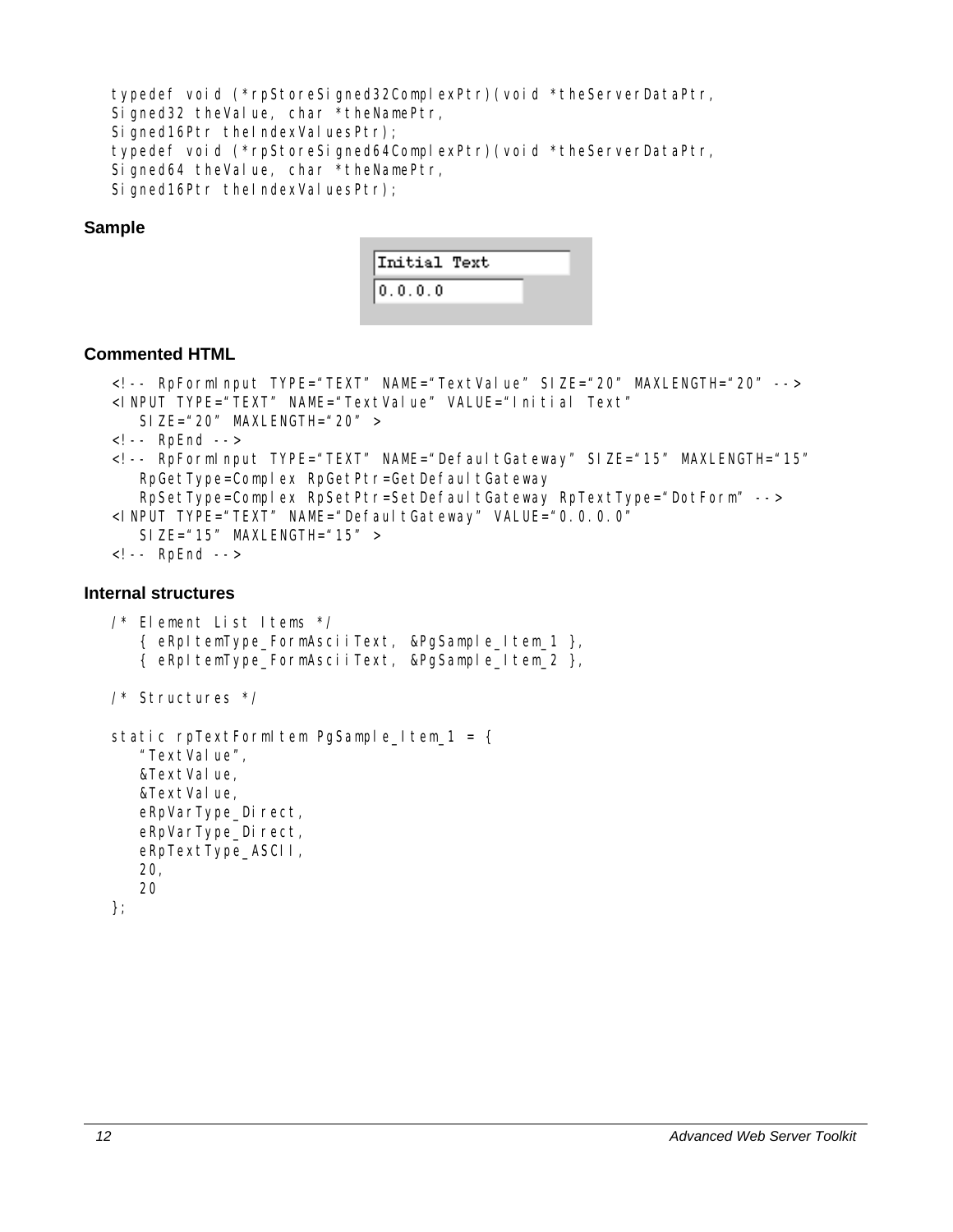typedef void (\*rpStoreSigned32ComplexPtr)(void \*theServerDataPtr, Signed32 theValue, char \*theNamePtr, Signed16Ptr theIndexValuesPtr); typedef void (\*rpStoreSigned64ComplexPtr)(void \*theServerDataPtr, Signed64 theValue, char \*theNamePtr,

Signed16Ptr theIndexValuesPtr);

#### **Sample**



#### **Commented HTML**

```
<!-- RpFormInput TYPE="TEXT" NAME="TextValue" SIZE="20" MAXLENGTH="20" --> 
<INPUT TYPE="TEXT" NAME="TextValue" VALUE="Initial Text" 
   SIZE="20" MAXLENGTH="20" >
\leq l -- RpFnd -->
<!-- RpFormInput TYPE="TEXT" NAME="DefaultGateway" SIZE="15" MAXLENGTH="15" 
   RpGetType=Complex RpGetPtr=GetDefaultGateway
    RpSetType=Complex RpSetPtr=SetDefaultGateway RpTextType="DotForm" --> 
<INPUT TYPE="TEXT" NAME="DefaultGateway" VALUE="0.0.0.0"
   SIZE="15" MAXLENGTH="15" >
<!-- RpEnd -->
```
#### **Internal structures**

```
/* Element List Items */ 
    { eRpItemType_FormAsciiText, &PgSample_Item_1 }, 
    { eRpItemType_FormAsciiText, &PgSample_Item_2 }, 
/* Structures */ 
static rpTextFormItem PgSample_Item_1 = {
   "TextValue",
    &TextValue, 
   &TextValue,
   eRpVarType_Direct,
    eRpVarType_Direct, 
    eRpTextType_ASCII, 
    20, 
    20 
};
```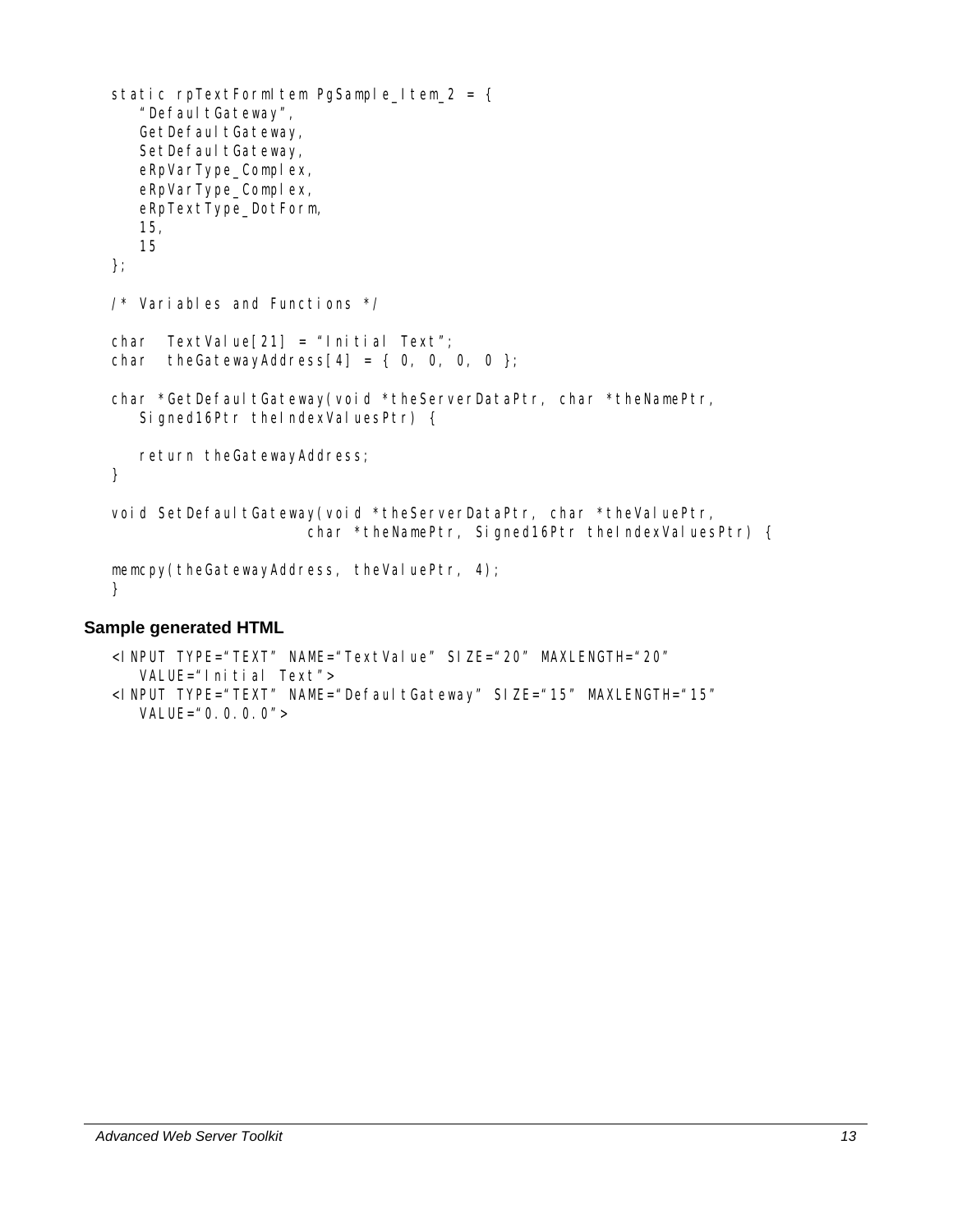```
static rpTextFormItem PgSample_Item_2 = {
   " Defaul tGateway",
   GetDefaultGateway,
   SetDefaultGateway,
   eRpVarType_Complex,
   eRpVarType_Complex,
    eRpTextType_DotForm, 
    15, 
    15 
}; 
/* Variables and Functions */ 
char TextValue[21] = "Initial Text";
char theGatewayAddress[4] = \{ 0, 0, 0, 0 \};
char *GetDefaultGateway(void *theServerDataPtr, char *theNamePtr,
   Signed16Ptr theIndexValuesPtr) {
   return theGatewayAddress; 
} 
void SetDefaultGateway(void *theServerDataPtr, char *theValuePtr,
                      char *theNamePtr, Signed16Ptr theIndexValuesPtr) {
memcpy(theGatewayAddress, theValuePtr, 4);
}
```
#### **Sample generated HTML**

```
<INPUT TYPE="TEXT" NAME="TextValue" SIZE="20" MAXLENGTH="20" 
    VALUE="Initial Text"> 
<INPUT TYPE="TEXT" NAME="DefaultGateway" SIZE="15" MAXLENGTH="15" 
  VALUE="0.0.0.0" >
```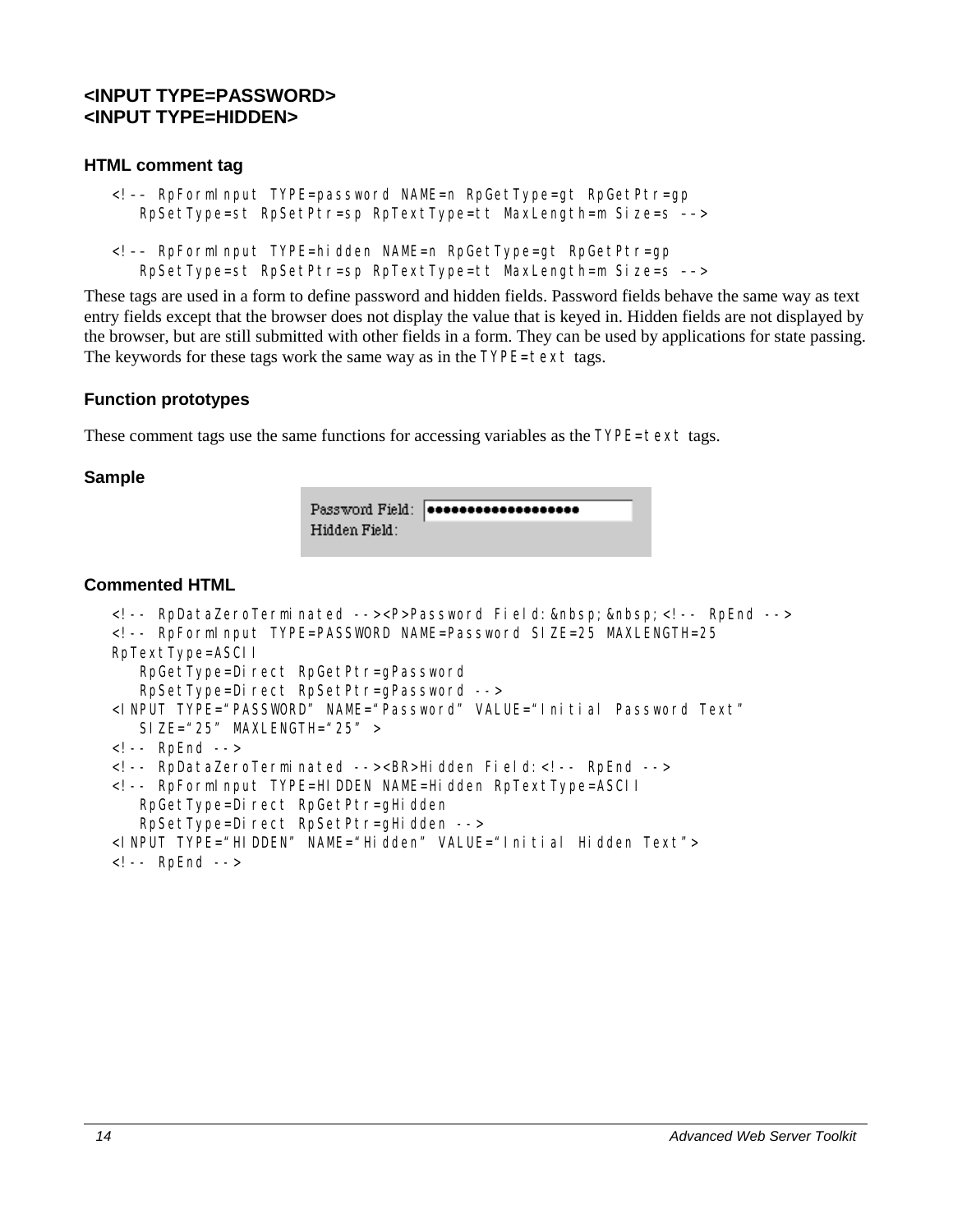# <span id="page-23-0"></span>**<INPUT TYPE=PASSWORD> <INPUT TYPE=HIDDEN>**

#### **HTML comment tag**

```
<!–– RpFormInput TYPE=password NAME=n RpGetType=gt RpGetPtr=gp 
    RpSetType=st RpSetPtr=sp RpTextType=tt MaxLength=m Size=s ––>
```

```
<!–– RpFormInput TYPE=hidden NAME=n RpGetType=gt RpGetPtr=gp 
    RpSetType=st RpSetPtr=sp RpTextType=tt MaxLength=m Size=s ––>
```
These tags are used in a form to define password and hidden fields. Password fields behave the same way as text entry fields except that the browser does not display the value that is keyed in. Hidden fields are not displayed by the browser, but are still submitted with other fields in a form. They can be used by applications for state passing. The keywords for these tags work the same way as in the TYPE=text tags.

#### **Function prototypes**

These comment tags use the same functions for accessing variables as the  $TYPE = te \times t$  tags.

#### **Sample**

```
Password Field: | *******************
Hidden Field:
```
#### **Commented HTML**

```
<!-- RpDataZeroTerminated --><P>Password Field:&nbsp;&nbsp;<!-- RpEnd --> 
<!-- RpFormInput TYPE=PASSWORD NAME=Password SIZE=25 MAXLENGTH=25 
RpTextType=ASCII 
   RpGetType=Direct RpGetPtr=qPassword
    RpSetType=Direct RpSetPtr=gPassword --> 
<INPUT TYPE="PASSWORD" NAME="Password" VALUE="Initial Password Text" 
   SIZE="25" MAXLENGTH="25" >
<!-- RpEnd --> 
<!-- RpDataZeroTerminated --><BR>Hidden Field:<!-- RpEnd --> 
<!-- RpFormInput TYPE=HIDDEN NAME=Hidden RpTextType=ASCII 
   RpGetType=Direct RpGetPtr=gHidden
   RpSetType=Direct RpSetPtr=gHidden -->
<INPUT TYPE="HIDDEN" NAME="Hidden" VALUE="Initial Hidden Text"> 
<!-- RpEnd -->
```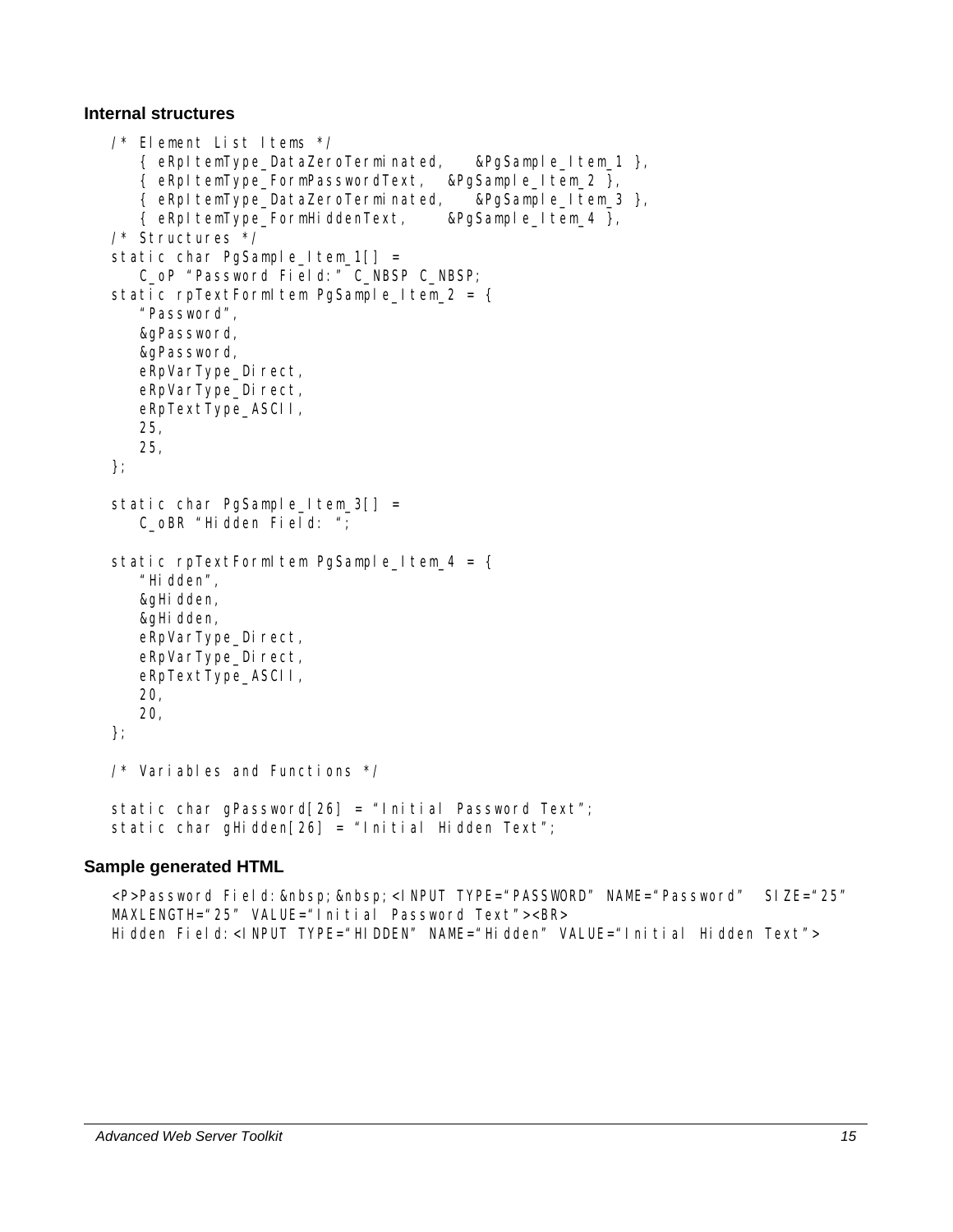#### **Internal structures**

```
/* Element List Items */ 
    { eRpItemType_DataZeroTerminated, &PgSample_Item_1 }, 
    { eRpItemType_FormPasswordText, &PgSample_Item_2 }, 
    { eRpItemType_DataZeroTerminated, &PgSample_Item_3 }, 
    { eRpItemType_FormHiddenText, &PgSample_Item_4 }, 
/* Structures */ 
static char PgSample_Item_1[] =
    C_oP "Password Field:" C_NBSP C_NBSP; 
static rpTextFormItem PgSample Item 2 = \{ "Password", 
    &gPassword, 
    &gPassword, 
   eRpVarType_Direct,
   eRpVarType_Direct,
    eRpTextType_ASCII, 
    25, 
    25, 
}; 
static char PgSample_Item_3[] =
   C_oBR "Hidden Field: ";
static rpTextFormItem PgSample Item 4 = \{ "Hidden", 
    &gHidden, 
   &gHidden,
   eRpVarType_Direct,
   eRpVarType_Direct,
    eRpTextType_ASCII, 
    20, 
    20, 
}; 
/* Variables and Functions */ 
static char qPassword[26] = "Initial Password Text";
static char gHidden[26] = "Initial Hidden Text";
```
#### **Sample generated HTML**

<P>Password Field: &nbsp; &nbsp; <INPUT TYPE="PASSWORD" NAME="Password" SIZE="25" MAXLENGTH="25" VALUE="Initial Password Text"><BR> Hidden Field:<INPUT TYPE="HIDDEN" NAME="Hidden" VALUE="Initial Hidden Text">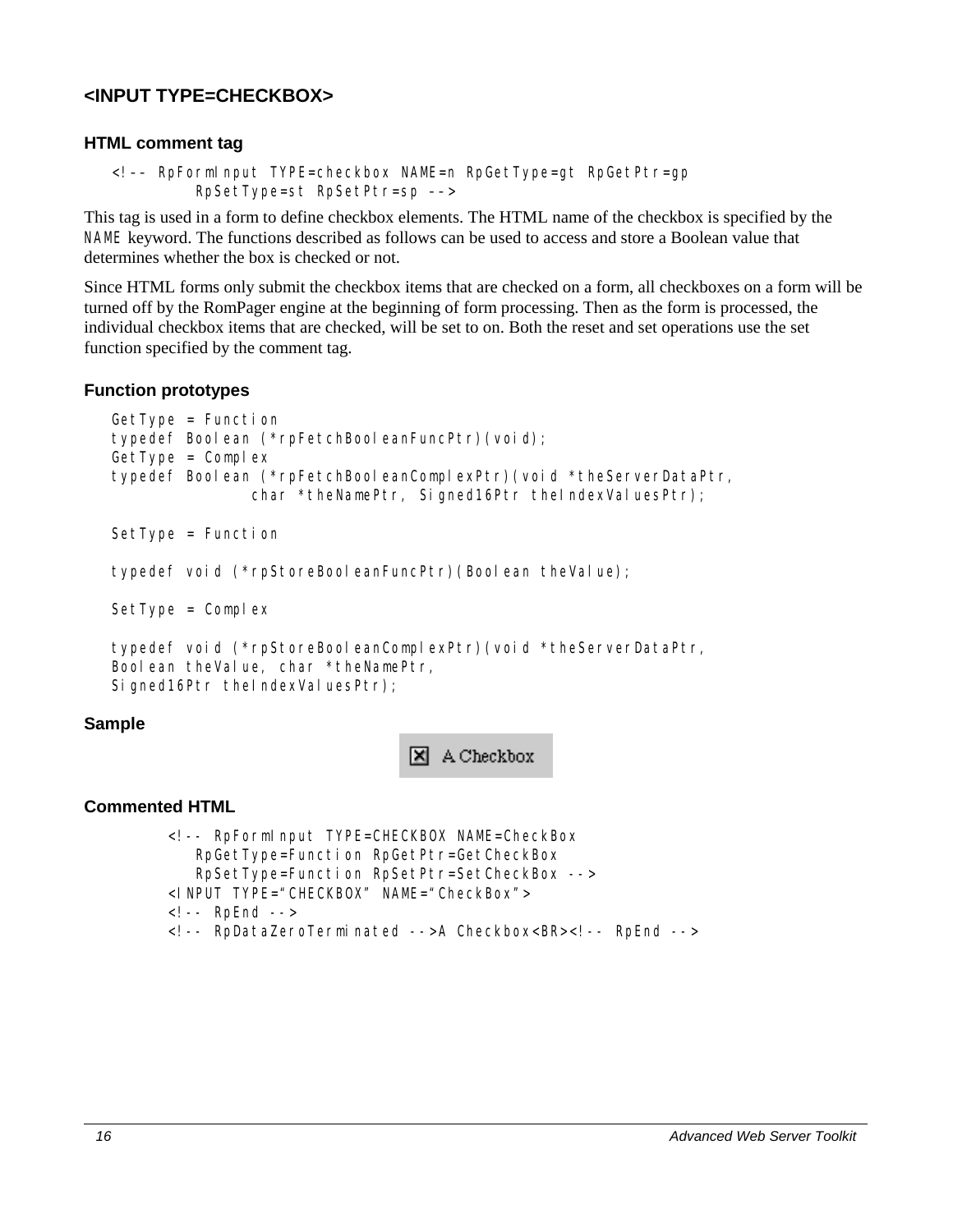# <span id="page-25-0"></span>**<INPUT TYPE=CHECKBOX>**

#### **HTML comment tag**

```
<!–– RpFormInput TYPE=checkbox NAME=n RpGetType=gt RpGetPtr=gp 
          RpSetType=st RpSetPtr=sp ––>
```
This tag is used in a form to define checkbox elements. The HTML name of the checkbox is specified by the NAME keyword. The functions described as follows can be used to access and store a Boolean value that determines whether the box is checked or not.

Since HTML forms only submit the checkbox items that are checked on a form, all checkboxes on a form will be turned off by the RomPager engine at the beginning of form processing. Then as the form is processed, the individual checkbox items that are checked, will be set to on. Both the reset and set operations use the set function specified by the comment tag.

#### **Function prototypes**

```
GetType = Function 
typedef Boolean (*rpFetchBooleanFuncPtr)(void); 
GetType = Complextypedef Boolean (*rpFetchBooleanComplexPtr)(void *theServerDataPtr, 
               char *theNamePtr, Signed16Ptr theIndexValuesPtr);
SetType = Function
```

```
typedef void (*rpStoreBooleanFuncPtr)(Boolean theValue);
```
 $SetType = Complex$ 

```
typedef void (*rpStoreBooleanComplexPtr)(void *theServerDataPtr, 
Boolean theValue, char *theNamePtr, 
Signed16Ptr theIndexValuesPtr);
```
#### **Sample**

**X** A Checkbox

#### **Commented HTML**

```
<!-- RpFormInput TYPE=CHECKBOX NAME=CheckBox 
   RpGetType=Function RpGetPtr=GetCheckBox 
    RpSetType=Function RpSetPtr=SetCheckBox --> 
<INPUT TYPE="CHECKBOX" NAME="CheckBox"> 
<!-- RpEnd --> 
<!-- RpDataZeroTerminated -->A Checkbox<BR><!-- RpEnd -->
```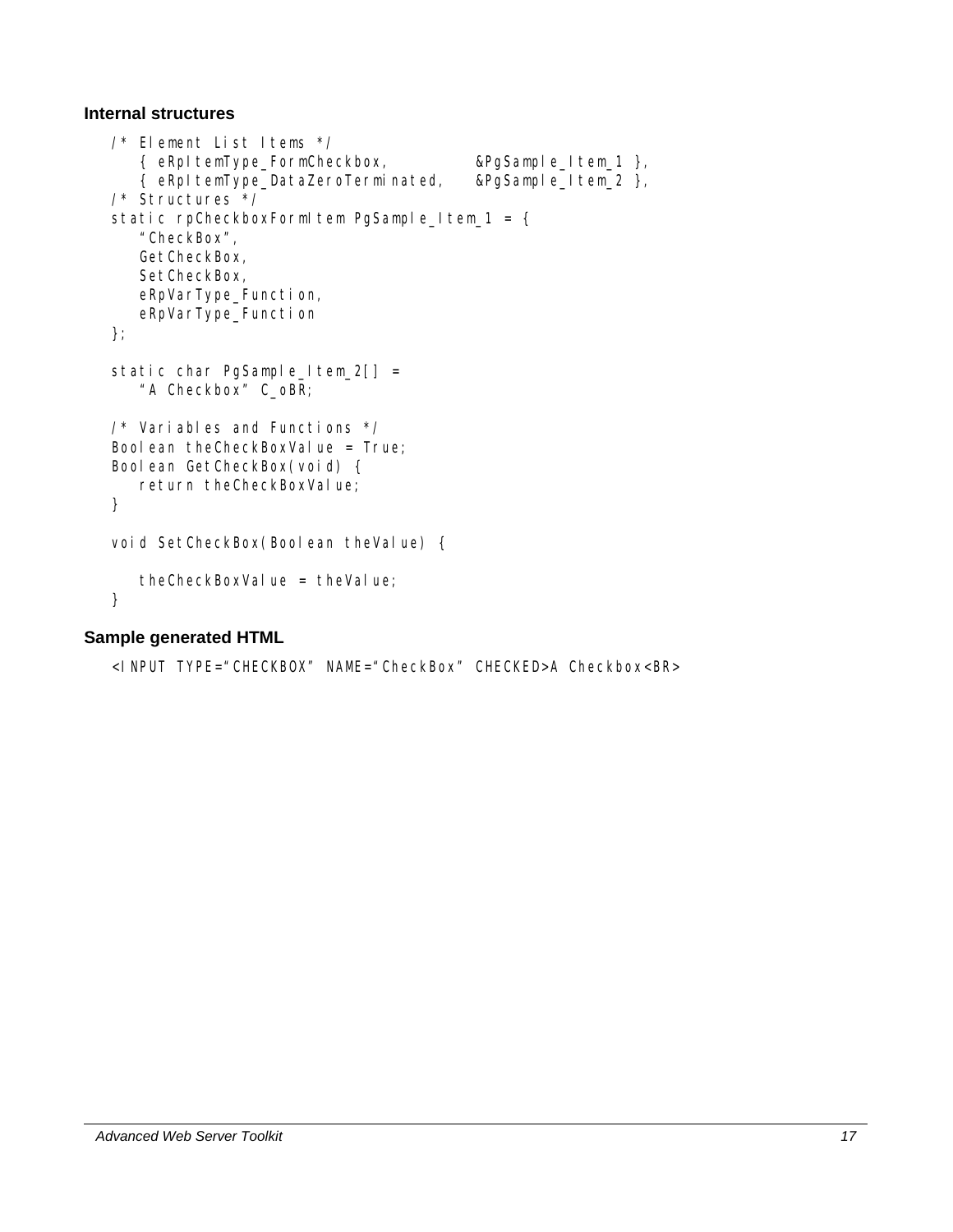#### **Internal structures**

```
/* Element List Items */ 
    { eRpItemType_FormCheckbox, &PgSample_Item_1 }, 
    { eRpItemType_DataZeroTerminated, &PgSample_Item_2 }, 
/* Structures */ 
static rpCheckboxFormItem PgSample_Item_1 = {
    "CheckBox", 
    GetCheckBox, 
    SetCheckBox, 
    eRpVarType_Function, 
    eRpVarType_Function 
}; 
static char PgSample_Item_2[] =
    "A Checkbox" C_oBR; 
/* Variables and Functions */ 
Boolean theCheckBoxValue = True;
Boolean GetCheckBox(void) { 
   return theCheckBoxValue;
} 
void SetCheckBox(Boolean theValue) {
   theCheckBoxValue = theValue;
}
```
#### **Sample generated HTML**

```
<INPUT TYPE="CHECKBOX" NAME="CheckBox" CHECKED>A Checkbox<BR>
```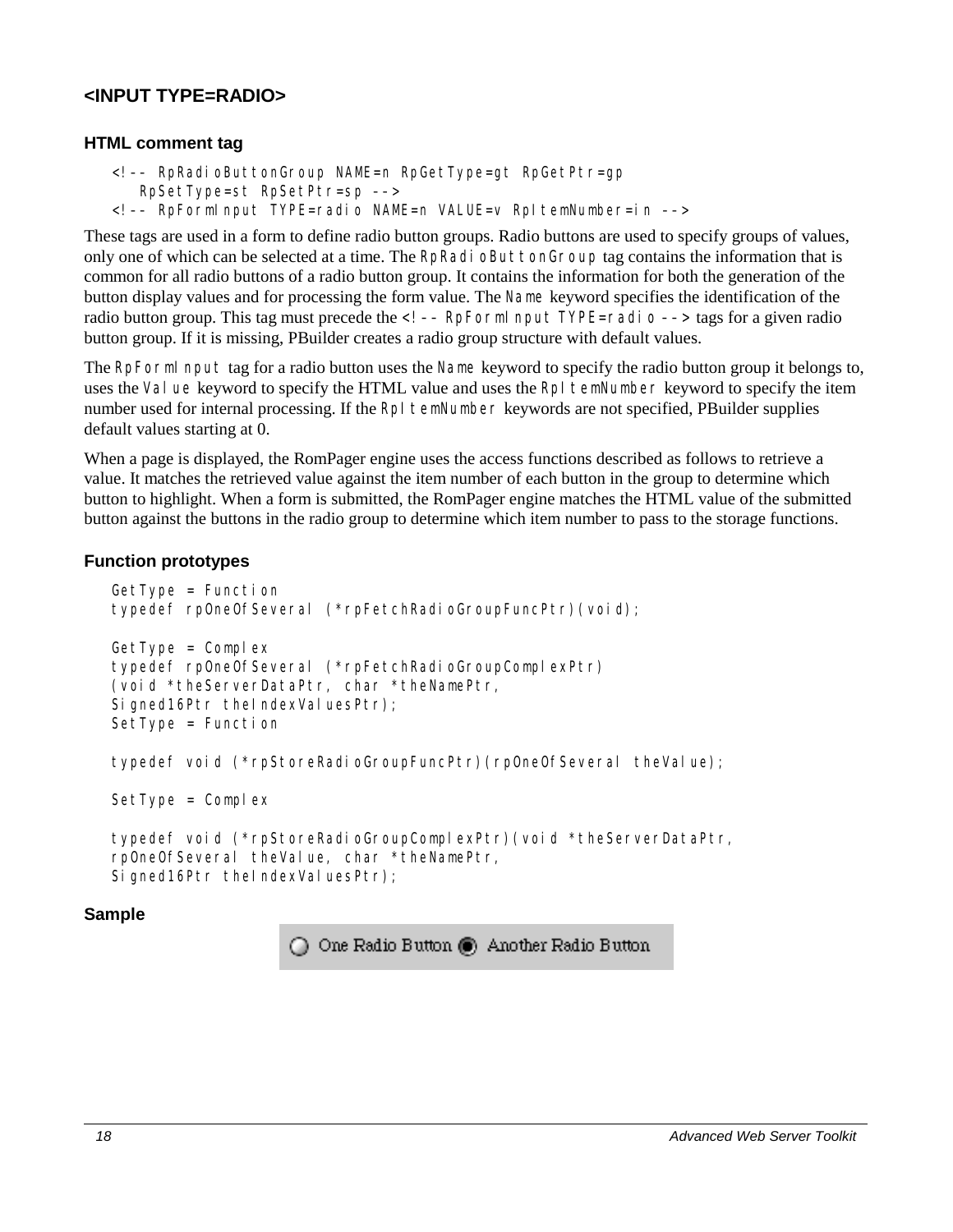# <span id="page-27-0"></span>**<INPUT TYPE=RADIO>**

#### **HTML comment tag**

- <!–– RpRadioButtonGroup NAME=n RpGetType=gt RpGetPtr=gp
	- RpSetType=st RpSetPtr=sp ––>
- <!–– RpFormInput TYPE=radio NAME=n VALUE=v RpItemNumber=in ––>

These tags are used in a form to define radio button groups. Radio buttons are used to specify groups of values, only one of which can be selected at a time. The RpRadioButtonGroup tag contains the information that is common for all radio buttons of a radio button group. It contains the information for both the generation of the button display values and for processing the form value. The Name keyword specifies the identification of the radio button group. This tag must precede the  $\leq$ !  $-$  RpFormI nput TYPE=radio  $-$  tags for a given radio button group. If it is missing, PBuilder creates a radio group structure with default values.

The RpFormI nput tag for a radio button uses the Name keyword to specify the radio button group it belongs to, uses the Value keyword to specify the HTML value and uses the RpI temNumber keyword to specify the item number used for internal processing. If the RpI temNumber keywords are not specified, PBuilder supplies default values starting at 0.

When a page is displayed, the RomPager engine uses the access functions described as follows to retrieve a value. It matches the retrieved value against the item number of each button in the group to determine which button to highlight. When a form is submitted, the RomPager engine matches the HTML value of the submitted button against the buttons in the radio group to determine which item number to pass to the storage functions.

#### **Function prototypes**

```
GetType = Function 
typedef rpOneOfSeveral (*rpFetchRadioGroupFuncPtr)(void); 
GetType = Complextypedef rpOneOfSeveral (*rpFetchRadioGroupComplexPtr) 
(void *theServerDataPtr, char *theNamePtr, 
Signed16Ptr theIndexValuesPtr);
SetType = Function
```

```
typedef void (*rpStoreRadioGroupFuncPtr)(rpOneOfSeveral theValue);
```
 $SetType = Complex$ 

```
typedef void (*rpStoreRadioGroupComplexPtr)(void *theServerDataPtr, 
rpOneOfSeveral theValue, char *theNamePtr, 
Signed16Ptr theIndexValuesPtr);
```
#### **Sample**

◯ One Radio Button ● Another Radio Button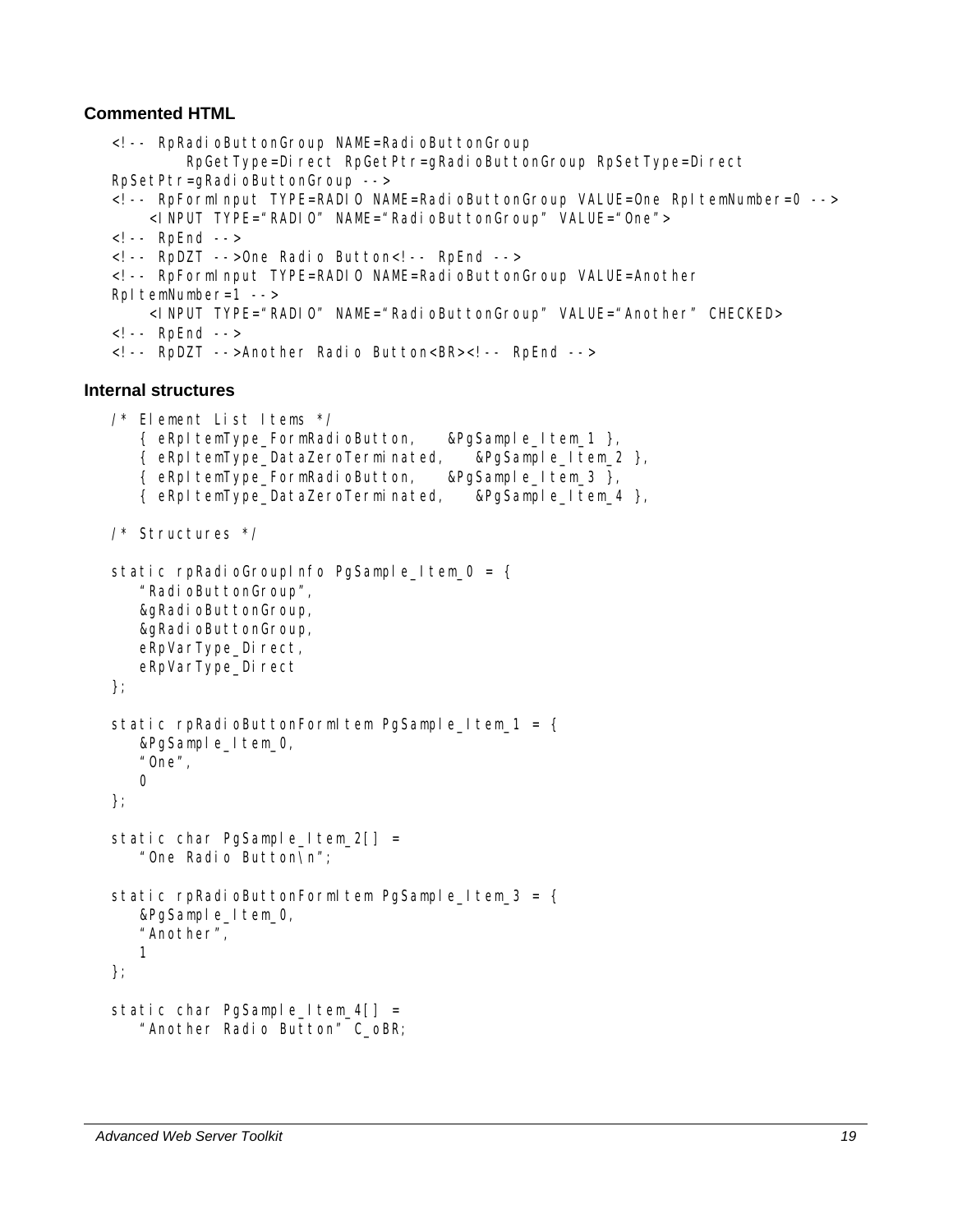#### **Commented HTML**

```
<!-- RpRadioButtonGroup NAME=RadioButtonGroup 
           RpGetType=Direct RpGetPtr=gRadioButtonGroup RpSetType=Direct
   RpSetPtr=gRadioButtonGroup --> 
   <!-- RpFormInput TYPE=RADIO NAME=RadioButtonGroup VALUE=One RpItemNumber=0 --> 
        <INPUT TYPE="RADIO" NAME="RadioButtonGroup" VALUE="One"> 
   <!-- RpEnd --> 
   <!-- RpDZT -->One Radio Button<!-- RpEnd -->
   <! -- RpFormInput TYPE=RADIO NAME=RadioButtonGroup VALUE=Another
   RpItemNumber=1 -->
        <INPUT TYPE="RADIO" NAME="RadioButtonGroup" VALUE="Another" CHECKED> 
   <!-- RpEnd --> 
   <!-- RpDZT -->Another Radio Button<BR><!-- RpEnd --> 
Internal structures 
   /* Element List Items */ 
       { eRpItemType_FormRadioButton, &PgSample_Item_1 }, 
       { eRpItemType_DataZeroTerminated, &PgSample_Item_2 }, 
       { eRpItemType_FormRadioButton, &PgSample_Item_3 }, 
       { eRpItemType_DataZeroTerminated, &PgSample_Item_4 }, 
   /* Structures */ 
   static rpRadioGroupInfo PgSample_Item_0 = {
       "RadioButtonGroup", 
       &gRadioButtonGroup, 
       &gRadioButtonGroup, 
      eRpVarType_Direct,
      eRpVarType_Direct
   }; 
   static rpRadioButtonFormItem PgSample_Item_1 = \{ &PgSample_Item_0, 
       "One", 
      \overline{O}}; 
   static char PgSample_Item_2[] =
       "One Radio Button\n"; 
   static rpRadioButtonFormItem PgSample Item 3 = \{ &PgSample_Item_0, 
       "Another", 
       1 
   }; 
   static char PgSample_Item_4[] =
       "Another Radio Button" C_oBR;
```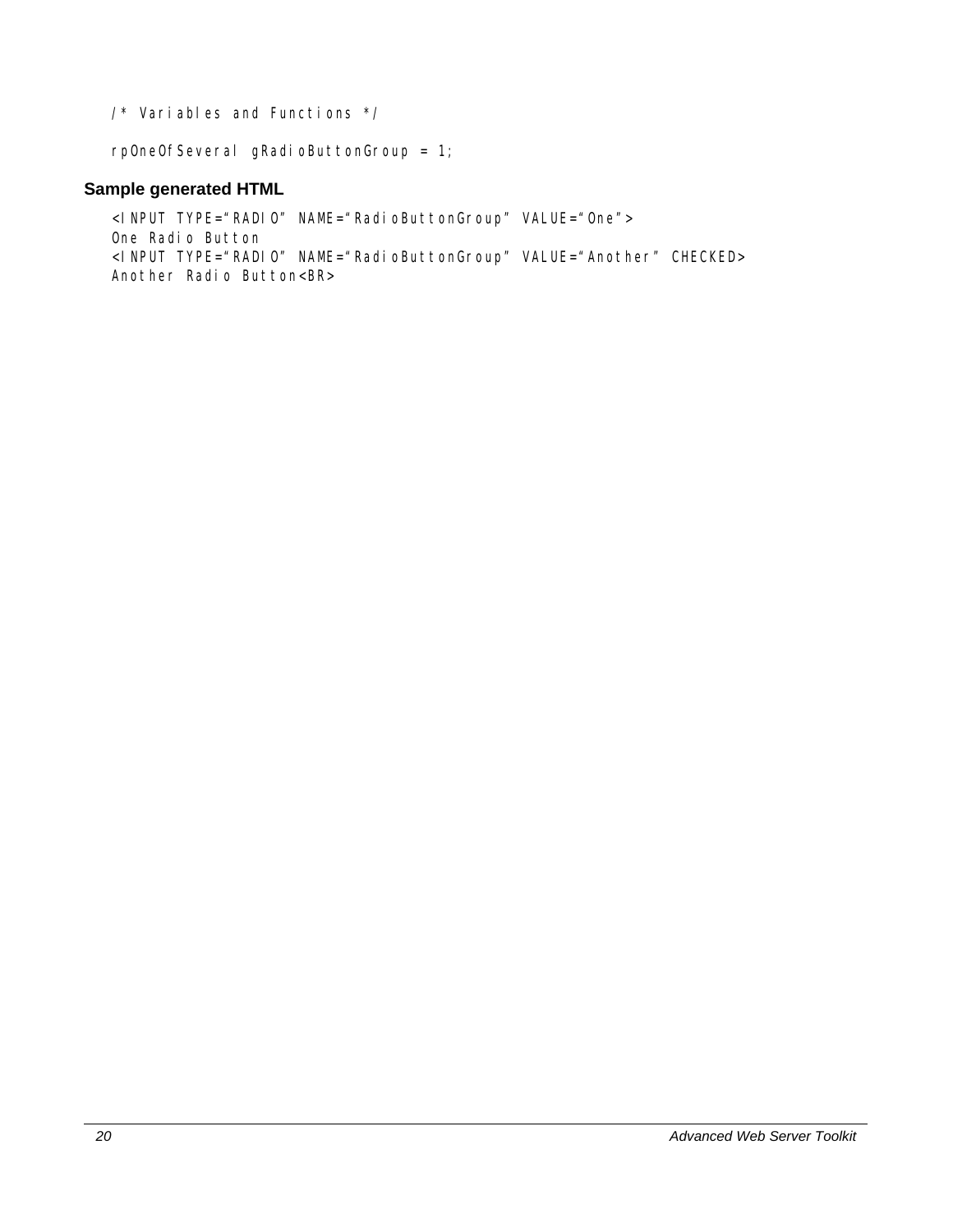/\* Variables and Functions \*/

rpOneOfSeveral gRadioButtonGroup = 1;

#### **Sample generated HTML**

<INPUT TYPE="RADIO" NAME="RadioButtonGroup" VALUE="One"> One Radio Button <INPUT TYPE="RADIO" NAME="RadioButtonGroup" VALUE="Another" CHECKED> Another Radio Button<BR>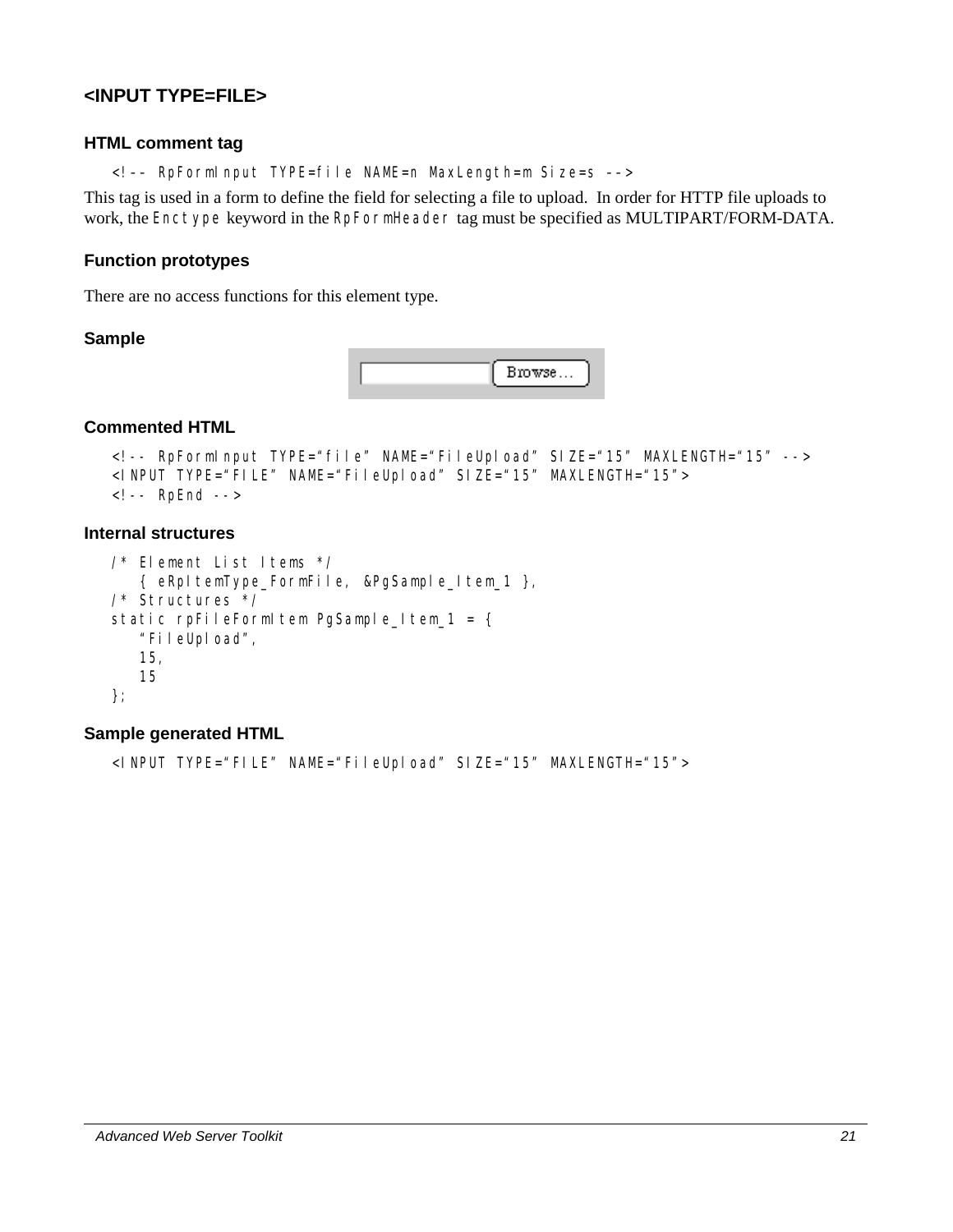# <span id="page-30-0"></span>**<INPUT TYPE=FILE>**

#### **HTML comment tag**

<!–– RpFormInput TYPE=file NAME=n MaxLength=m Size=s ––>

This tag is used in a form to define the field for selecting a file to upload. In order for HTTP file uploads to work, the Enctype keyword in the RpFormHeader tag must be specified as MULTIPART/FORM-DATA.

#### **Function prototypes**

There are no access functions for this element type.

#### **Sample**



#### **Commented HTML**

```
<!-- RpFormInput TYPE="file" NAME="FileUpload" SIZE="15" MAXLENGTH="15" --> 
<INPUT TYPE="FILE" NAME="FileUpload" SIZE="15" MAXLENGTH="15"> 
<!-- RpEnd -->
```
#### **Internal structures**

```
/* Element List Items */ 
    { eRpItemType_FormFile, &PgSample_Item_1 }, 
/* Structures */ 
static rpFileFormItem PgSample_Item_1 = {
    "FileUpload", 
    15, 
    15 
};
```
#### **Sample generated HTML**

<INPUT TYPE="FILE" NAME="FileUpload" SIZE="15" MAXLENGTH="15">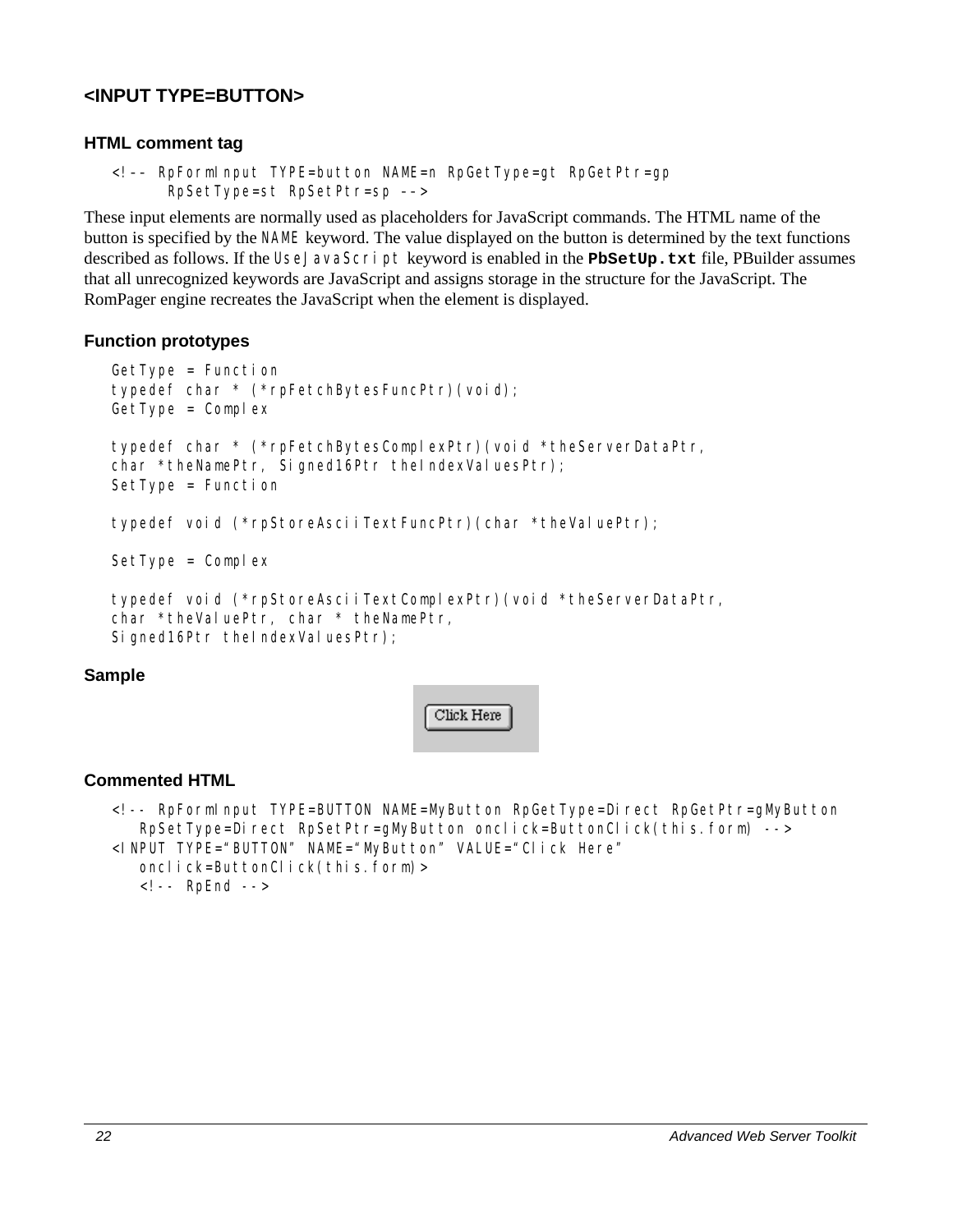# <span id="page-31-0"></span>**<INPUT TYPE=BUTTON>**

#### **HTML comment tag**

```
<!–– RpFormInput TYPE=button NAME=n RpGetType=gt RpGetPtr=gp 
       RpSetType=st RpSetPtr=sp ––>
```
These input elements are normally used as placeholders for JavaScript commands. The HTML name of the button is specified by the NAME keyword. The value displayed on the button is determined by the text functions described as follows. If the UseJavaScript keyword is enabled in the **PbSetUp.txt** file, PBuilder assumes that all unrecognized keywords are JavaScript and assigns storage in the structure for the JavaScript. The RomPager engine recreates the JavaScript when the element is displayed.

#### **Function prototypes**

```
GetType = Function 
typedef char * (*rpFetchBytesFuncPtr)(void); 
GetType = Complextypedef char * (*rpFetchBytesComplexPtr)(void *theServerDataPtr, 
char *theNamePtr, Signed16Ptr theIndexValuesPtr);
SetType = Function
```

```
typedef void (*rpStoreAsciiTextFuncPtr)(char *theValuePtr);
```
 $SetType = Complex$ 

```
typedef void (*rpStoreAsciiTextComplexPtr)(void *theServerDataPtr, 
char *theValuePtr, char * theNamePtr,
Signed16Ptr theIndexValuesPtr);
```
#### **Sample**



#### **Commented HTML**

```
<!-- RpFormInput TYPE=BUTTON NAME=MyButton RpGetType=Direct RpGetPtr=gMyButton 
   RpSetType=Direct RpSetPtr=gMyButton onclick=ButtonClick(this.form) -->
<INPUT TYPE="BUTTON" NAME="MyButton" VALUE="Click Here" 
   onclick=ButtonClick(this.form)>
   <!-- RpEnd -->
```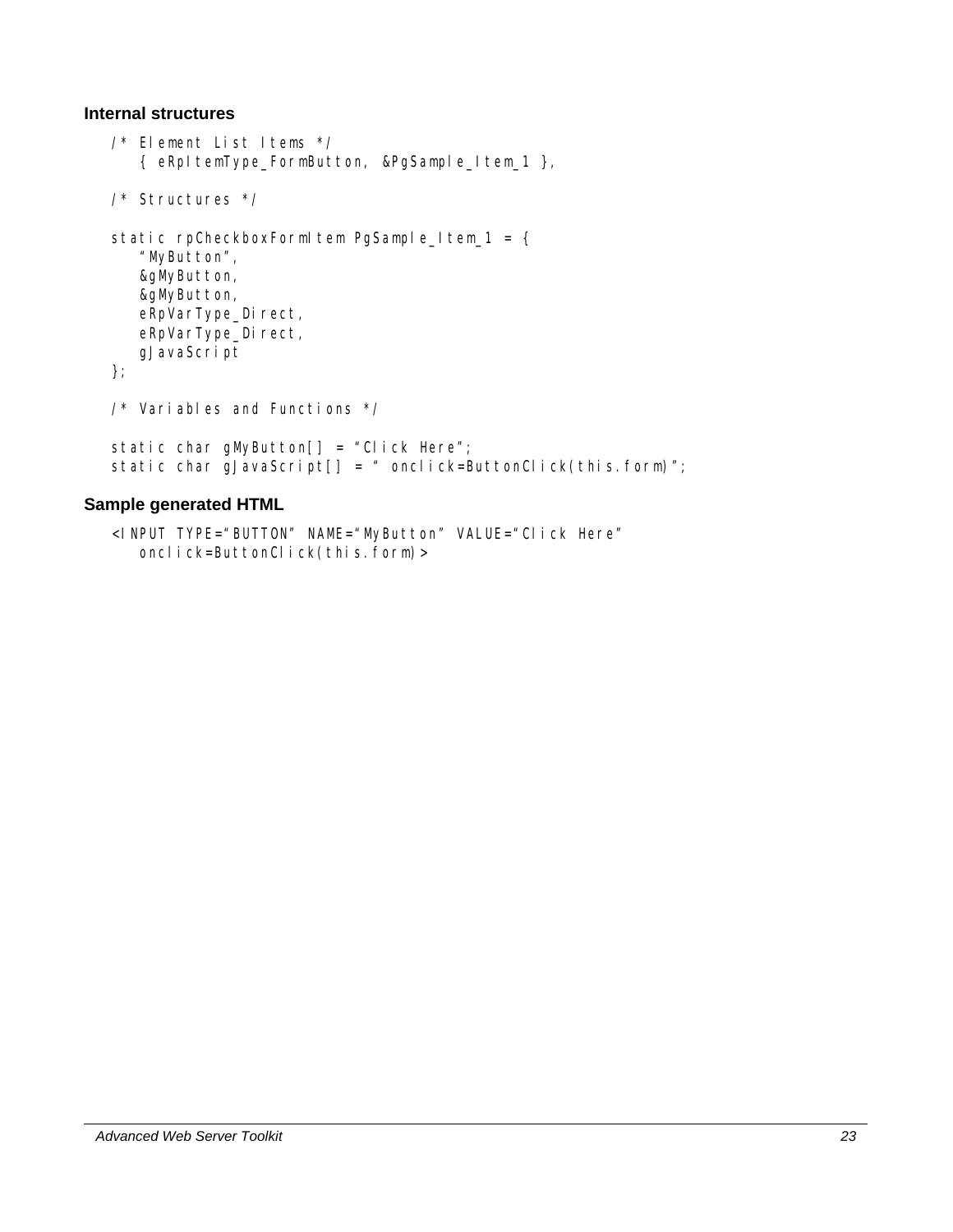#### **Internal structures**

```
/* Element List Items */ 
    { eRpItemType_FormButton, &PgSample_Item_1 }, 
/* Structures */ 
static rpCheckboxFormItem PgSample_Item_1 = \{ "MyButton", 
    &gMyButton, 
    &gMyButton, 
   eRpVarType_Direct,
   eRpVarType_Direct,
    gJavaScript 
}; 
/* Variables and Functions */ 
static char gMyButton[] = "Click Here";
static char gJavaScript[] = " onclick=ButtonClick(this.form)";
```
#### **Sample generated HTML**

```
<INPUT TYPE="BUTTON" NAME="MyButton" VALUE="Click Here" 
  onclick=ButtonClick(this.form)>
```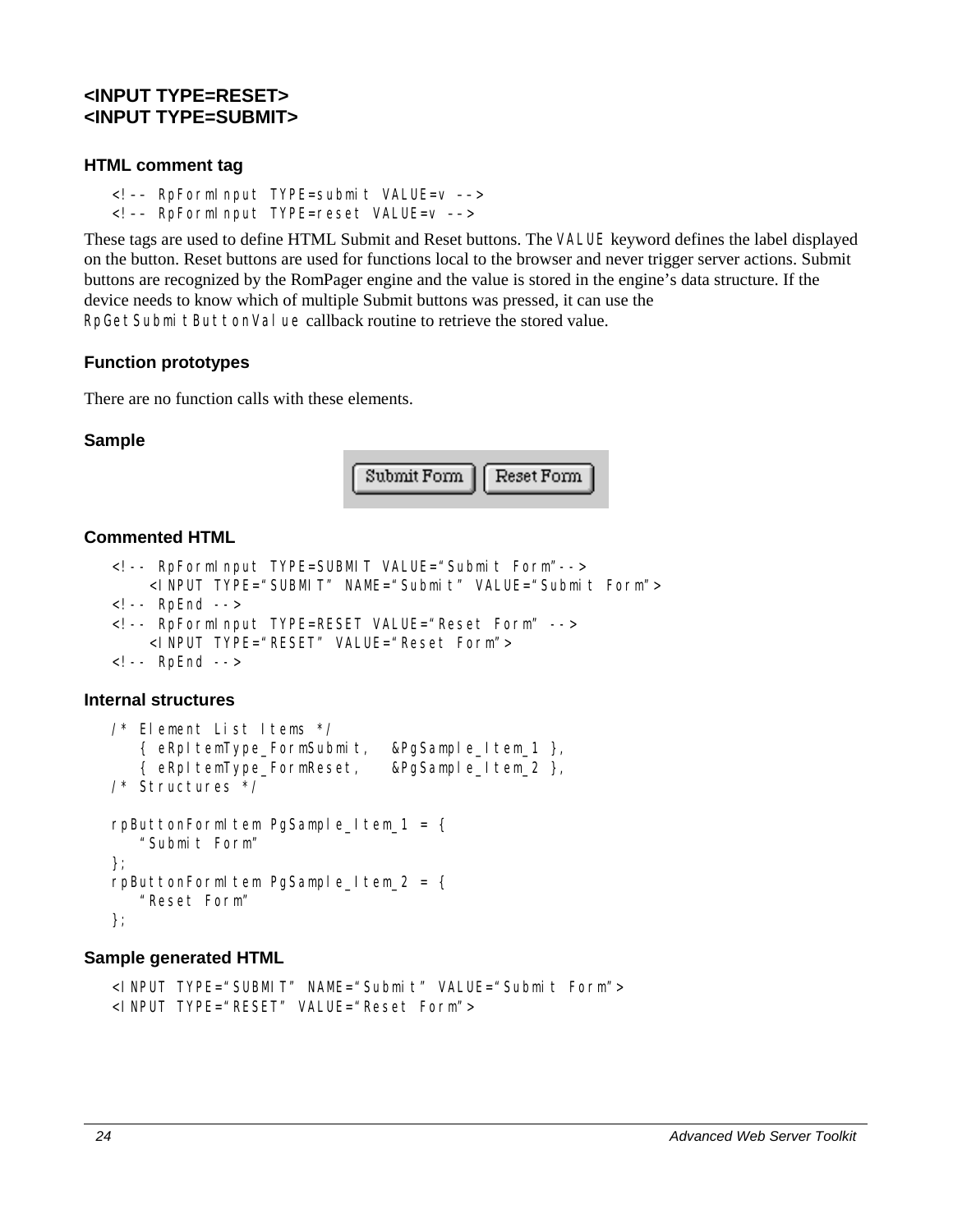# <span id="page-33-0"></span>**<INPUT TYPE=RESET> <INPUT TYPE=SUBMIT>**

#### **HTML comment tag**

<!–– RpFormInput TYPE=submit VALUE=v ––> <!–– RpFormInput TYPE=reset VALUE=v ––>

These tags are used to define HTML Submit and Reset buttons. The VALUE keyword defines the label displayed on the button. Reset buttons are used for functions local to the browser and never trigger server actions. Submit buttons are recognized by the RomPager engine and the value is stored in the engine's data structure. If the device needs to know which of multiple Submit buttons was pressed, it can use the RpGetSubmitButtonValue callback routine to retrieve the stored value.

#### **Function prototypes**

There are no function calls with these elements.

#### **Sample**



#### **Commented HTML**

```
<!-- RpFormInput TYPE=SUBMIT VALUE="Submit Form"--> 
     <INPUT TYPE="SUBMIT" NAME="Submit" VALUE="Submit Form"> 
<!-- RpEnd --> 
<!-- RpFormInput TYPE=RESET VALUE="Reset Form" --> 
     <INPUT TYPE="RESET" VALUE="Reset Form"> 
<!-- RpEnd -->
```
#### **Internal structures**

```
/* Element List Items */ 
    { eRpItemType_FormSubmit, &PgSample_Item_1 }, 
    { eRpItemType_FormReset, &PgSample_Item_2 }, 
/* Structures */ 
rpButtonFormItem PgSample_Item_1 = \{ "Submit Form" 
}; 
rpButtonFormItem PgSample_Item_2 = \{ "Reset Form" 
};
```
#### **Sample generated HTML**

```
<INPUT TYPE="SUBMIT" NAME="Submit" VALUE="Submit Form"> 
<INPUT TYPE="RESET" VALUE="Reset Form">
```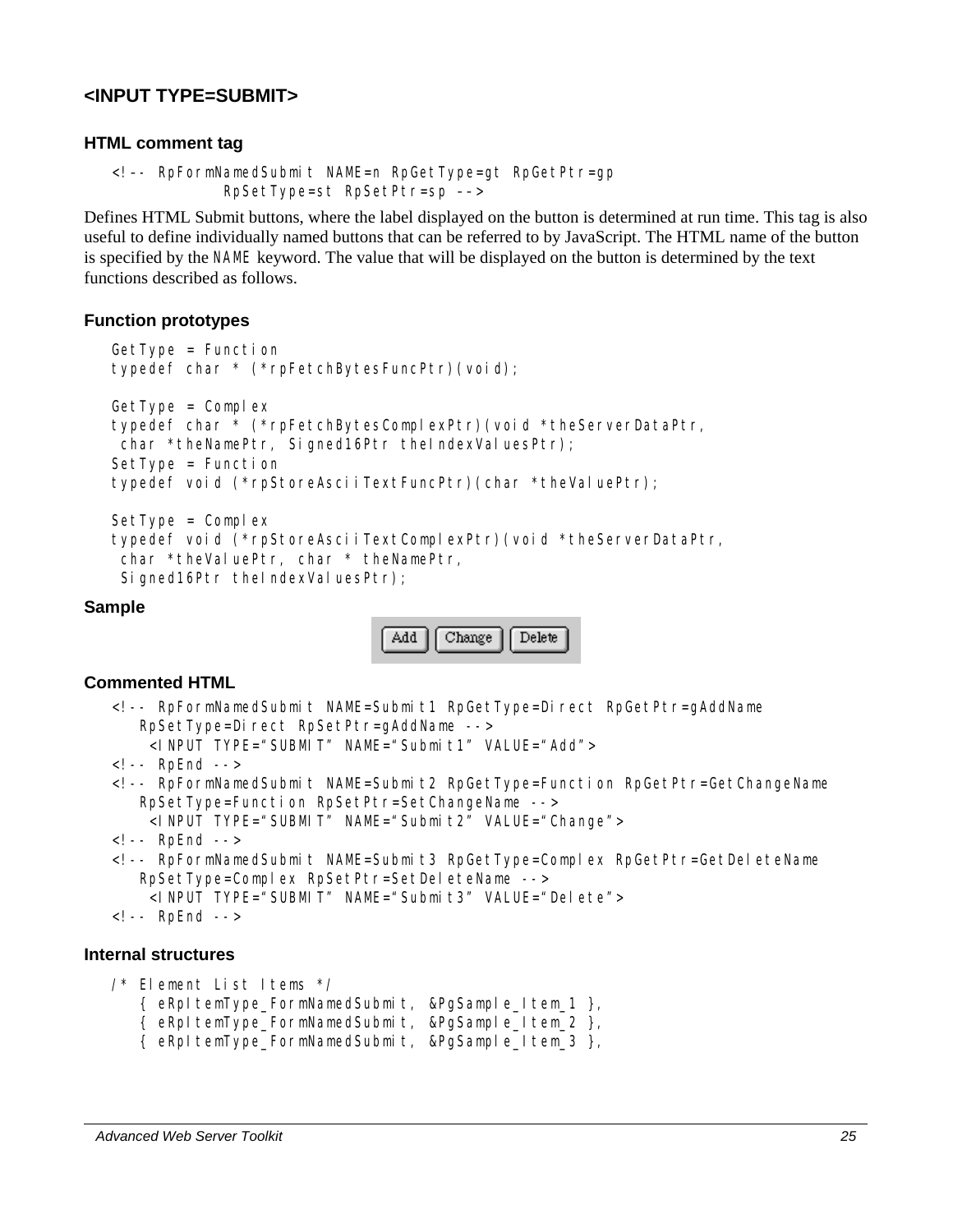# <span id="page-34-0"></span>**<INPUT TYPE=SUBMIT>**

#### **HTML comment tag**

<!–- RpFormNamedSubmit NAME=n RpGetType=gt RpGetPtr=gp RpSetType=st RpSetPtr=sp ––>

Defines HTML Submit buttons, where the label displayed on the button is determined at run time. This tag is also useful to define individually named buttons that can be referred to by JavaScript. The HTML name of the button is specified by the NAME keyword. The value that will be displayed on the button is determined by the text functions described as follows.

#### **Function prototypes**

```
GetType = Function 
typedef char * (*rpFetchBytesFuncPtr)(void); 
GetType = Complex 
typedef char * (*rpFetchBytesComplexPtr)(void *theServerDataPtr, 
char *theNamePtr, Signed16Ptr theIndexValuesPtr);
SetType = Function 
typedef void (*rpStoreAsciiTextFuncPtr)(char *theValuePtr); 
SetType = Complex
```

```
typedef void (*rpStoreAsciiTextComplexPtr)(void *theServerDataPtr, 
char *theValuePtr, char * theNamePtr,
Signed16Ptr theIndexValuesPtr);
```
#### **Sample**



#### **Commented HTML**

```
<!-- RpFormNamedSubmit NAME=Submit1 RpGetType=Direct RpGetPtr=gAddName 
  RpSetType=Direct RpSetPtr=gAddName -->
     <INPUT TYPE="SUBMIT" NAME="Submit1" VALUE="Add"> 
\leq -- RpFnd -->
<!-- RpFormNamedSubmit NAME=Submit2 RpGetType=Function RpGetPtr=GetChangeName 
   RpSetType=Function RpSetPtr=SetChangeName --> 
     <INPUT TYPE="SUBMIT" NAME="Submit2" VALUE="Change"> 
<!-- RpEnd --> 
<!-- RpFormNamedSubmit NAME=Submit3 RpGetType=Complex RpGetPtr=GetDeleteName 
   RpSetType=Complex RpSetPtr=SetDeleteName -->
     <INPUT TYPE="SUBMIT" NAME="Submit3" VALUE="Delete"> 
<!-- RpEnd -->
```
#### **Internal structures**

```
/* Element List Items */ 
    { eRpItemType_FormNamedSubmit, &PgSample_Item_1 }, 
    { eRpItemType_FormNamedSubmit, &PgSample_Item_2 }, 
    { eRpItemType_FormNamedSubmit, &PgSample_Item_3 },
```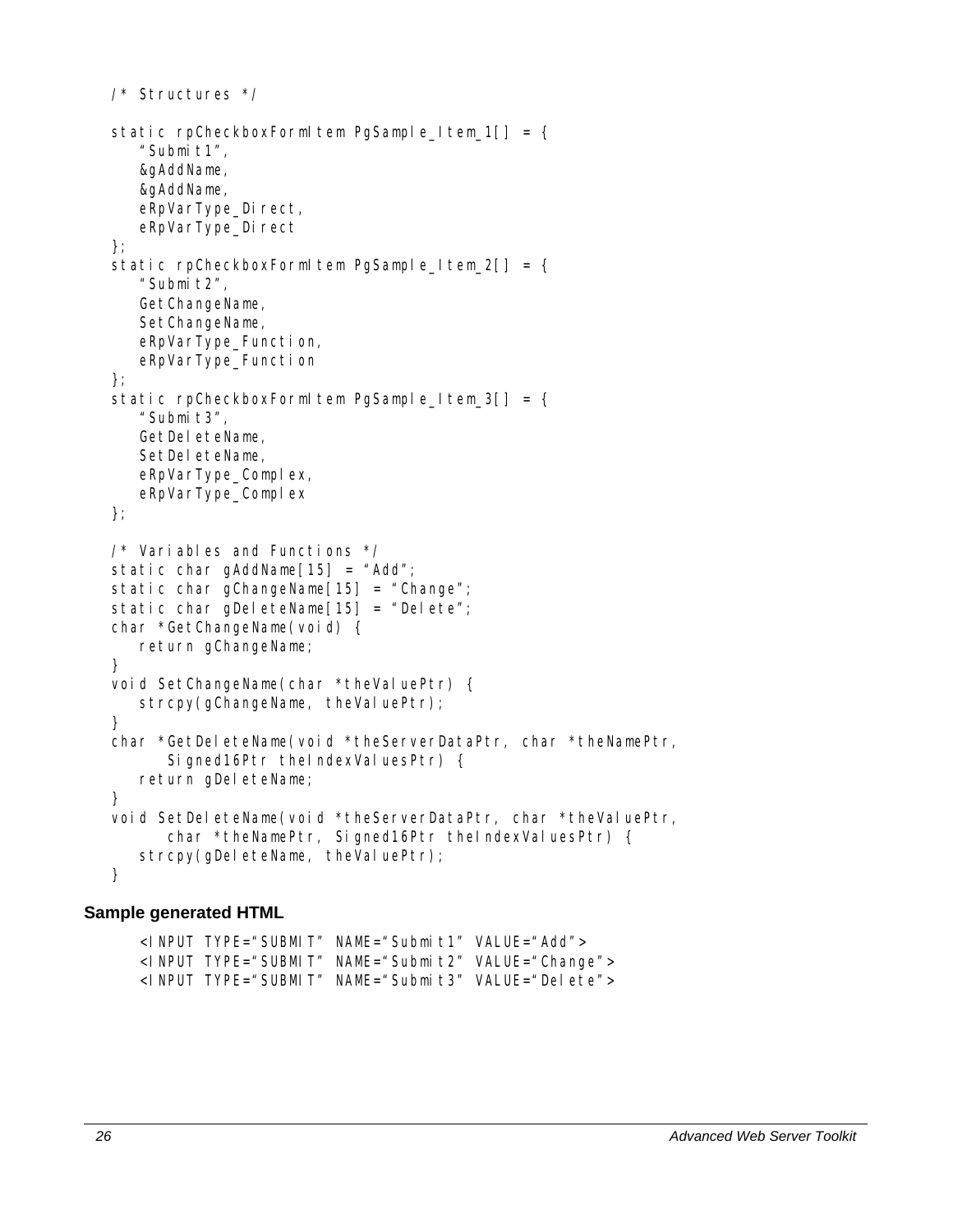```
/* Structures */ 
static rpCheckboxFormItem PgSample_Item_1[] = {
    "Submit1", 
    &gAddName, 
    &gAddName, 
   eRpVarType_Direct,
   eRpVarType_Direct
}; 
static rpCheckboxFormItem PgSample_Item_2[] = {
    "Submit2", 
   GetChangeName,
    SetChangeName, 
    eRpVarType_Function, 
    eRpVarType_Function 
}; 
static rpCheckboxFormItem PgSample Item 3[] = {"Submit3",
   GetDeleteName,
   SetDeleteName,
   eRpVarType_Complex,
   eRpVarType_Complex
}; 
/* Variables and Functions */ 
static char gAddName[15] = "Add";
static char gChangeName[15] = "Change"; 
static char gDeleteName[15] = "Delete";
char *GetChangeName(void) { 
    return gChangeName; 
} 
void SetChangeName(char *theValuePtr) {
   strcpy(gChangeName, theValuePtr);
} 
char *GetDeleteName(void *theServerDataPtr, char *theNamePtr, 
      Signed16Ptr theIndexValuesPtr) {
   return gDeleteName;
} 
void SetDeleteName(void *theServerDataPtr, char *theValuePtr,
      char *theNamePtr, Signed16Ptr theIndexValuesPtr) {
   strcpy(gDeleteName, theValuePtr);
}
```
#### **Sample generated HTML**

<INPUT TYPE="SUBMIT" NAME="Submit1" VALUE="Add"> <I NPUT TYPE="SUBMIT" NAME="Submit2" VALUE="Change"> <INPUT TYPE="SUBMIT" NAME="Submit3" VALUE="Delete">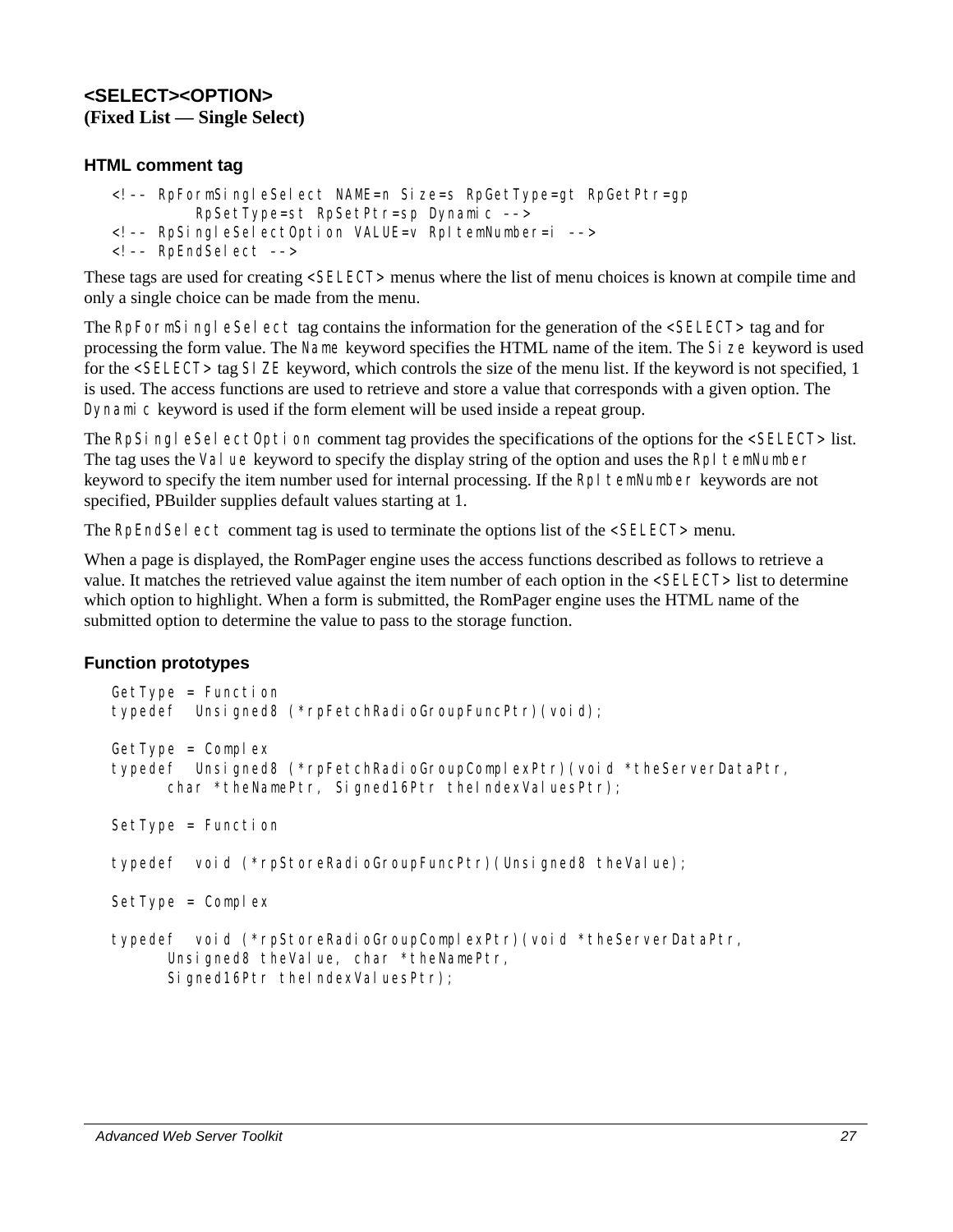## **<SELECT><OPTION> (Fixed List — Single Select)**

## **HTML comment tag**

```
<!–– RpFormSingleSelect NAME=n Size=s RpGetType=gt RpGetPtr=gp 
          RpSetType=st RpSetPtr=sp Dynamic ––> 
<!–– RpSingleSelectOption VALUE=v RpItemNumber=i ––> 
<!–– RpEndSelect ––>
```
These tags are used for creating <SELECT> menus where the list of menu choices is known at compile time and only a single choice can be made from the menu.

The RpFormSingleSelect tag contains the information for the generation of the <SELECT> tag and for processing the form value. The Name keyword specifies the HTML name of the item. The Size keyword is used for the <SELECT> tag SIZE keyword, which controls the size of the menu list. If the keyword is not specified, 1 is used. The access functions are used to retrieve and store a value that corresponds with a given option. The Dynamic keyword is used if the form element will be used inside a repeat group.

The RpSingleSelectOption comment tag provides the specifications of the options for the <SELECT> list. The tag uses the Value keyword to specify the display string of the option and uses the RpI temNumber keyword to specify the item number used for internal processing. If the RpI temNumber keywords are not specified, PBuilder supplies default values starting at 1.

The RpEndSel ect comment tag is used to terminate the options list of the <SELECT> menu.

When a page is displayed, the RomPager engine uses the access functions described as follows to retrieve a value. It matches the retrieved value against the item number of each option in the <SELECT> list to determine which option to highlight. When a form is submitted, the RomPager engine uses the HTML name of the submitted option to determine the value to pass to the storage function.

## **Function prototypes**

```
GetType = Function 
typedef Unsigned8 (*rpFetchRadioGroupFuncPtr)(void); 
GetType = Complextypedef Unsigned8 (*rpFetchRadioGroupComplexPtr)(void *theServerDataPtr, 
      char *theNamePtr, Signed16Ptr theIndexValuesPtr);
SetType = Function
typedef void (*rpStoreRadioGroupFuncPtr)(Unsigned8 theValue); 
SetType = Complextypedef void (*rpStoreRadioGroupComplexPtr)(void *theServerDataPtr, 
      Unsigned8 theValue, char *theNamePtr,
      Signed16Ptr theIndexValuesPtr);
```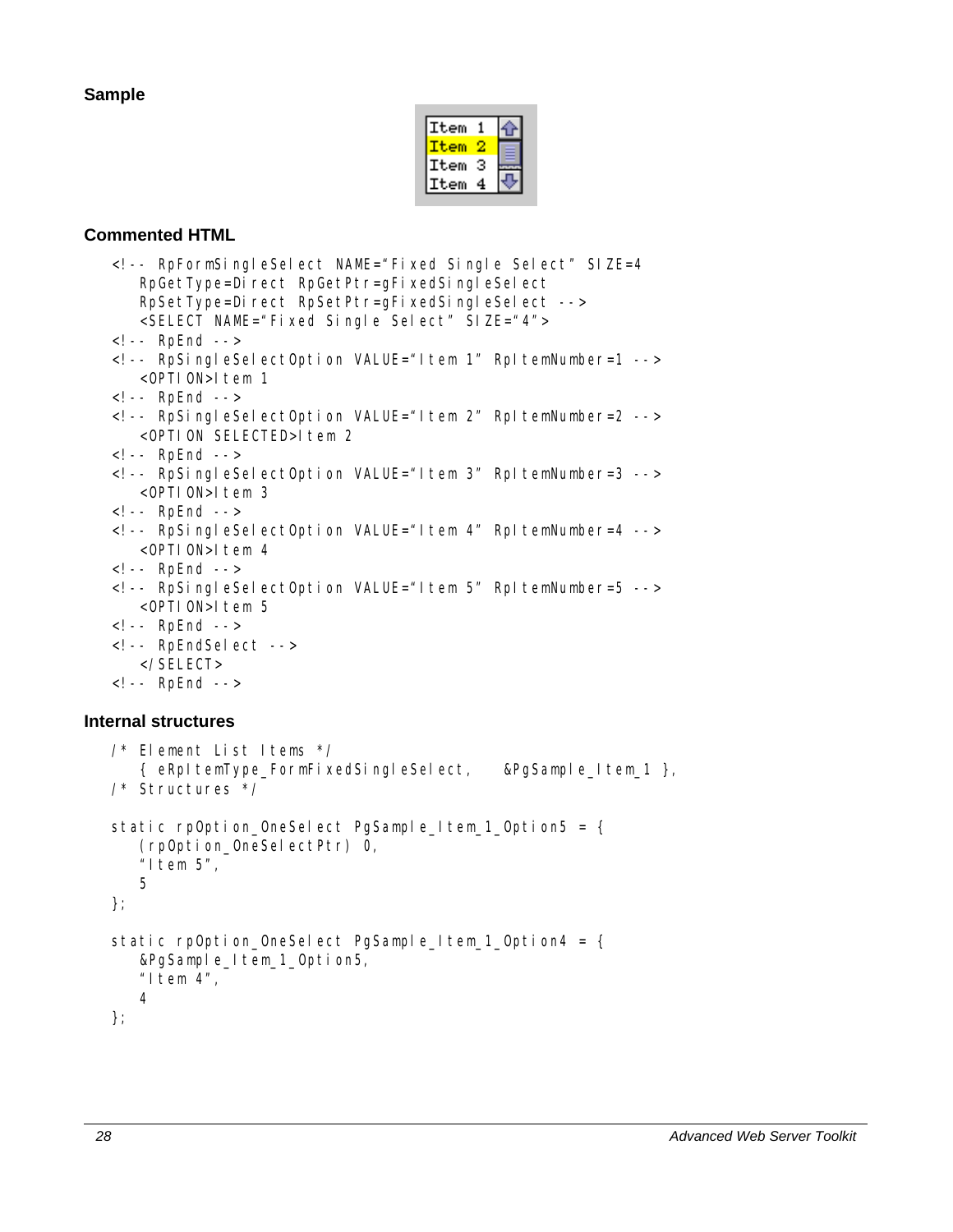## **Sample**

| tem |  |
|-----|--|
|     |  |
| tem |  |
| tem |  |

## **Commented HTML**

```
<!-- RpFormSingleSelect NAME="Fixed Single Select" SIZE=4 
   RpGetType=Direct RpGetPtr=gFixedSingleSelect
   RpSetType=Direct RpSetPtr=gFixedSingleSelect -->
    <SELECT NAME="Fixed Single Select" SIZE="4"> 
<!-- RpEnd --> 
<!-- RpSingleSelectOption VALUE="Item 1" RpItemNumber=1 --> 
   <OPTION>Item 1
<!-- RpEnd --> 
<!-- RpSingleSelectOption VALUE="Item 2" RpItemNumber=2 --> 
   <OPTION SELECTED>Item 2
<!-- RpEnd --> 
<!-- RpSingleSelectOption VALUE="Item 3" RpItemNumber=3 --> 
    <OPTION>Item 3 
<!-- RpEnd --> 
<!-- RpSingleSelectOption VALUE="Item 4" RpItemNumber=4 --> 
   <OPTION>Item 4
<!-- RpEnd --> 
<!-- RpSingleSelectOption VALUE="Item 5" RpItemNumber=5 --> 
   <OPTION>Item 5
<!-- RpEnd --> 
<!-- RpEndSelect --> 
    </SELECT> 
<!-- RpEnd -->
```
## **Internal structures**

```
/* Element List Items */ 
    { eRpItemType_FormFixedSingleSelect, &PgSample_Item_1 }, 
/* Structures */ 
static rpOption_OneSelect PgSample_Item_1_Option5 = {
    (rpOption_OneSelectPtr) 0, 
    "Item 5", 
    5 
}; 
static rpOption_OneSelect PgSample_Item_1_Option4 = {
    &PgSample_Item_1_Option5, 
   "Item 4",
    4 
};
```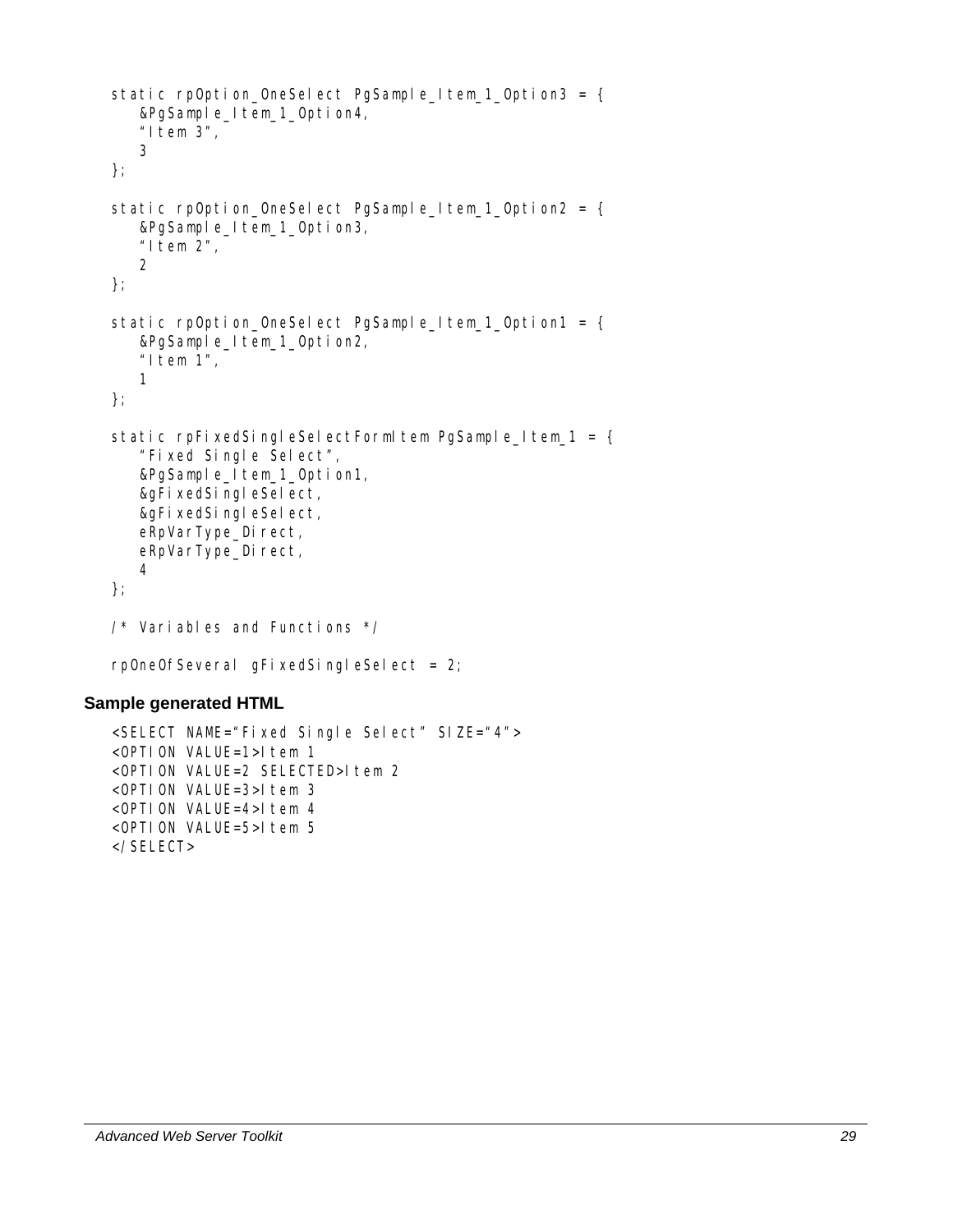```
static rpOption_OneSelect PgSample_Item_1_Option3 = {
    &PgSample_Item_1_Option4, 
   "I tem 3",
    3 
}; 
static rpOption_OneSelect PgSample_Item_1_Option2 = {
    &PgSample_Item_1_Option3, 
   "1tem 2",
    2 
}; 
static rpOption_OneSelect PgSample_Item_1_Option1 = {
    &PgSample_Item_1_Option2, 
   "I tem 1",
    1 
}; 
static rpFixedSingleSelectFormItem PgSample_Item_1 = {
    "Fixed Single Select", 
    &PgSample_Item_1_Option1, 
    &gFixedSingleSelect, 
    &gFixedSingleSelect, 
   eRpVarType_Direct,
   eRpVarType_Direct,
    4 
}; 
/* Variables and Functions */
```
rpOneOfSeveral gFixedSingleSelect = 2;

### **Sample generated HTML**

```
<SELECT NAME="Fixed Single Select" SIZE="4"> 
\leqOPTION VALUE=1>Item 1
<OPTION VALUE=2 SELECTED>Item 2
<OPTION VALUE=3>Item 3 
\langleOPTION VALUE=4>Item 4
<OPTION VALUE=5>Item 5 
</SELECT>
```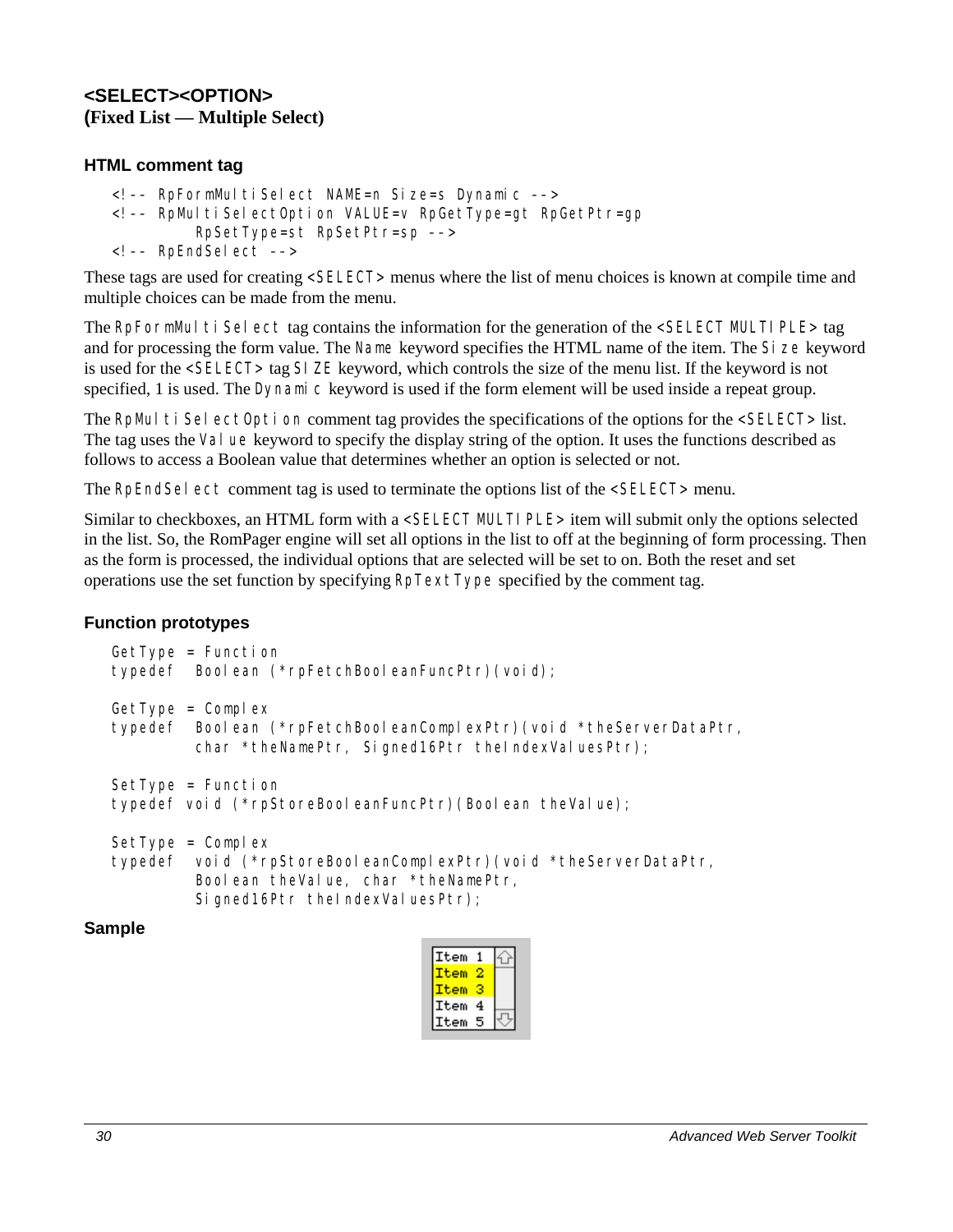## **<SELECT><OPTION> (Fixed List — Multiple Select)**

## **HTML comment tag**

```
<!–– RpFormMultiSelect NAME=n Size=s Dynamic ––> 
<!–– RpMultiSelectOption VALUE=v RpGetType=gt RpGetPtr=gp 
          RpSetType=st RpSetPtr=sp ––> 
<!–– RpEndSelect ––>
```
These tags are used for creating <SELECT> menus where the list of menu choices is known at compile time and multiple choices can be made from the menu.

The RpFormMultiSelect tag contains the information for the generation of the  $\leq$ SELECT MULTIPLE $>$  tag and for processing the form value. The Name keyword specifies the HTML name of the item. The Si ze keyword is used for the <SELECT> tag SIZE keyword, which controls the size of the menu list. If the keyword is not specified, 1 is used. The Dynamic keyword is used if the form element will be used inside a repeat group.

The RpMultiSelectOption comment tag provides the specifications of the options for the <SELECT> list. The tag uses the Value keyword to specify the display string of the option. It uses the functions described as follows to access a Boolean value that determines whether an option is selected or not.

The RpEndSel ect comment tag is used to terminate the options list of the <SELECT> menu.

Similar to checkboxes, an HTML form with a <SELECT MULTI PLE> item will submit only the options selected in the list. So, the RomPager engine will set all options in the list to off at the beginning of form processing. Then as the form is processed, the individual options that are selected will be set to on. Both the reset and set operations use the set function by specifying RpTextType specified by the comment tag.

## **Function prototypes**

| $GetType = Function$<br>typedef Boolean (*rpFetchBooleanFuncPtr) (void);                                                                                            |
|---------------------------------------------------------------------------------------------------------------------------------------------------------------------|
| $GetType = Compl ex$<br>typedef Boolean (*rpFetchBooleanComplexPtr) (void *theServerDataPtr,<br>char *theNamePtr, Signed16Ptr theIndexValuesPtr);                   |
| $SetType = Function$<br>typedef void (*rpStoreBooleanFuncPtr) (Boolean theValue);                                                                                   |
| $SetType = Compl ex$<br>typedef void (*rpStoreBooleanComplexPtr) (void *theServerDataPtr,<br>Boolean theValue, char *theNamePtr,<br>Signed16Ptr thelndexValuesPtr); |

### **Sample**

| Item |   |  |
|------|---|--|
| Item |   |  |
| Ttem |   |  |
| Item | 4 |  |
| Item | ô |  |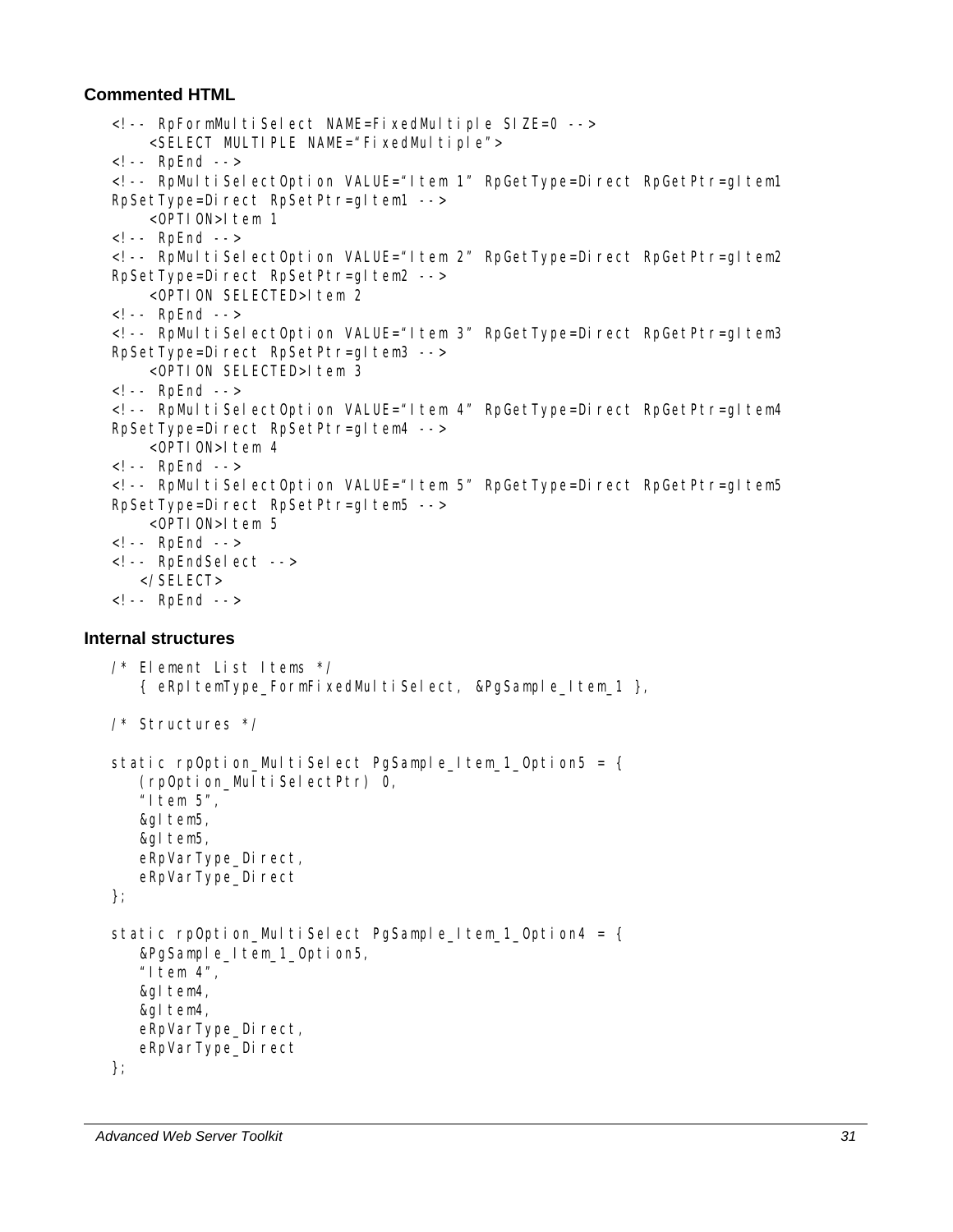## **Commented HTML**

```
<!-- RpFormMultiSelect NAME=FixedMultiple SIZE=0 --> 
        <SELECT MULTIPLE NAME="FixedMultiple"> 
   <!-- RpEnd --> 
   <!-- RpMultiSelectOption VALUE="Item 1" RpGetType=Direct RpGetPtr=gItem1
   RpSetType=Direct RpSetPtr=gltem1 -->
        <OPTION>Item 1 
   <!-- RpEnd --> 
   <!-- RpMultiSelectOption VALUE="Item 2" RpGetType=Direct RpGetPtr=gItem2
   RpSetType=Direct RpSetPtr=gltem2 -->
       <OPTION SELECTED>Item 2
   <!-- RpEnd --> 
   <!-- RpMultiSelectOption VALUE="Item 3" RpGetType=Direct RpGetPtr=gltem3
   RpSetType=Direct RpSetPtr=gltem3 -->
       <OPTION SELECTED>Item 3
   \leq! -- RpEnd -->
   <!-- RpMultiSelectOption VALUE="Item 4" RpGetType=Direct RpGetPtr=gItem4
   RpSetType=Direct RpSetPtr=gltem4 -->
        <OPTION>Item 4 
   <!-- RpEnd --> 
   <!-- RpMultiSelectOption VALUE="Item 5" RpGetType=Direct RpGetPtr=gItem5
   RpSetType=Direct RpSetPtr=gltem5 -->
       <OPTION>1tem 5
   <!-- RpEnd --> 
   <!-- RpEndSelect --> 
       </SELECT> 
   <!-- RpEnd --> 
Internal structures 
   /* Element List Items */ 
      { eRpItemType_FormFixedMultiSelect, &PgSample_Item_1 },
   /* Structures */ 
   static rpOption_MultiSelect PgSample_Item_1_Option5 = {
       (rpOption_MultiSelectPtr) 0, 
      "I tem 5".
       &gItem5, 
       &gItem5, 
      eRpVarType Direct,
```

```
}; 
static rpOption MultiSelect PgSample Item 1 Option4 = {
    &PgSample_Item_1_Option5, 
   "Item 4",
    &gItem4, 
    &gItem4, 
   eRpVarType_Direct,
   eRpVarType_Direct
};
```
eRpVarType\_Direct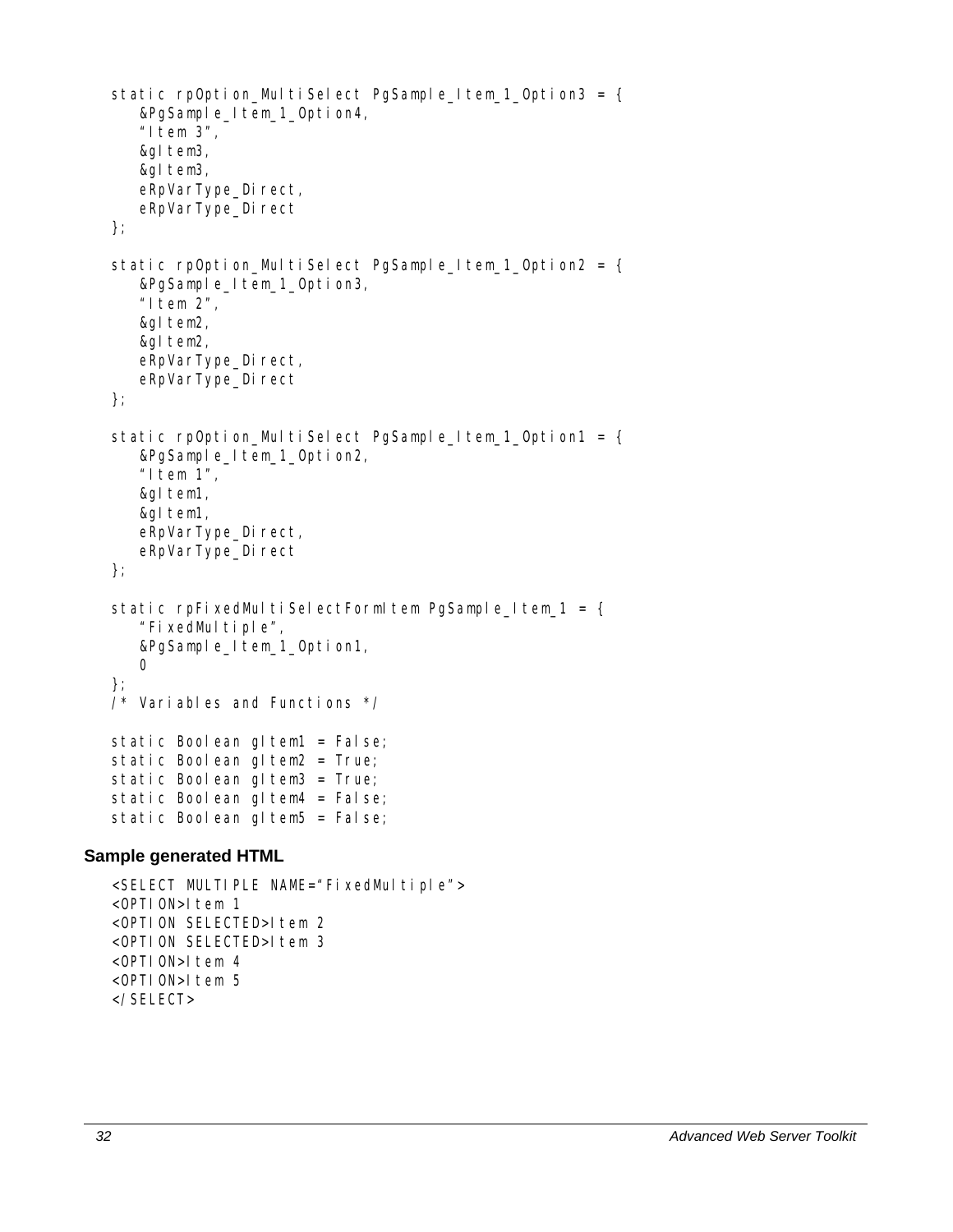```
static rpOption_MultiSelect PgSample_Item_1_Option3 = {
    &PgSample_Item_1_Option4, 
    "Item 3", 
    &gItem3, 
    &gItem3, 
   eRpVarType_Direct,
   eRpVarType_Direct
}; 
static rpOption_MultiSelect PgSample_Item_1_Option2 = {
    &PgSample_Item_1_Option3, 
   "1tem 2",
    &gItem2, 
    &gItem2, 
   eRpVarType_Direct,
   eRpVarType_Direct
}; 
static rpOption_MultiSelect PgSample_Item_1_Option1 = {
    &PgSample_Item_1_Option2, 
   "I tem 1",
    &gItem1, 
    &gItem1, 
   eRpVarType_Direct,
   eRpVarType_Direct
}; 
static rpFixedMultiSelectFormItem PgSample_Item_1 = {
    "FixedMultiple", 
    &PgSample_Item_1_Option1, 
    0 
}; 
/* Variables and Functions */ 
static Boolean gl tem1 = False;
static Boolean gltem2 = True;
static Boolean gltem3 = True;
static Boolean gl tem4 = False;
static Boolean gl tem5 = False;
```

```
<SELECT MULTIPLE NAME="FixedMultiple"> 
\langleOPTION>1tem 1
<OPTION SELECTED>Item 2
<OPTION SELECTED>Item 3
<OPTION>Item 4
<OPTION>Item 5 
</SELECT>
```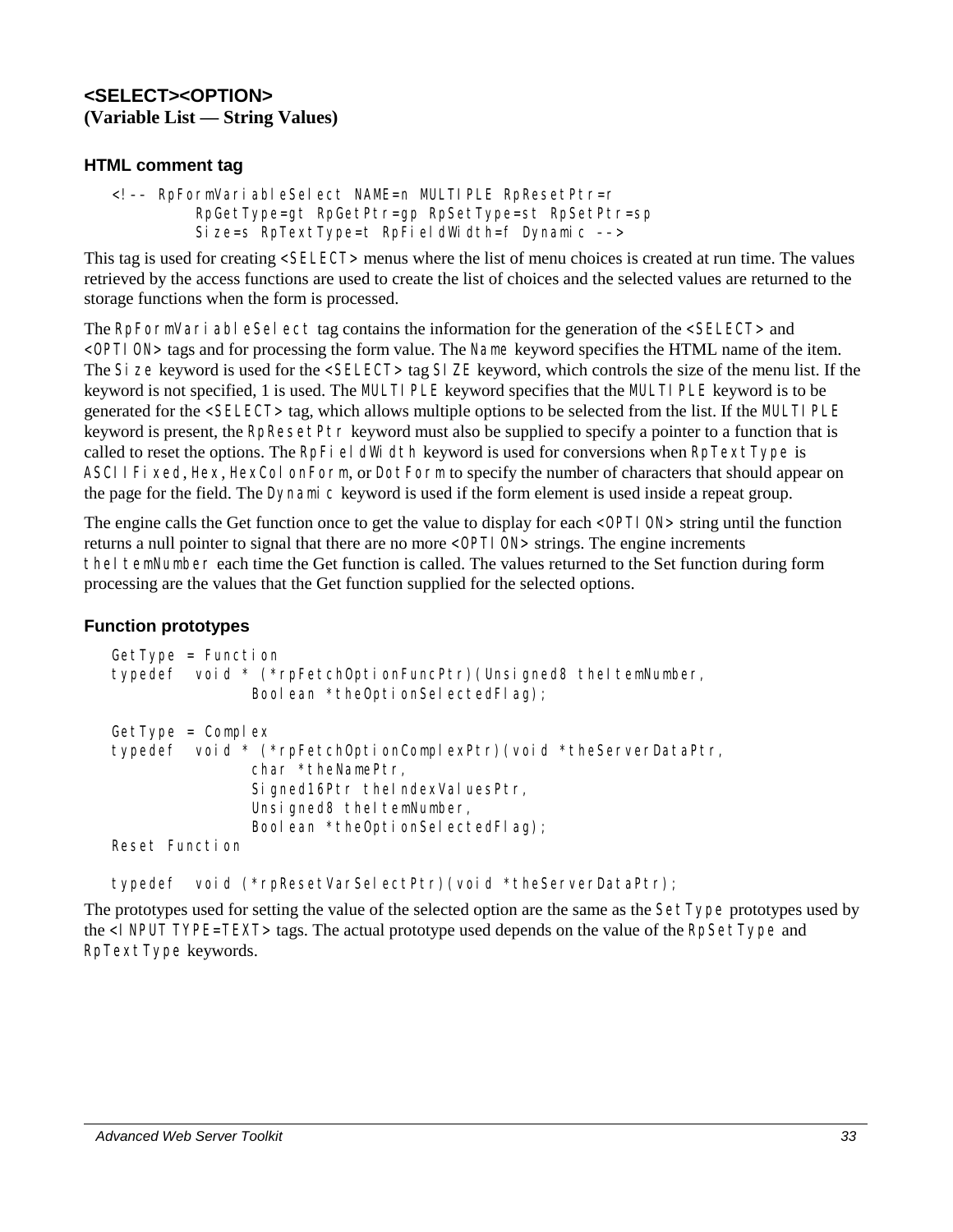## **<SELECT><OPTION> (Variable List — String Values)**

## **HTML comment tag**

```
<!–– RpFormVariableSelect NAME=n MULTIPLE RpResetPtr=r 
          RpGetType=gt RpGetPtr=gp RpSetType=st RpSetPtr=sp 
          Size=s RpTextType=t RpFieldWidth=f Dynamic ––>
```
This tag is used for creating <SELECT> menus where the list of menu choices is created at run time. The values retrieved by the access functions are used to create the list of choices and the selected values are returned to the storage functions when the form is processed.

The RpFormVari able Select tag contains the information for the generation of the <SELECT> and <OPTION> tags and for processing the form value. The Name keyword specifies the HTML name of the item. The Size keyword is used for the <SELECT> tag SIZE keyword, which controls the size of the menu list. If the keyword is not specified, 1 is used. The MULTIPLE keyword specifies that the MULTIPLE keyword is to be generated for the <SELECT> tag, which allows multiple options to be selected from the list. If the MULTI PLE keyword is present, the RpResetPtr keyword must also be supplied to specify a pointer to a function that is called to reset the options. The RpFieldWidth keyword is used for conversions when  $R$ pTextType is ASCIIFixed, Hex, HexColonForm, or DotForm to specify the number of characters that should appear on the page for the field. The Dynamic keyword is used if the form element is used inside a repeat group.

The engine calls the Get function once to get the value to display for each <OPTI ON> string until the function returns a null pointer to signal that there are no more <OPTION> strings. The engine increments theI temNumber each time the Get function is called. The values returned to the Set function during form processing are the values that the Get function supplied for the selected options.

## **Function prototypes**

```
GetType = Functi on
typedef void * (*rpFetchOptionFuncPtr)(Unsigned8 theItemNumber,
               Boolean *theOptionSelectedFlag);
GetType = Complextypedef void * (*rpFetchOptionComplexPtr)(void *theServerDataPtr, 
               char *theNamePtr, 
               Signed16Ptr theIndexValuesPtr,
               Unsigned8 theItemNumber,
               Boolean *theOptionSelectedFlag);
Reset Function
```
typedef void (\*rpResetVarSelectPtr)(void \*theServerDataPtr);

The prototypes used for setting the value of the selected option are the same as the SetType prototypes used by the <I NPUT TYPE=TEXT> tags. The actual prototype used depends on the value of the RpSetType and RpTextType keywords.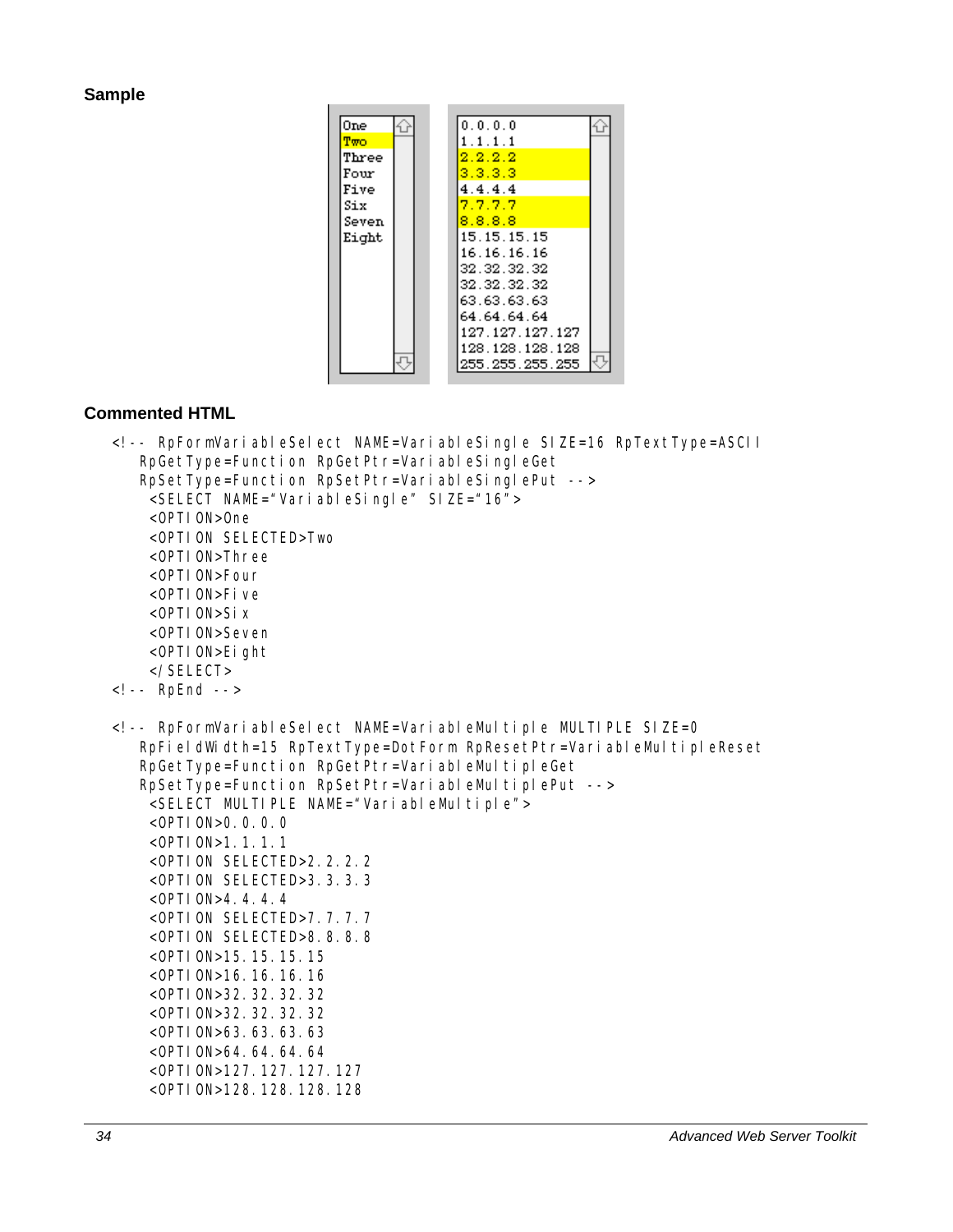#### **Sample**



```
<!-- RpFormVariableSelect NAME=VariableSingle SIZE=16 RpTextType=ASCII 
    RpGetType=Function RpGetPtr=VariableSingleGet 
    RpSetType=Function RpSetPtr=VariableSinglePut --> 
     <SELECT NAME="VariableSingle" SIZE="16"> 
     <OPTION>One 
     <OPTION SELECTED>Two 
     <OPTION>Three 
     <OPTION>Four 
     <OPTION>Five 
     <OPTION>Six 
     <OPTION>Seven 
     <OPTION>Eight 
     </SELECT> 
<!-- RpEnd --> 
<!-- RpFormVariableSelect NAME=VariableMultiple MULTIPLE SIZE=0 
   RpFieldWidth=15 RpTextType=DotForm RpResetPtr=VariableMultipleReset 
   RpGetType=Function RpGetPtr=VariableMultipleGet 
   RpSetType=Function RpSetPtr=VariableMultiplePut -->
     <SELECT MULTIPLE NAME="VariableMultiple"> 
     <OPTION>0.0.0.0 
     <OPTION>1.1.1.1 
     <OPTION SELECTED>2.2.2.2 
     <OPTION SELECTED>3.3.3.3 
     <OPTION>4.4.4.4 
     <OPTION SELECTED>7.7.7.7 
     <OPTION SELECTED>8.8.8.8 
     <OPTION>15.15.15.15 
     <OPTION>16.16.16.16 
     <OPTION>32.32.32.32 
     <OPTION>32.32.32.32 
     <OPTION>63.63.63.63 
     <OPTION>64.64.64.64 
     <OPTION>127.127.127.127 
     <OPTION>128.128.128.128
```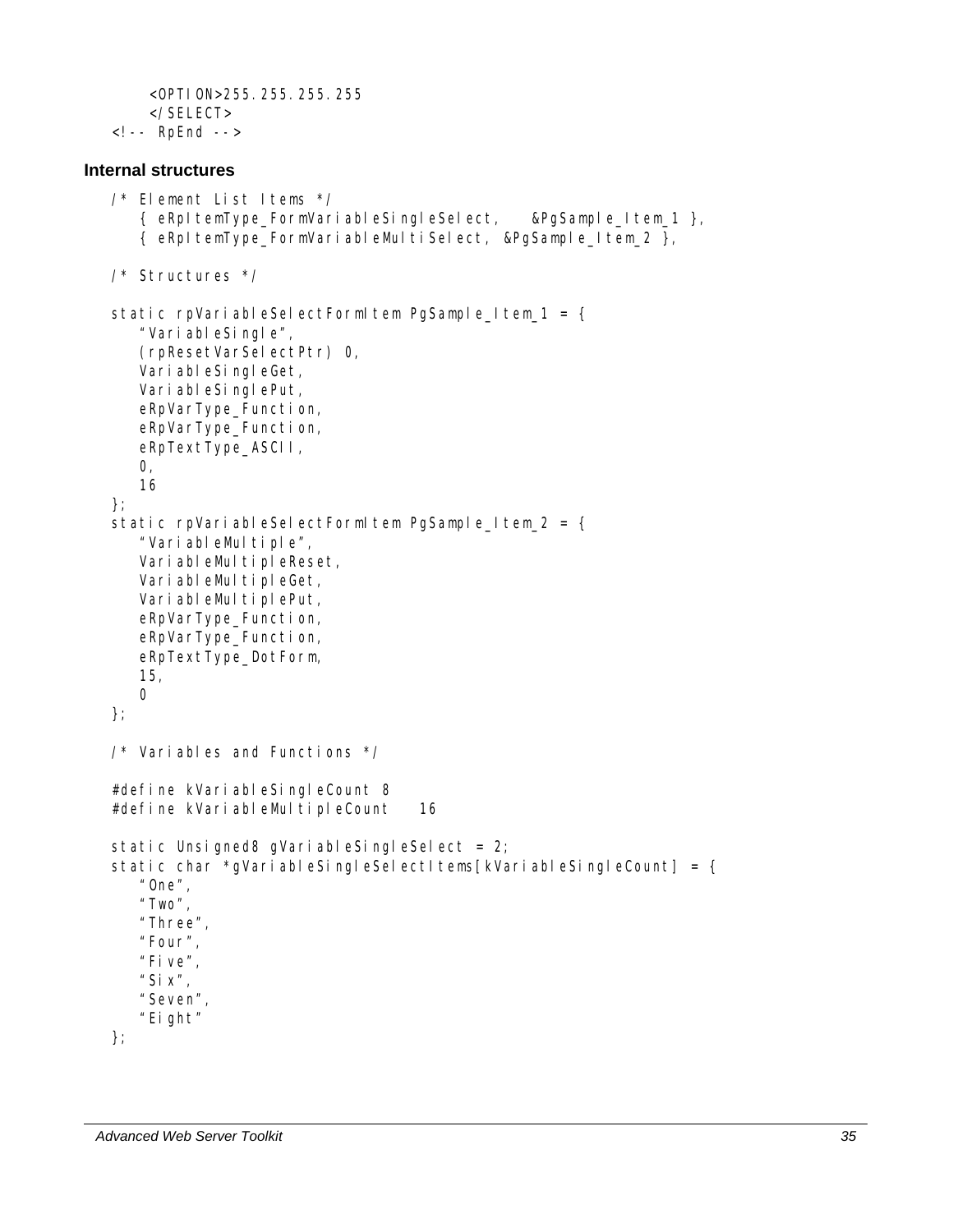```
 <OPTION>255.255.255.255 
     </SELECT> 
<!-- RpEnd -->
```
### **Internal structures**

```
/* Element List Items */ 
    { eRpItemType_FormVariableSingleSelect, &PgSample_Item_1 }, 
    { eRpItemType_FormVariableMultiSelect, &PgSample_Item_2 }, 
/* Structures */ 
static rpVariableSelectFormItem PgSample_Item_1 = {
    "VariableSingle", 
    (rpResetVarSelectPtr) 0, 
    VariableSingleGet, 
    VariableSinglePut, 
    eRpVarType_Function, 
    eRpVarType_Function, 
    eRpTextType_ASCII, 
    0, 
    16 
}; 
static rpVariableSelectFormItem PgSample Item 2 = {"VariableMultiple",
   VariableMultipleReset,
   VariableMultipleGet,
   VariableMultiplePut,
    eRpVarType_Function, 
    eRpVarType_Function, 
    eRpTextType_DotForm, 
    15, 
    0 
}; 
\frac{1}{2} Variables and Functions \frac{1}{2}#define kVariableSingleCount 8 
#define kVariableMultipleCount 16
static Unsigned8 gVariableSingleSelect = 2;
static char *qVariableSingleSelectItems[kVariableSingleCount] = {
    "One", 
    "Two", 
    "Three", 
    "Four", 
    "Five", 
   "Six",
    "Seven", 
    "Eight" 
};
```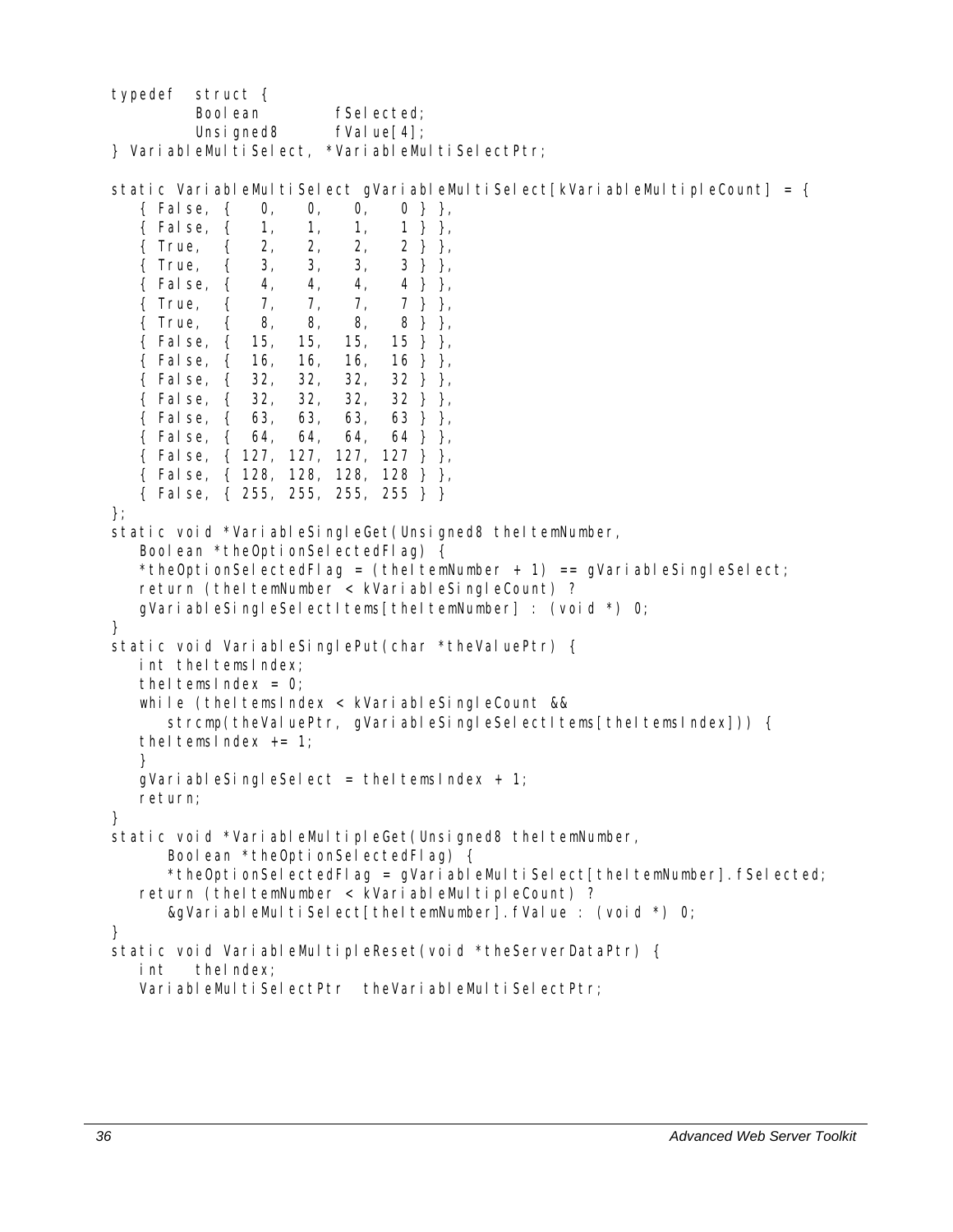typedef struct { Boolean fSelected; Unsigned8 fValue[4]; } VariableMultiSelect, \*VariableMultiSelectPtr; static VariableMultiSelect gVariableMultiSelect[kVariableMultipleCount] = { { False, { 0, 0, 0, 0 } }, { False, { 1, 1, 1, 1 } }, { $True, { 2, 2, 2, 2, 2}$ }, { True, { 3, 3, 3, 3 } }, { False, { 4, 4, 4, 4 } }, { True, { 7, 7, 7, 7 } }, { True, { 8, 8, 8, 8 } }, { False, { 15, 15, 15, 15 } }, { False, { 16, 16, 16, 16 } }, { False, { 32, 32, 32, 32 } }, { False, { 32, 32, 32, 32 } }, { False, { 63, 63, 63, 63 } }, { False, { 64, 64, 64, 64 } }, { False, { 127, 127, 127, 127 } }, { False, { 128, 128, 128, 128 } }, { False, { 255, 255, 255, 255 } } }; static void \*VariableSingleGet(Unsigned8 theItemNumber, Boolean \*theOptionSelectedFlag) { \*theOptionSelectedFlag = (theItemNumber + 1) == qVariableSingleSelect; return (theItemNumber < kVariableSingleCount) ? gVariableSingleSelectItems[theItemNumber] : (void  $\star$ ) 0; } static void VariableSinglePut(char \*theValuePtr) { int the temsindex; theltemsIndex =  $0$ ; while (theItemsIndex < kVariableSingleCount && strcmp(theValuePtr, qVariableSingleSelectItems[theItemsIndex])) { theltemsindex  $+= 1$ ; } qVariableSingleSelect = theItemsIndex + 1; return; } static void \*VariableMultipleGet(Unsigned8 theItemNumber, Boolean \*theOptionSelectedFlag) { \*theOptionSelectedFlag = qVariableMultiSelect[theItemNumber].fSelected; return (theItemNumber < kVariableMultipleCount) ? &gVariableMultiSelect[theItemNumber].fValue : (void \*) 0; } static void VariableMultipleReset(void \*theServerDataPtr) { int theIndex; VariableMultiSelectPtr theVariableMultiSelectPtr;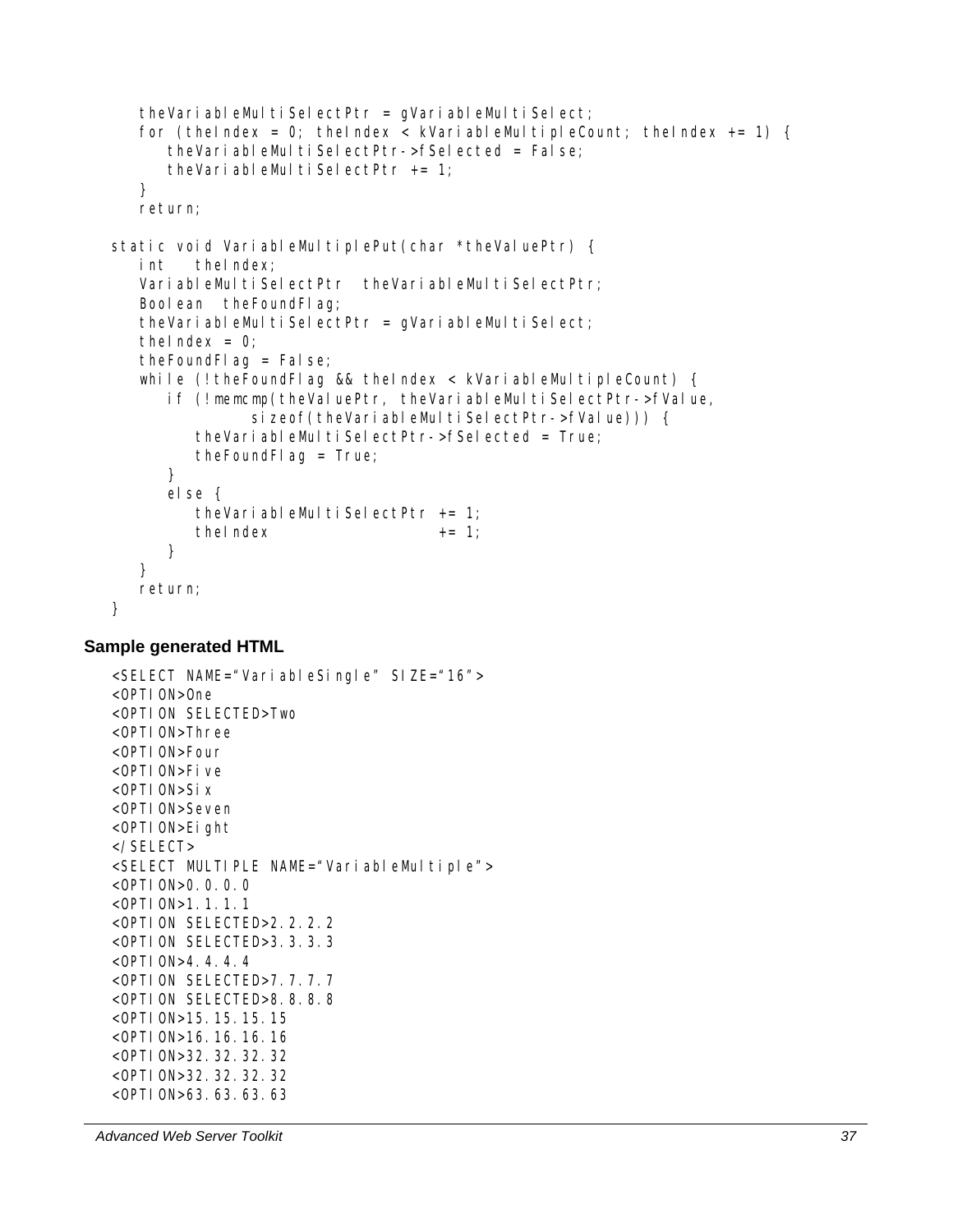```
theVariableMultiSelectPtr = qVariableMultiSelect;
   for (the Index = 0; the Index < kVariable Multiple Count; the Index += 1) {
       theVariableMultiSelectPtr->fSelected = False; 
      theVariableMultiSelectPtr += 1;
    } 
    return; 
static void VariableMultiplePut(char *theValuePtr) {
    int theIndex; 
   VariableMultiSelectPtr theVariableMultiSelectPtr;
    Boolean theFoundFlag; 
   theVariableMultiSelectPtr = gVariableMultiSelect;
   theIndex = 0;
    theFoundFlag = False; 
   while (! the Found Flag && the Index \langle kVariable Multiple Count) {
       if (!memcmp(theValuePtr, theVariableMultiSelectPtr->fValue, 
               sizeof(theVariableMultiSelectPtr->fValue))) {
         theVariableMultiSelectPtr->fSelected = True;
          theFoundFlag = True; 
       } 
       else { 
         theVariableMultiSelectPtr += 1;
         the Index + = 1;
 } 
    } 
    return; 
}
```

```
<SELECT NAME="VariableSingle" SIZE="16"> 
<OPTI ON>One
<OPTION SELECTED>Two 
<OPTION>Three 
<OPTION>Four 
<OPTION>Five 
<OPTION>Six 
<OPTION>Seven 
<OPTION>Eight 
</SELECT> 
<SELECT MULTIPLE NAME="VariableMultiple"> 
<OPTION>O.O.O.O.O
<OPTION>1.1.1.1 
<OPTION SELECTED>2.2.2.2 
<OPTION SELECTED>3.3.3.3 
<OPTION>4.4.4.4 
<OPTION SELECTED>7.7.7.7 
<OPTION SELECTED>8.8.8.8 
<OPTION>15.15.15.15 
<OPTION>16.16.16.16 
<OPTION>32.32.32.32 
<OPTION>32.32.32.32 
<OPTION>63.63.63.63
```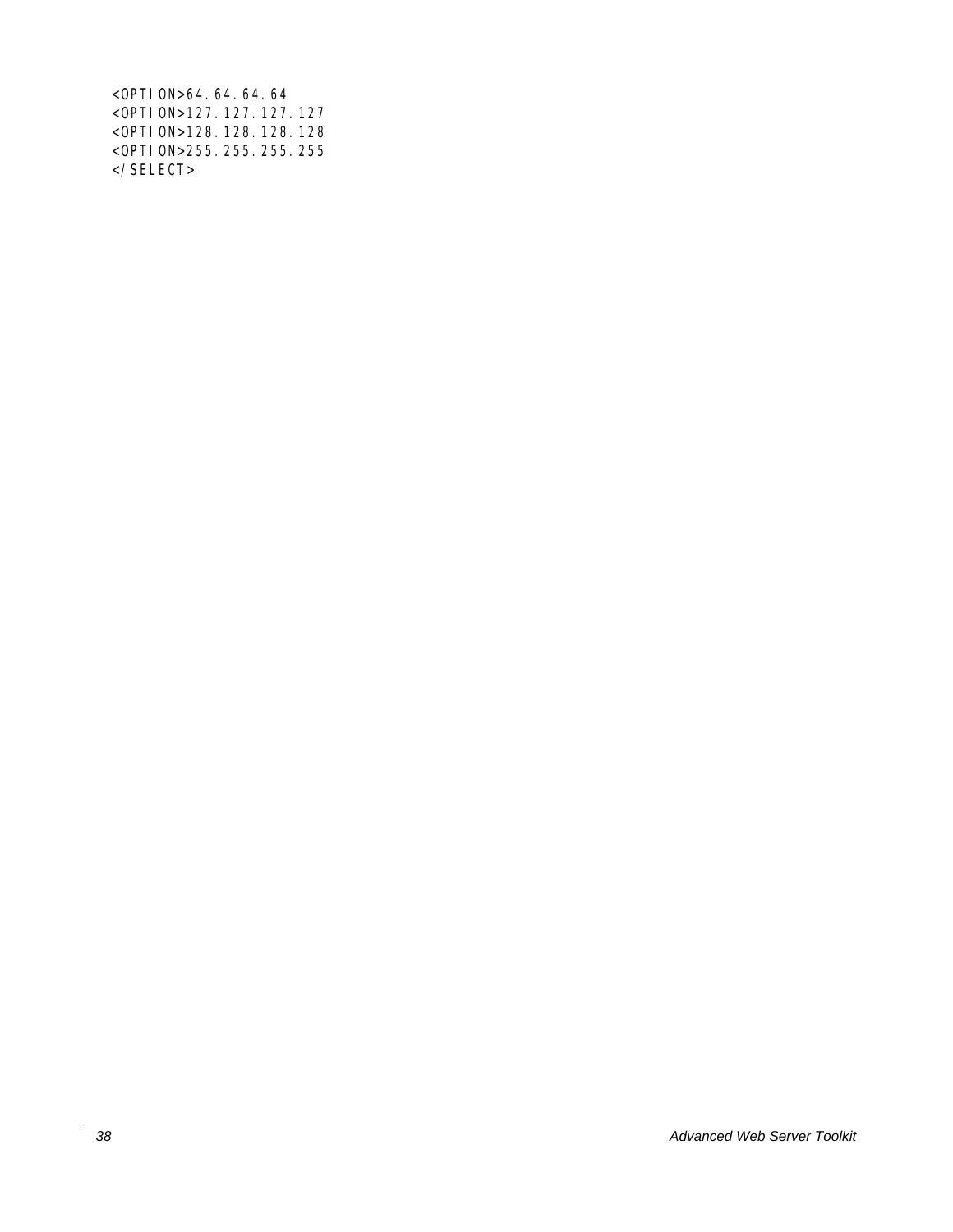<OPTION>64.64.64.64 <OPTION>127.127.127.127 <OPTION>128.128.128.128 <OPTION>255.255.255.255 </SELECT>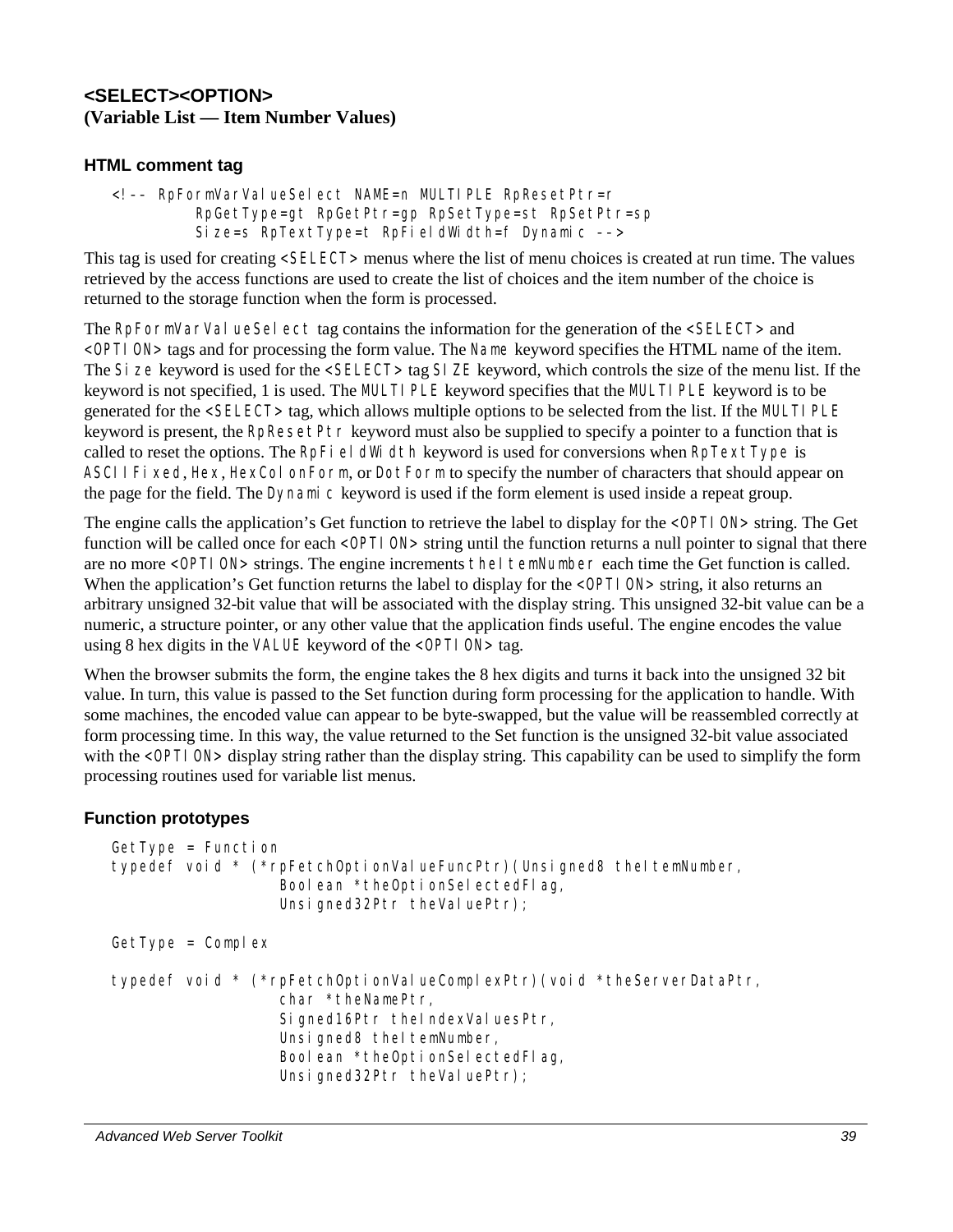## **<SELECT><OPTION> (Variable List — Item Number Values)**

## **HTML comment tag**

<!–– RpFormVarValueSelect NAME=n MULTIPLE RpResetPtr=r RpGetType=gt RpGetPtr=gp RpSetType=st RpSetPtr=sp Size=s RpTextType=t RpFieldWidth=f Dynamic ––>

This tag is used for creating <SELECT> menus where the list of menu choices is created at run time. The values retrieved by the access functions are used to create the list of choices and the item number of the choice is returned to the storage function when the form is processed.

The RpFormVarVal ueSel ect tag contains the information for the generation of the <SELECT> and <OPTION> tags and for processing the form value. The Name keyword specifies the HTML name of the item. The Size keyword is used for the <SELECT> tag SIZE keyword, which controls the size of the menu list. If the keyword is not specified, 1 is used. The MULTIPLE keyword specifies that the MULTIPLE keyword is to be generated for the <SELECT> tag, which allows multiple options to be selected from the list. If the MULTI PLE keyword is present, the RpResetPtr keyword must also be supplied to specify a pointer to a function that is called to reset the options. The RpFieldWidth keyword is used for conversions when  $R$ pTextType is ASCIIFixed, Hex, HexColonForm, or DotForm to specify the number of characters that should appear on the page for the field. The Dynamic keyword is used if the form element is used inside a repeat group.

The engine calls the application's Get function to retrieve the label to display for the <OPTI ON> string. The Get function will be called once for each <OPTI ON> string until the function returns a null pointer to signal that there are no more <OPTI ON> strings. The engine increments theI temNumber each time the Get function is called. When the application's Get function returns the label to display for the <OPTI ON> string, it also returns an arbitrary unsigned 32-bit value that will be associated with the display string. This unsigned 32-bit value can be a numeric, a structure pointer, or any other value that the application finds useful. The engine encodes the value using 8 hex digits in the VALUE keyword of the <OPTI ON> tag.

When the browser submits the form, the engine takes the 8 hex digits and turns it back into the unsigned 32 bit value. In turn, this value is passed to the Set function during form processing for the application to handle. With some machines, the encoded value can appear to be byte-swapped, but the value will be reassembled correctly at form processing time. In this way, the value returned to the Set function is the unsigned 32-bit value associated with the <OPTI ON> display string rather than the display string. This capability can be used to simplify the form processing routines used for variable list menus.

### **Function prototypes**

```
GetType = Function 
typedef void * (*rpFetchOptionValueFuncPtr)(Unsigned8 theItemNumber,
                  Boolean *theOptionSelectedFlag,
                  Unsigned32Ptr theValuePtr);
GetType = Complextypedef void * (*rpFetchOptionValueComplexPtr)(void *theServerDataPtr, 
                   char *theNamePtr, 
                  Signed16Ptr theIndexValuesPtr,
                  Unsigned8 theItemNumber,
                  Boolean *theOptionSelectedFlag,
                  Unsigned32Ptr theValuePtr);
```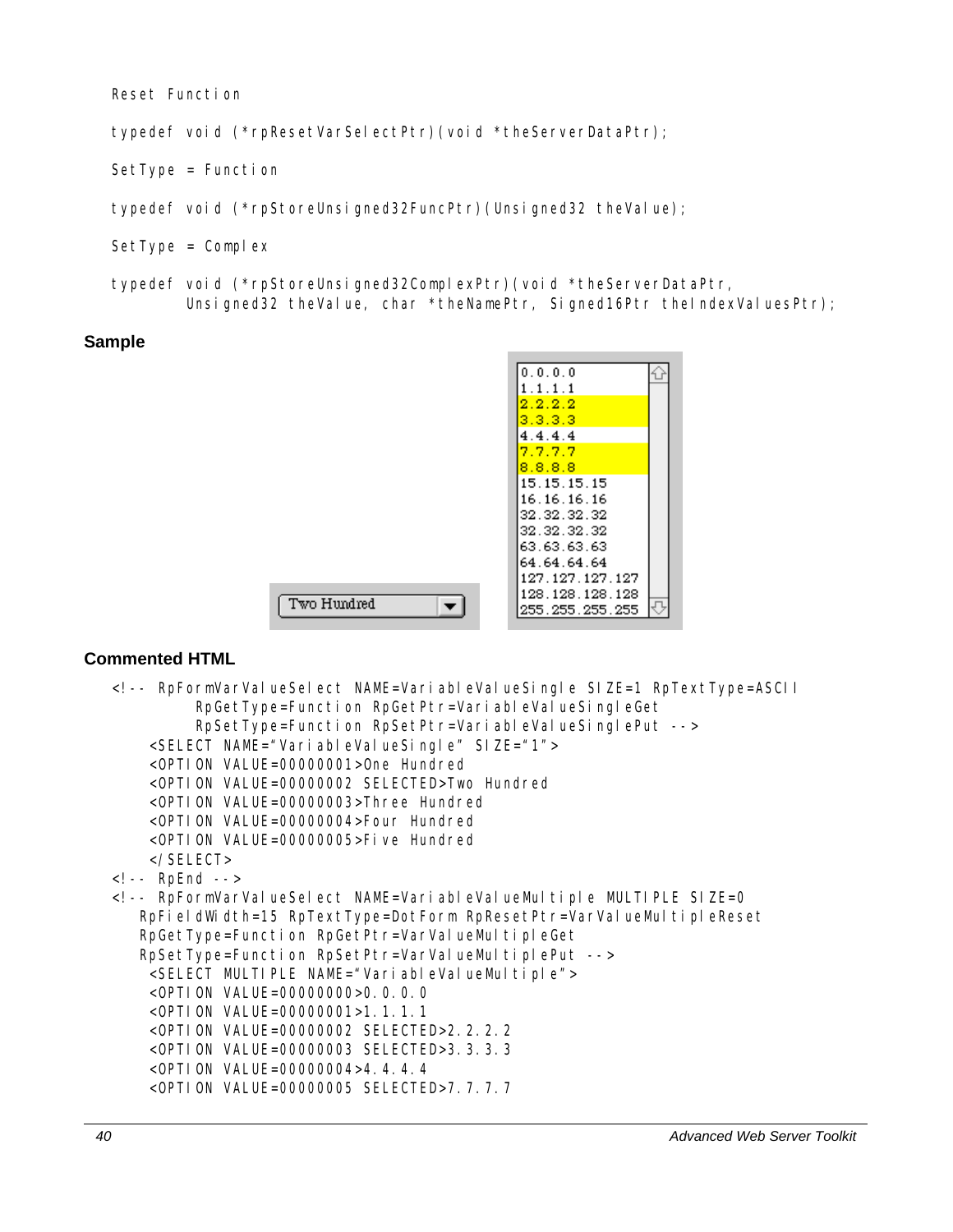Reset Function

typedef void (\*rpResetVarSelectPtr)(void \*theServerDataPtr);

SetType = Function

typedef void (\*rpStoreUnsigned32FuncPtr)(Unsigned32 theValue);

Two Hundred

- $SetType = Complex$
- typedef void (\*rpStoreUnsigned32ComplexPtr)(void \*theServerDataPtr, Unsigned32 theValue, char \*theNamePtr, Signed16Ptr theIndexValuesPtr);

#### **Sample**

| 0.0.0.0               |  |
|-----------------------|--|
| $1$ . $1$ . $1$ . $1$ |  |
| 2.2.2.2               |  |
| 3.3.3.3               |  |
| 4.4.4.4               |  |
| 7.7.7.7               |  |
| 8.8.8.8               |  |
| 15.15.15.15           |  |
| 16.16.16.16           |  |
| 32.32.32.32           |  |
| 32.32.32.32           |  |
| 63.63.63.63           |  |
| 64.64.64.64           |  |
| 127.127.127.127       |  |
| 128.128.128.128       |  |
| 255.255.255.255       |  |
|                       |  |

```
<!-- RpFormVarValueSelect NAME=VariableValueSingle SIZE=1 RpTextType=ASCII 
          RpGetType=Function RpGetPtr=VariableValueSingleGet 
          RpSetType=Function RpSetPtr=VariableValueSinglePut --> 
     <SELECT NAME="VariableValueSingle" SIZE="1"> 
     <OPTION VALUE=00000001>One Hundred 
     <OPTION VALUE=00000002 SELECTED>Two Hundred 
     <OPTION VALUE=00000003>Three Hundred 
     <OPTION VALUE=00000004>Four Hundred 
     <OPTION VALUE=00000005>Five Hundred 
     </SELECT> 
<!-- RpEnd --> 
<!-- RpFormVarValueSelect NAME=VariableValueMultiple MULTIPLE SIZE=0 
   RpFieldWidth=15 RpTextType=DotForm RpResetPtr=VarValueMultipleReset
   RpGetType=Function RpGetPtr=VarValueMultipleGet
   RpSetType=Function RpSetPtr=VarValueMultiplePut -->
     <SELECT MULTIPLE NAME="VariableValueMultiple"> 
     <OPTION VALUE=00000000>0.0.0.0 
     <OPTION VALUE=00000001>1.1.1.1 
     <OPTION VALUE=00000002 SELECTED>2.2.2.2 
     <OPTION VALUE=00000003 SELECTED>3.3.3.3 
     <OPTION VALUE=00000004>4.4.4.4 
     <OPTION VALUE=00000005 SELECTED>7.7.7.7
```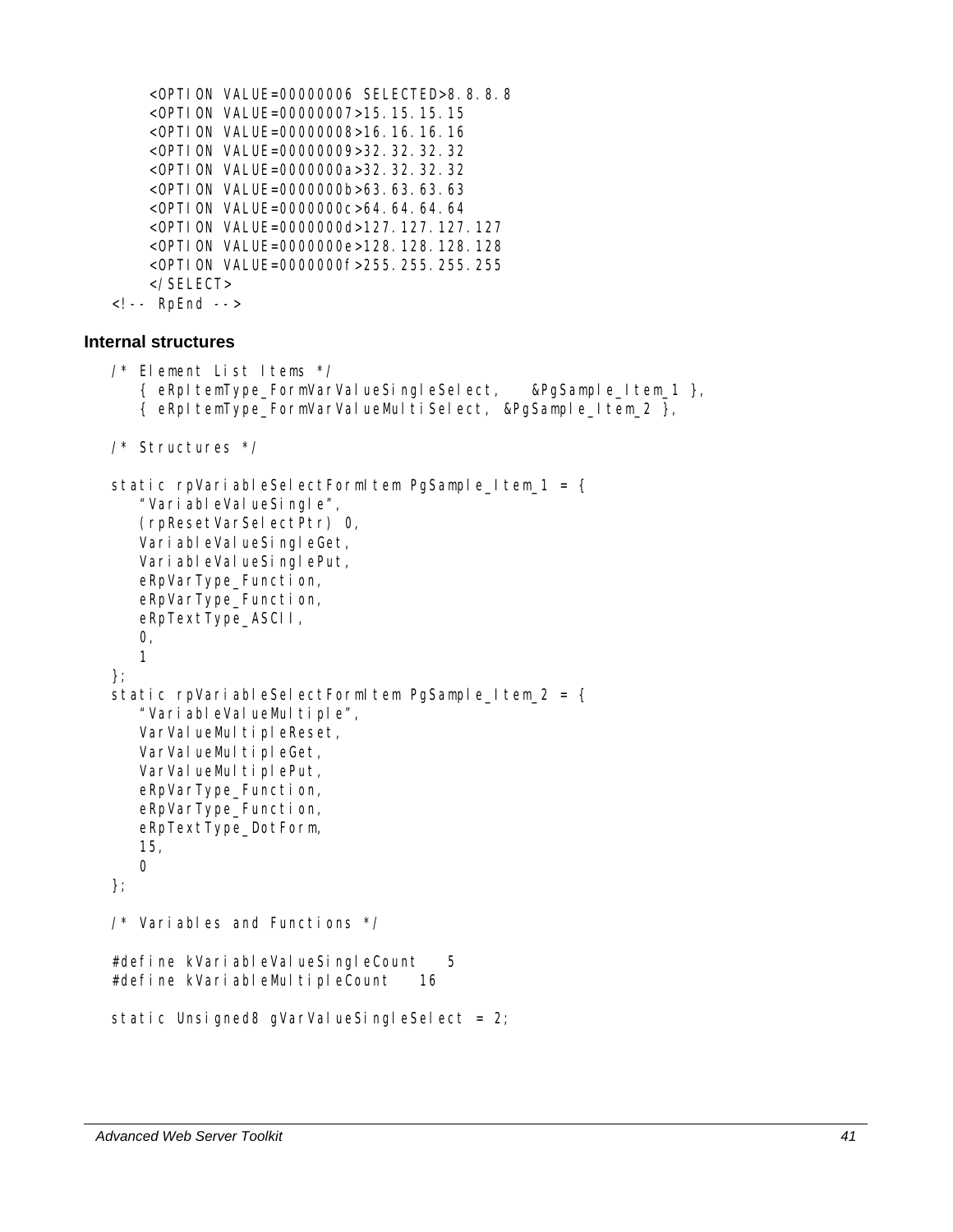```
 <OPTION VALUE=00000006 SELECTED>8.8.8.8 
 <OPTION VALUE=00000007>15.15.15.15 
 <OPTION VALUE=00000008>16.16.16.16 
 <OPTION VALUE=00000009>32.32.32.32 
 <OPTION VALUE=0000000a>32.32.32.32 
 <OPTION VALUE=0000000b>63.63.63.63 
 <OPTION VALUE=0000000c>64.64.64.64 
 <OPTION VALUE=0000000d>127.127.127.127 
 <OPTION VALUE=0000000e>128.128.128.128 
 <OPTION VALUE=0000000f>255.255.255.255 
 </SELECT>
```
<!-- RpEnd -->

### **Internal structures**

```
/* Element List Items */ 
    { eRpItemType_FormVarValueSingleSelect, &PgSample_Item_1 }, 
    { eRpItemType_FormVarValueMultiSelect, &PgSample_Item_2 }, 
/* Structures */ 
static rpVariableSelectFormItem PgSample_Item_1 = {
    "VariableValueSingle", 
    (rpResetVarSelectPtr) 0, 
   VariableValueSingleGet,
   VariableValueSinglePut,
    eRpVarType_Function, 
    eRpVarType_Function, 
    eRpTextType_ASCII, 
   O<sub>1</sub> 1 
}; 
static rpVariableSelectFormItem PgSample_Item_2 = {
   "VariableValueMultiple",
   VarValueMultipleReset,
   VarValueMultipleGet,
   VarValueMultiplePut,
    eRpVarType_Function, 
    eRpVarType_Function, 
    eRpTextType_DotForm, 
    15, 
    0 
}; 
/* Variables and Functions */ 
#define kVariableValueSingleCount 5
#define kVariableMultipleCount 16
static Unsigned8 gVarValueSingleSelect = 2;
```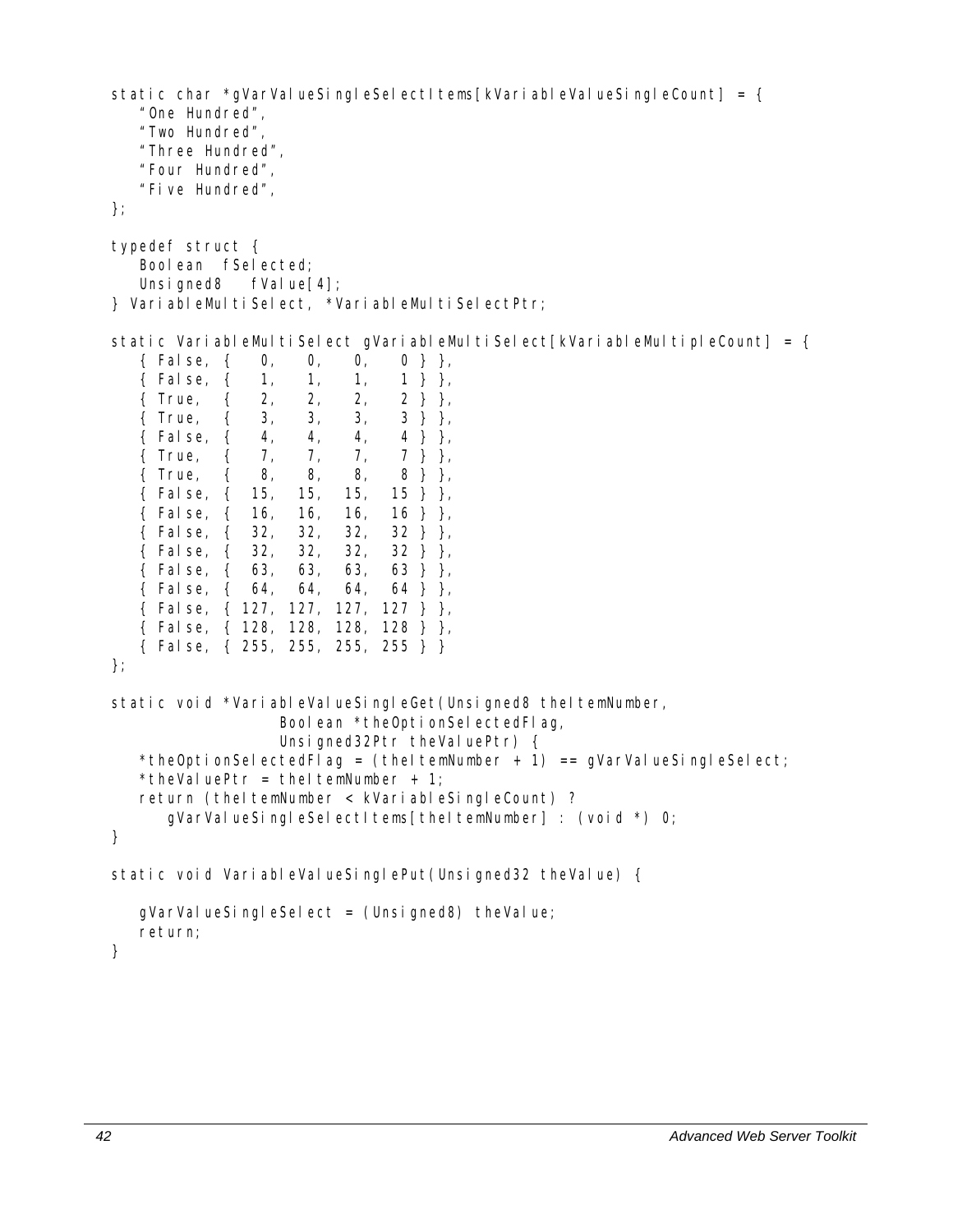static char \*gVarValueSingleSelectItems[kVariableValueSingleCount] = {

```
 "One Hundred", 
    "Two Hundred", 
    "Three Hundred", 
    "Four Hundred", 
    "Five Hundred", 
}; 
typedef struct { 
    Boolean fSelected; 
   Unsigned8 fValue[4];
} VariableMultiSelect, *VariableMultiSelectPtr; 
static VariableMultiSelect gVariableMultiSelect[kVariableMultipleCount] = \{ { False, { 0, 0, 0, 0 } }, 
    { False, { 1, 1, 1, 1 } }, 
    { True, { 2, 2, 2, 2 } }, 
    { True, { 3, 3, 3, 3 } }, 
    { False, { 4, 4, 4, 4 } }, 
    { True, { 7, 7, 7, 7 } }, 
    { True, { 8, 8, 8, 8 } }, 
    { False, { 15, 15, 15, 15 } }, 
    { False, { 16, 16, 16, 16 } }, 
    { False, { 32, 32, 32, 32 } }, 
    { False, { 32, 32, 32, 32 } }, 
    { False, { 63, 63, 63, 63 } }, 
    { False, { 64, 64, 64, 64 } }, 
    { False, { 127, 127, 127, 127 } }, 
    { False, { 128, 128, 128, 128 } }, 
    { False, { 255, 255, 255, 255 } } 
}; 
static void *VariableValueSingleGet(Unsigned8 theItemNumber,
                  Boolean *theOptionSelectedFlag,
                  Unsigned32Ptr theValuePtr) {
   *theOptionSelectedFlag = (theItemNumber + 1) == qVarValueSingleSelect;
   *theValuePtr = theItemNumber + 1;
   return (theItemNumber < kVariableSingleCount) ?
       gVarValueSingleSelectItems[theItemNumber] : (void *) 0; 
} 
static void VariableValueSinglePut(Unsigned32 theValue) {
   gVarValueSingleSelect = (Unsi gned8) theValue;
    return; 
}
```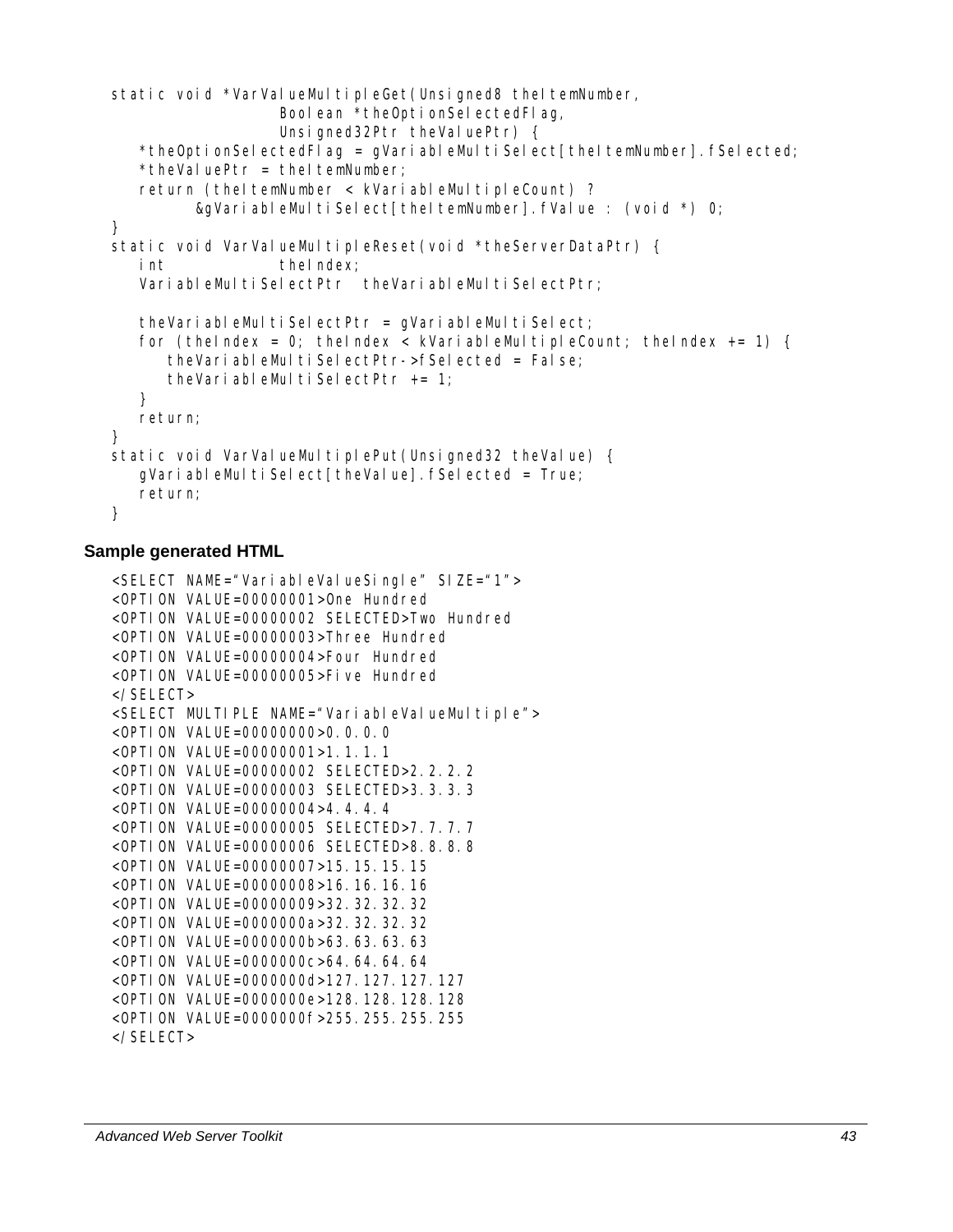```
static void *VarValueMultipleGet(Unsigned8 theItemNumber,
                  Boolean *theOptionSelectedFlag,
                  Unsigned32Ptr theValuePtr) {
   *theOptionSelectedFlag = qVariableMultiSelect[theItemNumber].fSelected;
   *theValuePtr = theItemNumber;
   return (theItemNumber < kVariableMultipleCount) ?
         &gVariableMultiSelect[theltemNumber].fValue : (void *) 0;
} 
static void VarValueMultipleReset(void *theServerDataPtr) {
  int theIndex;
  VariableMultiSelectPtr theVariableMultiSelectPtr;
   theVariableMultiSelectPtr = gVariableMultiSelect;
   for (the Index = 0; the Index < kVariableMultipleCount; the Index += 1) {
       theVariableMultiSelectPtr->fSelected = False; 
      theVariableMultiSelectPtr += 1;
    } 
    return; 
} 
static void VarValueMultiplePut(Unsigned32 theValue) {
   gVariableMultiSelect[theValue]. fSelected = True;
    return; 
}
```

```
<SELECT NAME="VariableValueSingle" SIZE="1"> 
<OPTION VALUE=00000001>One Hundred 
<OPTION VALUE=00000002 SELECTED>Two Hundred 
<OPTION VALUE=00000003>Three Hundred 
<OPTION VALUE=00000004>Four Hundred 
<OPTION VALUE=00000005>Five Hundred 
</SELECT> 
<SELECT MULTIPLE NAME="VariableValueMultiple"> 
<OPTION VALUE=00000000>0.0.0.0 
<OPTION VALUE=00000001>1.1.1.1 
<OPTION VALUE=00000002 SELECTED>2.2.2.2 
<OPTION VALUE=00000003 SELECTED>3.3.3.3 
<OPTION VALUE=00000004>4.4.4.4 
<OPTION VALUE=00000005 SELECTED>7.7.7.7 
<OPTION VALUE=00000006 SELECTED>8.8.8.8 
<OPTION VALUE=00000007>15.15.15.15 
<OPTION VALUE=00000008>16.16.16.16 
<OPTION VALUE=00000009>32.32.32.32 
<OPTION VALUE=0000000a>32.32.32.32 
<OPTION VALUE=0000000b>63.63.63.63 
<OPTION VALUE=0000000c>64.64.64.64 
<OPTION VALUE=0000000d>127.127.127.127 
<OPTION VALUE=0000000e>128.128.128.128 
<OPTION VALUE=0000000f>255.255.255.255 
</SELECT>
```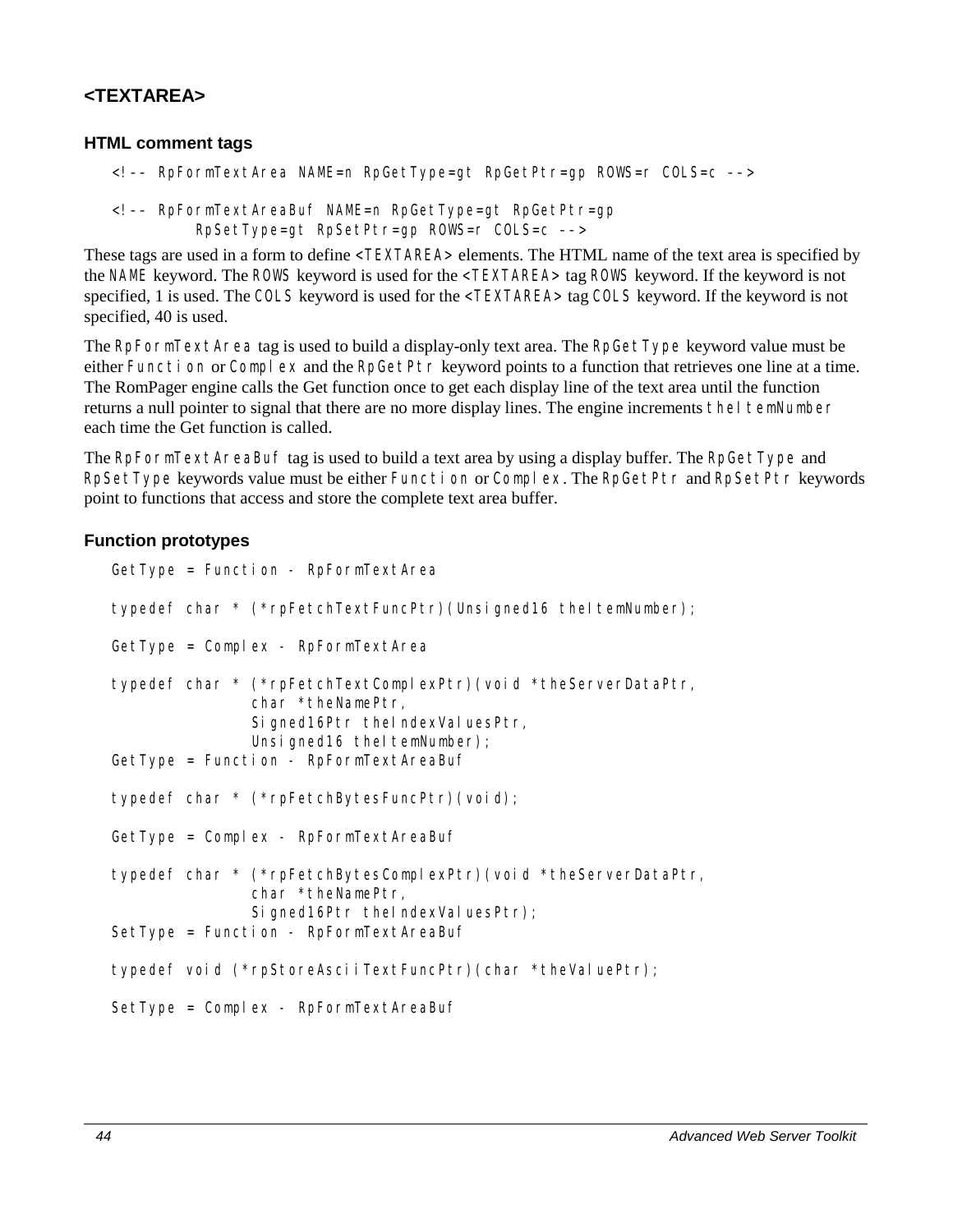## **<TEXTAREA>**

### **HTML comment tags**

```
<!–– RpFormTextArea NAME=n RpGetType=gt RpGetPtr=gp ROWS=r COLS=c ––>
```
<!–– RpFormTextAreaBuf NAME=n RpGetType=gt RpGetPtr=gp RpSetType=gt RpSetPtr=gp ROWS=r COLS=c ––>

These tags are used in a form to define <TEXTAREA> elements. The HTML name of the text area is specified by the NAME keyword. The ROWS keyword is used for the <TEXTAREA> tag ROWS keyword. If the keyword is not specified, 1 is used. The COLS keyword is used for the <TEXTAREA> tag COLS keyword. If the keyword is not specified, 40 is used.

The RpFormTextArea tag is used to build a display-only text area. The RpGetType keyword value must be either Function or Complex and the RpGetPtr keyword points to a function that retrieves one line at a time. The RomPager engine calls the Get function once to get each display line of the text area until the function returns a null pointer to signal that there are no more display lines. The engine increments the I temNumber each time the Get function is called.

The RpFormTextAreaBuf tag is used to build a text area by using a display buffer. The RpGetType and RpSetType keywords value must be either Function or Complex. The RpGetPtr and RpSetPtr keywords point to functions that access and store the complete text area buffer.

### **Function prototypes**

```
GetType = Function - RpFormTextArea 
typedef char * (*rpFetchTextFuncPtr)(Unsigned16 theItemNumber);
GetType = Complex - RpFormTextArea 
typedef char * (*rpFetchTextComplexPtr)(void *theServerDataPtr, 
               char *theNamePtr, 
               Signed16Ptr theIndexValuesPtr,
               Unsigned16 theItemNumber);
GetType = Function - RpFormTextAreaBuf 
typedef char * (*rpFetchBytesFuncPtr)(void); 
GetType = Complex - RpFormTextAreaBuf 
typedef char * (*rpFetchBytesComplexPtr)(void *theServerDataPtr, 
               char *theNamePtr, 
               Signed16Ptr theIndexValuesPtr);
SetType = Function - RpFormTextAreaBuf 
typedef void (*rpStoreAsciiTextFuncPtr)(char *theValuePtr); 
SetType = Complex - RpFormTextAreaBuf
```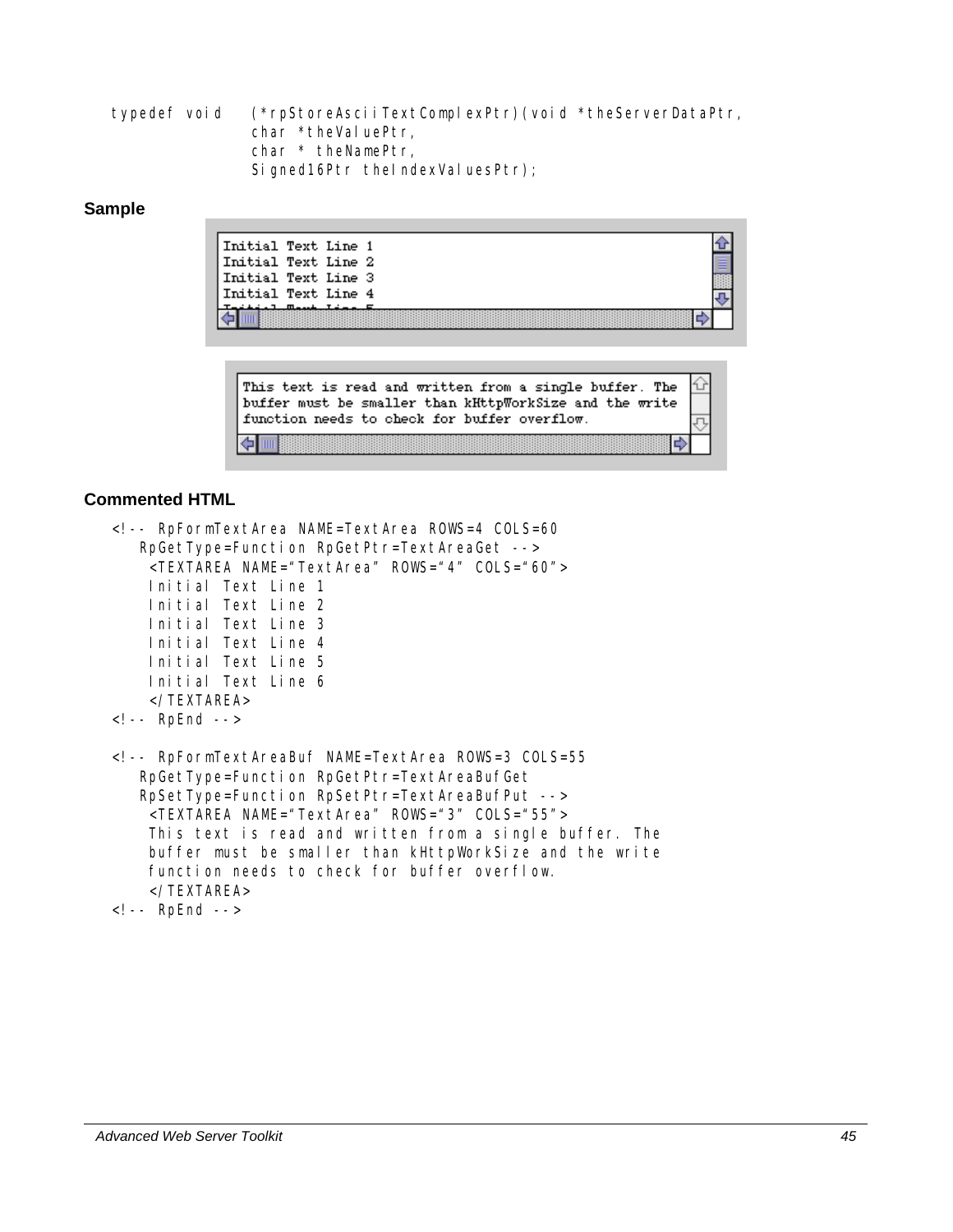typedef void (\*rpStoreAsciiTextComplexPtr)(void \*theServerDataPtr, char \*theValuePtr, char \* theNamePtr, Signed16Ptr theIndexValuesPtr);

#### **Sample**

| Initial Text Line 1 |  |
|---------------------|--|
| Initial Text Line 2 |  |
| Initial Text Line 3 |  |
| Initial Text Line 4 |  |
| $m = 1$ $m = 1$     |  |



```
<!-- RpFormTextArea NAME=TextArea ROWS=4 COLS=60 
    RpGetType=Function RpGetPtr=TextAreaGet --> 
     <TEXTAREA NAME="TextArea" ROWS="4" COLS="60"> 
     Initial Text Line 1 
     Initial Text Line 2 
     Initial Text Line 3 
     Initial Text Line 4 
     Initial Text Line 5 
     Initial Text Line 6 
     </TEXTAREA> 
<!-- RpEnd --> 
<!-- RpFormTextAreaBuf NAME=TextArea ROWS=3 COLS=55 
    RpGetType=Function RpGetPtr=TextAreaBufGet 
    RpSetType=Function RpSetPtr=TextAreaBufPut --> 
     <TEXTAREA NAME="TextArea" ROWS="3" COLS="55"> 
     This text is read and written from a single buffer. The 
     buffer must be smaller than kHttpWorkSize and the write 
     function needs to check for buffer overflow. 
     </TEXTAREA> 
<!-- RpEnd -->
```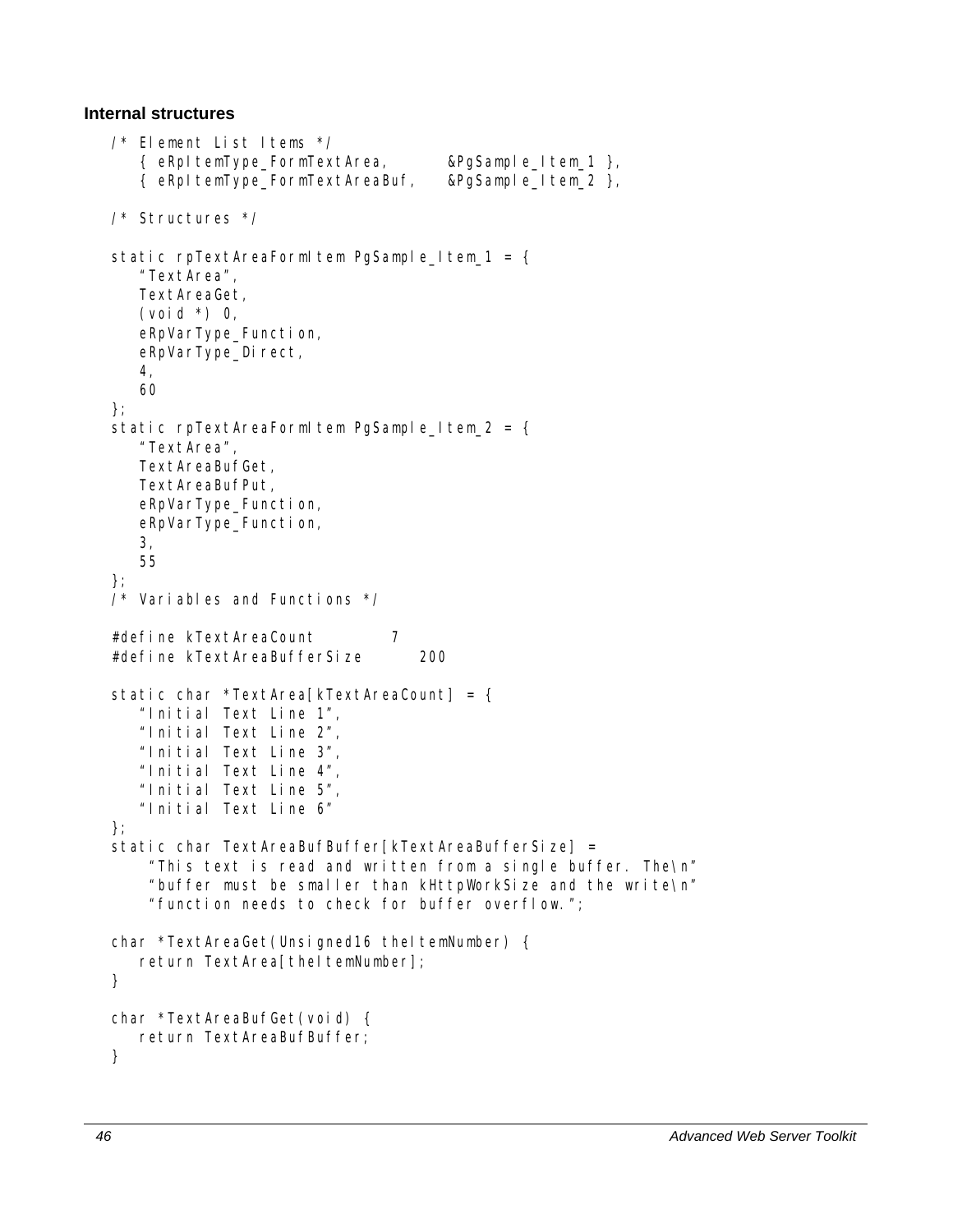### **Internal structures**

```
/* Element List Items */ 
    { eRpItemType_FormTextArea, &PgSample_Item_1 }, 
    { eRpItemType_FormTextAreaBuf, &PgSample_Item_2 }, 
/* Structures */ 
static rpTextAreaFormItem PgSample_Item_1 = {
    "TextArea", 
    TextAreaGet, 
   (void *) 0,
    eRpVarType_Function, 
   eRpVarType Direct,
    4, 
    60 
}; 
static rpTextAreaFormItem PgSample_Item_2 = {
    "TextArea", 
    TextAreaBufGet, 
    TextAreaBufPut, 
    eRpVarType_Function, 
    eRpVarType_Function, 
    3, 
    55 
}; 
/* Variables and Functions */ 
#define kTextAreaCount 7 
#define kTextAreaBufferSize 200 
static char *TextArea[kTextAreaCount] = { 
    "Initial Text Line 1", 
    "Initial Text Line 2", 
    "Initial Text Line 3", 
    "Initial Text Line 4", 
    "Initial Text Line 5", 
    "Initial Text Line 6" 
}; 
static char TextAreaBufBuffer[kTextAreaBufferSize] =
     "This text is read and written from a single buffer. The\n" 
     "buffer must be smaller than kHttpWorkSize and the write\n" 
     "function needs to check for buffer overflow."; 
char *TextAreaGet(Unsigned16 theItemNumber) {
   return TextArea[theltemNumber];
} 
char *TextAreaBufGet(void) { 
    return TextAreaBufBuffer; 
}
```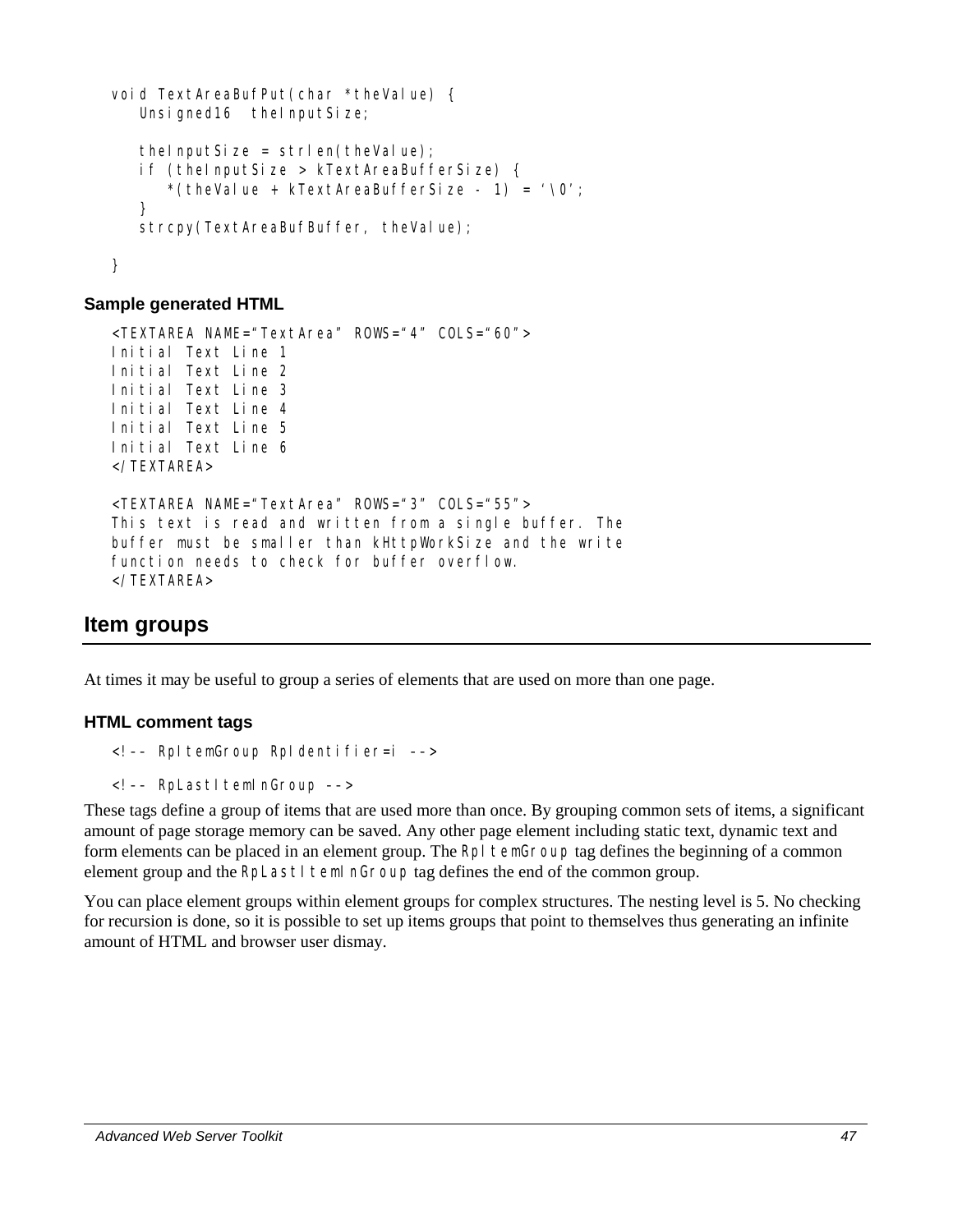```
void TextAreaBufPut(char *theValue) { 
   Unsigned16 theInputSize;
   the InputSize = strlen(theValue);
    if (theInputSize > kTextAreaBufferSize) { 
      *(theValue + kTextAreaBufferSize - 1) = '\sqrt{0}';
    } 
   strcpy(TextAreaBufBuffer, theValue);
}
```

```
<TEXTAREA NAME="TextArea" ROWS="4" COLS="60"> 
Initial Text Line 1 
Initial Text Line 2 
Initial Text Line 3 
Initial Text Line 4 
Initial Text Line 5 
Initial Text Line 6 
</TEXTAREA> 
<TEXTAREA NAME="TextArea" ROWS="3" COLS="55"> 
This text is read and written from a single buffer. The 
buffer must be smaller than kHttpWorkSize and the write 
function needs to check for buffer overflow. 
</TEXTAREA>
```
## **Item groups**

At times it may be useful to group a series of elements that are used on more than one page.

### **HTML comment tags**

```
<!–– RpItemGroup RpIdentifier=i ––>
```

```
<!-- RpLastItemInGroup -->
```
These tags define a group of items that are used more than once. By grouping common sets of items, a significant amount of page storage memory can be saved. Any other page element including static text, dynamic text and form elements can be placed in an element group. The RpI temGroup tag defines the beginning of a common element group and the RpLastItemInGroup tag defines the end of the common group.

You can place element groups within element groups for complex structures. The nesting level is 5. No checking for recursion is done, so it is possible to set up items groups that point to themselves thus generating an infinite amount of HTML and browser user dismay.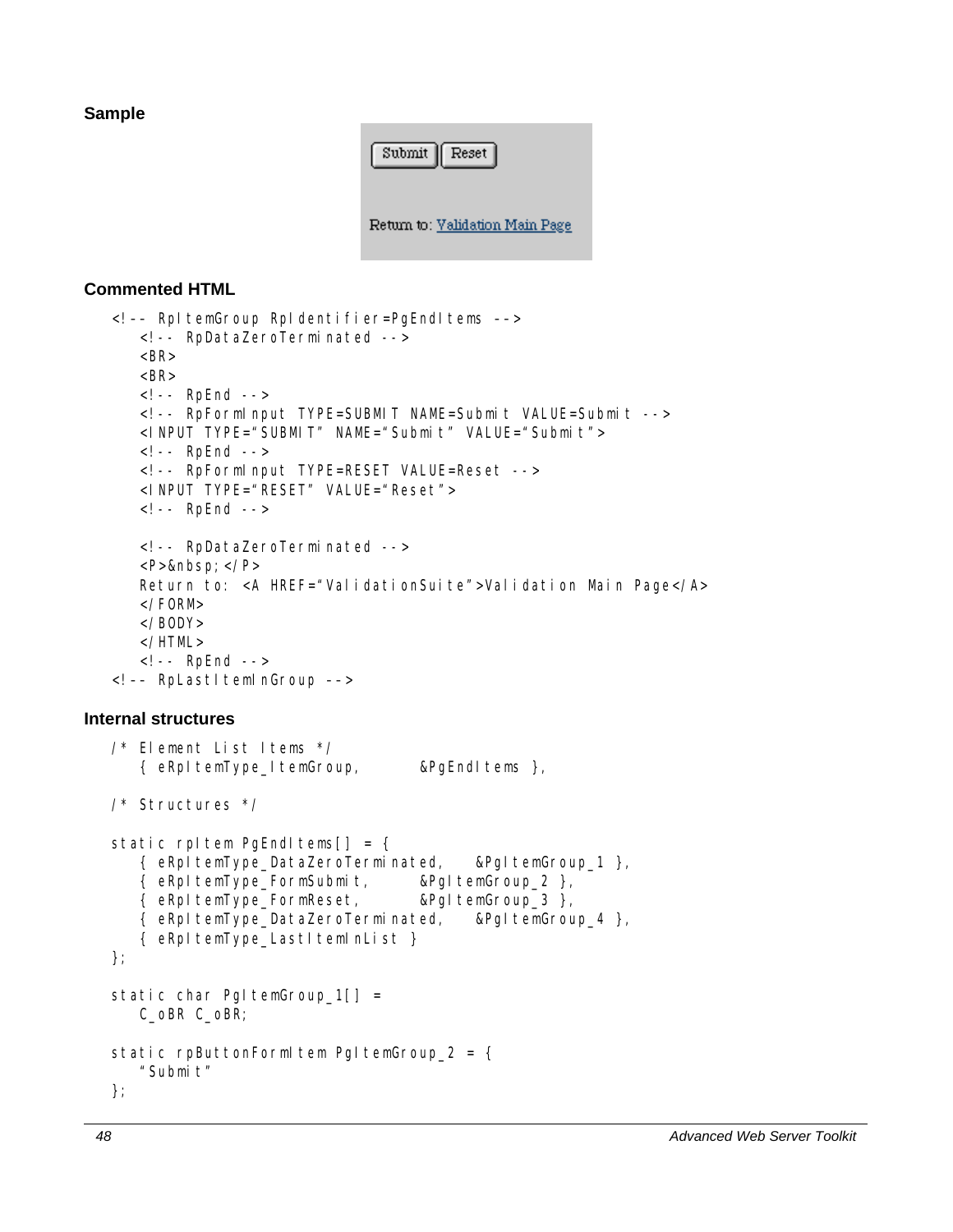### **Sample**



### **Commented HTML**

```
<!–– RpItemGroup RpIdentifier=PgEndItems ––> 
    <!-- RpDataZeroTerminated --> 
   <BR><BR> <!-- RpEnd --> 
    <!-- RpFormInput TYPE=SUBMIT NAME=Submit VALUE=Submit --> 
    <INPUT TYPE="SUBMIT" NAME="Submit" VALUE="Submit"> 
    <!-- RpEnd --> 
    <!-- RpFormInput TYPE=RESET VALUE=Reset --> 
    <INPUT TYPE="RESET" VALUE="Reset"> 
    <!-- RpEnd --> 
    <!-- RpDataZeroTerminated --> 
   <P>  </P>
   Return to: <A HREF="ValidationSuite">Validation Main Page</A>
   \langle /FORM> </BODY> 
    </HTML> 
    <!-- RpEnd --> 
<!-- RpLastItemInGroup -->
```
#### **Internal structures**

```
/* Element List Items */ 
    { eRpItemType_ItemGroup, &PgEndItems }, 
/* Structures */ 
static rpItem PgEndItems[ ] = { } { eRpItemType_DataZeroTerminated, &PgItemGroup_1 }, 
    { eRpItemType_FormSubmit, &PgItemGroup_2 }, 
    { eRpItemType_FormReset, &PgItemGroup_3 }, 
    { eRpItemType_DataZeroTerminated, &PgItemGroup_4 }, 
    { eRpItemType_LastItemInList } 
}; 
static char PgItemGroup_1[] =
   C_oBR C_oBR; 
static rpButtonFormItem PgItemGroup_2 = {
   "Submit"
};
```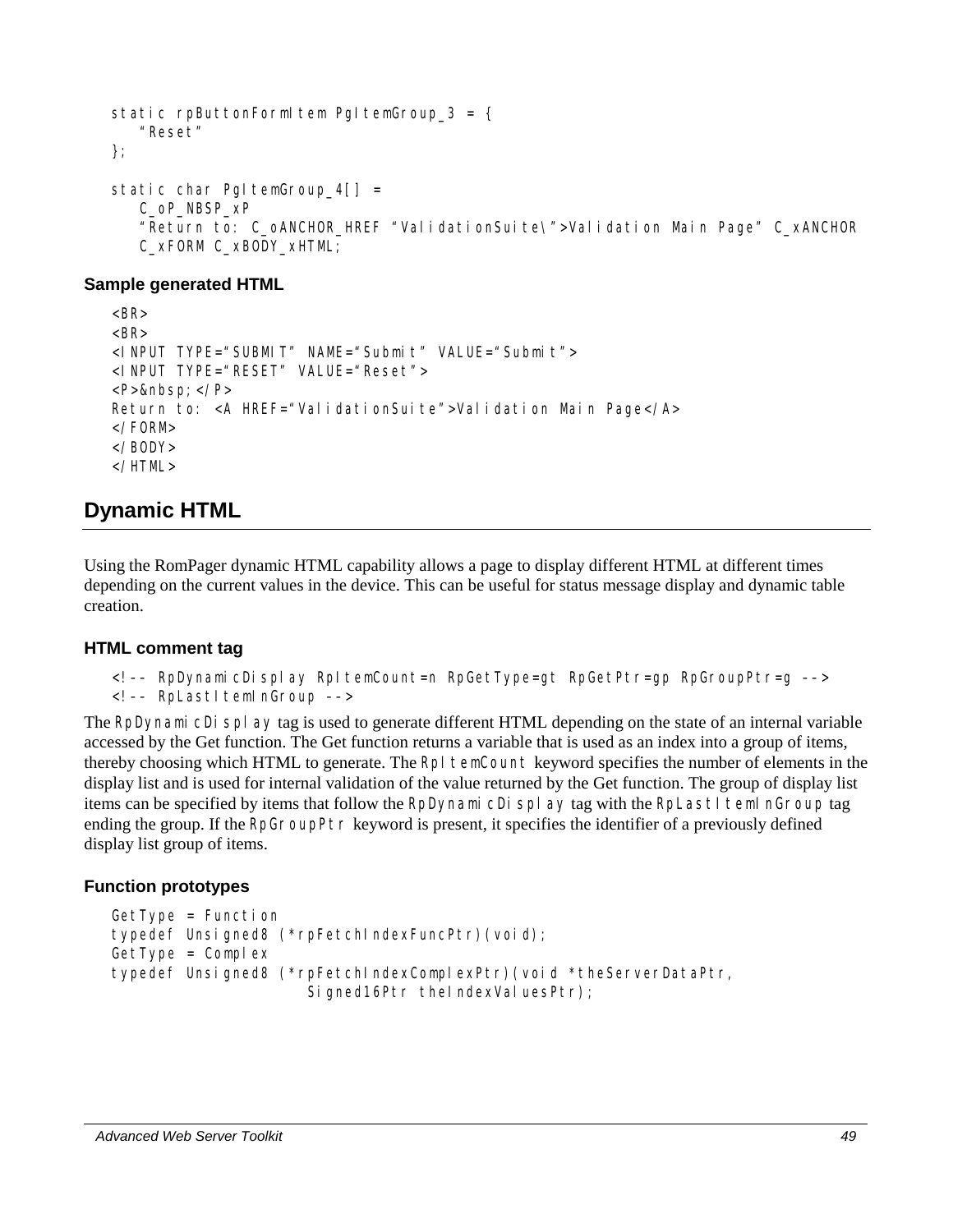```
static rpButtonFormItem PgItemGroup_3 = {
    "Reset" 
}; 
static char PgItemGroup 4[] = C_oP_NBSP_xP 
    "Return to: C_oANCHOR_HREF "ValidationSuite\">Validation Main Page" C_xANCHOR 
    C_xFORM C_xBODY_xHTML;
```

```
<BR><BR><INPUT TYPE="SUBMIT" NAME="Submit" VALUE="Submit"> 
<INPUT TYPE="RESET" VALUE="Reset"> 
<P>&nbsp:</P>Return to: <A HREF="ValidationSuite">Validation Main Page</A>
</FORM></BODY> 
</HTML>
```
# **Dynamic HTML**

Using the RomPager dynamic HTML capability allows a page to display different HTML at different times depending on the current values in the device. This can be useful for status message display and dynamic table creation.

### **HTML comment tag**

```
<!–– RpDynamicDisplay RpItemCount=n RpGetType=gt RpGetPtr=gp RpGroupPtr=g ––>
```

```
<!-- RpLastItemInGroup -->
```
The RpDynamicDisplay tag is used to generate different HTML depending on the state of an internal variable accessed by the Get function. The Get function returns a variable that is used as an index into a group of items, thereby choosing which HTML to generate. The RpI temCount keyword specifies the number of elements in the display list and is used for internal validation of the value returned by the Get function. The group of display list items can be specified by items that follow the RpDynamicDisplay tag with the RpLastItemInGroup tag ending the group. If the RpGroupPtr keyword is present, it specifies the identifier of a previously defined display list group of items.

### **Function prototypes**

```
GetType = Functi on
typedef Unsigned8 (*rpFetchIndexFuncPtr)(void); 
GetType = Complextypedef Unsigned8 (*rpFetchIndexComplexPtr)(void *theServerDataPtr, 
                     Signed16Ptr theIndexValuesPtr);
```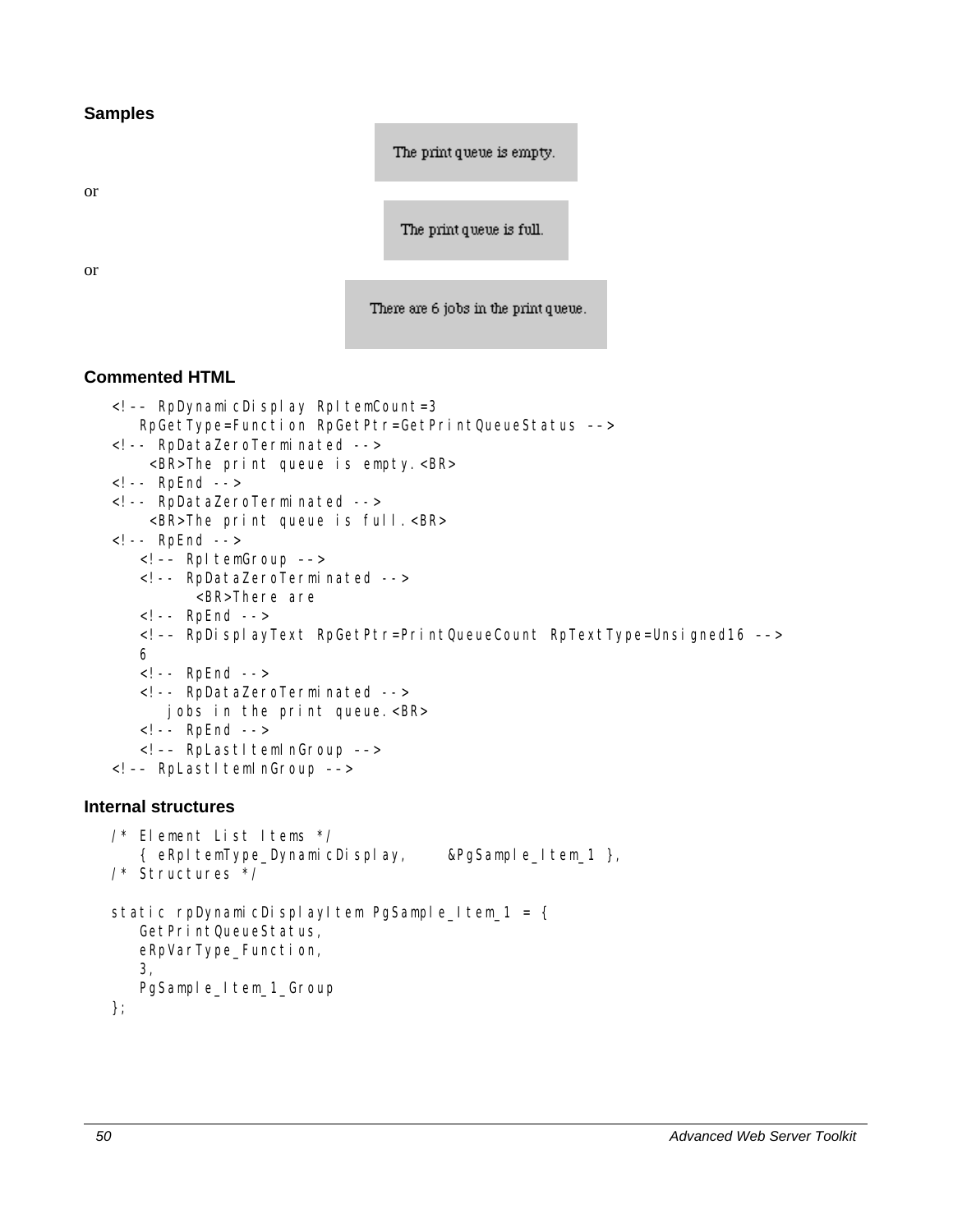**Samples** 

The print queue is empty.

or

The print queue is full.

or

There are 6 jobs in the print queue.

```
<!–– RpDynamicDisplay RpItemCount=3 
       RpGetType=Function RpGetPtr=GetPrintQueueStatus ––> 
   <!-- RpDataZeroTerminated --> 
        <BR>The print queue is empty.<BR> 
   <!-- RpEnd --> 
   <!-- RpDataZeroTerminated --> 
        <BR>The print queue is full.<BR> 
   <!-- RpEnd --> 
       <!–– RpItemGroup ––> 
       <!-- RpDataZeroTerminated --> 
             <BR>There are 
       <!-- RpEnd --> 
       <!–– RpDisplayText RpGetPtr=PrintQueueCount RpTextType=Unsigned16 ––> 
       6 
       <!-- RpEnd --> 
       <!-- RpDataZeroTerminated --> 
          jobs in the print queue.<BR> 
       <!-- RpEnd --> 
      <!-- RpLastItemInGroup -->
   <!-- RpLastItemInGroup -->
Internal structures 
   /* Element List Items */ 
       { eRpItemType_DynamicDisplay, &PgSample_Item_1 }, 
   /* Structures */
```

```
static rpDynamicDisplayItem PgSample_Item_1 = {
   GetPrintQueueStatus,
    eRpVarType_Function, 
    3, 
   PgSample_Item_1_Group
};
```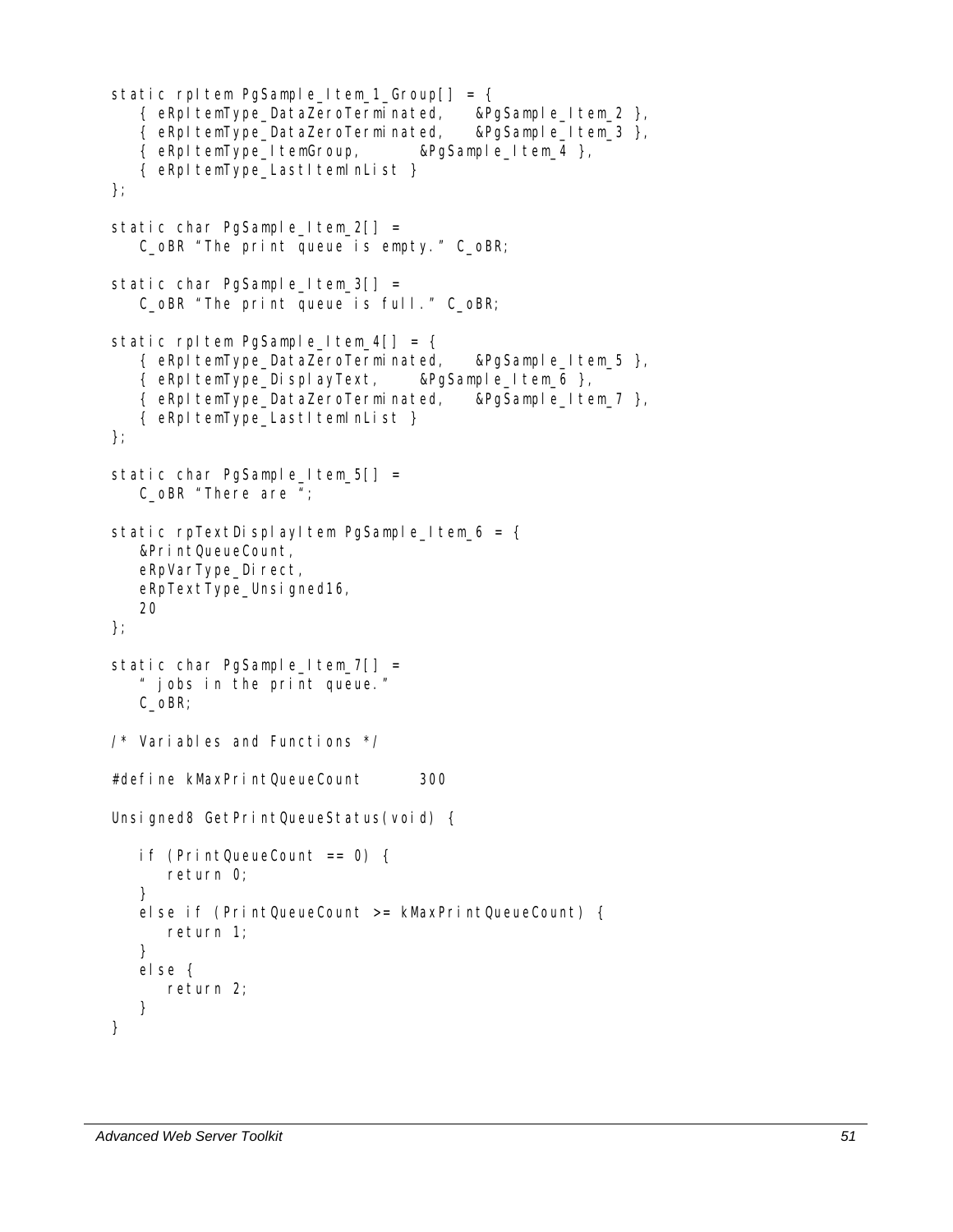```
static rpltem PgSample_Item_1_Group[] = {
    { eRpItemType_DataZeroTerminated, &PgSample_Item_2 }, 
    { eRpItemType_DataZeroTerminated, &PgSample_Item_3 }, 
    { eRpItemType_ItemGroup, &PgSample_Item_4 }, 
    { eRpItemType_LastItemInList } 
}; 
static char PgSample_Item_2[] = 
    C_oBR "The print queue is empty." C_oBR; 
static char PgSample_Item_3[] =
    C_oBR "The print queue is full." C_oBR; 
static rpItem PgSample_Item_4[] = {
    { eRpItemType_DataZeroTerminated, &PgSample_Item_5 }, 
    { eRpItemType_DisplayText, &PgSample_Item_6 }, 
    { eRpItemType_DataZeroTerminated, &PgSample_Item_7 }, 
    { eRpItemType_LastItemInList } 
}; 
static char PgSample_Item_5[] =
    C_oBR "There are "; 
static rpTextDisplayItem PgSample_Item_6 = {
    &PrintQueueCount, 
    eRpVarType_Direct, 
   eRpTextType_Unsigned16,
    20 
}; 
static char PgSample_Item_7[] =
    " jobs in the print queue." 
    C_oBR; 
/* Variables and Functions */ 
#define kMaxPrintQueueCount 300 
Unsigned8 GetPrintQueueStatus(void) {
    if (PrintQueueCount == 0) { 
       return 0; 
    } 
    else if (PrintQueueCount >= kMaxPrintQueueCount) { 
       return 1; 
    } 
   else { 
       return 2; 
    } 
}
```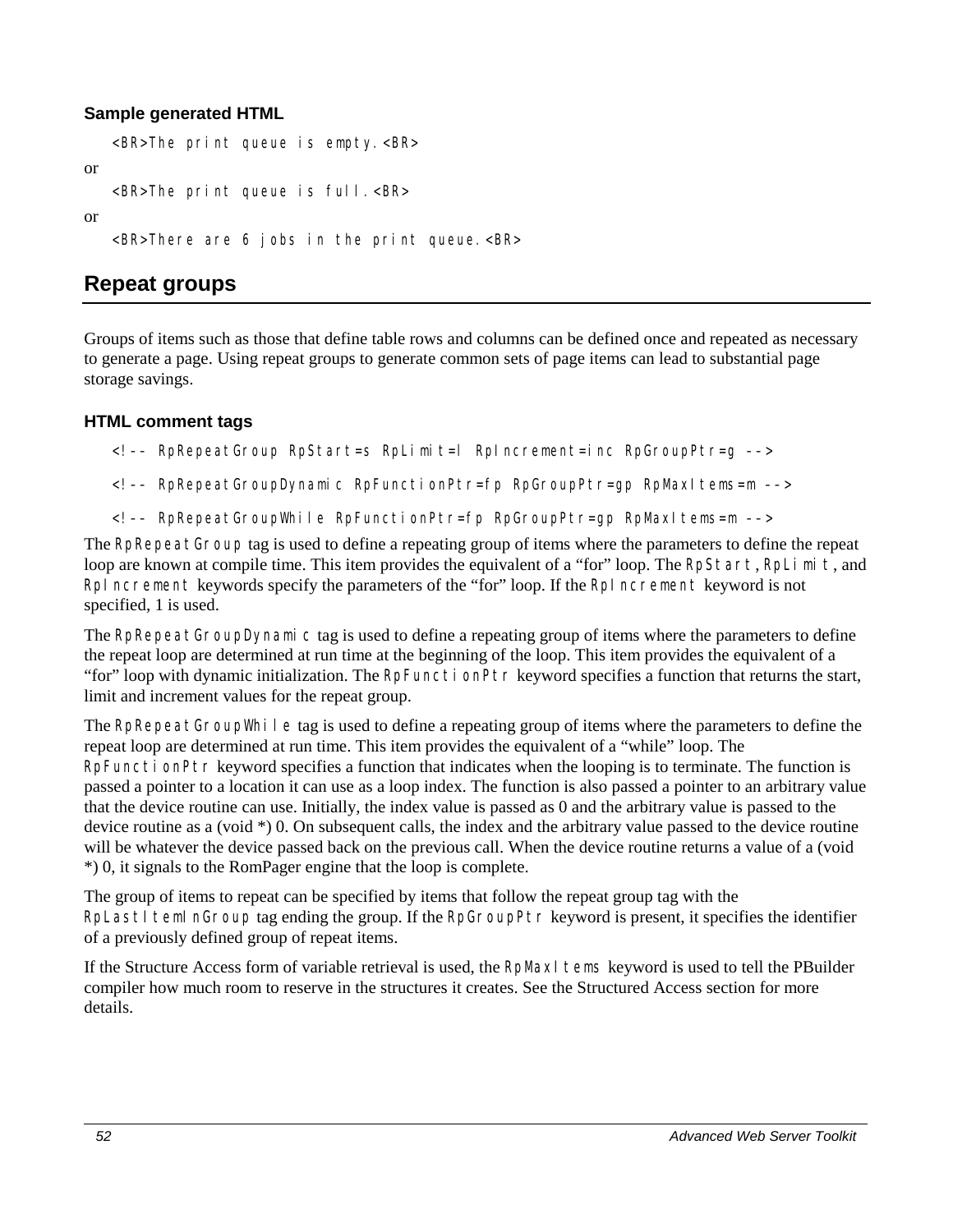```
<BR>The print queue is empty.<BR> 
or 
   <BR>The print queue is full.<BR> 
or 
   <BR>There are 6 jobs in the print queue.<BR>
```
# **Repeat groups**

Groups of items such as those that define table rows and columns can be defined once and repeated as necessary to generate a page. Using repeat groups to generate common sets of page items can lead to substantial page storage savings.

### **HTML comment tags**

- <!–– RpRepeatGroup RpStart=s RpLimit=l RpIncrement=inc RpGroupPtr=g ––>
- <!–– RpRepeatGroupDynamic RpFunctionPtr=fp RpGroupPtr=gp RpMaxItems=m ––>
- <!–– RpRepeatGroupWhile RpFunctionPtr=fp RpGroupPtr=gp RpMaxItems=m ––>

The RpRepeatGroup tag is used to define a repeating group of items where the parameters to define the repeat loop are known at compile time. This item provides the equivalent of a "for" loop. The RpStart, RpLimit, and RpIncrement keywords specify the parameters of the "for" loop. If the RpIncrement keyword is not specified, 1 is used.

The RpRepeatGroupDynamic tag is used to define a repeating group of items where the parameters to define the repeat loop are determined at run time at the beginning of the loop. This item provides the equivalent of a "for" loop with dynamic initialization. The RpFunctionPtr keyword specifies a function that returns the start, limit and increment values for the repeat group.

The RpRepeatGroupWhile tag is used to define a repeating group of items where the parameters to define the repeat loop are determined at run time. This item provides the equivalent of a "while" loop. The RpFunctionPtr keyword specifies a function that indicates when the looping is to terminate. The function is passed a pointer to a location it can use as a loop index. The function is also passed a pointer to an arbitrary value that the device routine can use. Initially, the index value is passed as 0 and the arbitrary value is passed to the device routine as a (void \*) 0. On subsequent calls, the index and the arbitrary value passed to the device routine will be whatever the device passed back on the previous call. When the device routine returns a value of a (void \*) 0, it signals to the RomPager engine that the loop is complete.

The group of items to repeat can be specified by items that follow the repeat group tag with the RpLastI temInGroup tag ending the group. If the RpGroupPtr keyword is present, it specifies the identifier of a previously defined group of repeat items.

If the Structure Access form of variable retrieval is used, the RpMaxI tems keyword is used to tell the PBuilder compiler how much room to reserve in the structures it creates. See the Structured Access section for more details.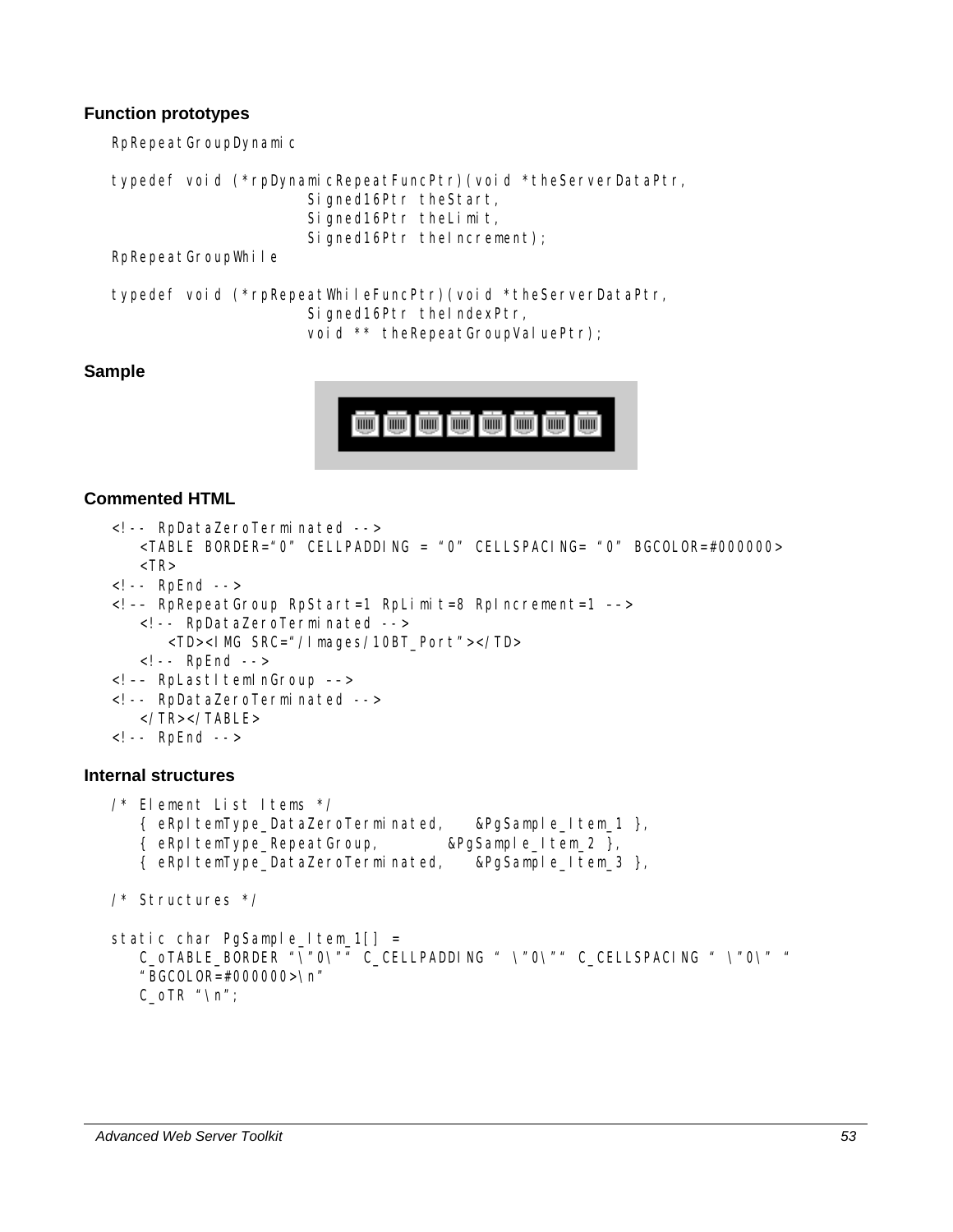### **Function prototypes**

RpRepeatGroupDynamic

```
typedef void (*rpDynamicRepeatFuncPtr)(void *theServerDataPtr, 
                       Signed16Ptr theStart, 
                       Signed16Ptr theLimit, 
                      Signed16Ptr theIncrement);
```
RpRepeatGroupWhile

```
typedef void (*rpRepeatWhileFuncPtr)(void *theServerDataPtr, 
                      Signed16Ptr theIndexPtr, 
                     void ** theRepeatGroupValuePtr);
```
### **Sample**



```
<!-- RpDataZeroTerminated --> 
       <TABLE BORDER="0" CELLPADDING = "0" CELLSPACING= "0" BGCOLOR=#000000> 
      <TR><!-- RpEnd --> 
   <!–– RpRepeatGroup RpStart=1 RpLimit=8 RpIncrement=1 ––> 
       <!-- RpDataZeroTerminated --> 
          <TD><IMG SRC="/Images/10BT_Port"></TD> 
       <!-- RpEnd --> 
   <!-- RpLastItemInGroup -->
   <!-- RpDataZeroTerminated --> 
       </TR></TABLE> 
   <!-- RpEnd --> 
Internal structures 
   /* Element List Items */
```

```
 { eRpItemType_DataZeroTerminated, &PgSample_Item_1 }, 
    { eRpItemType_RepeatGroup, &PgSample_Item_2 }, 
    { eRpItemType_DataZeroTerminated, &PgSample_Item_3 }, 
/* Structures */ 
static char PgSample_Item_1[] =
    C_oTABLE_BORDER "\"0\"" C_CELLPADDING " \"0\"" C_CELLSPACING " \"0\" " 
    "BGCOLOR=#000000>\n" 
   C_OTR "\n";
```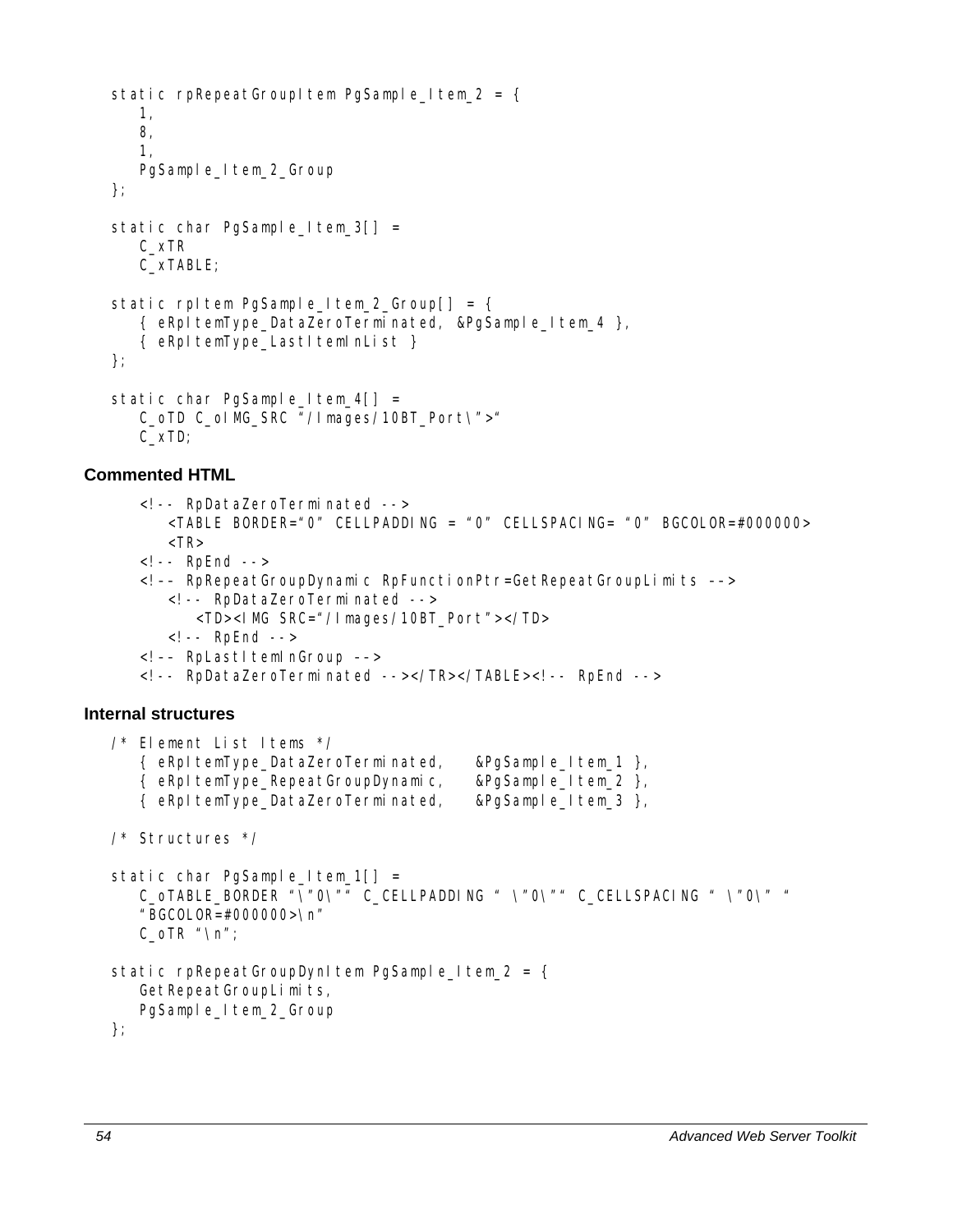```
static rpRepeatGroupItem PgSample_Item_2 = {
    1, 
    8, 
    1, 
   PgSample_Item_2_Group
}; 
static char PgSample_Item_3[] =
    C_xTR 
    C_xTABLE; 
static rpItem PgSample Item 2 Group[] = {
    { eRpItemType_DataZeroTerminated, &PgSample_Item_4 }, 
    { eRpItemType_LastItemInList } 
}; 
static char PgSample_Item_4[] =
    C_oTD C_oIMG_SRC "/Images/10BT_Port\">" 
    C_xTD;
```
## **Commented HTML**

<!-- RpDataZeroTerminated --> <TABLE BORDER="0" CELLPADDING = "0" CELLSPACING= "0" BGCOLOR=#000000>  $<$ TR $>$ <!-- RpEnd --> <!–– RpRepeatGroupDynamic RpFunctionPtr=GetRepeatGroupLimits ––> <!-- RpDataZeroTerminated --> <TD><IMG SRC="/Images/10BT\_Port"></TD> <!-- RpEnd --> <!-- RpLastItemInGroup --> <!-- RpDataZeroTerminated --></TR></TABLE><!-- RpEnd --> **Internal structures**  /\* Element List Items \*/ { eRpItemType\_DataZeroTerminated, &PgSample\_Item\_1 }, { eRpItemType\_RepeatGroupDynamic, &PgSample\_Item\_2 }, { eRpItemType\_DataZeroTerminated, &PgSample\_Item\_3 }, /\* Structures \*/ static char PgSample\_Item\_1[] = C\_oTABLE\_BORDER "\"0\"" C\_CELLPADDING " \"0\"" C\_CELLSPACING " \"0\" " "BGCOLOR=#000000>\n"  $C_$ OTR "\n"; static rpRepeatGroupDynItem PgSample\_Item\_2 = { GetRepeatGroupLimits, PgSample\_Item\_2\_Group };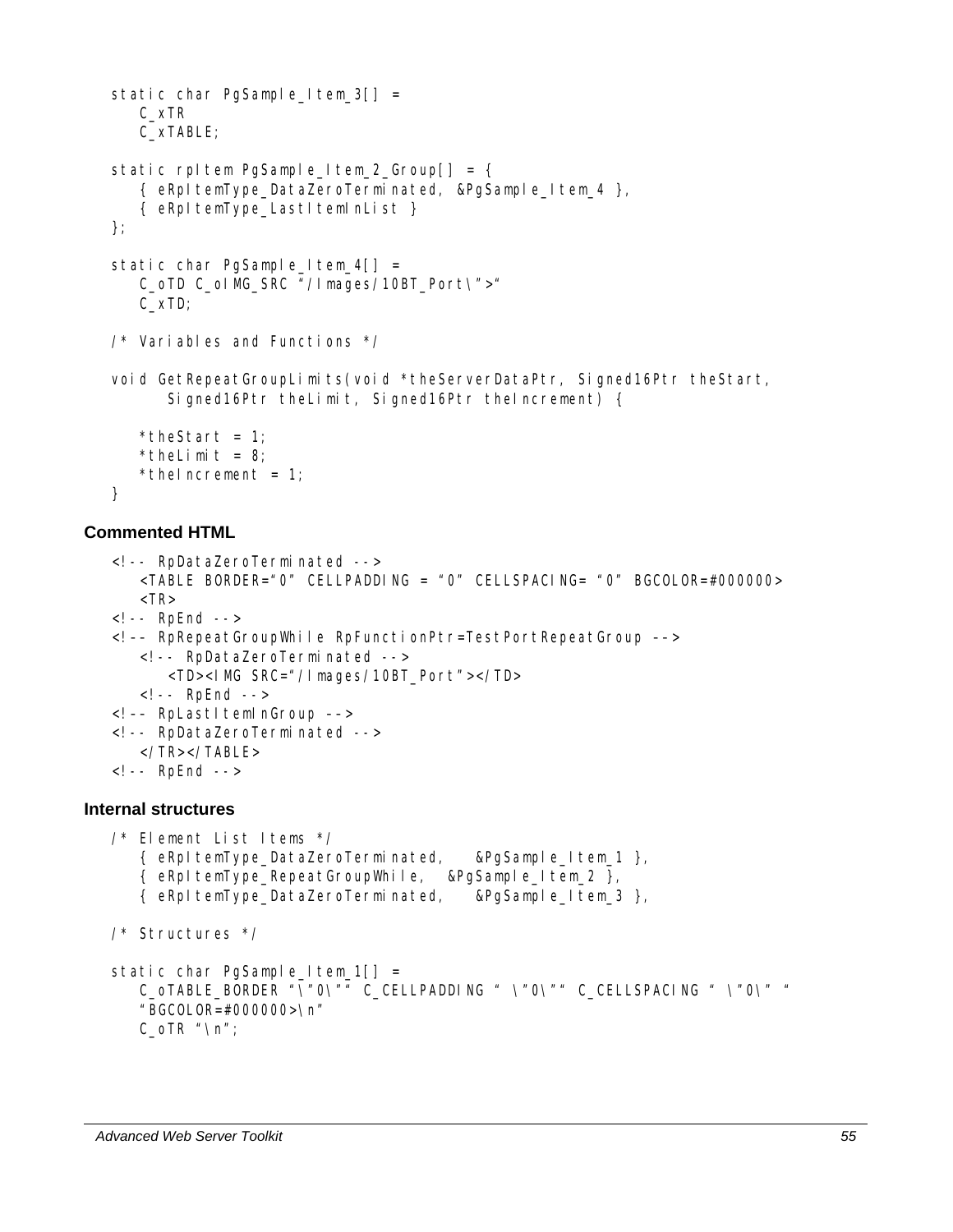```
static char PgSample_Item_3[] =
    C_xTR 
    C_xTABLE; 
static rpItem PgSample_Item_2_Group[] = {
    { eRpItemType_DataZeroTerminated, &PgSample_Item_4 }, 
   { eRpItemType_LastItemInList }
}; 
static char PgSample_Item_4[] =
   C_oTD C_oIMG_SRC "/Images/10BT_Port\">"
    C_xTD; 
/* Variables and Functions */ 
void GetRepeatGroupLimits(void *theServerDataPtr, Signed16Ptr theStart, 
       Signed16Ptr theLimit, Signed16Ptr theIncrement) { 
   *theStart = 1;
   * the Limit = 8;
   *thelncrement = 1;
}
```

```
<!-- RpDataZeroTerminated --> 
       <TABLE BORDER="0" CELLPADDING = "0" CELLSPACING= "0" BGCOLOR=#000000> 
      <TR><!-- RpEnd --> 
   <!–– RpRepeatGroupWhile RpFunctionPtr=TestPortRepeatGroup ––> 
       <!-- RpDataZeroTerminated --> 
          <TD><IMG SRC="/Images/10BT_Port"></TD> 
       <!-- RpEnd --> 
   <!–– RpLastItemInGroup ––> 
   <!-- RpDataZeroTerminated --> 
       </TR></TABLE> 
   <!-- RpEnd --> 
Internal structures 
   /* Element List Items */ 
       { eRpItemType_DataZeroTerminated, &PgSample_Item_1 }, 
       { eRpItemType_RepeatGroupWhile, &PgSample_Item_2 }, 
       { eRpItemType_DataZeroTerminated, &PgSample_Item_3 }, 
   /* Structures */
```

```
static char PgSample_Item_1[] =
    C_oTABLE_BORDER "\"0\"" C_CELLPADDING " \"0\"" C_CELLSPACING " \"0\" " 
    "BGCOLOR=#000000>\n" 
   C_OTR "\n";
```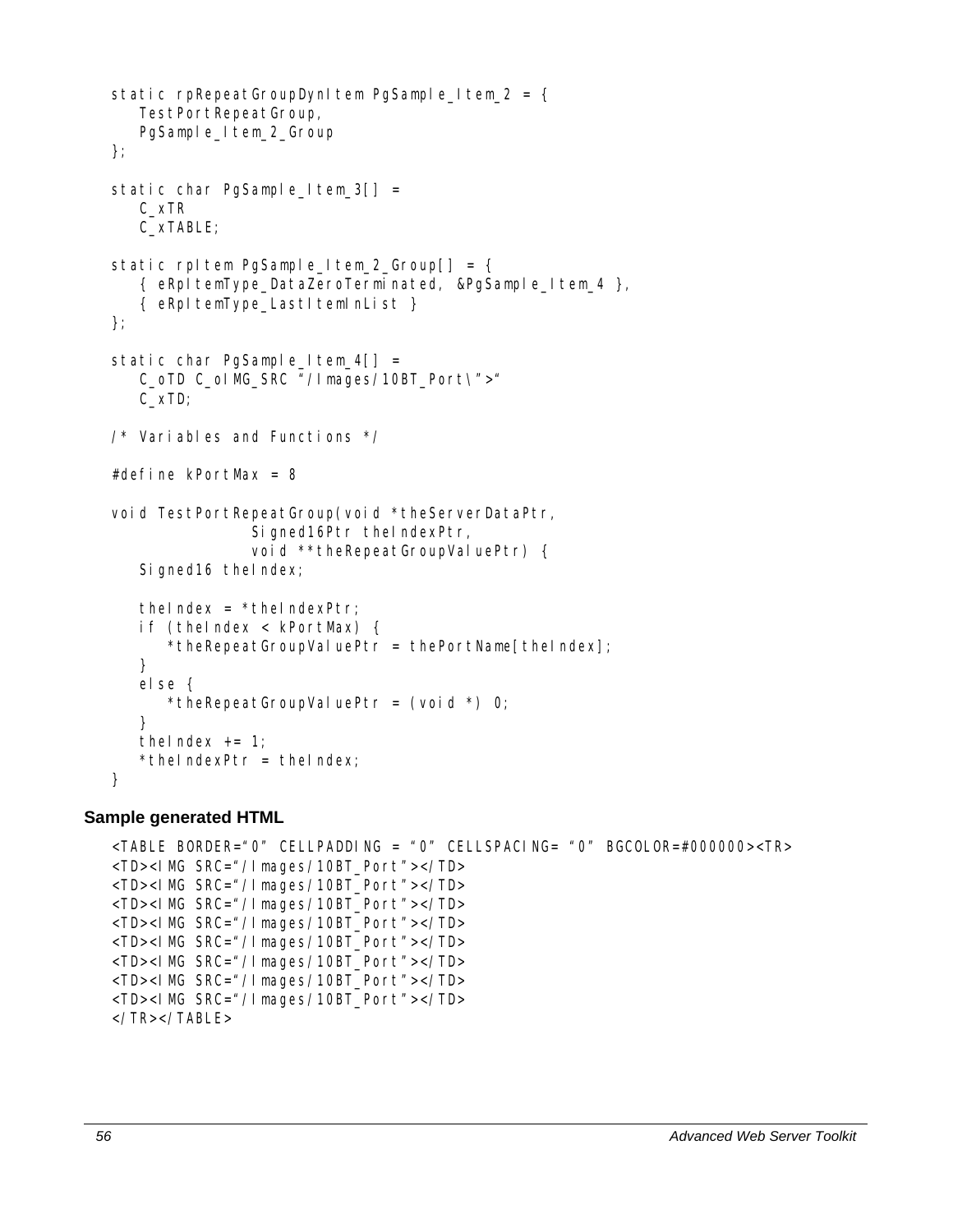```
static rpRepeatGroupDynItem PgSample_Item_2 = {
    TestPortRepeatGroup, 
   PgSample_Item_2_Group
}; 
static char PgSample_Item_3[] =
    C_xTR 
    C_xTABLE; 
static rpltem PgSample_Item_2_Group[] = {
    { eRpItemType_DataZeroTerminated, &PgSample_Item_4 }, 
    { eRpItemType_LastItemInList } 
}; 
static char PgSample Item 4[] =
    C_oTD C_oIMG_SRC "/Images/10BT_Port\">" 
    C_xTD; 
/* Variables and Functions */ 
#define kPortMax = 8 
void TestPortRepeatGroup(void *theServerDataPtr, 
                 Signed16Ptr theIndexPtr, 
                void **theRepeatGroupValuePtr) {
   Signed16 theIndex;
   the index = *theIndexPtr;
    if (theIndex < kPortMax) { 
      *theRepeatGroupValuePtr = thePortName[theIndex];
    } 
    else { 
      *theRepeatGroupValuePtr = (voi d * ) 0; } 
   thelndex += 1;
   *theIndexPtr = theIndex;
}
```

```
<TABLE BORDER="0" CELLPADDING = "0" CELLSPACING= "0" BGCOLOR=#000000><TR> 
<TD><IMG SRC="/Images/10BT_Port"></TD> 
<TD><IMG SRC="/Images/10BT_Port"></TD> 
<TD><IMG SRC="/Images/10BT_Port"></TD> 
<TD><IMG SRC="/Images/10BT_Port"></TD> 
<TD><IMG SRC="/Images/10BT_Port"></TD> 
<TD><IMG SRC="/Images/10BT_Port"></TD> 
<TD><IMG SRC="/Images/10BT_Port"></TD> 
<TD><IMG SRC="/Images/10BT_Port"></TD> 
</TR></TABLE>
```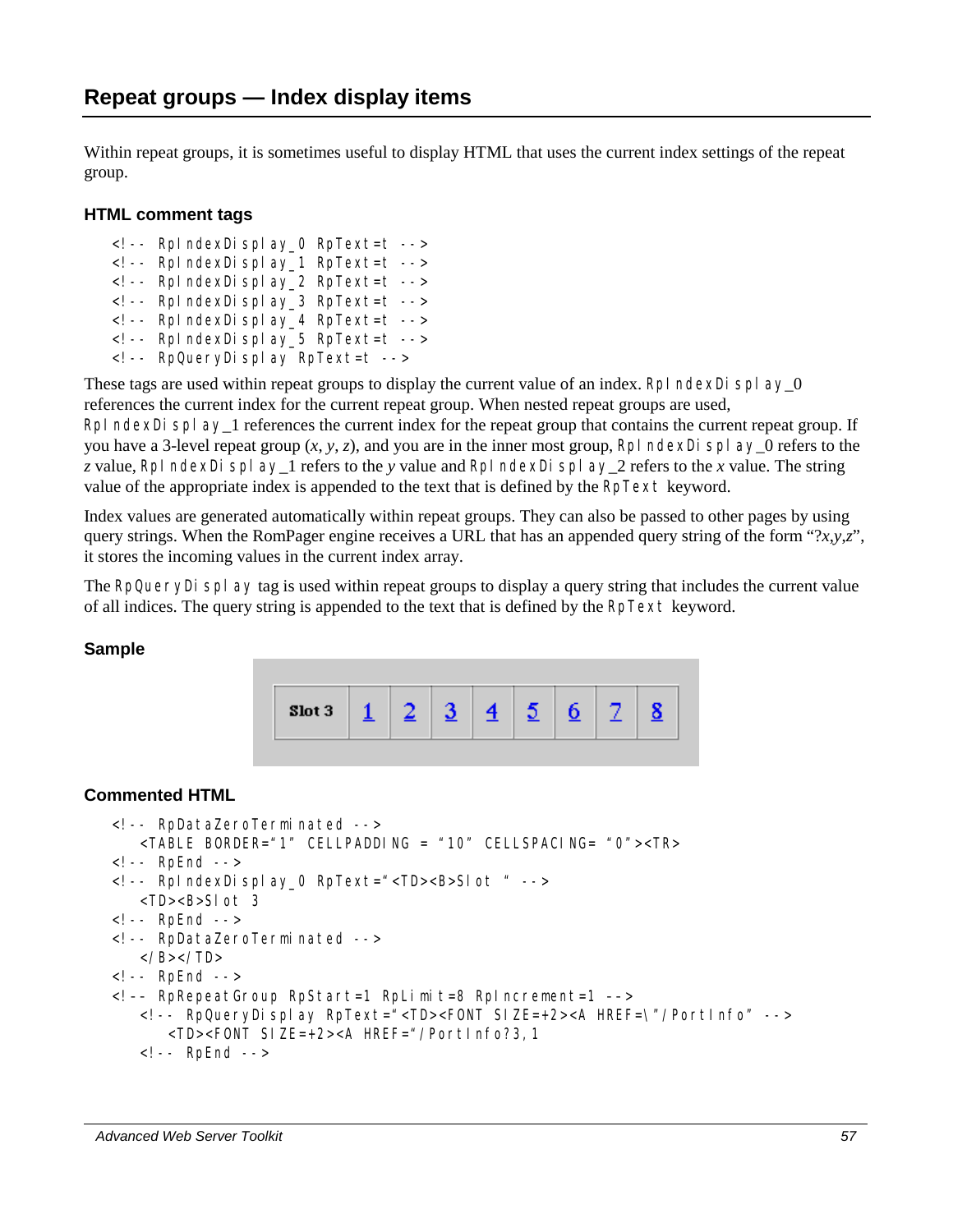Within repeat groups, it is sometimes useful to display HTML that uses the current index settings of the repeat group.

#### **HTML comment tags**

<!-- RpIndexDisplay\_0 RpText=t --> <!-- RpIndexDisplay\_1 RpText=t --> <!-- RpIndexDisplay\_2 RpText=t --> <!-- RpIndexDisplay\_3 RpText=t --> <!-- RpIndexDisplay\_4 RpText=t --> <!-- RpIndexDisplay\_5 RpText=t --> <!-- RpQueryDisplay RpText=t -->

These tags are used within repeat groups to display the current value of an index. RpI ndexDi  $\text{spl ay_0}$ references the current index for the current repeat group. When nested repeat groups are used, RpI ndexDi spl  $ay_1$  references the current index for the repeat group that contains the current repeat group. If you have a 3-level repeat group  $(x, y, z)$ , and you are in the inner most group, RpI ndexDi spl ay 0 refers to the

*z* value, RpIndexDisplay\_1 refers to the *y* value and RpIndexDisplay\_2 refers to the *x* value. The string value of the appropriate index is appended to the text that is defined by the RpText keyword.

Index values are generated automatically within repeat groups. They can also be passed to other pages by using query strings. When the RomPager engine receives a URL that has an appended query string of the form " $\langle x, y, z \rangle$ ", it stores the incoming values in the current index array.

The RpQueryDi splay tag is used within repeat groups to display a query string that includes the current value of all indices. The query string is appended to the text that is defined by the RpText keyword.

#### **Sample**



```
<!-- RpDataZeroTerminated --> 
    <TABLE BORDER="1" CELLPADDING = "10" CELLSPACING= "0"><TR> 
<!-- RpEnd --> 
<!-- RpIndexDisplay_0 RpText="<TD><B>Slot " --> 
    <TD><B>Slot 3 
<!-- RpEnd --> 
<!-- RpDataZeroTerminated --> 
   </B></TD>
<!-- RpEnd --> 
<!–– RpRepeatGroup RpStart=1 RpLimit=8 RpIncrement=1 ––> 
    <!-- RpQueryDisplay RpText="<TD><FONT SIZE=+2><A HREF=\"/PortInfo" --> 
       <TD><FONT SIZE=+2><A HREF="/PortInfo?3,1 
    <!-- RpEnd -->
```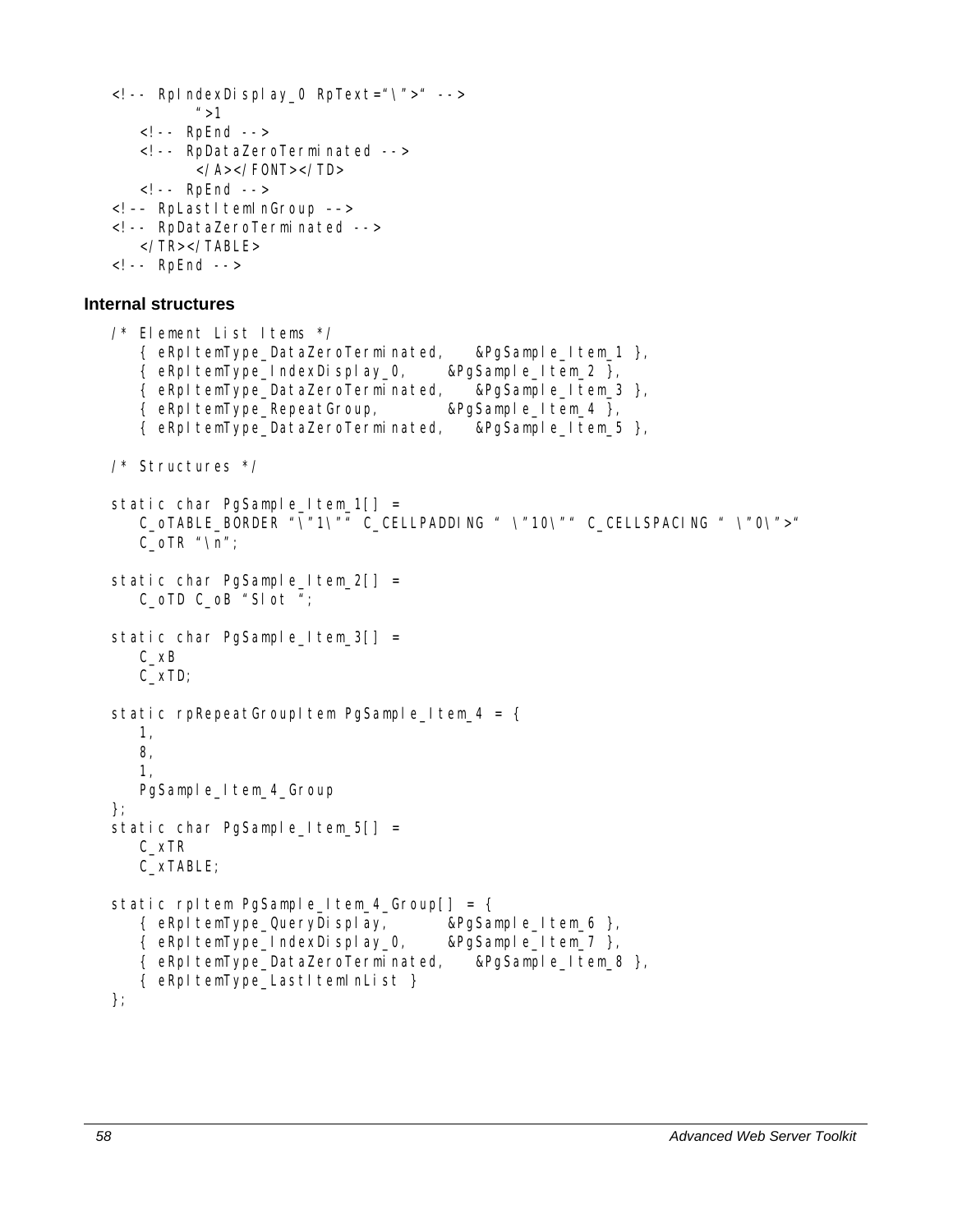```
<!-- RpIndexDisplay_0 RpText="\">" --> 
          ^{\prime\prime} > 1
    <!-- RpEnd --> 
    <!-- RpDataZeroTerminated --> 
           </A></FONT></TD> 
    <!-- RpEnd --> 
<!-- RpLastItemInGroup -->
<!-- RpDataZeroTerminated --> 
    </TR></TABLE> 
<!-- RpEnd -->
```
### **Internal structures**

```
/* Element List Items */ 
    { eRpItemType_DataZeroTerminated, &PgSample_Item_1 }, 
   \{ eRpItemType_IndexDisplay_0, \& PgSample_Item_2 \},
    { eRpItemType_DataZeroTerminated, &PgSample_Item_3 }, 
    { eRpItemType_RepeatGroup, &PgSample_Item_4 }, 
    { eRpItemType_DataZeroTerminated, &PgSample_Item_5 }, 
/* Structures */ 
static char PgSample_Item_1[] =
   C_OTABLE_BORDER "\"1\"" C_CELLPADDING " \"10\"" C_CELLSPACING " \"0\">"
   C_OTR "\n";
static char PgSample_Item_2[] =
    C_oTD C_oB "Slot "; 
static char PgSample_Item_3[] =
    C_xB 
    C_xTD; 
static rpRepeatGroupItem PgSample Item 4 = { 1, 
    8, 
    1, 
   PgSample_Item_4_Group
}; 
static char PgSample_Item_5[] =
    C_xTR 
    C_xTABLE; 
static rpltem PgSample_Item_4_Group[] = {
    { eRpItemType_QueryDisplay, &PgSample_Item_6 }, 
    { eRpItemType_IndexDisplay_0, &PgSample_Item_7 }, 
    { eRpItemType_DataZeroTerminated, &PgSample_Item_8 }, 
   { eRpItemType_LastItemInList }
};
```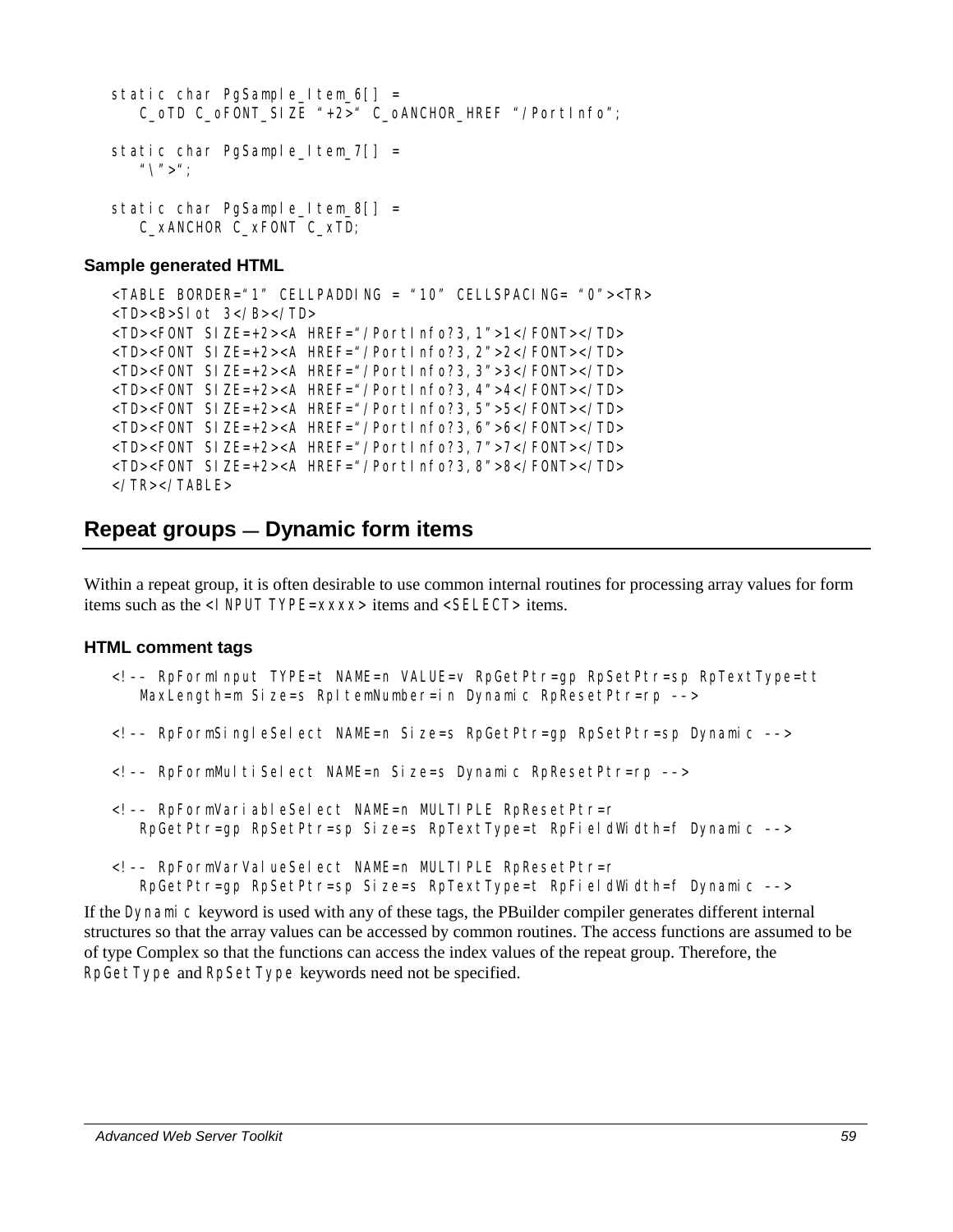```
static char PgSample Item 6[] = C_oTD C_oFONT_SIZE "+2>" C_oANCHOR_HREF "/PortInfo"; 
static char PgSample Item 7[] =
   "\setminus">";
static char PgSample Item 8[] =
    C_xANCHOR C_xFONT C_xTD;
```

```
<TABLE BORDER="1" CELLPADDING = "10" CELLSPACING= "0"><TR> 
<TD><B>Slot 3</B></TD> 
<TD><FONT SIZE=+2><A HREF="/PortInfo?3,1">1</FONT></TD> 
<TD><FONT SIZE=+2><A HREF="/PortInfo?3,2">2</FONT></TD> 
<TD><FONT SIZE=+2><A HREF="/PortInfo?3,3">3</FONT></TD> 
<TD><FONT SIZE=+2><A HREF="/PortInfo?3,4">4</FONT></TD> 
<TD><FONT SIZE=+2><A HREF="/PortInfo?3,5">5</FONT></TD> 
<TD><FONT SIZE=+2><A HREF="/PortInfo?3,6">6</FONT></TD> 
<TD><FONT SIZE=+2><A HREF="/PortInfo?3,7">7</FONT></TD> 
<TD><FONT SIZE=+2><A HREF="/PortInfo?3,8">8</FONT></TD> 
</TR></TABLE>
```
# **Repeat groups — Dynamic form items**

Within a repeat group, it is often desirable to use common internal routines for processing array values for form items such as the <I NPUT TYPE=*xxxx*> items and <SELECT> items.

#### **HTML comment tags**

- <!–– RpFormInput TYPE=t NAME=n VALUE=v RpGetPtr=gp RpSetPtr=sp RpTextType=tt MaxLength=m Size=s RpItemNumber=in Dynamic RpResetPtr=rp -->
- <!–– RpFormSingleSelect NAME=n Size=s RpGetPtr=gp RpSetPtr=sp Dynamic ––>
- <!–– RpFormMultiSelect NAME=n Size=s Dynamic RpResetPtr=rp ––>
- <!–– RpFormVariableSelect NAME=n MULTIPLE RpResetPtr=r RpGetPtr=gp RpSetPtr=sp Size=s RpTextType=t RpFieldWidth=f Dynamic ––>
- <!–– RpFormVarValueSelect NAME=n MULTIPLE RpResetPtr=r RpGetPtr=gp RpSetPtr=sp Size=s RpTextType=t RpFieldWidth=f Dynamic ––>

If the Dynamic keyword is used with any of these tags, the PBuilder compiler generates different internal structures so that the array values can be accessed by common routines. The access functions are assumed to be of type Complex so that the functions can access the index values of the repeat group. Therefore, the RpGetType and RpSetType keywords need not be specified.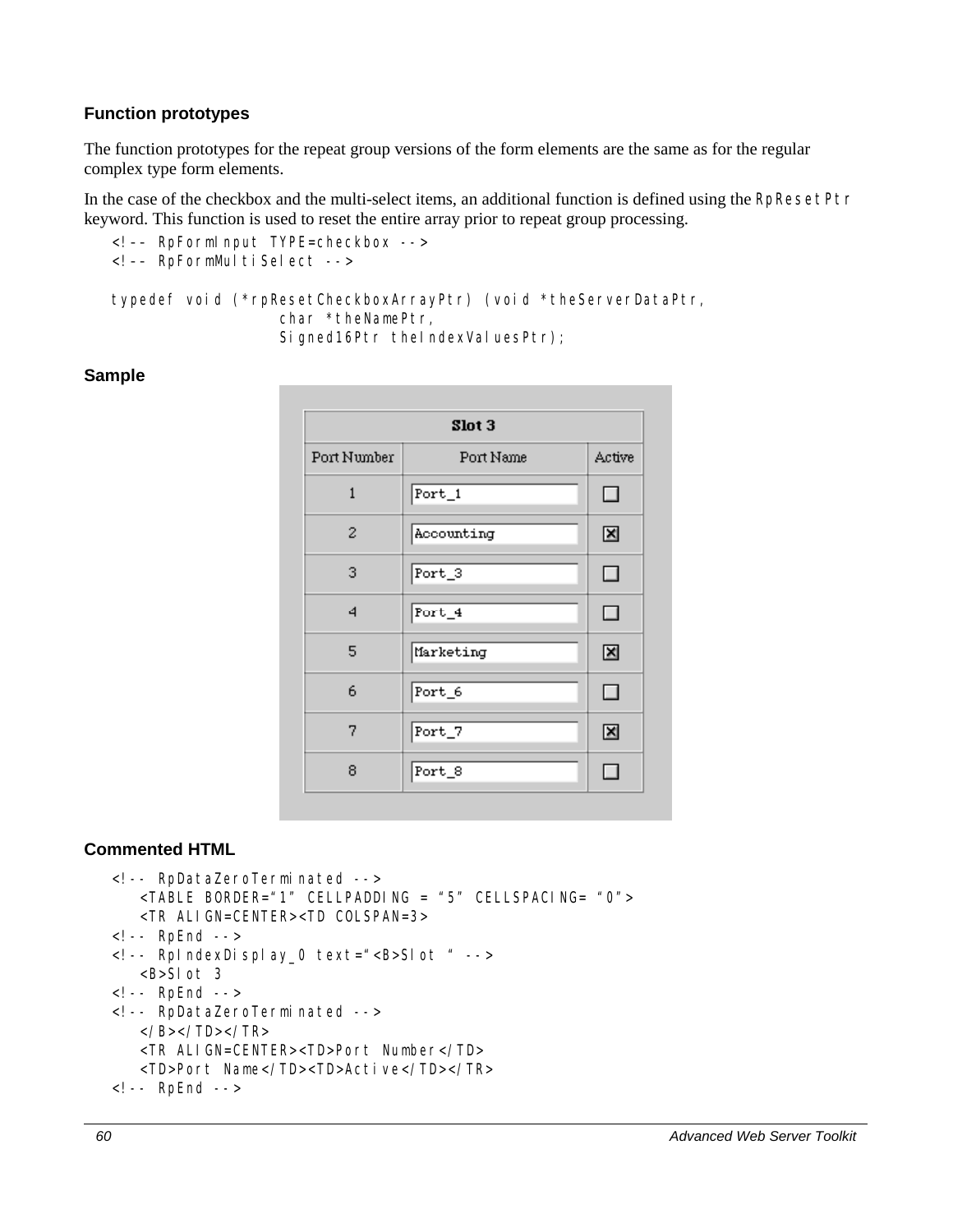### **Function prototypes**

The function prototypes for the repeat group versions of the form elements are the same as for the regular complex type form elements.

In the case of the checkbox and the multi-select items, an additional function is defined using the RpResetPtr keyword. This function is used to reset the entire array prior to repeat group processing.

```
<!–– RpFormInput TYPE=checkbox --> 
<!-- RpFormMultiSelect -->
typedef void (*rpResetCheckboxArrayPtr) (void *theServerDataPtr, 
                   char *theNamePtr, 
                  Signed16Ptr theIndexValuesPtr);
```
### **Sample**

| Slot 3         |                               |        |
|----------------|-------------------------------|--------|
| Port Number    | Port Name                     | Active |
| $\mathbf{1}$   | $\overline{\mathsf{Port}}\_1$ | □      |
| $\overline{c}$ | Accounting                    | ×      |
| 3              | Port_3                        | □      |
| 4              | $Port_4$                      | $\Box$ |
| 5              | Marketing                     | ⊠      |
| 6              | Port_6                        | □      |
| 7              | Port_7                        | ⊠      |
| 8              | Port_8                        | □      |

```
<!-- RpDataZeroTerminated --> 
    <TABLE BORDER="1" CELLPADDING = "5" CELLSPACING= "0"> 
    <TR ALIGN=CENTER><TD COLSPAN=3> 
<!-- RpEnd --> 
<!-- RpIndexDisplay_0 text="<B>Slot " --> 
   <B>Slot 3 
<!-- RpEnd --> 
<!-- RpDataZeroTerminated --> 
  </B></TD></TR>
    <TR ALIGN=CENTER><TD>Port Number</TD> 
    <TD>Port Name</TD><TD>Active</TD></TR> 
<!-- RpEnd -->
```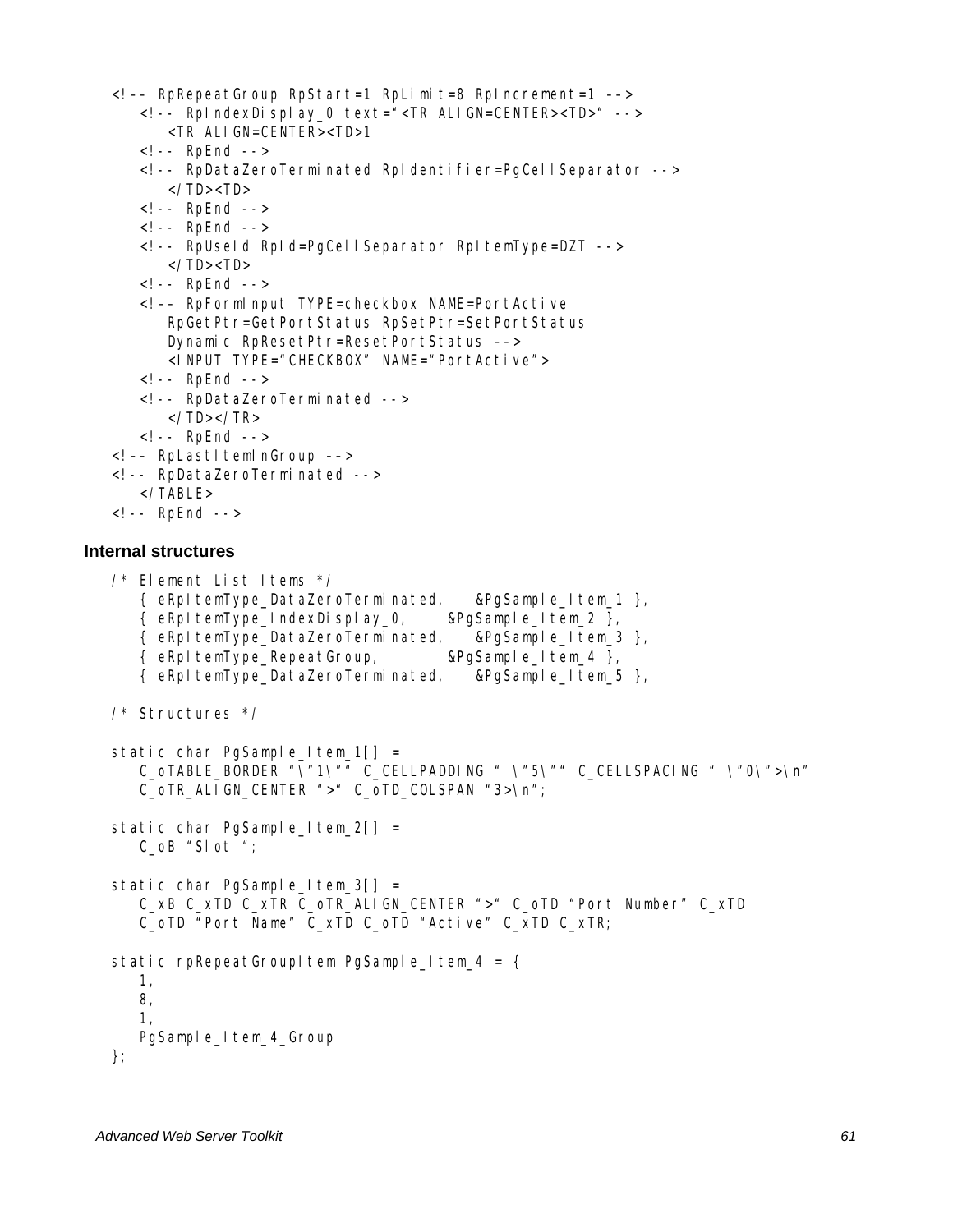```
<!–– RpRepeatGroup RpStart=1 RpLimit=8 RpIncrement=1 ––> 
       <!-- RpIndexDisplay_0 text="<TR ALIGN=CENTER><TD>" --> 
          <TR ALIGN=CENTER><TD>1 
       <!-- RpEnd --> 
       <!-- RpDataZeroTerminated RpIdentifier=PgCellSeparator --> 
         </TD><TD> <!-- RpEnd --> 
       <!-- RpEnd --> 
       <!-- RpUseId RpId=PgCellSeparator RpItemType=DZT --> 
         </TD><TD>
       <!-- RpEnd --> 
       <!–– RpFormInput TYPE=checkbox NAME=PortActive 
          RpGetPtr=GetPortStatus RpSetPtr=SetPortStatus 
          Dynamic RpResetPtr=ResetPortStatus ––> 
          <INPUT TYPE="CHECKBOX" NAME="PortActive"> 
       <!-- RpEnd --> 
       <!-- RpDataZeroTerminated --> 
         </TD></TR>
       <!-- RpEnd --> 
   <!-- RpLastItemInGroup -->
   <!-- RpDataZeroTerminated --> 
      \langleTABLE><!-- RpEnd --> 
Internal structures 
   /* Element List Items */ 
       { eRpItemType_DataZeroTerminated, &PgSample_Item_1 }, 
       { eRpItemType_IndexDisplay_0, &PgSample_Item_2 }, 
       { eRpItemType_DataZeroTerminated, &PgSample_Item_3 }, 
       { eRpItemType_RepeatGroup, &PgSample_Item_4 }, 
       { eRpItemType_DataZeroTerminated, &PgSample_Item_5 }, 
   /* Structures */ 
   static char PgSample_Item_1[] =
       C_oTABLE_BORDER "\"1\"" C_CELLPADDING " \"5\"" C_CELLSPACING " \"0\">\n" 
       C_oTR_ALIGN_CENTER ">" C_oTD_COLSPAN "3>\n"; 
   static char PgSample_Item_2[] =
       C_oB "Slot "; 
   static char PgSample_Item_3[] =
       C_xB C_xTD C_xTR C_oTR_ALIGN_CENTER ">" C_oTD "Port Number" C_xTD 
       C_oTD "Port Name" C_xTD C_oTD "Active" C_xTD C_xTR; 
   static rpRepeatGroupItem PgSample_Item_4 = \{ 1, 
       8, 
       1, 
       PgSample_Item_4_Group 
   };
```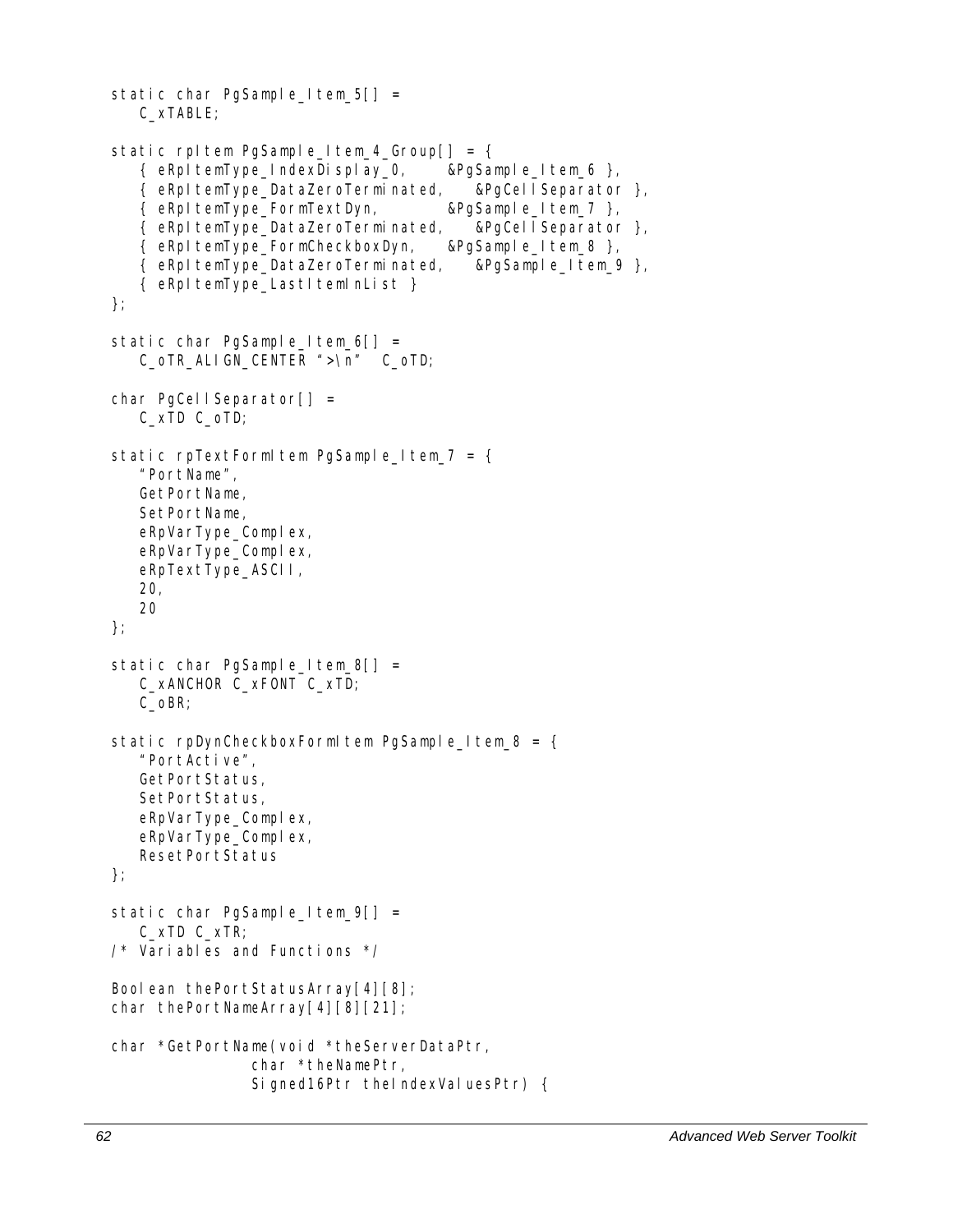```
static char PgSample_Item_5[] =
    C_xTABLE; 
static rpItem PgSample_Item_4_Group[] = {
    { eRpItemType_IndexDisplay_0, &PgSample_Item_6 }, 
    { eRpItemType_DataZeroTerminated, &PgCellSeparator }, 
    { eRpItemType_FormTextDyn, &PgSample_Item_7 }, 
    { eRpItemType_DataZeroTerminated, &PgCellSeparator }, 
    { eRpItemType_FormCheckboxDyn, &PgSample_Item_8 }, 
    { eRpItemType_DataZeroTerminated, &PgSample_Item_9 }, 
    { eRpItemType_LastItemInList } 
}; 
static char PgSample_Item_6[] =
   C_oTR_ALIGN_CENTER ">\n" C_oTD;
char PgCellSeparator[] =
    C_xTD C_oTD; 
static rpTextFormItem PgSample Item 7 = \{ "PortName", 
    GetPortName, 
    SetPortName, 
   eRpVarType_Complex,
   eRpVarType_Complex,
    eRpTextType_ASCII, 
    20, 
    20 
}; 
static char PgSample_Item_8[] =
    C_xANCHOR C_xFONT C_xTD; 
    C_oBR; 
static rpDynCheckboxFormItem PgSample_Item_8 = {
    "PortActive", 
    GetPortStatus, 
    SetPortStatus, 
   eRpVarType_Complex,
    eRpVarType_Complex, 
    ResetPortStatus 
}; 
static char PgSample_Item_9[] =
    C_xTD C_xTR; 
/* Variables and Functions */ 
Boolean thePortStatusArray[4][8];
char thePortNameArray[4][8][21];
char *GetPortName(void *theServerDataPtr, 
                char *theNamePtr, 
                Signed16Ptr theIndexValuesPtr) {
```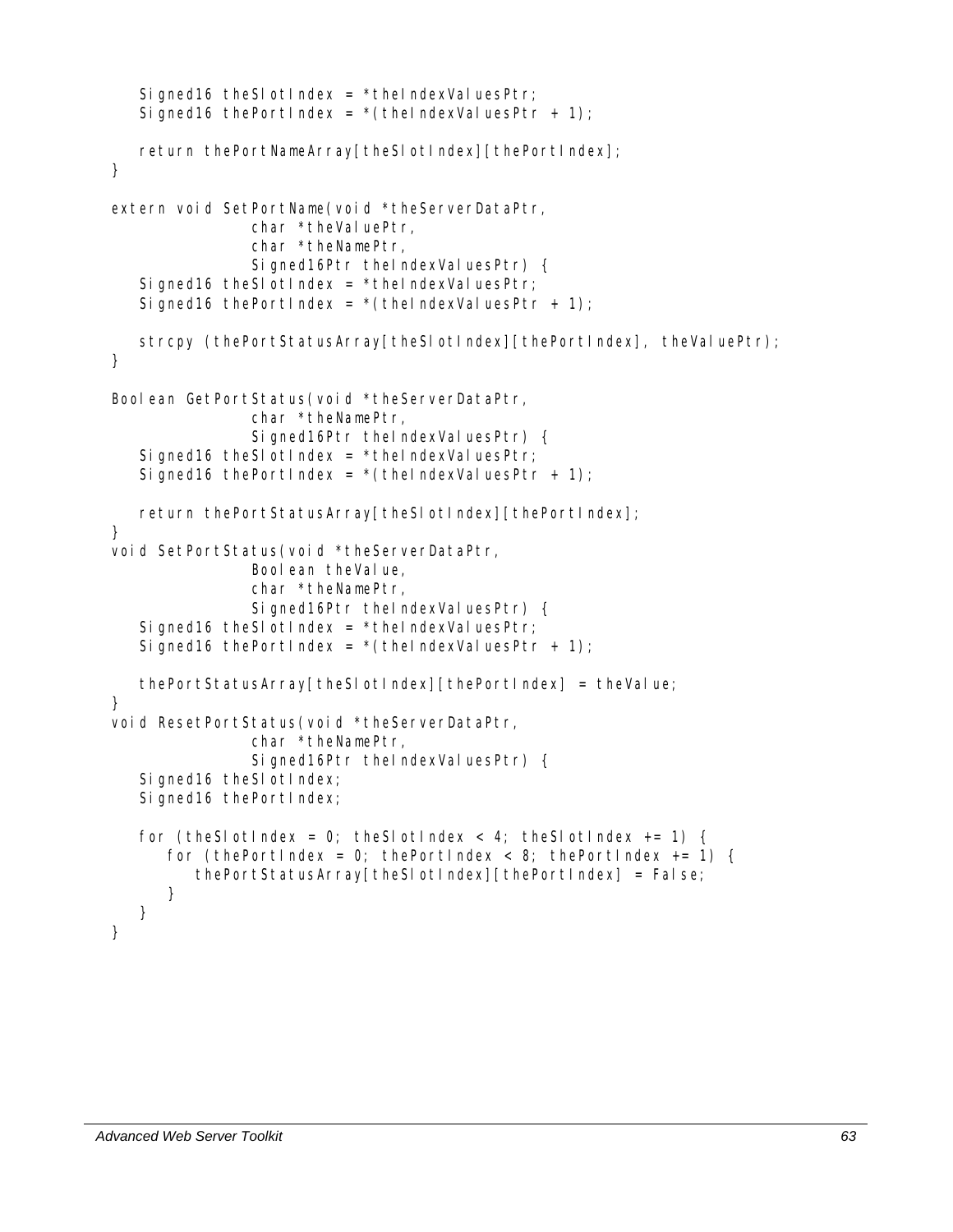```
Signed16 theSlotIndex = *theIndexValuesPtr;
   Signed16 thePortIndex = *(theIndexValuesPtr + 1);
   return thePortNameArray[theSlotIndex][thePortIndex];
} 
extern void SetPortName(void *theServerDataPtr, 
               char *theValuePtr,
                char *theNamePtr, 
               Signed16Ptr theIndexValuesPtr) {
   Signed16 theSlotIndex = *theIndexValuesPtr;
   Signed16 thePortIndex = *(theIndexValuesPtr + 1);
   strcpy (thePortStatusArray[theSlotIndex][thePortIndex], theValuePtr);
} 
Boolean GetPortStatus(void *theServerDataPtr,
                char *theNamePtr, 
               Signed16Ptr theIndexValuesPtr) {
   Signed16 theSlotIndex = *theIndexValuesPtr;
   Signed16 thePortIndex = *(theIndexValuesPtr + 1);
   return thePortStatusArray[theSlotIndex][thePortIndex];
} 
void SetPortStatus(void *theServerDataPtr, 
               Boolean theValue,
                char *theNamePtr, 
               Signed16Ptr theIndexValuesPtr) {
   Signed16 theSlotIndex = *theIndexValuesPtr;
   Signed16 thePortIndex = *(theIndexValuesPtr + 1);
    thePortStatusArray[theSlotIndex][thePortIndex] = theValue; 
} 
void ResetPortStatus(void *theServerDataPtr, 
                char *theNamePtr, 
               Signed16Ptr theIndexValuesPtr) {
   Signed16 theSI otIndex;
   Signed16 thePortIndex;
   for (theSlotIndex = 0; theSlotIndex < 4; theSlotIndex += 1) {
      for (thePortIndex = 0; thePortIndex < 8; thePortIndex += 1) {
          thePortStatusArray[theSlotIndex][thePortIndex] = False; 
       } 
    } 
}
```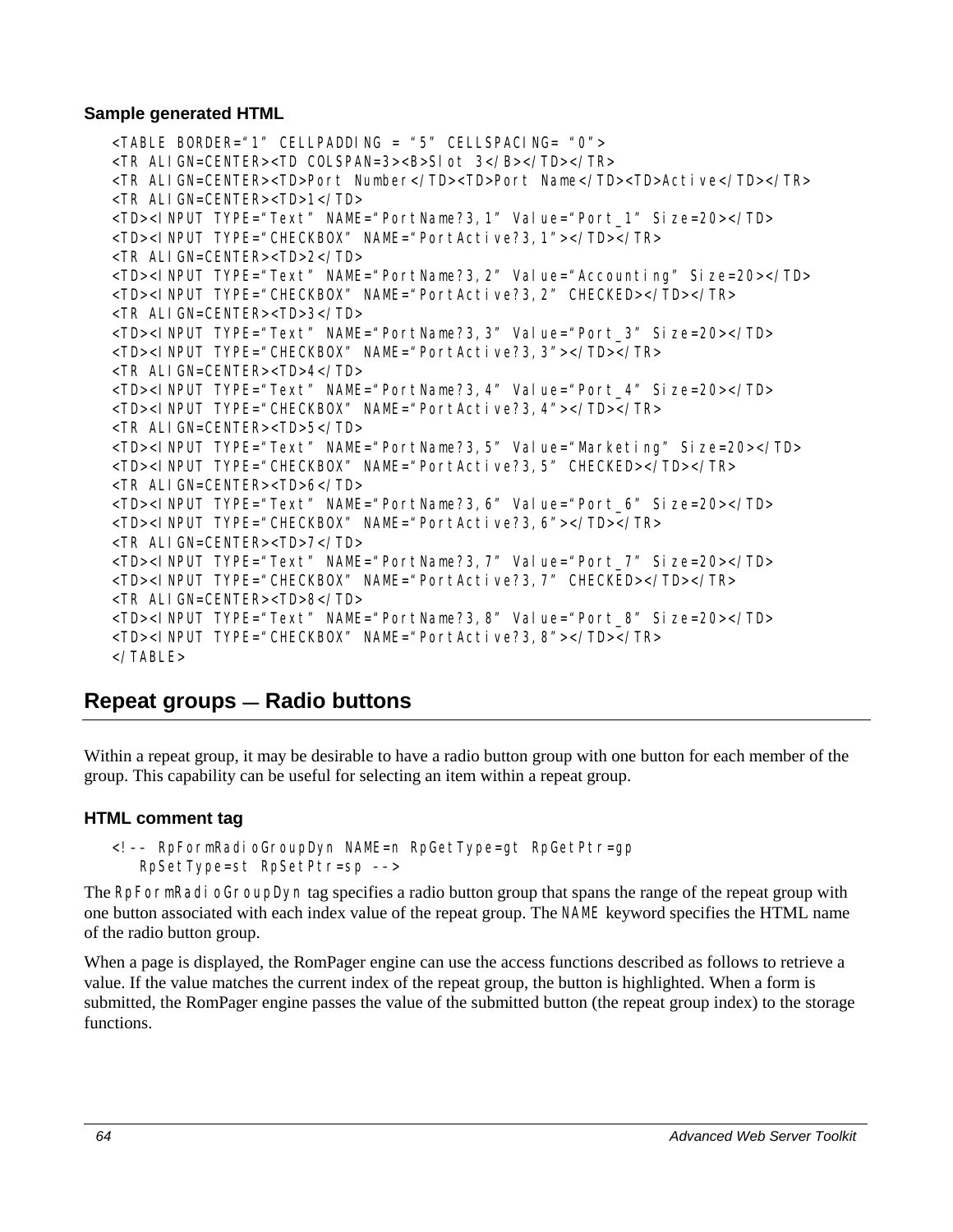#### **Sample generated HTML**

```
<TABLE BORDER="1" CELLPADDING = "5" CELLSPACING= "0"> 
<TR ALIGN=CENTER><TD COLSPAN=3><B>Slot 3</B></TD></TR> 
<TR ALIGN=CENTER><TD>Port Number</TD><TD>Port Name</TD><TD>Active</TD></TR> 
<TR ALIGN=CENTER><TD>1</TD> 
<TD><INPUT TYPE="Text" NAME="PortName?3,1" Value="Port_1" Size=20></TD> 
<TD><INPUT TYPE="CHECKBOX" NAME="PortActive?3,1"></TD></TR> 
<TR ALIGN=CENTER><TD>2</TD> 
<TD><INPUT TYPE="Text" NAME="PortName?3,2" Value="Accounting" Size=20></TD> 
<TD><INPUT TYPE="CHECKBOX" NAME="PortActive?3,2" CHECKED></TD></TR> 
<TR ALIGN=CENTER><TD>3</TD> 
<TD><INPUT TYPE="Text" NAME="PortName?3,3" Value="Port_3" Size=20></TD> 
<TD><INPUT TYPE="CHECKBOX" NAME="PortActive?3,3"></TD></TR> 
<TR ALIGN=CENTER><TD>4</TD> 
<TD><INPUT TYPE="Text" NAME="PortName?3,4" Value="Port_4" Size=20></TD> 
<TD><INPUT TYPE="CHECKBOX" NAME="PortActive?3,4"></TD></TR> 
<TR ALIGN=CENTER><TD>5</TD> 
<TD><INPUT TYPE="Text" NAME="PortName?3,5" Value="Marketing" Size=20></TD> 
<TD><INPUT TYPE="CHECKBOX" NAME="PortActive?3,5" CHECKED></TD></TR> 
<TR ALIGN=CENTER><TD>6</TD> 
<TD><INPUT TYPE="Text" NAME="PortName?3,6" Value="Port_6" Size=20></TD> 
<TD><INPUT TYPE="CHECKBOX" NAME="PortActive?3,6"></TD></TR> 
<TR ALIGN=CENTER><TD>7</TD> 
<TD><INPUT TYPE="Text" NAME="PortName?3,7" Value="Port_7" Size=20></TD> 
<TD><INPUT TYPE="CHECKBOX" NAME="PortActive?3,7" CHECKED></TD></TR> 
<TR ALIGN=CENTER><TD>8</TD> 
<TD><INPUT TYPE="Text" NAME="PortName?3,8" Value="Port_8" Size=20></TD> 
<TD><INPUT TYPE="CHECKBOX" NAME="PortActive?3,8"></TD></TR> 
</TABLE>
```
# **Repeat groups — Radio buttons**

Within a repeat group, it may be desirable to have a radio button group with one button for each member of the group. This capability can be useful for selecting an item within a repeat group.

## **HTML comment tag**

<!–– RpFormRadioGroupDyn NAME=n RpGetType=gt RpGetPtr=gp RpSetType=st RpSetPtr=sp ––>

The RpFormRadi oGroupDyn tag specifies a radio button group that spans the range of the repeat group with one button associated with each index value of the repeat group. The NAME keyword specifies the HTML name of the radio button group.

When a page is displayed, the RomPager engine can use the access functions described as follows to retrieve a value. If the value matches the current index of the repeat group, the button is highlighted. When a form is submitted, the RomPager engine passes the value of the submitted button (the repeat group index) to the storage functions.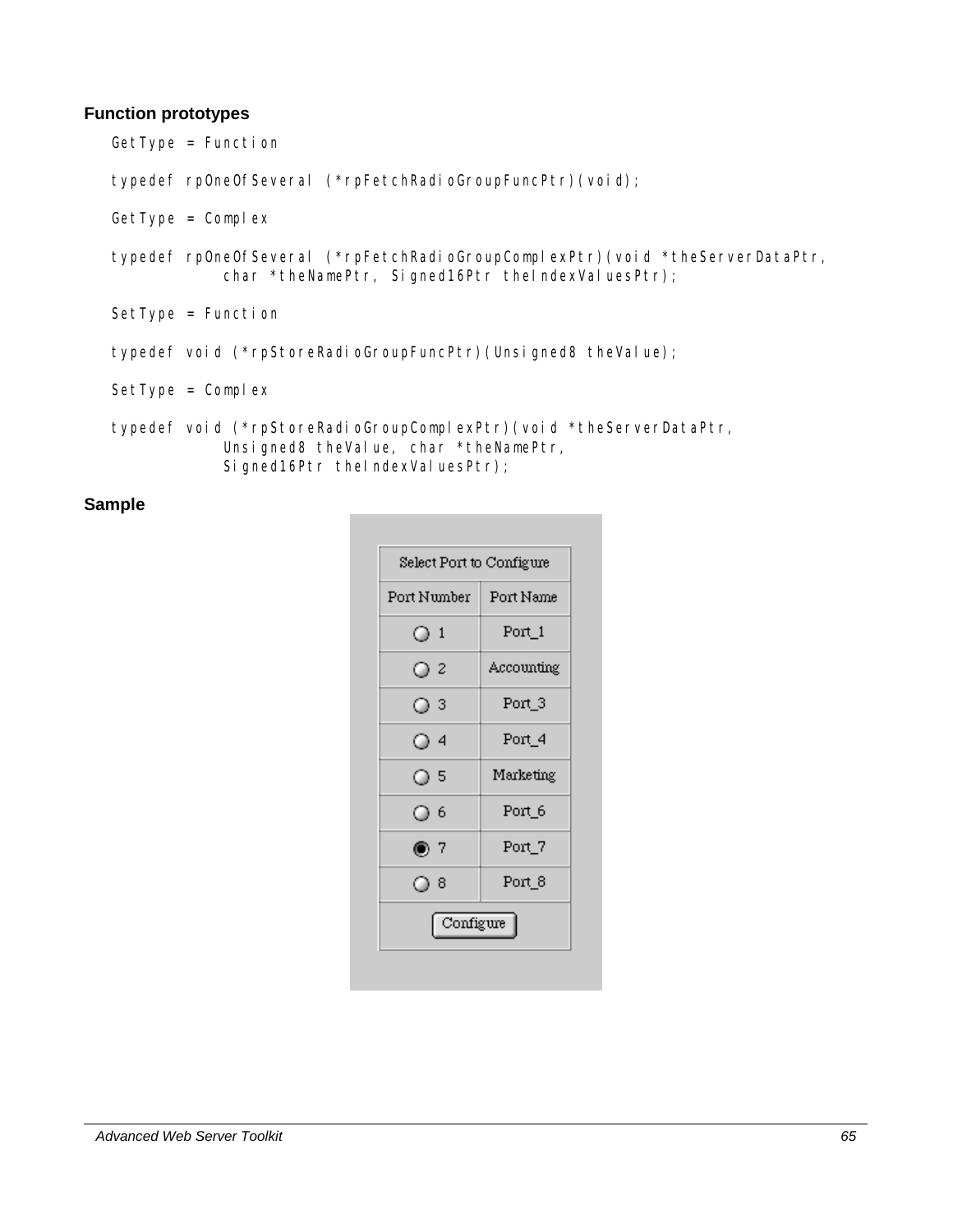#### **Function prototypes**

GetType = Function

typedef rpOneOfSeveral (\*rpFetchRadioGroupFuncPtr)(void);

- GetType = Complex
- typedef rpOneOfSeveral (\*rpFetchRadioGroupComplexPtr)(void \*theServerDataPtr, char \*theNamePtr, Signed16Ptr theIndexValuesPtr);
- SetType = Function
- typedef void (\*rpStoreRadioGroupFuncPtr)(Unsigned8 theValue);

 $SetType = Complex$ 

typedef void (\*rpStoreRadioGroupComplexPtr)(void \*theServerDataPtr, Unsigned8 theValue, char \*theNamePtr, Signed16Ptr theIndexValuesPtr);

#### **Sample**

| Port Number | Port Name  |
|-------------|------------|
| $\circ$ 1   | Port_1     |
| $\circ$ 2   | Accounting |
| $\circ$ 3   | Port_3     |
| O 4         | Port_4     |
| O 5         | Marketing  |
| O 6         | Port_6     |
| ◉ 7         | Port_7     |
| ⊙ 8         | Port_8     |
| Configure   |            |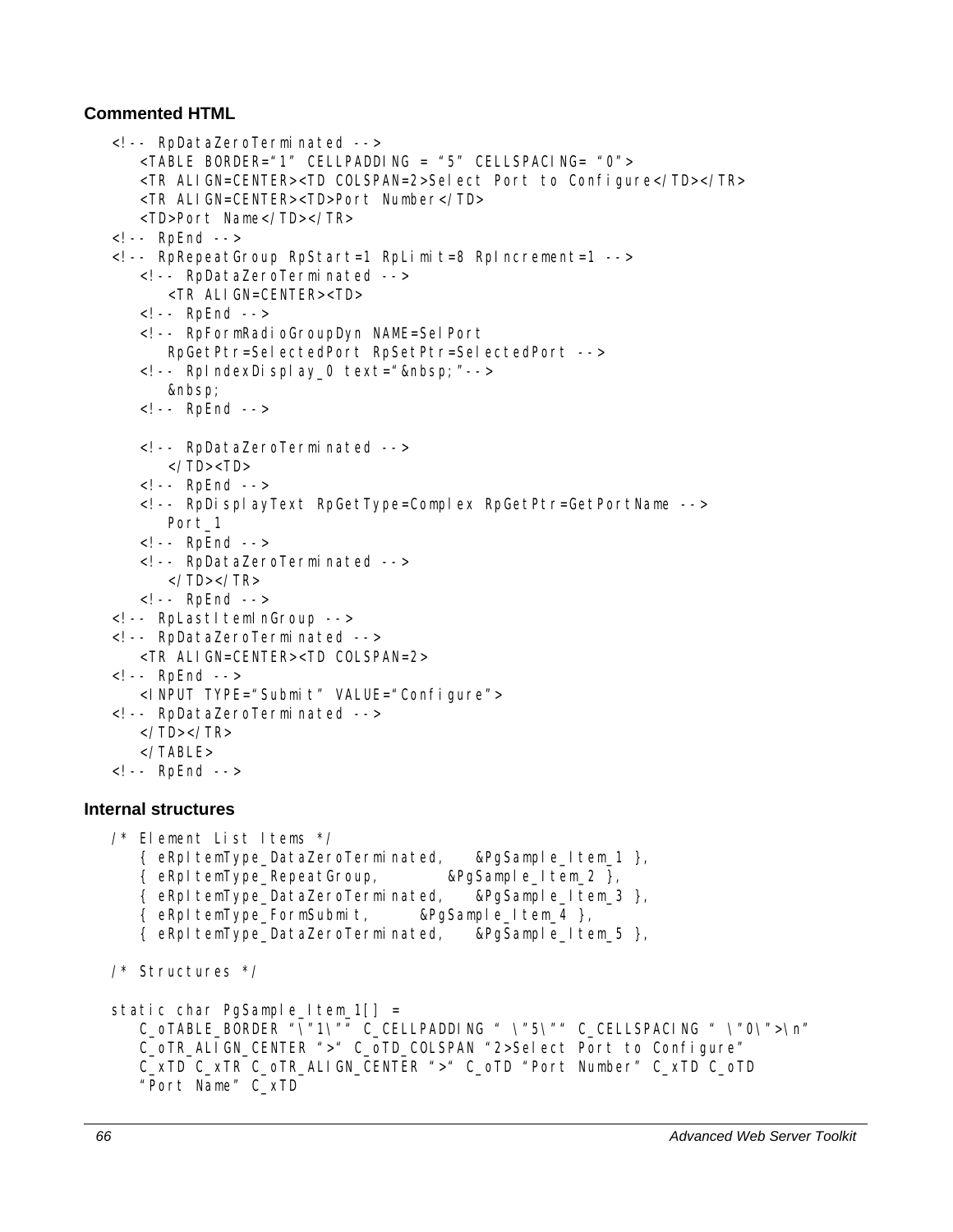#### **Commented HTML**

```
<!-- RpDataZeroTerminated --> 
       <TABLE BORDER="1" CELLPADDING = "5" CELLSPACING= "0"> 
       <TR ALIGN=CENTER><TD COLSPAN=2>Select Port to Configure</TD></TR> 
       <TR ALIGN=CENTER><TD>Port Number</TD> 
       <TD>Port Name</TD></TR> 
   <!-- RpEnd --> 
   <!-- RpRepeatGroup RpStart=1 RpLimit=8 RpIncrement=1 --> 
       <!-- RpDataZeroTerminated --> 
          <TR ALIGN=CENTER><TD> 
       <!-- RpEnd --> 
       <!-- RpFormRadioGroupDyn NAME=SelPort 
          RpGetPtr=SelectedPort RpSetPtr=SelectedPort --> 
      \langle!-- RpIndexDisplay_0 text=" "-->
         &nbsp:
       <!-- RpEnd --> 
       <!-- RpDataZeroTerminated --> 
         \langle/TD>\langleTD> <!-- RpEnd --> 
       <!-- RpDisplayText RpGetType=Complex RpGetPtr=GetPortName --> 
         Port_1
      \leq! -- RpEnd -->
       <!-- RpDataZeroTerminated --> 
         </TD>>/TR> <!-- RpEnd --> 
   <!-- RpLastItemInGroup --> 
   <!-- RpDataZeroTerminated --> 
       <TR ALIGN=CENTER><TD COLSPAN=2> 
   <!-- RpEnd --> 
       <INPUT TYPE="Submit" VALUE="Configure"> 
   <!-- RpDataZeroTerminated --> 
       </TD></TR> 
       </TABLE> 
   <!-- RpEnd --> 
Internal structures 
   /* Element List Items */ 
      \{ eRpItemType DataZeroTerminated, &PgSample Item 1 \},
       { eRpItemType_RepeatGroup, &PgSample_Item_2 }, 
       { eRpItemType_DataZeroTerminated, &PgSample_Item_3 }, 
       { eRpItemType_FormSubmit, &PgSample_Item_4 }, 
       { eRpItemType_DataZeroTerminated, &PgSample_Item_5 }, 
   /* Structures */ 
   static char PgSample_Item_1[] =
       C_oTABLE_BORDER "\"1\"" C_CELLPADDING " \"5\"" C_CELLSPACING " \"0\">\n" 
       C_oTR_ALIGN_CENTER ">" C_oTD_COLSPAN "2>Select Port to Configure" 
       C_xTD C_xTR C_oTR_ALIGN_CENTER ">" C_oTD "Port Number" C_xTD C_oTD 
       "Port Name" C_xTD
```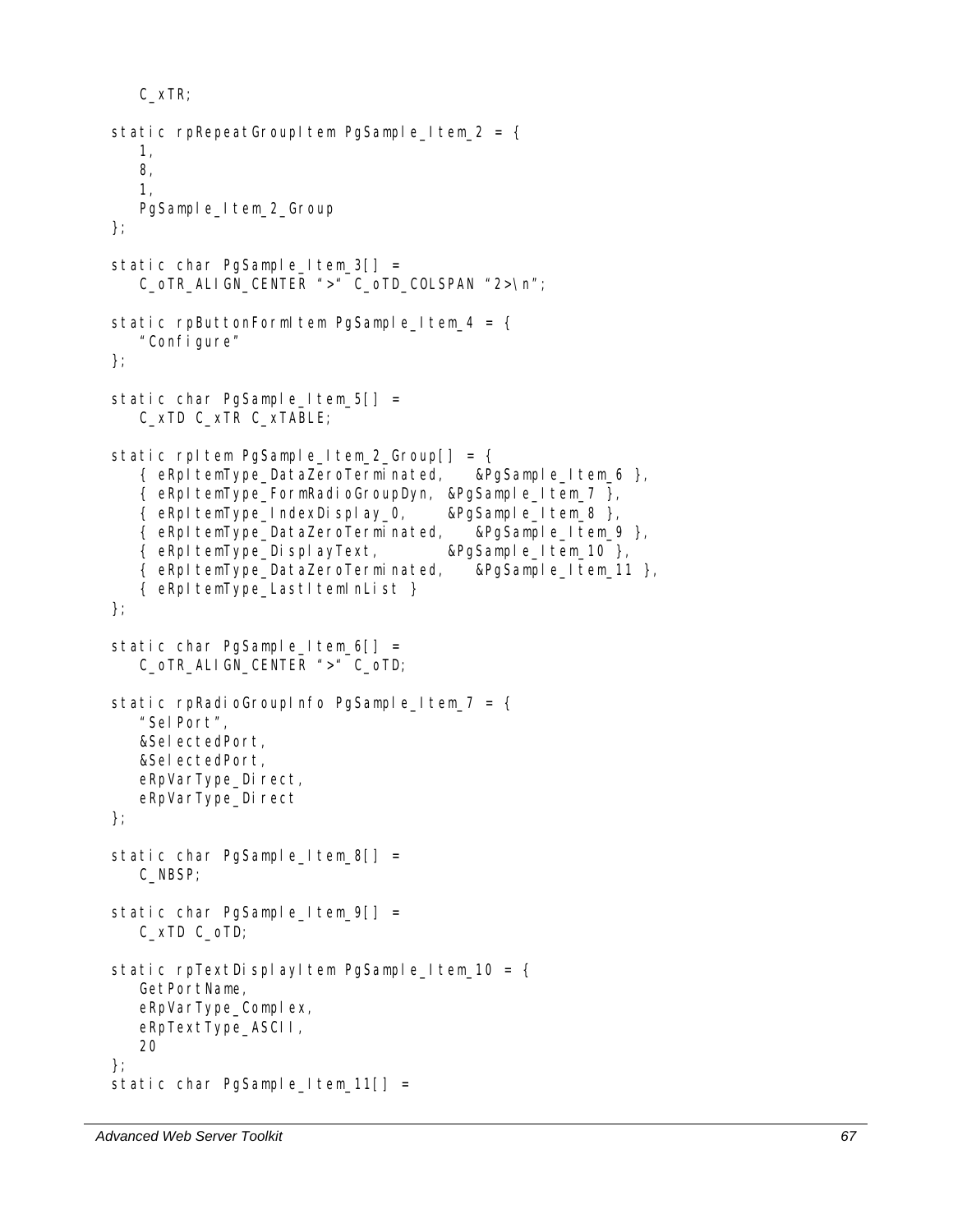```
 C_xTR; 
static rpRepeatGroupItem PgSample_Item_2 = {
    1, 
    8, 
    1, 
    PgSample_Item_2_Group 
}; 
static char PgSample_Item_3[] =
   C_oTR_ALIGN_CENTER ">" C_oTD_COLSPAN "2>\n";
static rpButtonFormItem PgSample_Item_4 = {
    "Configure" 
}; 
static char PgSample_Item_5[] =
    C_xTD C_xTR C_xTABLE; 
static rpltem PgSample_Item_2_Group[] = {
    { eRpItemType_DataZeroTerminated, &PgSample_Item_6 }, 
    { eRpItemType_FormRadioGroupDyn, &PgSample_Item_7 }, 
    { eRpItemType_IndexDisplay_0, &PgSample_Item_8 }, 
    { eRpItemType_DataZeroTerminated, &PgSample_Item_9 }, 
    { eRpItemType_DisplayText, &PgSample_Item_10 }, 
    { eRpItemType_DataZeroTerminated, &PgSample_Item_11 }, 
   { eRpItemType_LastItemInList }
}; 
static char PgSample_Item_6[] =
    C_oTR_ALIGN_CENTER ">" C_oTD; 
static rpRadioGroupInfo PgSample_Item_7 = {
    "SelPort", 
    &SelectedPort, 
    &SelectedPort, 
   eRpVarType_Direct,
   eRpVarType_Direct
}; 
static char PgSample_Item_8[] =
    C_NBSP; 
static char PgSample_Item_9[] =
    C_xTD C_oTD; 
static rpTextDisplayItem PgSample_Item_10 = {
    GetPortName, 
   eRpVarType_Complex,
    eRpTextType_ASCII, 
    20 
}; 
static char PgSample_Item_11[] =
```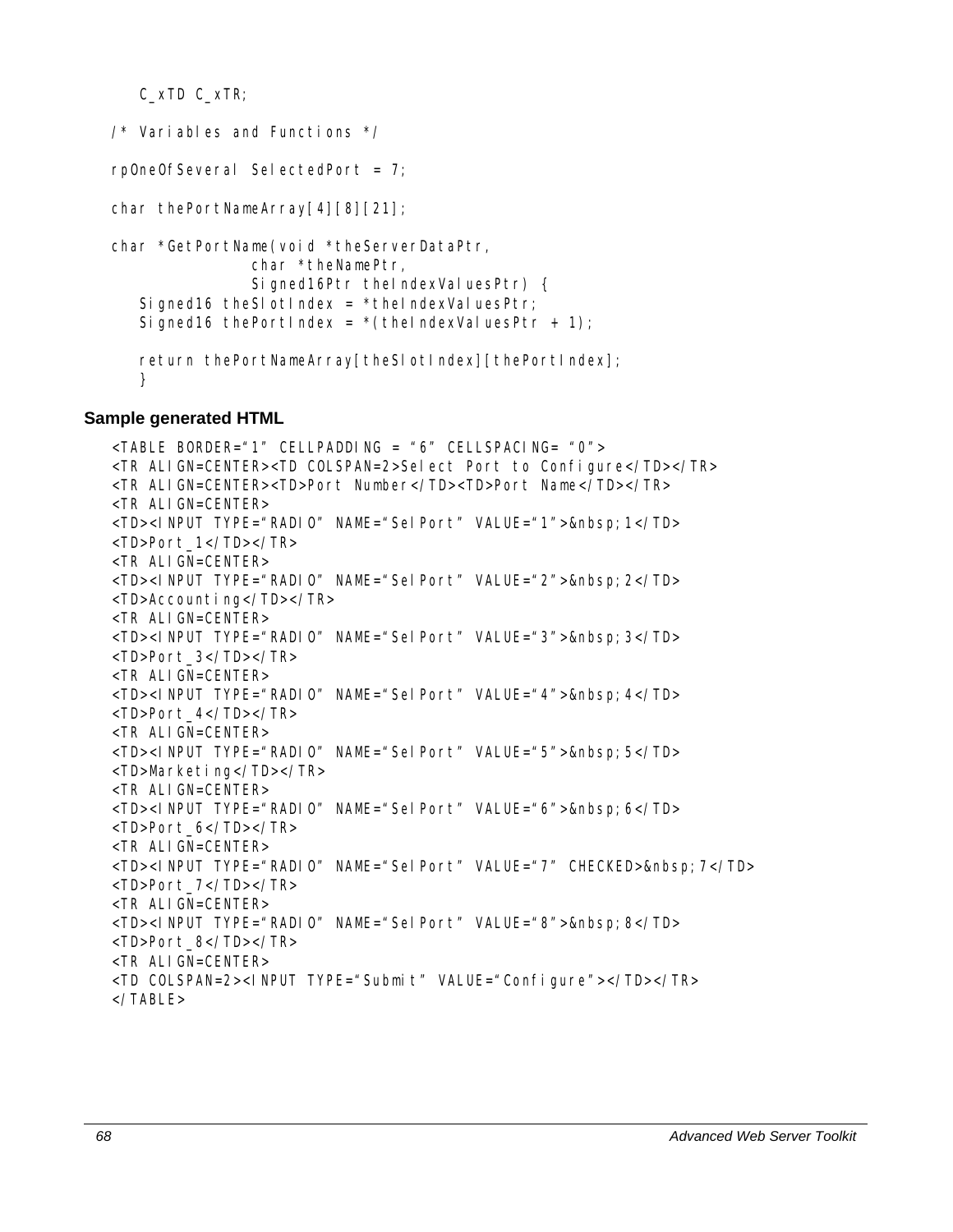C\_xTD C\_xTR;

```
\frac{1}{2} Variables and Functions \frac{1}{2}rpOneOfSeveral SelectedPort = 7; 
char thePortNameArray[4][8][21];
char *GetPortName(void *theServerDataPtr, 
                 char *theNamePtr, 
                Signed16Ptr theIndexValuesPtr) {
   Signed16 theSI otIndex = *theIndexVaIuesPtr;
   Signed16 thePortIndex = *(theIndexValuesPtr + 1);
   return thePortNameArray[theSlotIndex][thePortIndex];
   }
```
#### **Sample generated HTML**

```
<TABLE BORDER="1" CELLPADDING = "6" CELLSPACING= "0"> 
<TR ALIGN=CENTER><TD COLSPAN=2>Select Port to Configure</TD></TR> 
<TR ALIGN=CENTER><TD>Port Number</TD><TD>Port Name</TD></TR> 
<TR ALIGN=CENTER> 
<TD><INPUT TYPE="RADIO" NAME="SelPort" VALUE="1">&nbsp; 1</TD>
<TD>Port_1</TD></TR> 
<TR ALIGN=CENTER> 
<TD><INPUT TYPE="RADIO" NAME="SelPort" VALUE="2">&nbsp; 2</TD>
<TD>Accounting</TD></TR> 
<TR ALIGN=CENTER> 
<TD><INPUT TYPE="RADIO" NAME="SelPort" VALUE="3">&nbsp;3</TD> 
<TD>Port_3</TD></TR> 
<TR ALIGN=CENTER> 
<TD><INPUT TYPE="RADIO" NAME="SelPort" VALUE="4">&nbsp; 4</TD>
<TD>Port_4</TD></TR> 
<TR ALIGN=CENTER> 
<TD><INPUT TYPE="RADIO" NAME="SelPort" VALUE="5">&nbsp; 5</TD>
<TD>Marketing</TD></TR> 
<TR ALIGN=CENTER> 
<TD><INPUT TYPE="RADIO" NAME="SelPort" VALUE="6">&nbsp;6</TD> 
<TD>Port_6</TD></TR> 
<TR ALIGN=CENTER> 
<TD><INPUT TYPE="RADIO" NAME="SelPort" VALUE="7" CHECKED>&nbsp;7</TD> 
<TD>Port_7</TD></TR> 
<TR ALIGN=CENTER> 
<TD><INPUT TYPE="RADIO" NAME="SelPort" VALUE="8">&nbsp; 8</TD>
<TD>Port_8</TD></TR> 
<TR ALIGN=CENTER> 
<TD COLSPAN=2><INPUT TYPE="Submit" VALUE="Configure"></TD></TR> 
</TABLE>
```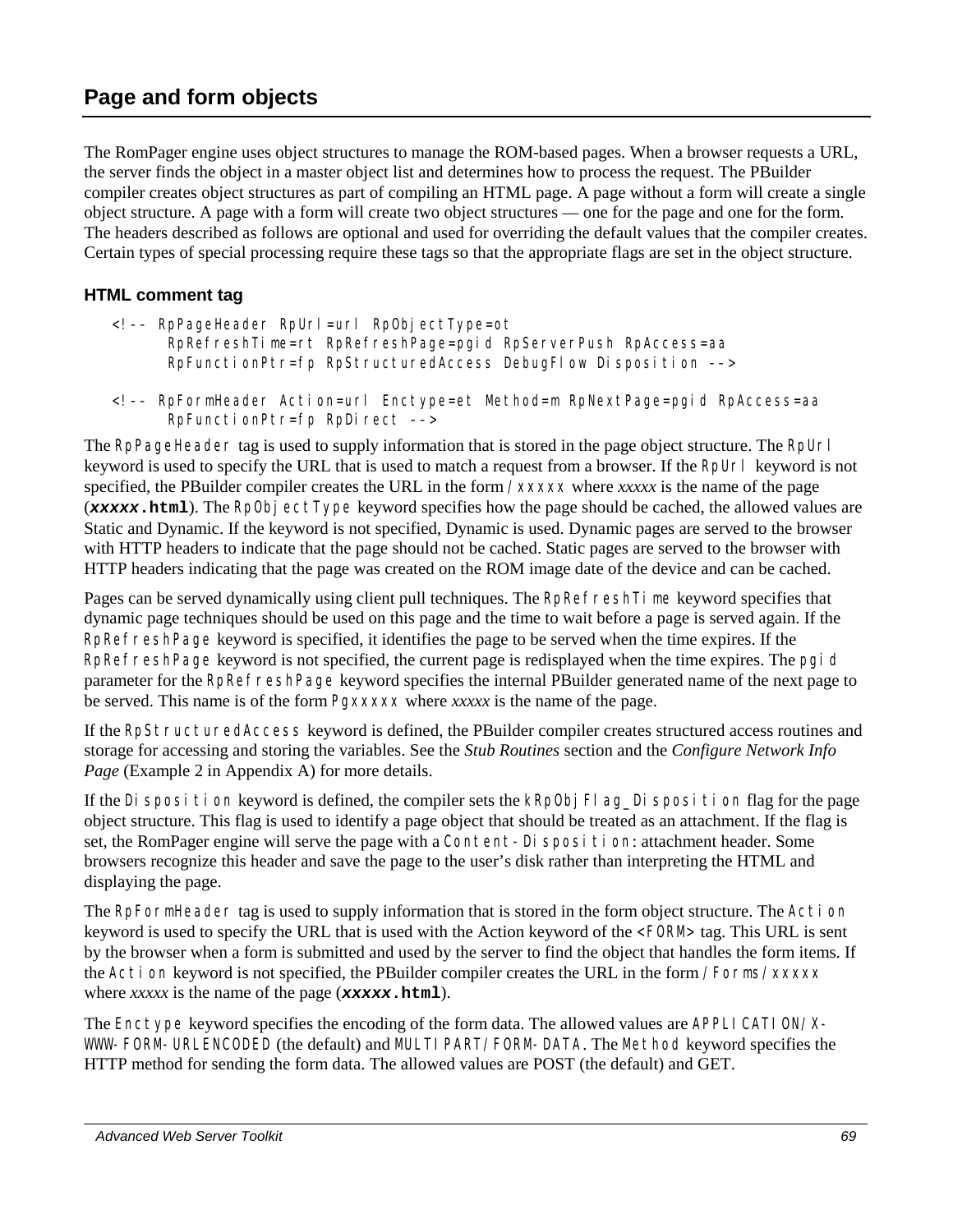# **Page and form objects**

The RomPager engine uses object structures to manage the ROM-based pages. When a browser requests a URL, the server finds the object in a master object list and determines how to process the request. The PBuilder compiler creates object structures as part of compiling an HTML page. A page without a form will create a single object structure. A page with a form will create two object structures — one for the page and one for the form. The headers described as follows are optional and used for overriding the default values that the compiler creates. Certain types of special processing require these tags so that the appropriate flags are set in the object structure.

## **HTML comment tag**

- <!–– RpPageHeader RpUrl=url RpObjectType=ot RpRefreshTime=rt RpRefreshPage=pgid RpServerPush RpAccess=aa RpFunctionPtr=fp RpStructuredAccess DebugFlow Disposition ––>
- <!–– RpFormHeader Action=url Enctype=et Method=m RpNextPage=pgid RpAccess=aa RpFunctionPtr=fp RpDirect ––>

The RpPageHeader tag is used to supply information that is stored in the page object structure. The RpUrl keyword is used to specify the URL that is used to match a request from a browser. If the RpUrl keyword is not specified, the PBuilder compiler creates the URL in the form /*xxxxx* where *xxxxx* is the name of the page (*xxxxx***.html**). The RpObjectType keyword specifies how the page should be cached, the allowed values are Static and Dynamic. If the keyword is not specified, Dynamic is used. Dynamic pages are served to the browser with HTTP headers to indicate that the page should not be cached. Static pages are served to the browser with HTTP headers indicating that the page was created on the ROM image date of the device and can be cached.

Pages can be served dynamically using client pull techniques. The RpRefresh Time keyword specifies that dynamic page techniques should be used on this page and the time to wait before a page is served again. If the RpRefreshPage keyword is specified, it identifies the page to be served when the time expires. If the RpRefreshPage keyword is not specified, the current page is redisplayed when the time expires. The pgid parameter for the RpRefreshPage keyword specifies the internal PBuilder generated name of the next page to be served. This name is of the form Pg*xxxxx* where *xxxxx* is the name of the page.

If the RpStructuredAccess keyword is defined, the PBuilder compiler creates structured access routines and storage for accessing and storing the variables. See the *Stub Routines* section and the *Configure Network Info Page* (Example 2 in Appendix A) for more details.

If the Disposition keyword is defined, the compiler sets the kRpObj Flag Disposition flag for the page object structure. This flag is used to identify a page object that should be treated as an attachment. If the flag is set, the RomPager engine will serve the page with a Content-Disposition: attachment header. Some browsers recognize this header and save the page to the user's disk rather than interpreting the HTML and displaying the page.

The RpFormHeader tag is used to supply information that is stored in the form object structure. The Action keyword is used to specify the URL that is used with the Action keyword of the <FORM> tag. This URL is sent by the browser when a form is submitted and used by the server to find the object that handles the form items. If the Action keyword is not specified, the PBuilder compiler creates the URL in the form /Forms/*xxxxx* where *xxxxx* is the name of the page (*xxxxx***.html**).

The Enctype keyword specifies the encoding of the form data. The allowed values are APPLI CATI ON/X-WWW-FORM-URLENCODED (the default) and MULTI PART/FORM-DATA. The Method keyword specifies the HTTP method for sending the form data. The allowed values are POST (the default) and GET.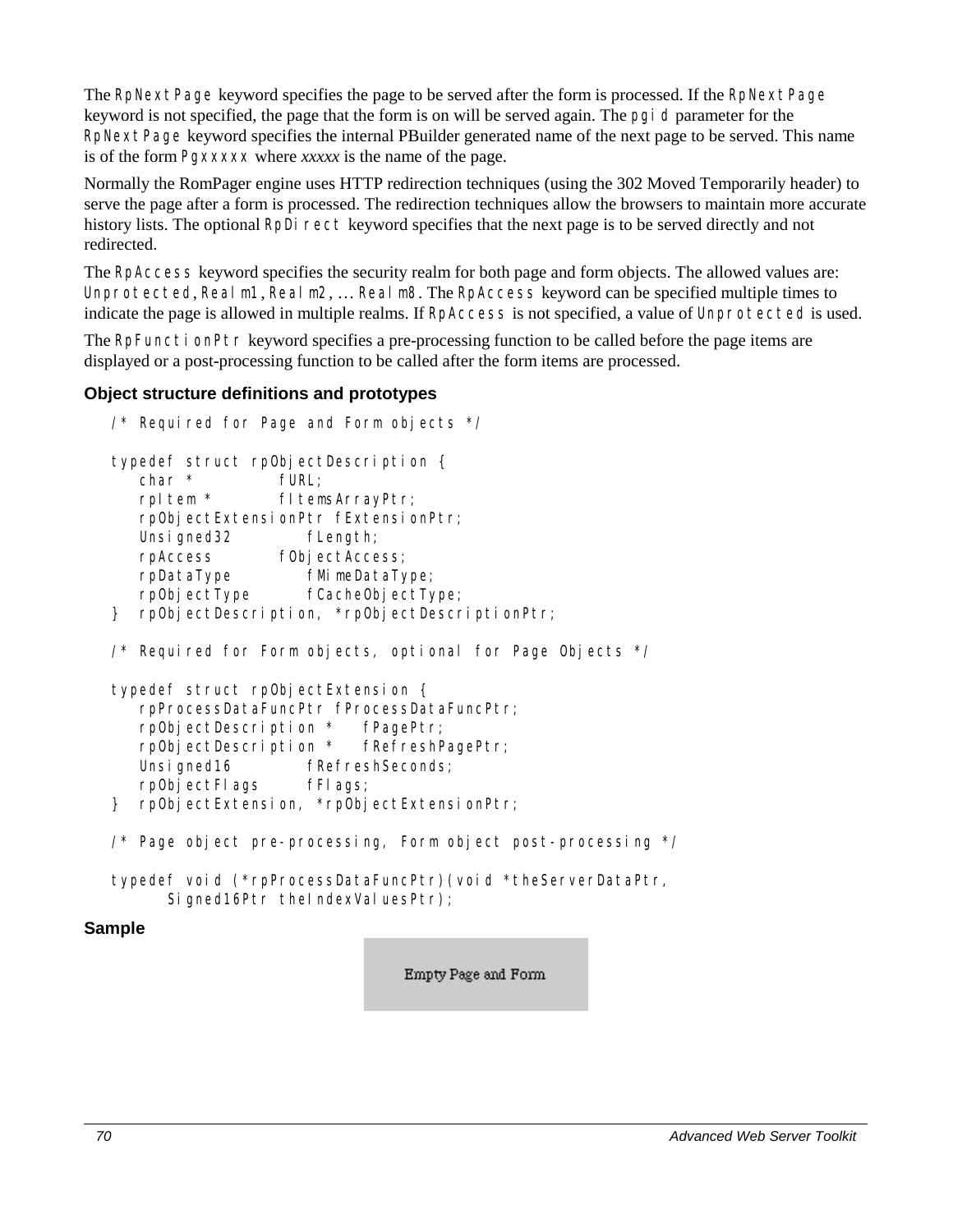The RpNextPage keyword specifies the page to be served after the form is processed. If the RpNextPage keyword is not specified, the page that the form is on will be served again. The pgid parameter for the RpNextPage keyword specifies the internal PBuilder generated name of the next page to be served. This name is of the form Pg*xxxxx* where *xxxxx* is the name of the page.

Normally the RomPager engine uses HTTP redirection techniques (using the 302 Moved Temporarily header) to serve the page after a form is processed. The redirection techniques allow the browsers to maintain more accurate history lists. The optional RpDirect keyword specifies that the next page is to be served directly and not redirected.

The RpAccess keyword specifies the security realm for both page and form objects. The allowed values are: Unprotected, Realm1, Realm2, ... Realm8. The RpAccess keyword can be specified multiple times to indicate the page is allowed in multiple realms. If RpAccess is not specified, a value of Unprotected is used.

The RpFunctionPtr keyword specifies a pre-processing function to be called before the page items are displayed or a post-processing function to be called after the form items are processed.

## **Object structure definitions and prototypes**

```
\frac{1}{2} Required for Page and Form objects \frac{1}{2}typedef struct rpObjectDescription { 
      char * fURL; 
       rpItem * fItemsArrayPtr; 
      rpObjectExtensionPtr fExtensionPtr; 
     Unsigned32 fLength;
      rpAccess fObjectAccess; 
      rpDataType fMimeDataType; 
      rpObjectType fCacheObjectType; 
  } rpObjectDescription, *rpObjectDescriptionPtr; 
  \frac{1}{2} Required for Form objects, optional for Page Objects \frac{x}{2}typedef struct rpObjectExtension { 
       rpProcessDataFuncPtr fProcessDataFuncPtr; 
       rpObjectDescription * fPagePtr; 
      rpObjectDescription * fRefreshPagePtr; 
     Unsigned16 fRefreshSeconds;
      rpObjectFlags fFlags; 
  } rpObjectExtension, *rpObjectExtensionPtr; 
  /* Page object pre-processing, Form object post-processing */ 
  typedef void (*rpProcessDataFuncPtr)(void *theServerDataPtr, 
         Signed16Ptr theIndexValuesPtr);
Sample
```
Empty Page and Form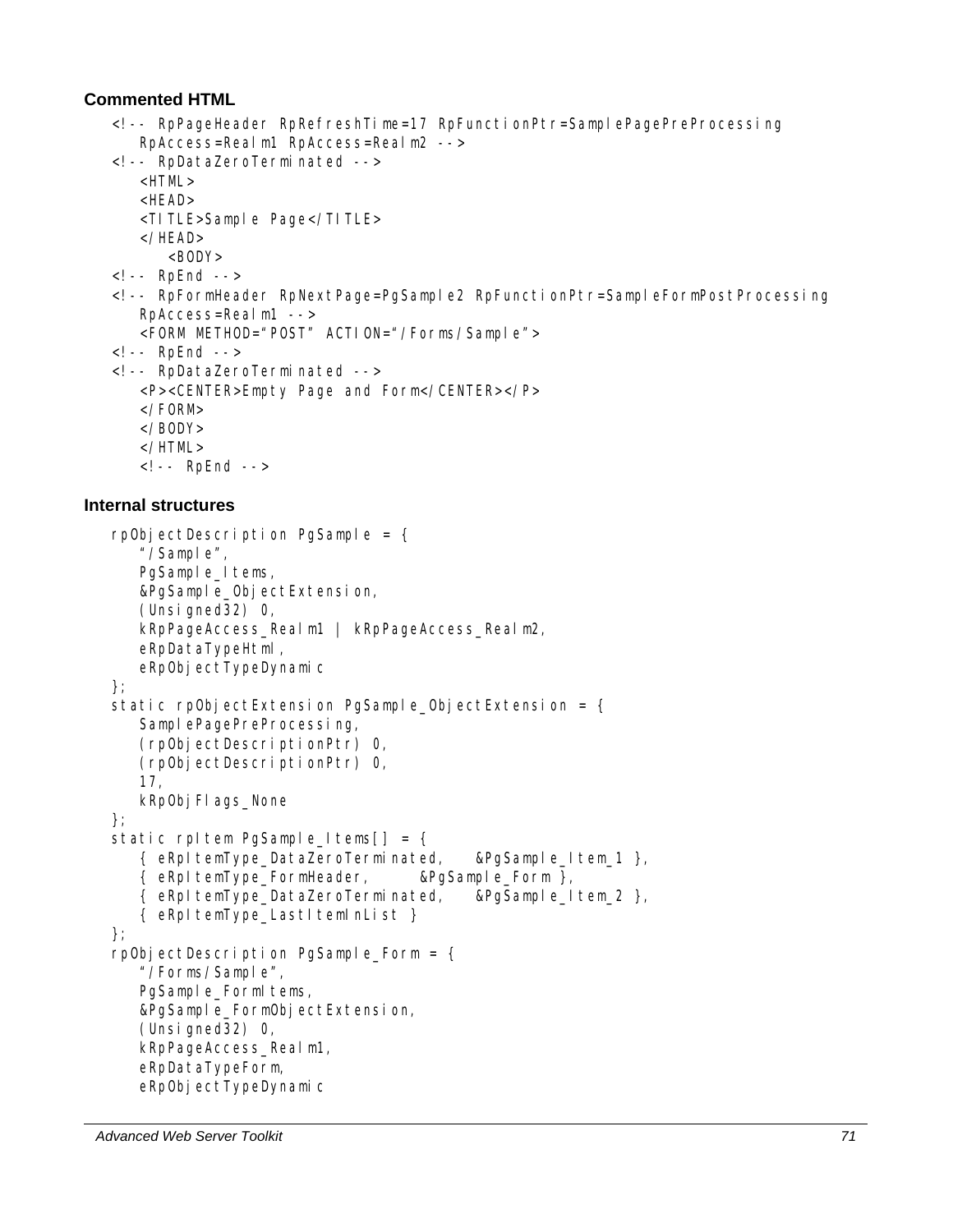## **Commented HTML**

```
<!-- RpPageHeader RpRefreshTime=17 RpFunctionPtr=SamplePagePreProcessing 
    RpAccess=Realm1 RpAccess=Realm2 --> 
<!-- RpDataZeroTerminated --> 
    <HTML> 
    <HEAD> 
    <TITLE>Sample Page</TITLE> 
    </HEAD> 
      <BODY>\leq! -- RpEnd -->
<!-- RpFormHeader RpNextPage=PgSample2 RpFunctionPtr=SampleFormPostProcessing 
    RpAccess=Realm1 --> 
    <FORM METHOD="POST" ACTION="/Forms/Sample"> 
<!-- RpEnd --> 
<!-- RpDataZeroTerminated --> 
    <P><CENTER>Empty Page and Form</CENTER></P> 
    </FORM> 
    </BODY> 
    </HTML> 
   <!-- RpEnd -->
```
## **Internal structures**

```
rpObjectDescription PgSample = \{ "/Sample", 
   PgSample_Items,
   &PgSample_ObjectExtension,
    (Unsigned32) 0, 
    kRpPageAccess_Realm1 | kRpPageAccess_Realm2, 
    eRpDataTypeHtml, 
   eRpObjectTypeDynamic
}; 
static rpObjectExtension PgSample ObjectExtension = \{SamplePagePreProcessing,
    (rpObjectDescriptionPtr) 0, 
    (rpObjectDescriptionPtr) 0, 
    17, 
   kRp0bj Fl ags_None
}; 
static rpltem PgSample_Items[] = {
    { eRpItemType_DataZeroTerminated, &PgSample_Item_1 }, 
    { eRpItemType_FormHeader, &PgSample_Form }, 
    { eRpItemType_DataZeroTerminated, &PgSample_Item_2 }, 
    { eRpItemType_LastItemInList } 
}; 
rpObjectDescription PgSample_Form = { 
    "/Forms/Sample", 
   PgSample_FormItems,
    &PgSample_FormObjectExtension, 
    (Unsigned32) 0, 
    kRpPageAccess_Realm1, 
    eRpDataTypeForm, 
   eRpObjectTypeDynamic
```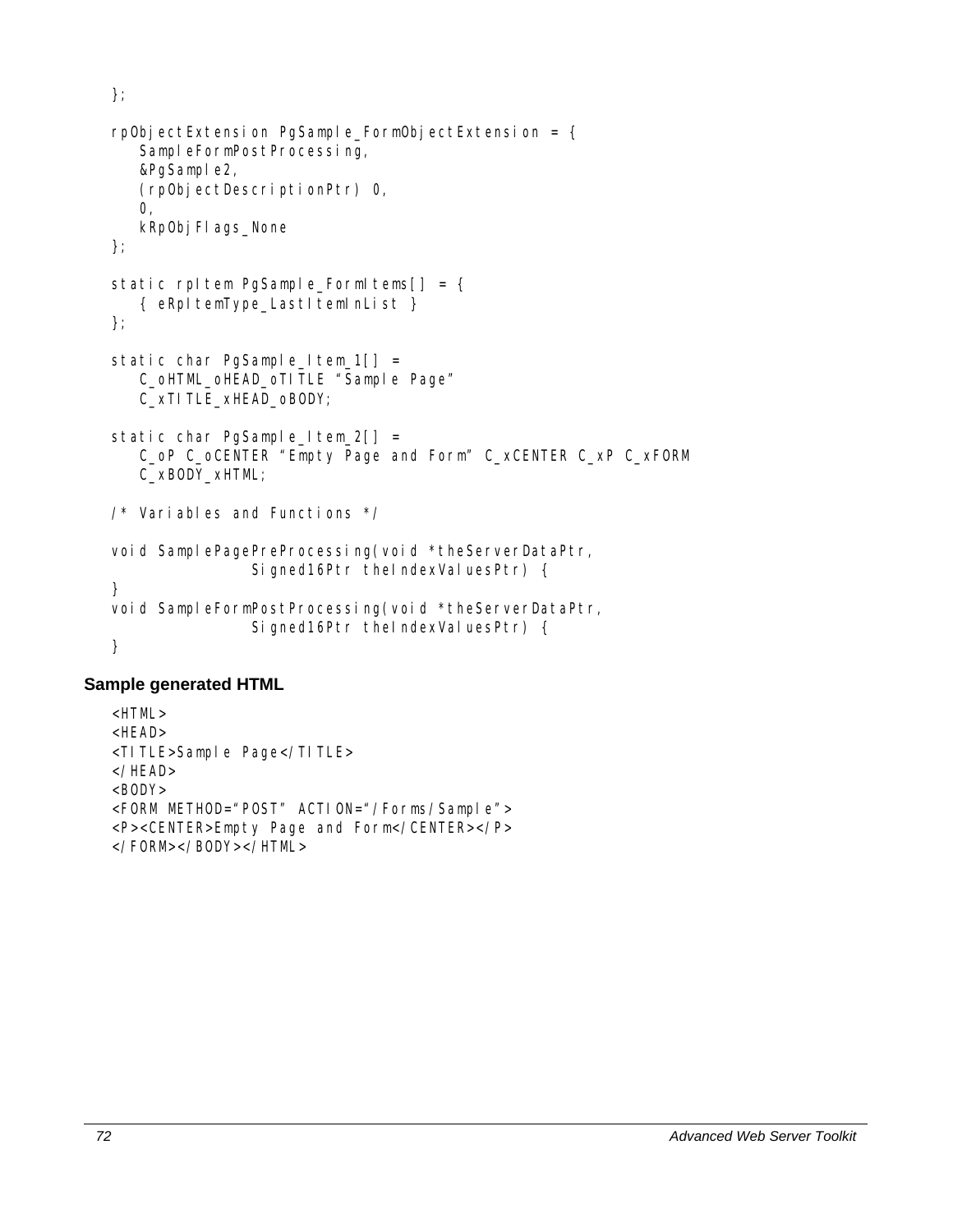```
rpObjectExtension PgSample_FormObjectExtension = { 
   SampleFormPostProcessing,
   &PgSample2,
    (rpObjectDescriptionPtr) 0, 
    0, 
   kRpObj FI ags_None
}; 
static rpItem PgSample_FormItems[] = {
    { eRpItemType_LastItemInList } 
}; 
static char PgSample Item_1[] =
   C_oHTML_oHEAD_oTITLE "Sample Page"
    C_xTITLE_xHEAD_oBODY; 
static char PgSample_Item_2[] =
    C_oP C_oCENTER "Empty Page and Form" C_xCENTER C_xP C_xFORM 
    C_xBODY_xHTML; 
/* Variables and Functions */ 
void SamplePagePreProcessing(void *theServerDataPtr,
               Signed16Ptr theIndexValuesPtr) {
} 
void SampleFormPostProcessing(void *theServerDataPtr,
               Signed16Ptr theIndexValuesPtr) {
}
```
## **Sample generated HTML**

};

```
\leqHTML>HFAD<TITLE>Sample Page</TITLE> 
</HEAD> 
<BODY><FORM METHOD="POST" ACTION="/Forms/Sample"> 
<P><CENTER>Empty Page and Form</CENTER></P> 
</FORM></BODY></HTML>
```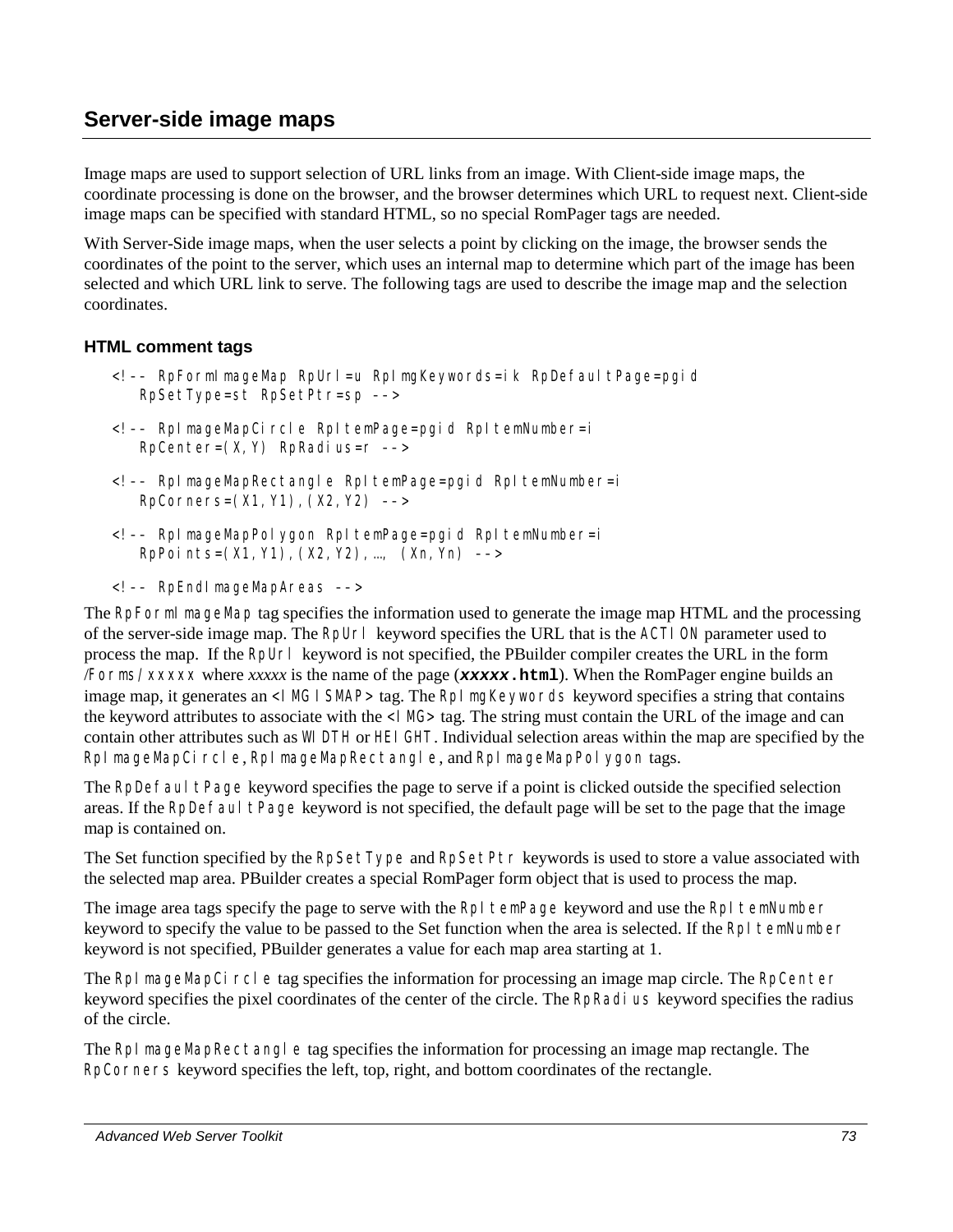## **Server-side image maps**

Image maps are used to support selection of URL links from an image. With Client-side image maps, the coordinate processing is done on the browser, and the browser determines which URL to request next. Client-side image maps can be specified with standard HTML, so no special RomPager tags are needed.

With Server-Side image maps, when the user selects a point by clicking on the image, the browser sends the coordinates of the point to the server, which uses an internal map to determine which part of the image has been selected and which URL link to serve. The following tags are used to describe the image map and the selection coordinates.

#### **HTML comment tags**

- <!–– RpFormImageMap RpUrl=u RpImgKeywords=ik RpDefaultPage=pgid RpSetType=st RpSetPtr=sp ––>
- <!–– RpImageMapCircle RpItemPage=pgid RpItemNumber=i  $RpCenter=(X, Y)$  RpRadius= $r$  -->
- <!–– RpImageMapRectangle RpItemPage=pgid RpItemNumber=i RpCorners=(X1,Y1),(X2,Y2) ––>
- <!–– RpImageMapPolygon RpItemPage=pgid RpItemNumber=i RpPoints=(X1,Y1),(X2,Y2),…, (Xn,Yn) ––>
- <!–– RpEndImageMapAreas ––>

The RpFormI mageMap tag specifies the information used to generate the image map HTML and the processing of the server-side image map. The RpUrl keyword specifies the URL that is the ACTION parameter used to process the map. If the RpUrl keyword is not specified, the PBuilder compiler creates the URL in the form /Forms/*xxxxx* where *xxxxx* is the name of the page (*xxxxx***.html**). When the RomPager engine builds an image map, it generates an <IMG ISMAP> tag. The RpI mgKeywords keyword specifies a string that contains the keyword attributes to associate with the <I MG> tag. The string must contain the URL of the image and can contain other attributes such as WIDTH or HEIGHT. Individual selection areas within the map are specified by the RpI mageMapCircle, RpI mageMapRectangle, and RpI mageMapPolygon tags.

The RpDefaultPage keyword specifies the page to serve if a point is clicked outside the specified selection areas. If the RpDefaultPage keyword is not specified, the default page will be set to the page that the image map is contained on.

The Set function specified by the RpSetType and RpSetPtr keywords is used to store a value associated with the selected map area. PBuilder creates a special RomPager form object that is used to process the map.

The image area tags specify the page to serve with the RpI temPage keyword and use the RpI temNumber keyword to specify the value to be passed to the Set function when the area is selected. If the RpI temNumber keyword is not specified, PBuilder generates a value for each map area starting at 1.

The RpI mageMapCircle tag specifies the information for processing an image map circle. The RpCenter keyword specifies the pixel coordinates of the center of the circle. The RpRadius keyword specifies the radius of the circle.

The RpI mageMapRectangle tag specifies the information for processing an image map rectangle. The RpCorners keyword specifies the left, top, right, and bottom coordinates of the rectangle.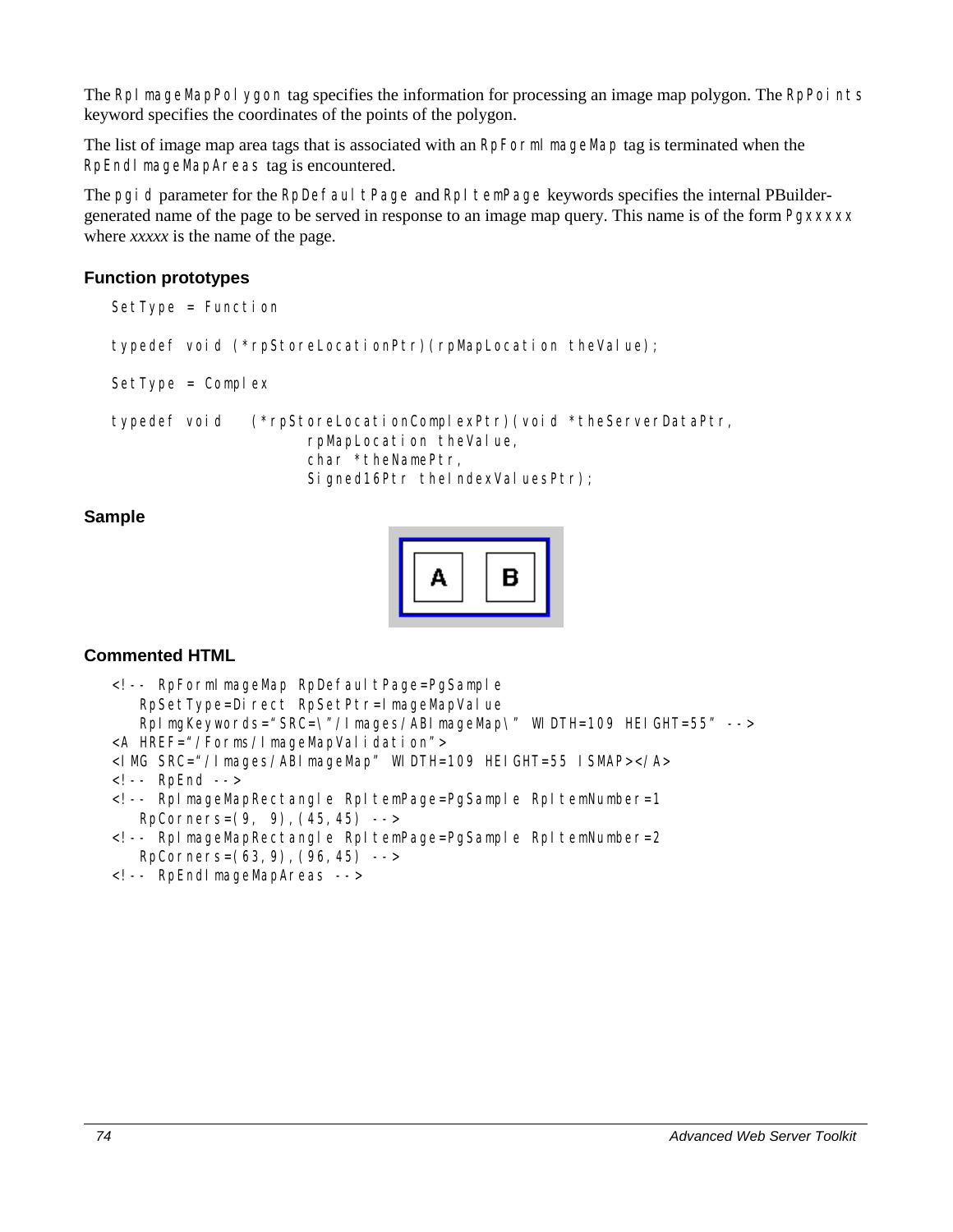The RpI mageMapPolygon tag specifies the information for processing an image map polygon. The RpPoints keyword specifies the coordinates of the points of the polygon.

The list of image map area tags that is associated with an RpFormI mageMap tag is terminated when the RpEndImageMapAreas tag is encountered.

The pgi d parameter for the RpDefaultPage and RpItemPage keywords specifies the internal PBuildergenerated name of the page to be served in response to an image map query. This name is of the form Pg*xxxxx* where *xxxxx* is the name of the page.

### **Function prototypes**

```
SetType = Function 
typedef void (*rpStoreLocationPtr)(rpMapLocation theValue); 
SetType = Complex 
typedef void (*rpStoreLocationComplexPtr)(void *theServerDataPtr, 
                       rpMapLocation theValue, 
                       char *theNamePtr, 
                      Signed16Ptr theIndexValuesPtr);
```
#### **Sample**



## **Commented HTML**

| -- RpForml mageMap RpDefaul tPage=PgSample<br RpSetType=Direct RpSetPtr=ImageMapValue                                            |
|----------------------------------------------------------------------------------------------------------------------------------|
| RpImgKeywords="SRC=\"/Images/ABImageMap\" WIDTH=109 HEIGHT=55" -->                                                               |
| <a href="/Forms/ImageMapValidation"></a>                                                                                         |
| <1 MG SRC="/lmages/ABImageMap" WIDTH=109 HEIGHT=55 ISMAP>                                                                        |
| $\langle - $ - RpEnd -->                                                                                                         |
| RplmageMapRectangle Rpl temPage=PgSample Rpl temNumber=1</td></tr><tr><td>RpCorners=<math>(9, 9)</math>, <math>(45, 45)</math>   |
| Rpl mageMapRectangle Rpl temPage=PgSample Rpl temNumber=2</td></tr><tr><td>RpCorners=<math>(63, 9)</math>, <math>(96, 45)</math> |
| -- RpEndl mageMapAreas --                                                                                                        |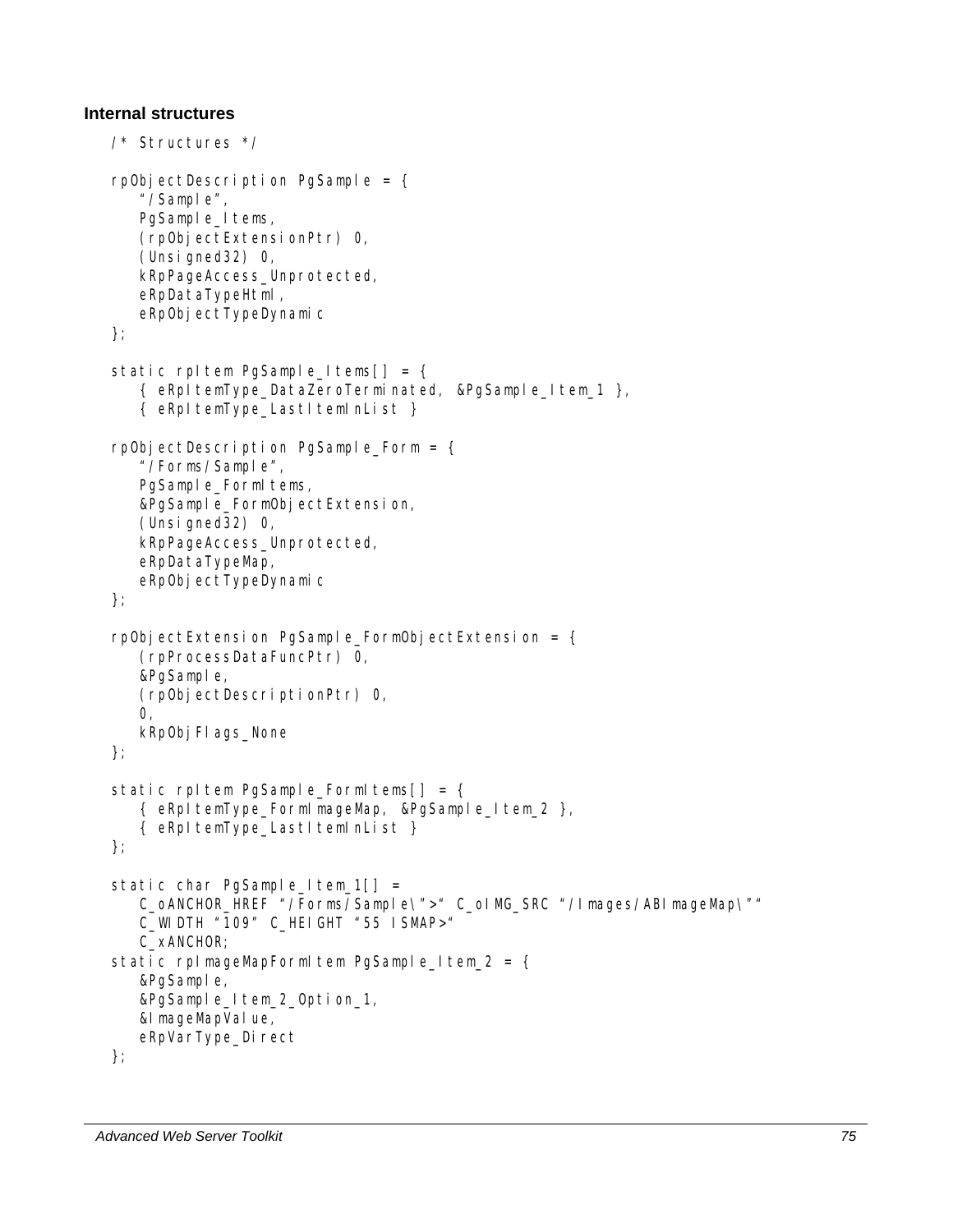#### **Internal structures**

```
/* Structures */ 
rpObjectDescription PgSample = \{ "/Sample", 
   PgSample_Items,
    (rpObjectExtensionPtr) 0, 
    (Unsigned32) 0, 
    kRpPageAccess_Unprotected, 
    eRpDataTypeHtml, 
   eRpObjectTypeDynamic
}; 
static rpItem PgSample_Items[] = {
    { eRpItemType_DataZeroTerminated, &PgSample_Item_1 }, 
    { eRpItemType_LastItemInList } 
rpObjectDescription PgSample Form = \{ "/Forms/Sample", 
   PgSample_FormItems,
    &PgSample_FormObjectExtension, 
    (Unsigned32) 0, 
    kRpPageAccess_Unprotected, 
    eRpDataTypeMap, 
   eRpObjectTypeDynamic
}; 
rpObjectExtension PgSample_FormObjectExtension = { 
    (rpProcessDataFuncPtr) 0, 
    &PgSample, 
    (rpObjectDescriptionPtr) 0, 
   \Omega.
   kRp0bj Fl ags_None
}; 
static rpItem PgSample FormItems[ ] = { } { eRpItemType_FormImageMap, &PgSample_Item_2 }, 
   { eRpItemType_LastItemInList }
}; 
static char PgSample_Item_1[] =
   C_OANCHOR_HREF "/Forms/Sample\">" C_olMG_SRC "/Images/ABImageMap\""
    C_WIDTH "109" C_HEIGHT "55 ISMAP>" 
    C_xANCHOR; 
static rpImageMapFormItem PgSample_Item_2 = \{ &PgSample, 
    &PgSample_Item_2_Option_1, 
   &I mageMapVal ue,
   eRpVarType_Direct
};
```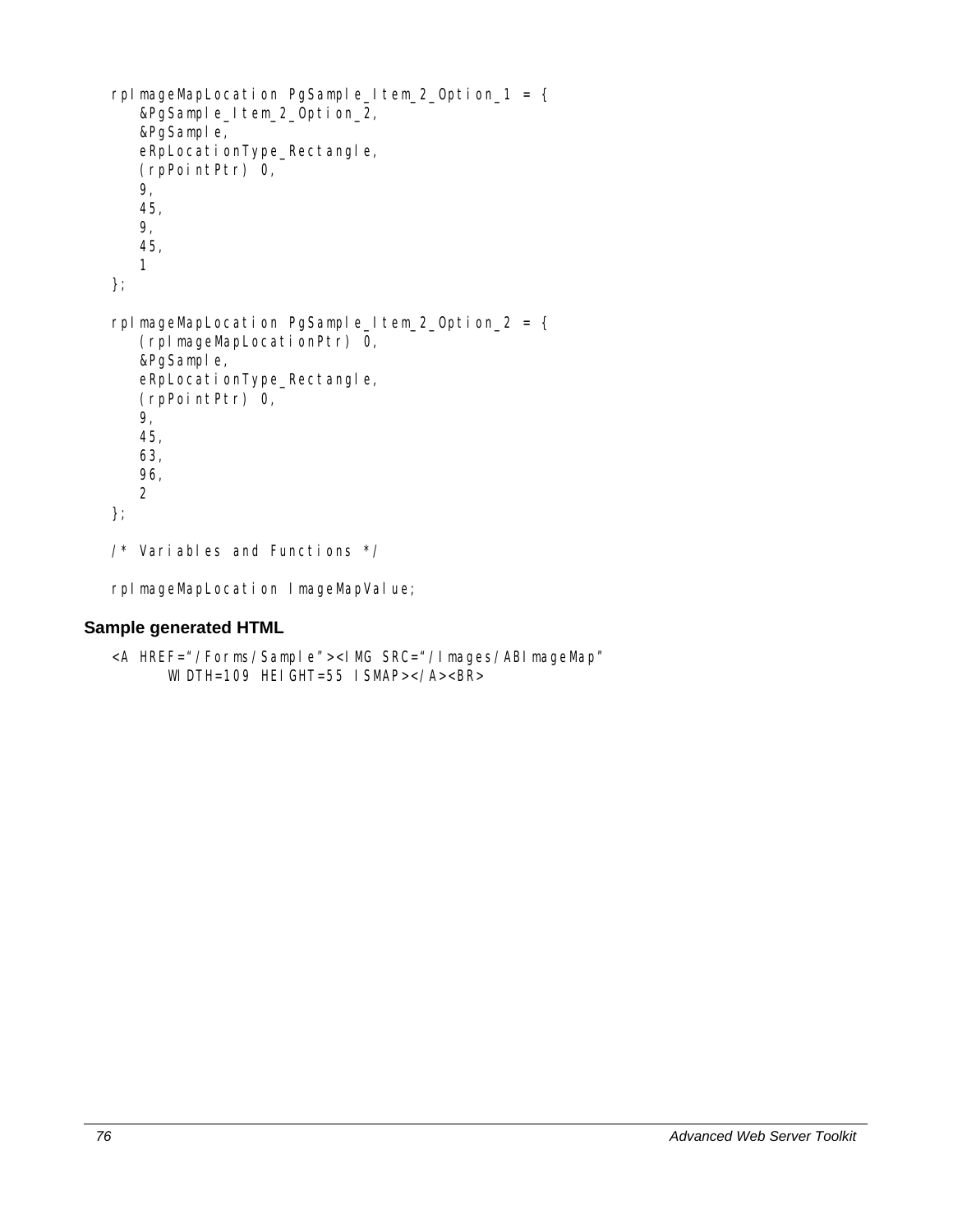```
rpImageMapLocation PgSample_Item_2_Option_1 = { 
    &PgSample_Item_2_Option_2, 
    &PgSample, 
    eRpLocationType_Rectangle, 
    (rpPointPtr) 0, 
    9, 
    45, 
    9, 
    45, 
    1 
}; 
rpImageMapLocation PgSample_Item_2_Option_2 = { 
    (rpImageMapLocationPtr) 0, 
    &PgSample, 
    eRpLocationType_Rectangle, 
    (rpPointPtr) 0, 
    9, 
    45, 
    63, 
    96, 
    2 
}; 
/* Variables and Functions */
```
rpImageMapLocation ImageMapValue;

## **Sample generated HTML**

```
<A HREF="/Forms/Sample"><IMG SRC="/Images/ABImageMap"
     WIDTH=109 HEIGHT=55 ISMAP></A><BR>
```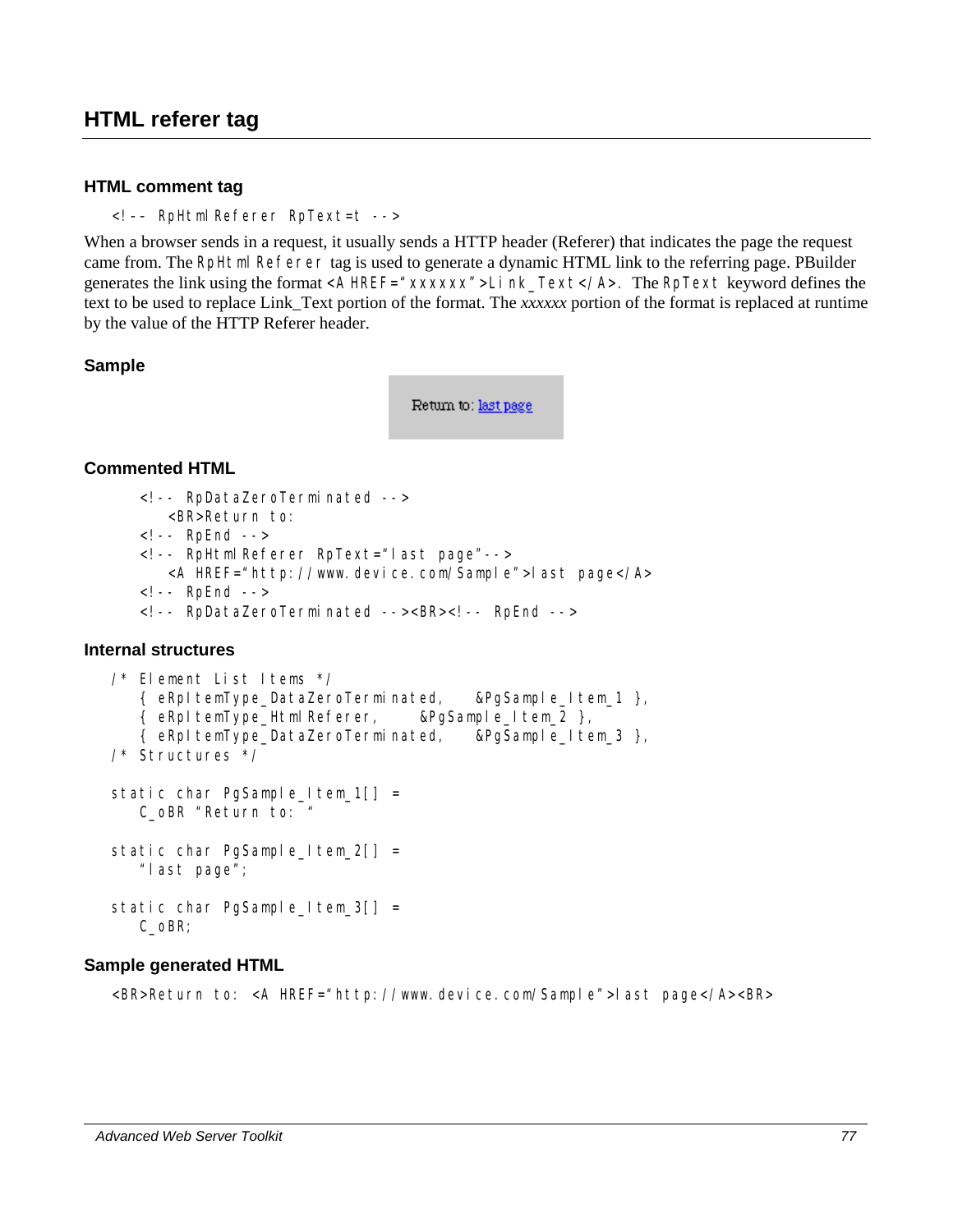## **HTML referer tag**

#### **HTML comment tag**

```
<!–– RpHtmlReferer RpText=t -->
```
When a browser sends in a request, it usually sends a HTTP header (Referer) that indicates the page the request came from. The RpHtml Referer tag is used to generate a dynamic HTML link to the referring page. PBuilder generates the link using the format <A HREF="*xxxxxx*">Link\_Text</A>. The RpText keyword defines the text to be used to replace Link\_Text portion of the format. The *xxxxxx* portion of the format is replaced at runtime by the value of the HTTP Referer header.

#### **Sample**

Return to: last page

#### **Commented HTML**

```
<!-- RpDataZeroTerminated --> 
          <BR>Return to: 
      <!-- RpEnd --> 
      <!-- RpHtmlReferer RpText="last page"--> 
          <A HREF="http://www.device.com/Sample">last page</A> 
      <!-- RpEnd --> 
      <!-- RpDataZeroTerminated --><BR><!-- RpEnd --> 
Internal structures 
   /* Element List Items */ 
       { eRpItemType_DataZeroTerminated, &PgSample_Item_1 }, 
       { eRpItemType_HtmlReferer, &PgSample_Item_2 }, 
       { eRpItemType_DataZeroTerminated, &PgSample_Item_3 }, 
   /* Structures */ 
   static char PgSample_Item_1[] =
       C_oBR "Return to: " 
   static char PgSample_Item_2[] =
       "last page";
```

```
static char PgSample_Item_3[] =
    C_oBR;
```
#### **Sample generated HTML**

<BR>Return to: <A HREF="http://www.device.com/Sample">last page</A><BR>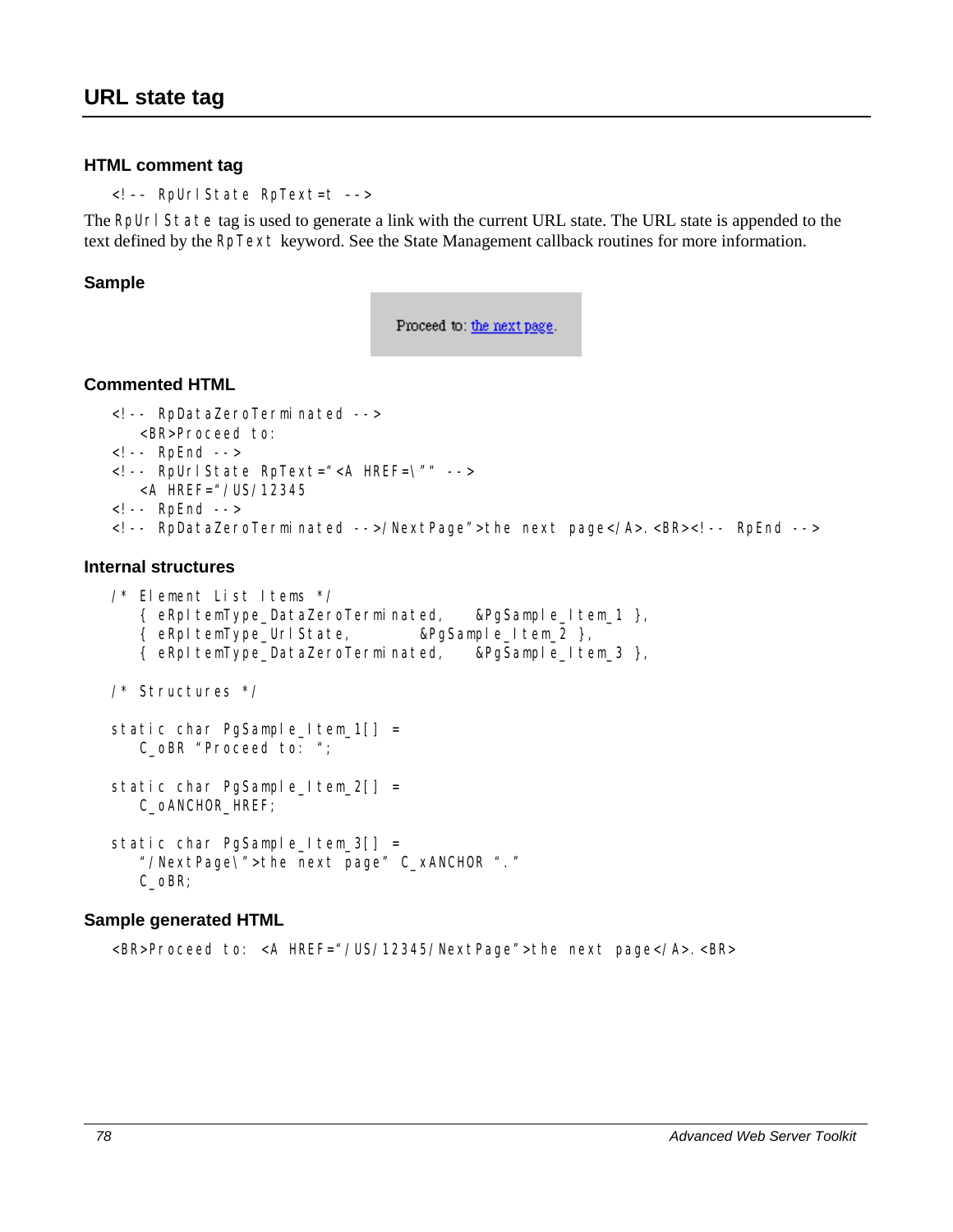#### **HTML comment tag**

<!–– RpUrlState RpText=t ––>

The RpUrl State tag is used to generate a link with the current URL state. The URL state is appended to the text defined by the RpText keyword. See the State Management callback routines for more information.

#### **Sample**

Proceed to: the next page.

#### **Commented HTML**

```
<!-- RpDataZeroTerminated --> 
    <BR>Proceed to: 
<!-- RpEnd --> 
<!-- RpUrlState RpText="<A HREF=\"" --> 
    <A HREF="/US/12345 
\leq! -- RpEnd -->
<!-- RpDataZeroTerminated -->/NextPage">the next page</A>.<BR><!-- RpEnd -->
```
#### **Internal structures**

```
/* Element List Items */ 
    { eRpItemType_DataZeroTerminated, &PgSample_Item_1 }, 
    { eRpItemType_UrlState, &PgSample_Item_2 }, 
    { eRpItemType_DataZeroTerminated, &PgSample_Item_3 }, 
/* Structures */ 
static char PgSample Item_1[] =
    C_oBR "Proceed to: "; 
static char PgSample_Item_2[] =
    C_oANCHOR_HREF; 
static char PgSample_Item_3[] =
    "/NextPage\">the next page" C_xANCHOR "." 
    C_oBR;
```
#### **Sample generated HTML**

<BR>Proceed to: <A HREF="/US/12345/NextPage">the next page</A>.<BR>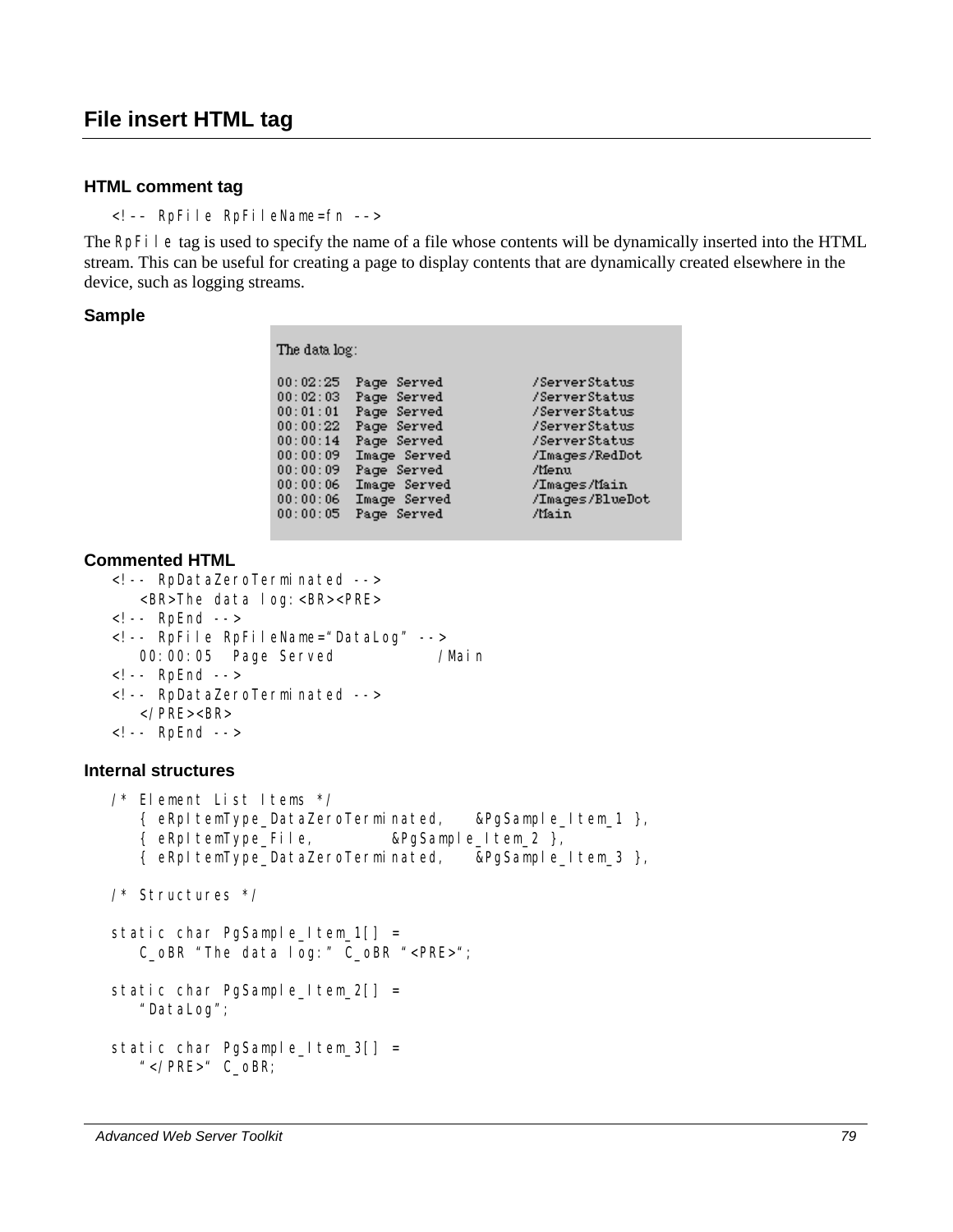#### **HTML comment tag**

<!–– RpFile RpFileName=fn ––>

The RpFile tag is used to specify the name of a file whose contents will be dynamically inserted into the HTML stream. This can be useful for creating a page to display contents that are dynamically created elsewhere in the device, such as logging streams.

#### **Sample**

The data log:

| 00:02:25 | Page Served  | /ServerStatus   |
|----------|--------------|-----------------|
| 00:02:03 | Page Served  | /ServerStatus   |
| 00:01:01 | Page Served  | /ServerStatus   |
| 00:00:22 | Page Served  | /ServerStatus   |
| 00:00:14 | Page Served  | /ServerStatus   |
| 00:00:09 | Image Served | /Images/RedDot  |
| 00:00:09 | Page Served  | /Menu           |
| 00:00:06 | Image Served | /Images/Main    |
| 00:00:06 | Image Served | /Images/BlueDot |
| 00:00:05 | Page Served  | /Main           |
|          |              |                 |

#### **Commented HTML**

```
<!-- RpDataZeroTerminated --> 
    <BR>The data log:<BR><PRE> 
<!-- RpEnd --> 
<!-- RpFile RpFileName="DataLog" --> 
  00:00:05 Page Served /Main
<!-- RpEnd --> 
<!-- RpDataZeroTerminated --> 
    </PRE><BR> 
<!-- RpEnd -->
```
#### **Internal structures**

/\* Element List Items \*/ { eRpItemType\_DataZeroTerminated, &PgSample\_Item\_1 }, { eRpItemType\_File, &PgSample\_Item\_2 }, { eRpItemType\_DataZeroTerminated, &PgSample\_Item\_3 }, /\* Structures \*/ static char PgSample\_Item\_1[] = C\_oBR "The data log:" C\_oBR "<PRE>"; static char PgSample\_Item\_2[] = "DataLog"; static char PgSample\_Item\_3[] = "</PRE>" C\_oBR;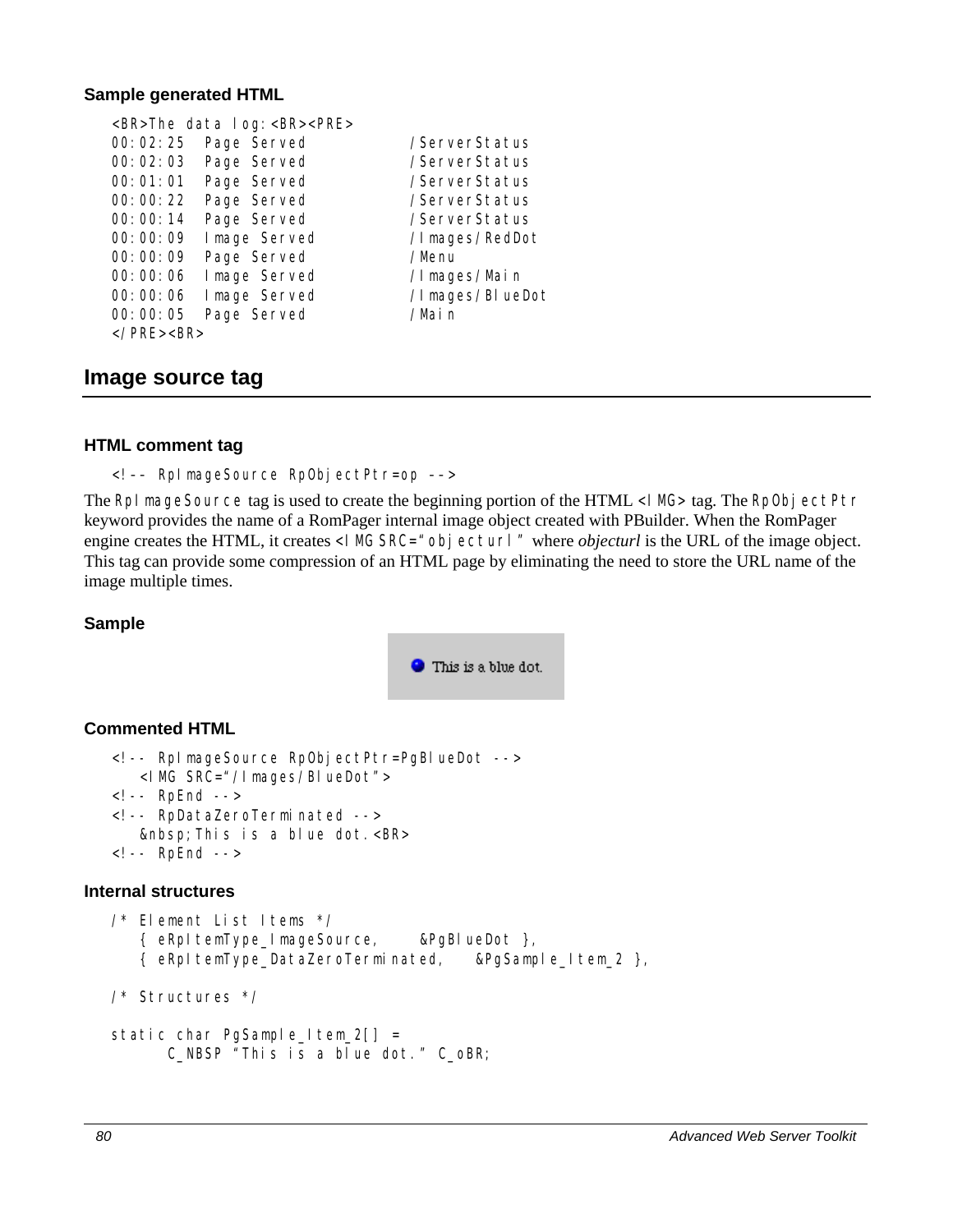#### **Sample generated HTML**

<BR>The data log:<BR><PRE> 00:02:25 Page Served /ServerStatus 00:02:03 Page Served /ServerStatus 00:01:01 Page Served /ServerStatus 00:00:22 Page Served /ServerStatus 00:00:14 Page Served /ServerStatus 00:00:09 Image Served /Images/RedDot 00:00:09 Page Served /Menu 00:00:06 Image Served /Images/Main 00:00:06 Image Served /Images/BlueDot 00:00:05 Page Served /Main </PRE><BR>

## **Image source tag**

#### **HTML comment tag**

<!–– RpImageSource RpObjectPtr=op ––>

The RpI mageSource tag is used to create the beginning portion of the HTML <I MG> tag. The RpObjectPtr keyword provides the name of a RomPager internal image object created with PBuilder. When the RomPager engine creates the HTML, it creates <I MG SRC=" *obj ecturl*" where *objecturl* is the URL of the image object. This tag can provide some compression of an HTML page by eliminating the need to store the URL name of the image multiple times.

#### **Sample**



#### **Commented HTML**

```
<!-- RpImageSource RpObjectPtr=PgBlueDot --> 
    <IMG SRC="/Images/BlueDot"> 
<!-- RpEnd --> 
<!-- RpDataZeroTerminated --> 
    &nbsp;This is a blue dot.<BR> 
<!-- RpEnd -->
```
#### **Internal structures**

```
/* Element List Items */ 
    { eRpItemType_ImageSource, &PgBlueDot }, 
    { eRpItemType_DataZeroTerminated, &PgSample_Item_2 }, 
/* Structures */ 
static char PgSample_Item_2[] =
       C_NBSP "This is a blue dot." C_oBR;
```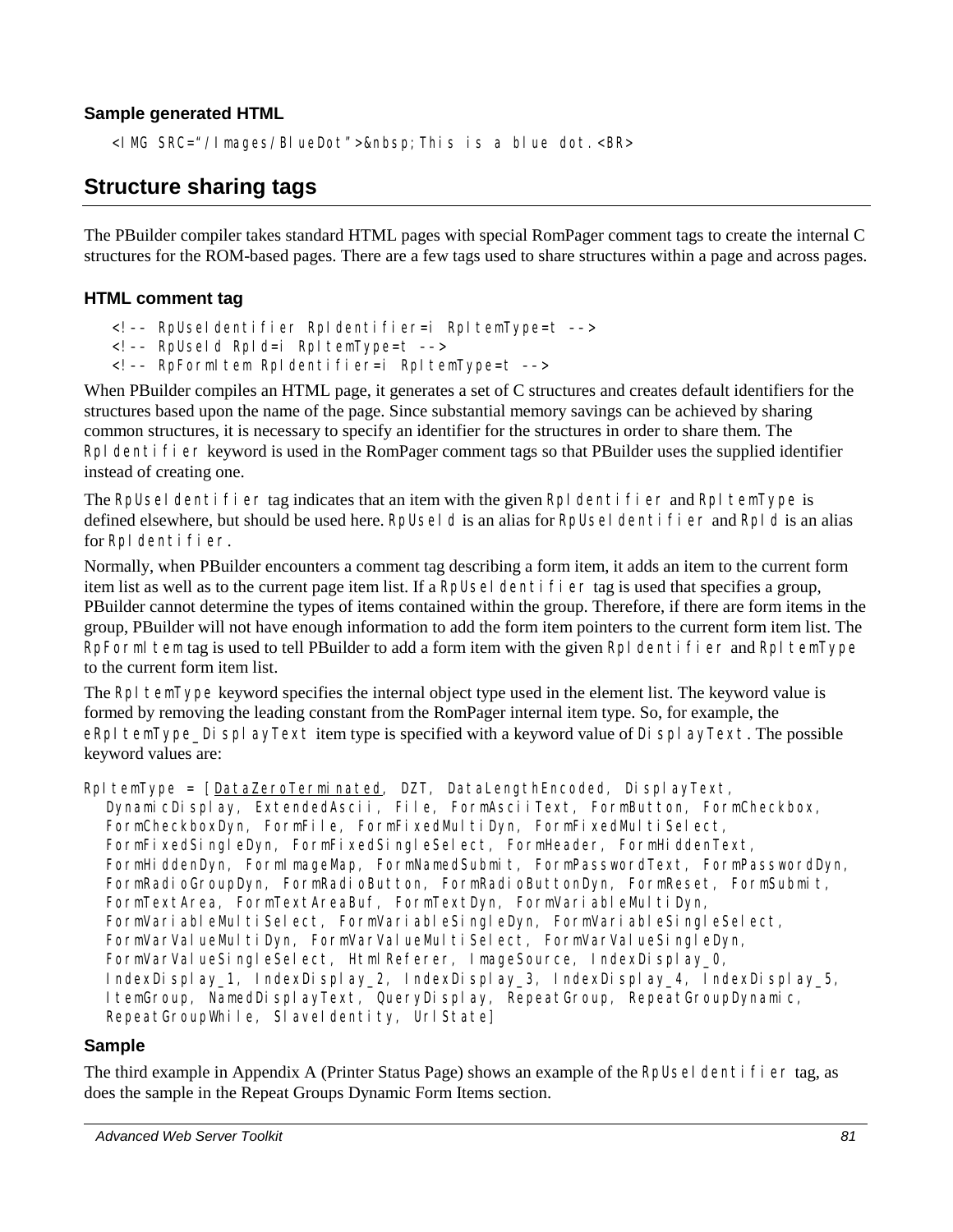## **Sample generated HTML**

<I MG SRC="/Images/BlueDot">&nbsp; This is a blue dot. <BR>

# **Structure sharing tags**

The PBuilder compiler takes standard HTML pages with special RomPager comment tags to create the internal C structures for the ROM-based pages. There are a few tags used to share structures within a page and across pages.

#### **HTML comment tag**

- <!–– RpUseIdentifier RpIdentifier=i RpItemType=t ––>
- <!–– RpUseId RpId=i RpItemType=t ––>
- <!–– RpFormItem RpIdentifier=i RpItemType=t ––>

When PBuilder compiles an HTML page, it generates a set of C structures and creates default identifiers for the structures based upon the name of the page. Since substantial memory savings can be achieved by sharing common structures, it is necessary to specify an identifier for the structures in order to share them. The RpI dentifier keyword is used in the RomPager comment tags so that PBuilder uses the supplied identifier instead of creating one.

The RpUseI dentifier tag indicates that an item with the given RpI dentifier and RpI temType is defined elsewhere, but should be used here. RpUseId is an alias for RpUseIdentifier and RpId is an alias for RpI dentifier.

Normally, when PBuilder encounters a comment tag describing a form item, it adds an item to the current form item list as well as to the current page item list. If a RpUseI dentifier tag is used that specifies a group, PBuilder cannot determine the types of items contained within the group. Therefore, if there are form items in the group, PBuilder will not have enough information to add the form item pointers to the current form item list. The RpFormI tem tag is used to tell PBuilder to add a form item with the given RpI dentifier and RpI temType to the current form item list.

The RpI temType keyword specifies the internal object type used in the element list. The keyword value is formed by removing the leading constant from the RomPager internal item type. So, for example, the eRpI temType\_DisplayText item type is specified with a keyword value of DisplayText. The possible keyword values are:

RpItemType = [DataZeroTerminated, DZT, DataLengthEncoded, DisplayText, DynamicDisplay, ExtendedAscii, File, FormAsciiText, FormButton, FormCheckbox, FormCheckboxDyn, FormFile, FormFixedMultiDyn, FormFixedMultiSelect, FormFixedSingleDyn, FormFixedSingleSelect, FormHeader, FormHiddenText, FormHiddenDyn, FormImageMap, FormNamedSubmit, FormPasswordText, FormPasswordDyn, FormRadioGroupDyn, FormRadioButton, FormRadioButtonDyn, FormReset, FormSubmit, FormTextArea, FormTextAreaBuf, FormTextDyn, FormVariableMultiDyn, FormVariableMultiSelect, FormVariableSingleDyn, FormVariableSingleSelect, FormVarValueMultiDyn, FormVarValueMultiSelect, FormVarValueSingleDyn, FormVarValueSingleSelect, Html Referer, ImageSource, IndexDisplay 0, IndexDisplay\_1, IndexDisplay\_2, IndexDisplay\_3, IndexDisplay\_4, IndexDisplay\_5, ItemGroup, NamedDisplayText, QueryDisplay, RepeatGroup, RepeatGroupDynamic, RepeatGroupWhile, SlaveIdentity, Url State]

#### **Sample**

The third example in Appendix A (Printer Status Page) shows an example of the RpUseI dentifier tag, as does the sample in the Repeat Groups Dynamic Form Items section.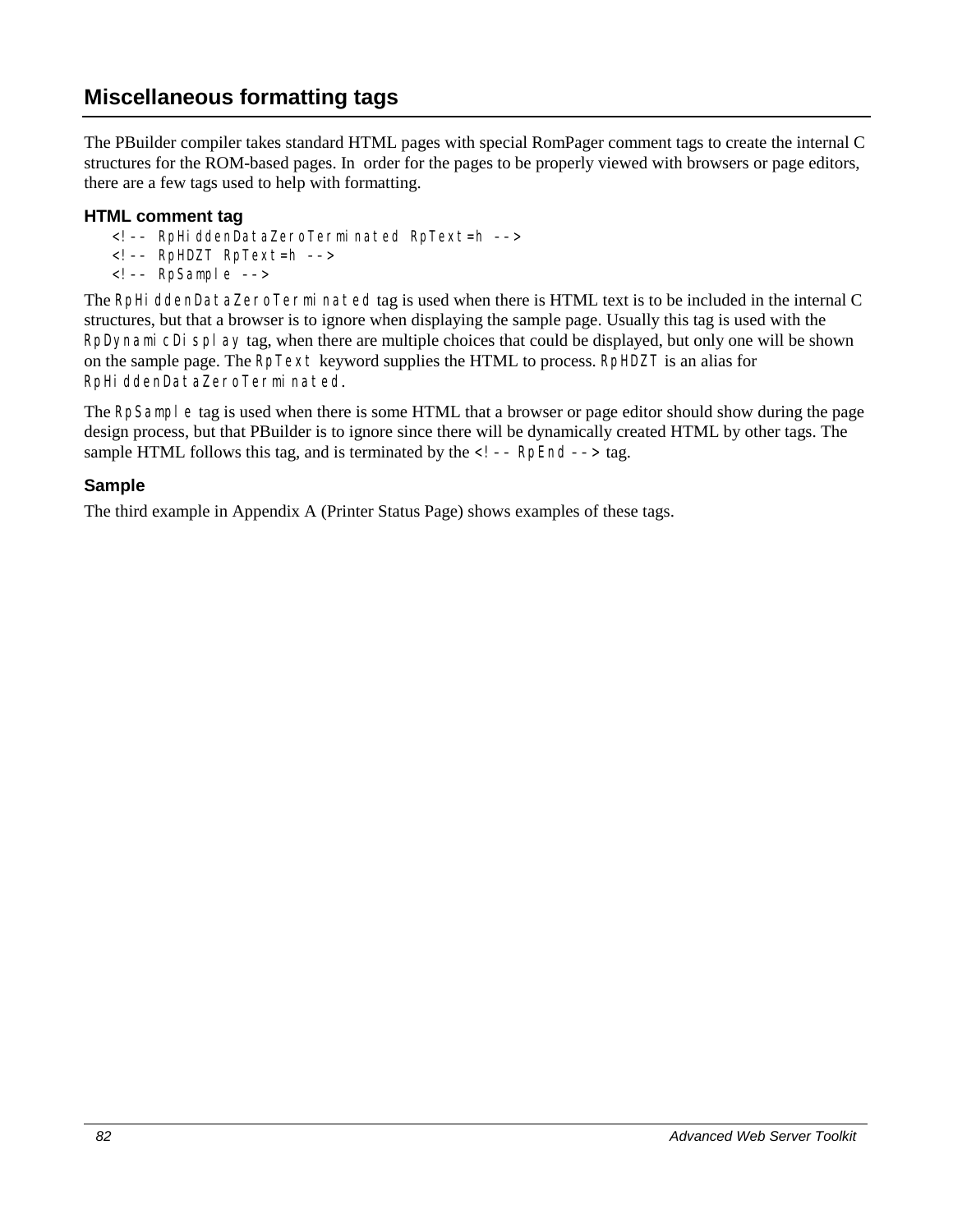# **Miscellaneous formatting tags**

The PBuilder compiler takes standard HTML pages with special RomPager comment tags to create the internal C structures for the ROM-based pages. In order for the pages to be properly viewed with browsers or page editors, there are a few tags used to help with formatting.

#### **HTML comment tag**

- <!–– RpHiddenDataZeroTerminated RpText=h ––>
- <!–– RpHDZT RpText=h ––>
- <!–– RpSample ––>

The RpHi ddenDataZeroTerminated tag is used when there is HTML text is to be included in the internal C structures, but that a browser is to ignore when displaying the sample page. Usually this tag is used with the RpDynami cDi spl ay tag, when there are multiple choices that could be displayed, but only one will be shown on the sample page. The RpText keyword supplies the HTML to process. RpHDZT is an alias for RpHiddenDataZeroTerminated.

The RpSample tag is used when there is some HTML that a browser or page editor should show during the page design process, but that PBuilder is to ignore since there will be dynamically created HTML by other tags. The sample HTML follows this tag, and is terminated by the  $\langle$  ! -- RpEnd --> tag.

#### **Sample**

The third example in Appendix A (Printer Status Page) shows examples of these tags.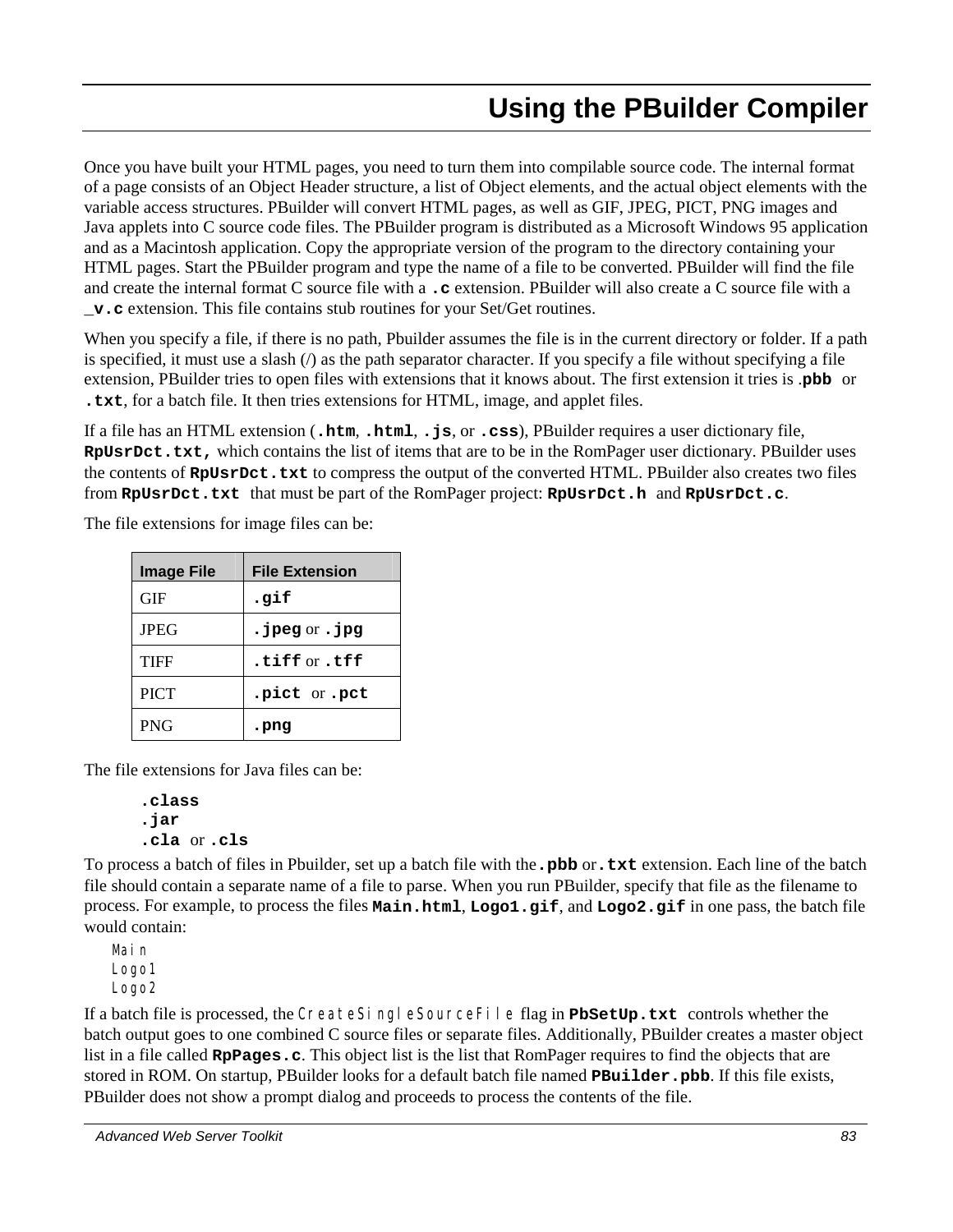# **Using the PBuilder Compiler**

Once you have built your HTML pages, you need to turn them into compilable source code. The internal format of a page consists of an Object Header structure, a list of Object elements, and the actual object elements with the variable access structures. PBuilder will convert HTML pages, as well as GIF, JPEG, PICT, PNG images and Java applets into C source code files. The PBuilder program is distributed as a Microsoft Windows 95 application and as a Macintosh application. Copy the appropriate version of the program to the directory containing your HTML pages. Start the PBuilder program and type the name of a file to be converted. PBuilder will find the file and create the internal format C source file with a **.c** extension. PBuilder will also create a C source file with a **\_v.c** extension. This file contains stub routines for your Set/Get routines.

When you specify a file, if there is no path, Pbuilder assumes the file is in the current directory or folder. If a path is specified, it must use a slash  $\langle \rangle$  as the path separator character. If you specify a file without specifying a file extension, PBuilder tries to open files with extensions that it knows about. The first extension it tries is .**pbb** or **.txt**, for a batch file. It then tries extensions for HTML, image, and applet files.

If a file has an HTML extension (**.htm**, **.html**, **.js**, or **.css**), PBuilder requires a user dictionary file, **RpUsrDct.txt,** which contains the list of items that are to be in the RomPager user dictionary. PBuilder uses the contents of **RpUsrDct.txt** to compress the output of the converted HTML. PBuilder also creates two files from **RpUsrDct.txt** that must be part of the RomPager project: **RpUsrDct.h** and **RpUsrDct.c**.

The file extensions for image files can be:

| <b>Image File</b> | <b>File Extension</b>       |
|-------------------|-----------------------------|
| <b>GIF</b>        | .gif                        |
| <b>JPEG</b>       | $\cdot$ jpeg or $\cdot$ jpg |
| TIFF              | tiff or .tff.               |
| <b>PICT</b>       | .pict or .pct               |
| <b>PNG</b>        | . png                       |

The file extensions for Java files can be:

```
.class
.jar
.cla or .cls
```
To process a batch of files in Pbuilder, set up a batch file with the**.pbb** or**.txt** extension. Each line of the batch file should contain a separate name of a file to parse. When you run PBuilder, specify that file as the filename to process. For example, to process the files **Main.html**, **Logo1.gif**, and **Logo2.gif** in one pass, the batch file would contain:

Main Logo1 Logo2

If a batch file is processed, the CreateSingleSourceFile flag in **PbSetUp.txt** controls whether the batch output goes to one combined C source files or separate files. Additionally, PBuilder creates a master object list in a file called **RpPages.c**. This object list is the list that RomPager requires to find the objects that are stored in ROM. On startup, PBuilder looks for a default batch file named **PBuilder.pbb**. If this file exists, PBuilder does not show a prompt dialog and proceeds to process the contents of the file.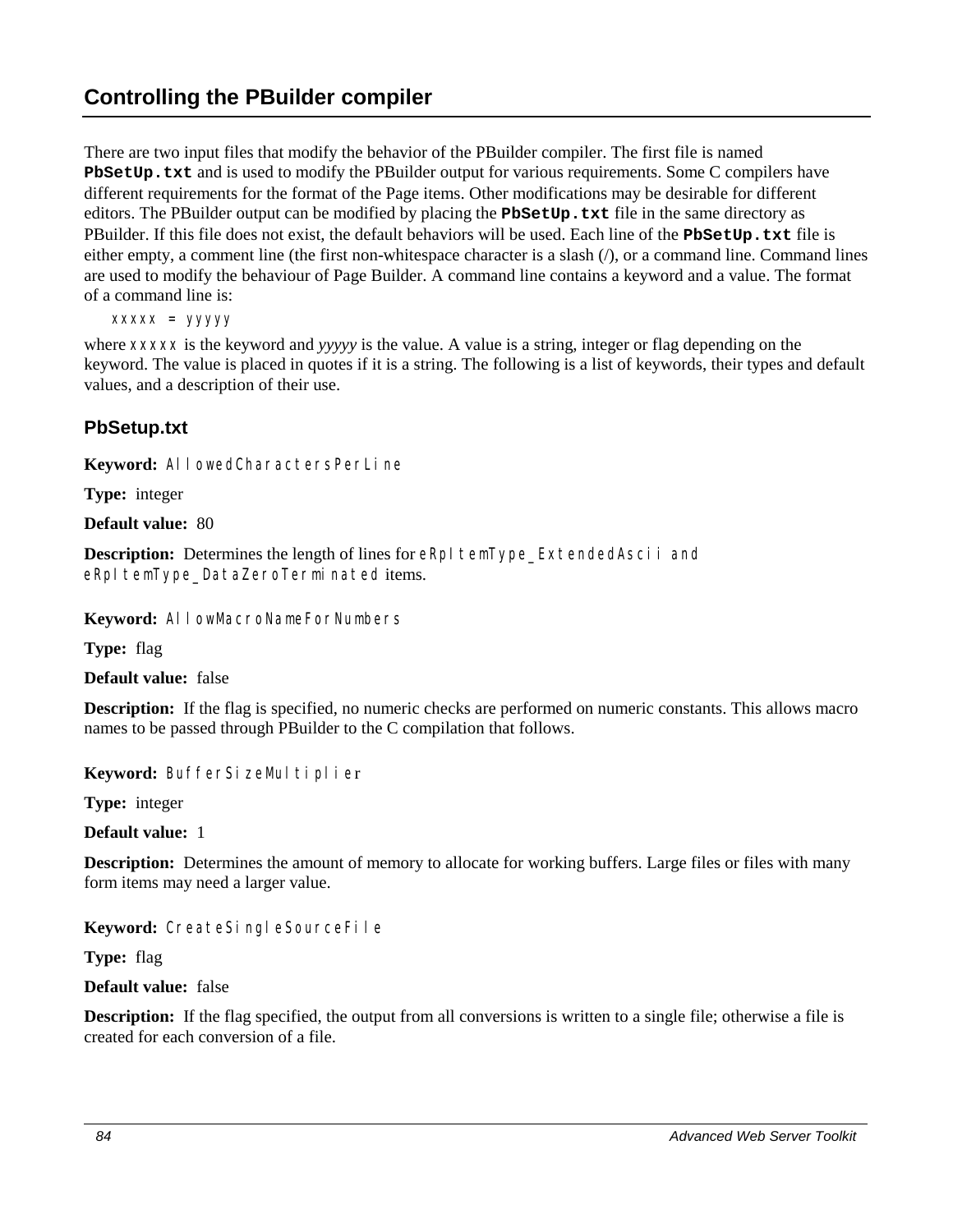There are two input files that modify the behavior of the PBuilder compiler. The first file is named **PbSetUp.txt** and is used to modify the PBuilder output for various requirements. Some C compilers have different requirements for the format of the Page items. Other modifications may be desirable for different editors. The PBuilder output can be modified by placing the **PbSetUp.txt** file in the same directory as PBuilder. If this file does not exist, the default behaviors will be used. Each line of the **PbSetUp.txt** file is either empty, a comment line (the first non-whitespace character is a slash  $($ ), or a command line. Command lines are used to modify the behaviour of Page Builder. A command line contains a keyword and a value. The format of a command line is:

*xxxxx* = *yyyyy*

where *xxxxx* is the keyword and *yyyyy* is the value. A value is a string, integer or flag depending on the keyword. The value is placed in quotes if it is a string. The following is a list of keywords, their types and default values, and a description of their use.

## **PbSetup.txt**

**Keyword:** AllowedCharactersPerLine

**Type:** integer

**Default value:** 80

**Description:** Determines the length of lines for eRpI temType\_ExtendedAscii and eRpItemType\_DataZeroTerminated items.

**Keyword:** AllowMacroNameForNumbers

**Type:** flag

**Default value:** false

**Description:** If the flag is specified, no numeric checks are performed on numeric constants. This allows macro names to be passed through PBuilder to the C compilation that follows.

Keyword: BufferSizeMultiplier

**Type:** integer

**Default value:** 1

**Description:** Determines the amount of memory to allocate for working buffers. Large files or files with many form items may need a larger value.

**Keyword:** CreateSingleSourceFile

**Type:** flag

**Default value:** false

**Description:** If the flag specified, the output from all conversions is written to a single file; otherwise a file is created for each conversion of a file.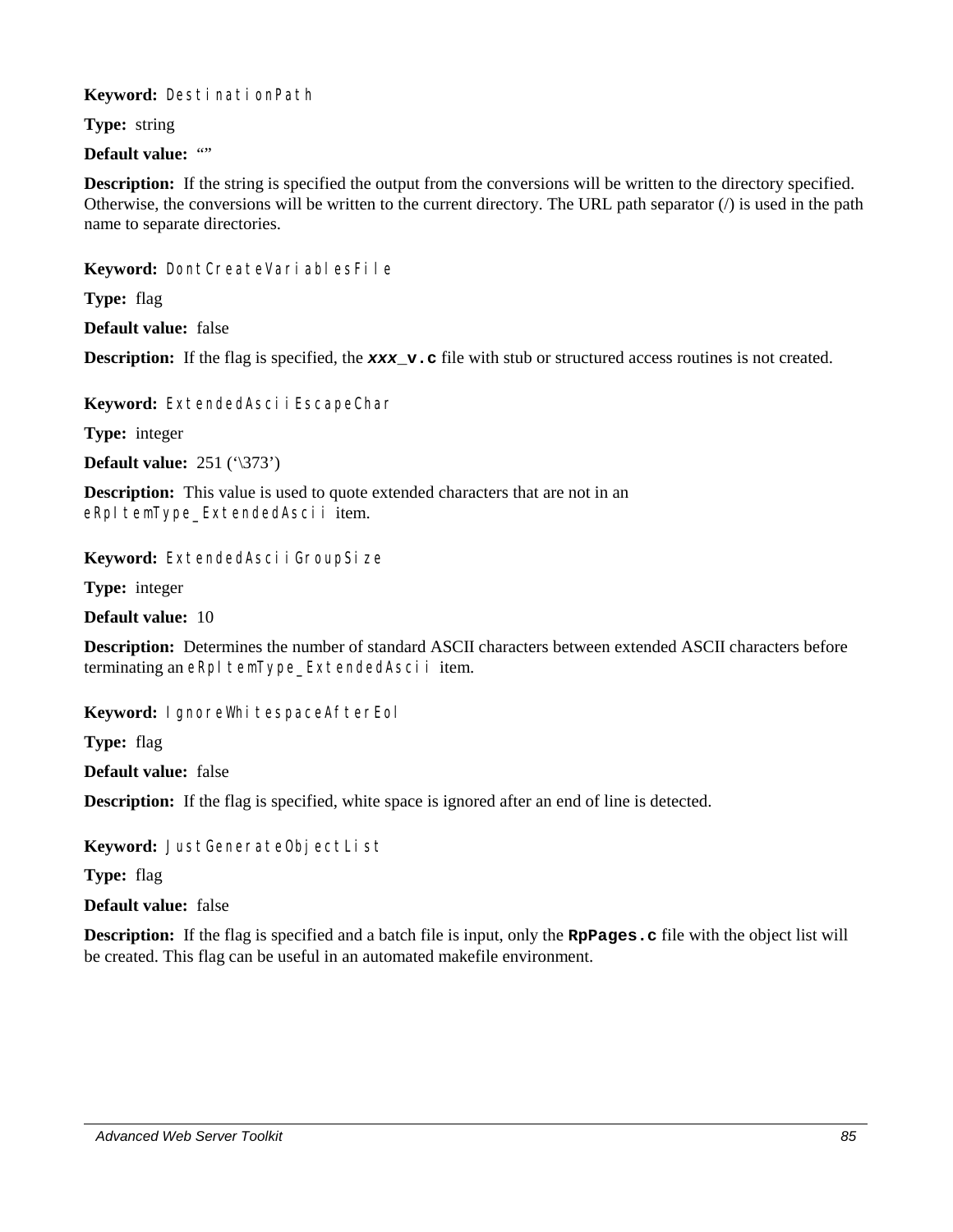**Keyword:** DestinationPath

**Type:** string

**Default value: ""** 

**Description:** If the string is specified the output from the conversions will be written to the directory specified. Otherwise, the conversions will be written to the current directory. The URL path separator  $\langle \cdot \rangle$  is used in the path name to separate directories.

Keyword: DontCreateVariablesFile

**Type:** flag

**Default value:** false

**Description:** If the flag is specified, the **xxx\_v.c** file with stub or structured access routines is not created.

Keyword: ExtendedAsci i EscapeChar

**Type:** integer

**Default value:** 251 ('\373')

**Description:** This value is used to quote extended characters that are not in an eRpItemType\_ExtendedAscii item.

Keyword: ExtendedAsciiGroupSize

**Type:** integer

**Default value:** 10

**Description:** Determines the number of standard ASCII characters between extended ASCII characters before terminating an eRpItemType\_ExtendedAscii item.

Keyword: I gnoreWhitespaceAfterEol

**Type:** flag

**Default value:** false

**Description:** If the flag is specified, white space is ignored after an end of line is detected.

Keyword: JustGenerateObjectList

**Type:** flag

**Default value:** false

**Description:** If the flag is specified and a batch file is input, only the **R**pPages.c file with the object list will be created. This flag can be useful in an automated makefile environment.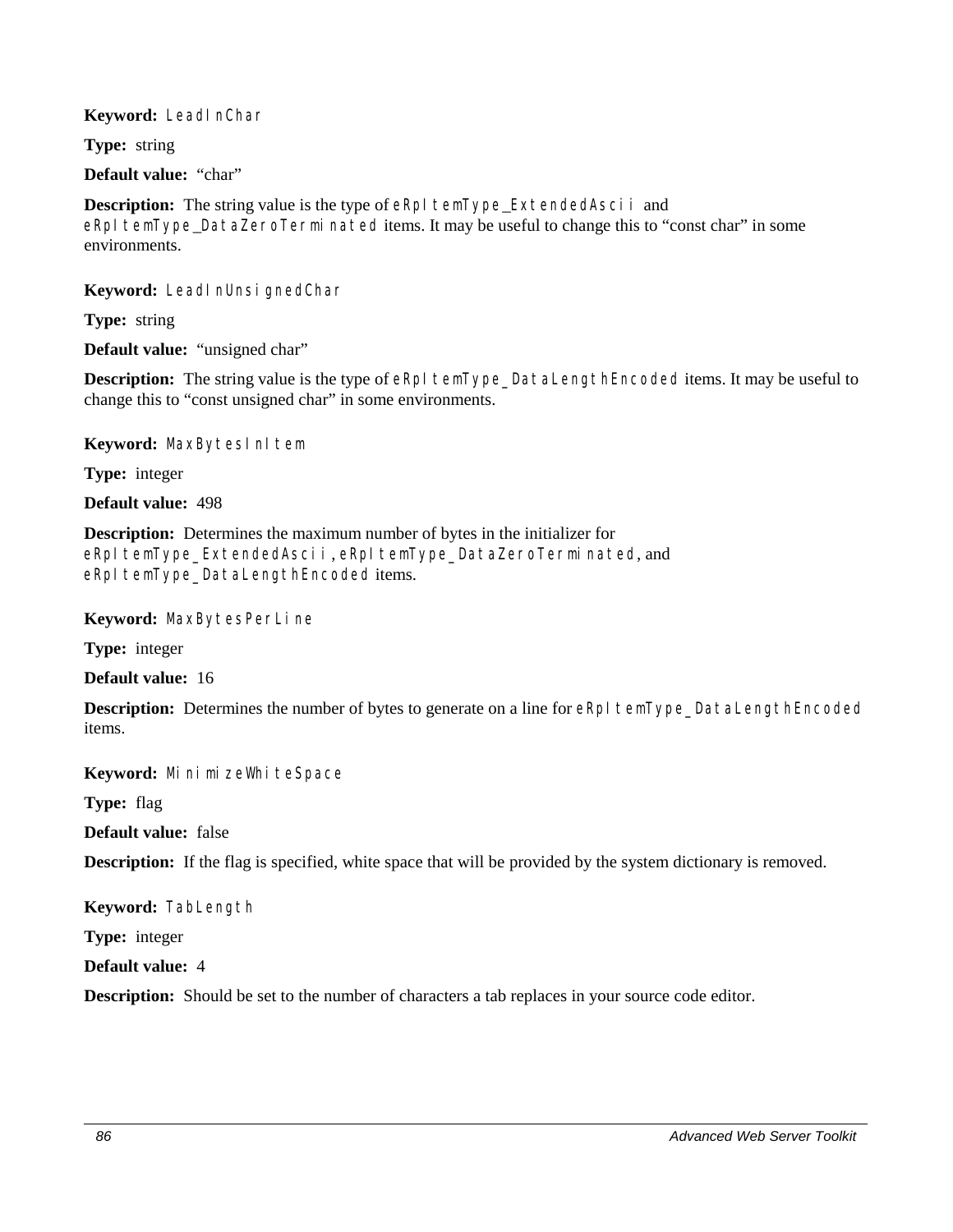#### **Keyword:** LeadInChar

**Type:** string

**Default value:** "char"

**Description:** The string value is the type of eRpI temType\_ExtendedAscii and eRpI temType DataZeroTerminated items. It may be useful to change this to "const char" in some environments.

**Keyword:** LeadInUnsignedChar

**Type:** string

**Default value:** "unsigned char"

**Description:** The string value is the type of eRpI temType\_DataLengthEncoded items. It may be useful to change this to "const unsigned char" in some environments.

Keyword: MaxBytesInItem

**Type:** integer

**Default value:** 498

**Description:** Determines the maximum number of bytes in the initializer for eRpItemType\_ExtendedAscii, eRpItemType\_DataZeroTerminated, and eRpItemType\_DataLengthEncoded items.

**Keyword:** MaxBytesPerLine

**Type:** integer

**Default value:** 16

**Description:** Determines the number of bytes to generate on a line for eRpI temType\_DataLengthEncoded items.

Keyword: MinimizeWhiteSpace

**Type:** flag

**Default value:** false

**Description:** If the flag is specified, white space that will be provided by the system dictionary is removed.

**Keyword:** TabLength

**Type:** integer

**Default value:** 4

**Description:** Should be set to the number of characters a tab replaces in your source code editor.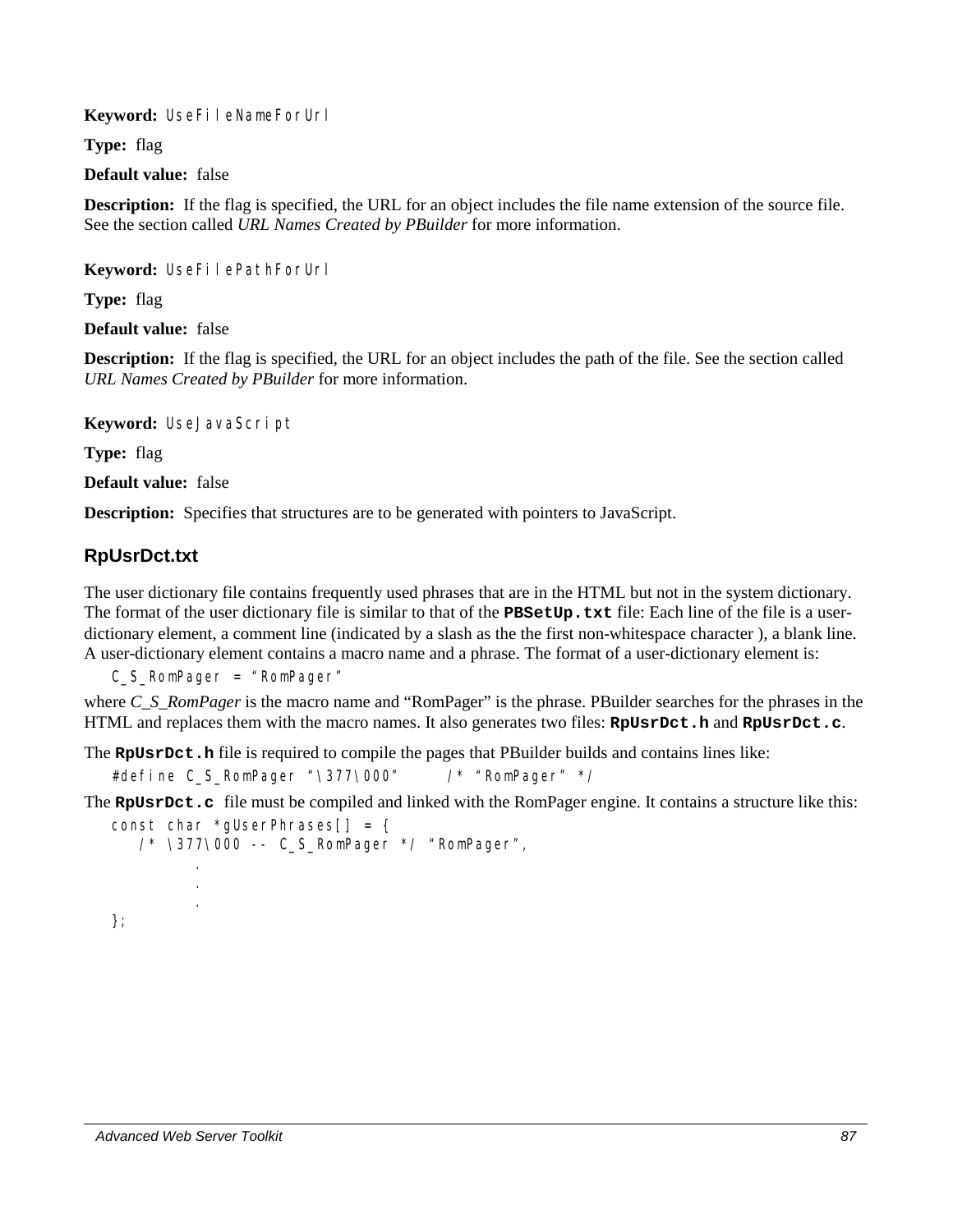**Keyword:** UseFileNameForUrl

**Type:** flag

**Default value:** false

**Description:** If the flag is specified, the URL for an object includes the file name extension of the source file. See the section called *URL Names Created by PBuilder* for more information.

**Keyword:** UseFilePathForUrl

**Type:** flag

**Default value:** false

**Description:** If the flag is specified, the URL for an object includes the path of the file. See the section called *URL Names Created by PBuilder* for more information.

**Keyword:** UseJavaScript

**Type:** flag

**Default value:** false

**Description:** Specifies that structures are to be generated with pointers to JavaScript.

## **RpUsrDct.txt**

The user dictionary file contains frequently used phrases that are in the HTML but not in the system dictionary. The format of the user dictionary file is similar to that of the **PBSetUp.txt** file: Each line of the file is a userdictionary element, a comment line (indicated by a slash as the the first non-whitespace character ), a blank line. A user-dictionary element contains a macro name and a phrase. The format of a user-dictionary element is:

C\_S\_RomPager = "RomPager"

where *C\_S\_RomPager* is the macro name and "RomPager" is the phrase. PBuilder searches for the phrases in the HTML and replaces them with the macro names. It also generates two files: **RpUsrDct.h** and **RpUsrDct.c**.

The **RpUsrDct.h** file is required to compile the pages that PBuilder builds and contains lines like:

#define C\_S\_RomPager "\377\000" /\* "RomPager" \*/

The **RpUsrDct.c** file must be compiled and linked with the RomPager engine. It contains a structure like this:

```
const char *gUserPhrases[] = { 
   /* \377\000 -- C_S_RomPager */ "RomPager", 
 . 
 . 
 . 
};
```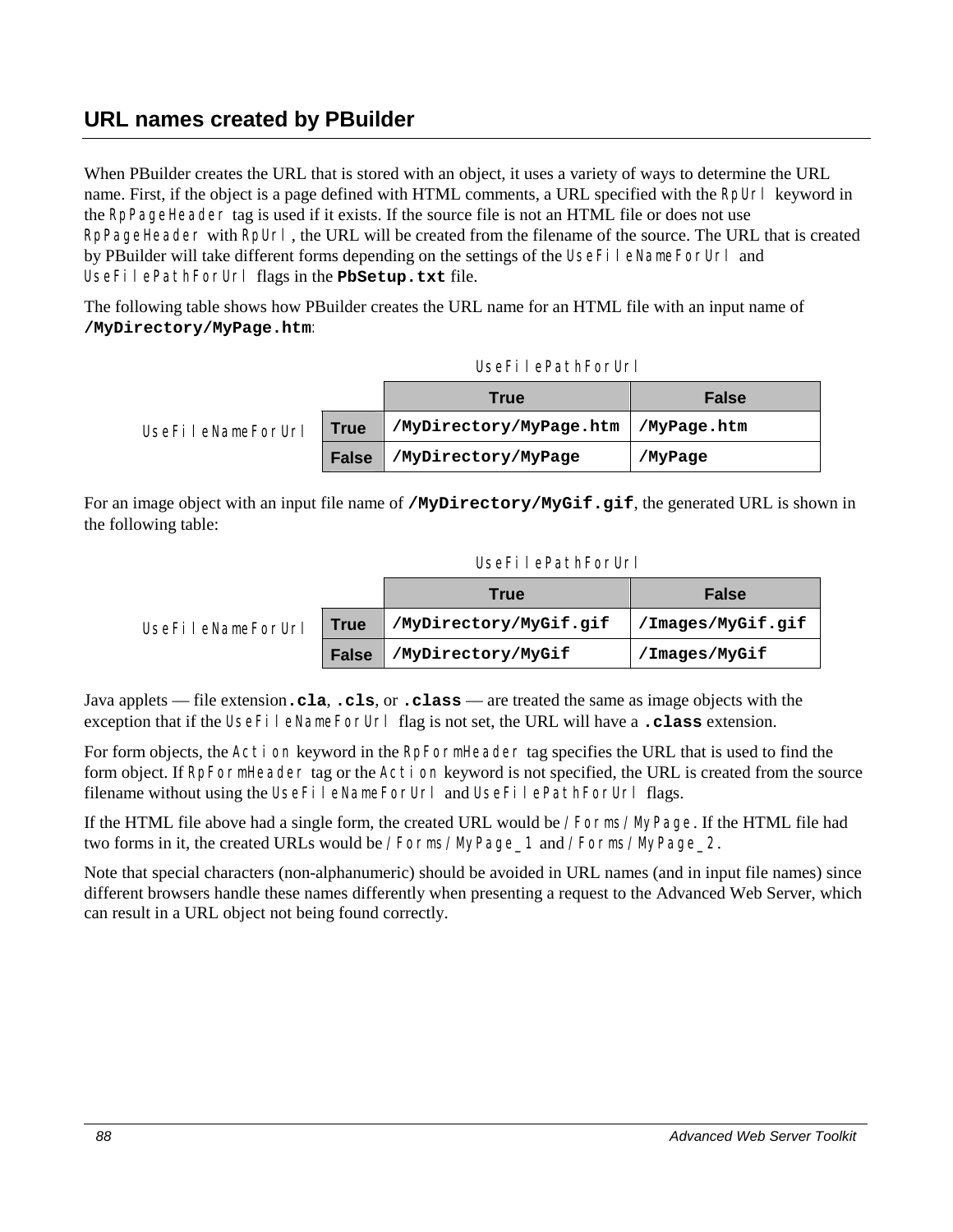# **URL names created by PBuilder**

When PBuilder creates the URL that is stored with an object, it uses a variety of ways to determine the URL name. First, if the object is a page defined with HTML comments, a URL specified with the RpUrl keyword in the RpPageHeader tag is used if it exists. If the source file is not an HTML file or does not use RpPageHeader with RpUrl, the URL will be created from the filename of the source. The URL that is created by PBuilder will take different forms depending on the settings of the UseFileNameForUrl and UseFilePathForUrl flags in the **PbSetup.txt** file.

The following table shows how PBuilder creates the URL name for an HTML file with an input name of **/MyDirectory/MyPage.htm**:

|                   |              | <b>True</b>             | <b>False</b> |
|-------------------|--------------|-------------------------|--------------|
| UseFileNameForUrl | <b>True</b>  | /MyDirectory/MyPage.htm | /MyPage.htm  |
|                   | <b>False</b> | /MyDirectory/MyPage     | /MyPage      |

For an image object with an input file name of **/MyDirectory/MyGif.gif**, the generated URL is shown in the following table:

#### UseFilePathForUrl

|                   |              | True                   | <b>False</b>         |
|-------------------|--------------|------------------------|----------------------|
| UseFileNameForUrl | <b>True</b>  | /MyDirectory/MyGif.gif | / / Images/MyGif.gif |
|                   | <b>False</b> | /MyDirectory/MyGif     | /Images/MyGif        |

Java applets — file extension**.cla**, **.cls**, or **.class** — are treated the same as image objects with the exception that if the UseFileNameForUrl flag is not set, the URL will have a **.class** extension.

For form objects, the Action keyword in the RpFormHeader tag specifies the URL that is used to find the form object. If RpFormHeader tag or the Action keyword is not specified, the URL is created from the source filename without using the UseFileNameForUrl and UseFilePathForUrl flags.

If the HTML file above had a single form, the created URL would be /Forms/MyPage. If the HTML file had two forms in it, the created URLs would be /Forms/MyPage\_1 and /Forms/MyPage\_2.

Note that special characters (non-alphanumeric) should be avoided in URL names (and in input file names) since different browsers handle these names differently when presenting a request to the Advanced Web Server, which can result in a URL object not being found correctly.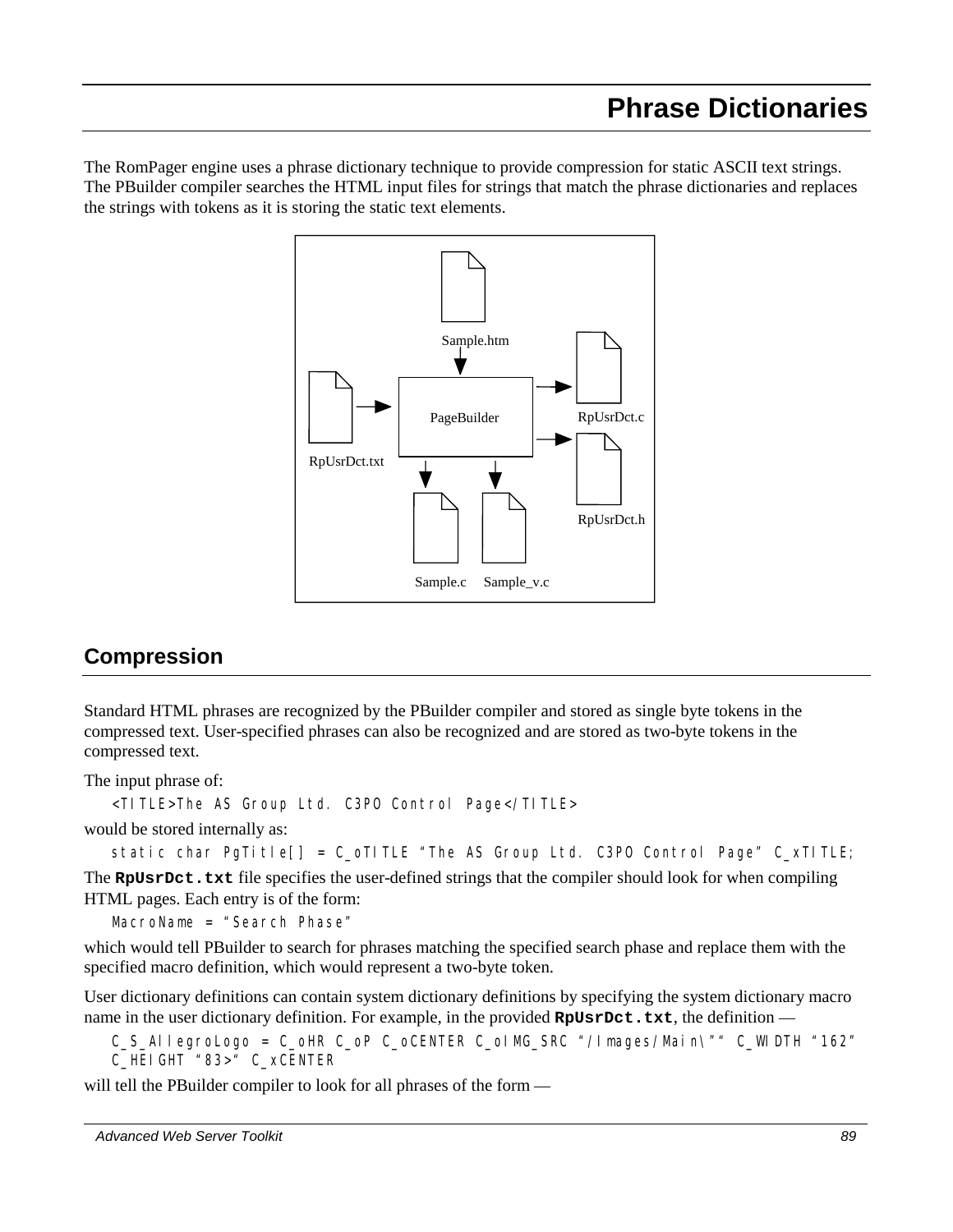The RomPager engine uses a phrase dictionary technique to provide compression for static ASCII text strings. The PBuilder compiler searches the HTML input files for strings that match the phrase dictionaries and replaces the strings with tokens as it is storing the static text elements.



# **Compression**

Standard HTML phrases are recognized by the PBuilder compiler and stored as single byte tokens in the compressed text. User-specified phrases can also be recognized and are stored as two-byte tokens in the compressed text.

The input phrase of:

<TITLE>The AS Group Ltd. C3PO Control Page</TITLE>

would be stored internally as:

```
static char PgTitle[] = C_oTITLE "The AS Group Ltd. C3P0 Control Page" C_xTITLE;
```
The **RpUsrDct.txt** file specifies the user-defined strings that the compiler should look for when compiling HTML pages. Each entry is of the form:

*MacroName* = "*Search Phase*"

which would tell PBuilder to search for phrases matching the specified search phase and replace them with the specified macro definition, which would represent a two-byte token.

User dictionary definitions can contain system dictionary definitions by specifying the system dictionary macro name in the user dictionary definition. For example, in the provided **RpUsrDct.txt**, the definition —

```
C_S_AllegroLogo = C_oHR C_oP C_oCENTER C_oIMG_SRC "/Images/Main\"" C_WIDTH "162" 
C_HEIGHT "83>" C_xCENTER
```
will tell the PBuilder compiler to look for all phrases of the form —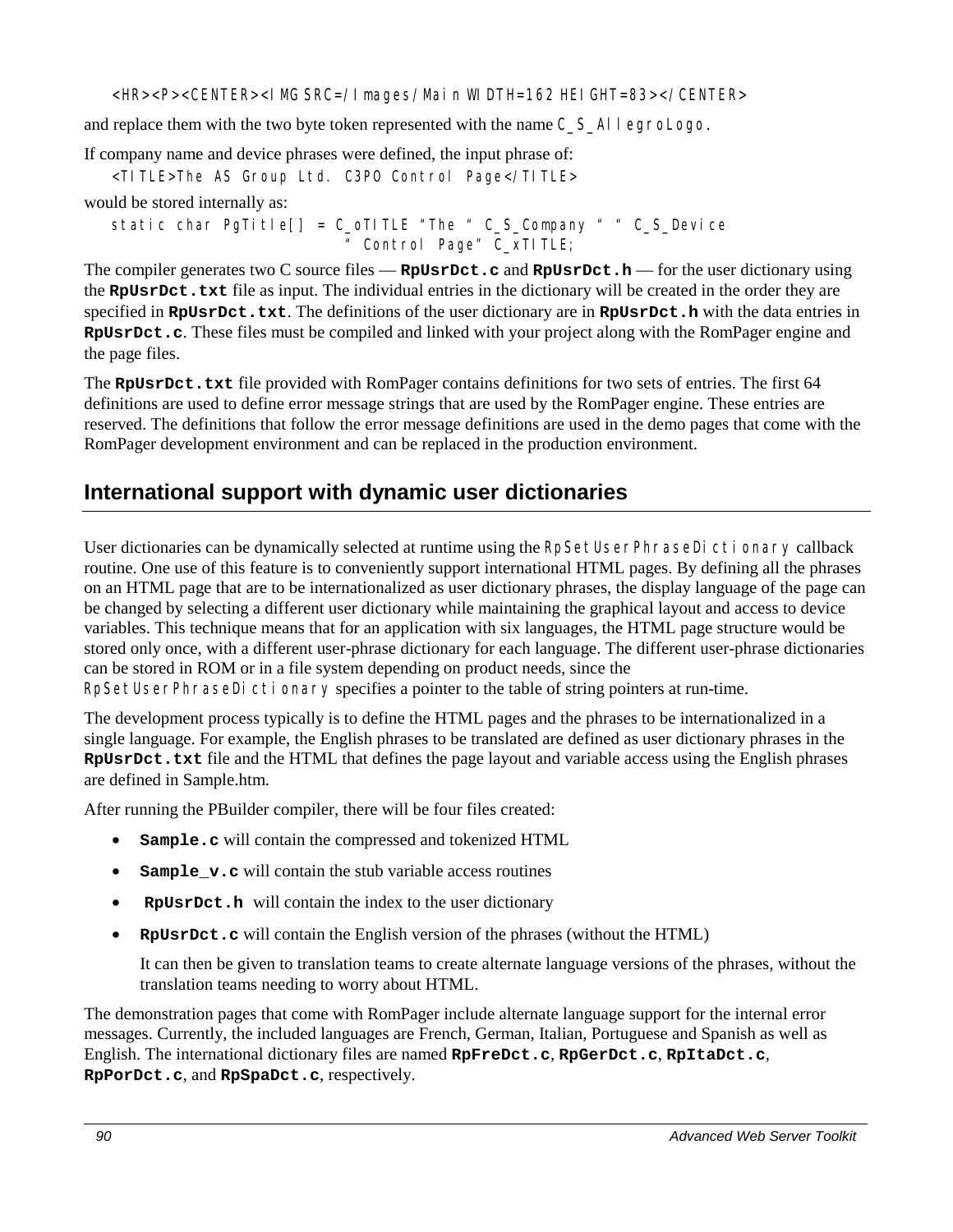<HR><P><CENTER><IMG SRC=/Images/Main WIDTH=162 HEIGHT=83></CENTER>

and replace them with the two byte token represented with the name  $C-S$  AllegroLogo.

If company name and device phrases were defined, the input phrase of:

<TITLE>The AS Group Ltd. C3PO Control Page</TITLE>

would be stored internally as:

static char PgTitle[] = C\_oTITLE "The " C\_S\_Company " " C\_S\_Device " Control Page" C\_xTITLE;

The compiler generates two C source files — **RpUsrDct.c** and **RpUsrDct.h** — for the user dictionary using the **RpUsrDct.txt** file as input. The individual entries in the dictionary will be created in the order they are specified in **RpUsrDct.txt**. The definitions of the user dictionary are in **RpUsrDct.h** with the data entries in **RpUsrDct.c**. These files must be compiled and linked with your project along with the RomPager engine and the page files.

The **RpUsrDct.txt** file provided with RomPager contains definitions for two sets of entries. The first 64 definitions are used to define error message strings that are used by the RomPager engine. These entries are reserved. The definitions that follow the error message definitions are used in the demo pages that come with the RomPager development environment and can be replaced in the production environment.

# **International support with dynamic user dictionaries**

User dictionaries can be dynamically selected at runtime using the RpSetUserPhraseDictionary callback routine. One use of this feature is to conveniently support international HTML pages. By defining all the phrases on an HTML page that are to be internationalized as user dictionary phrases, the display language of the page can be changed by selecting a different user dictionary while maintaining the graphical layout and access to device variables. This technique means that for an application with six languages, the HTML page structure would be stored only once, with a different user-phrase dictionary for each language. The different user-phrase dictionaries can be stored in ROM or in a file system depending on product needs, since the

RpSetUserPhraseDictionary specifies a pointer to the table of string pointers at run-time.

The development process typically is to define the HTML pages and the phrases to be internationalized in a single language. For example, the English phrases to be translated are defined as user dictionary phrases in the **RpUsrDct.txt** file and the HTML that defines the page layout and variable access using the English phrases are defined in Sample.htm.

After running the PBuilder compiler, there will be four files created:

- -**Sample.c** will contain the compressed and tokenized HTML
- $\bullet$ **Sample\_v.c** will contain the stub variable access routines
- -**RpUsrDct.h** will contain the index to the user dictionary
- $\bullet$ **RpUsrDct.c** will contain the English version of the phrases (without the HTML)

It can then be given to translation teams to create alternate language versions of the phrases, without the translation teams needing to worry about HTML.

The demonstration pages that come with RomPager include alternate language support for the internal error messages. Currently, the included languages are French, German, Italian, Portuguese and Spanish as well as English. The international dictionary files are named **RpFreDct.c**, **RpGerDct.c**, **RpItaDct.c**, **RpPorDct.c**, and **RpSpaDct.c**, respectively.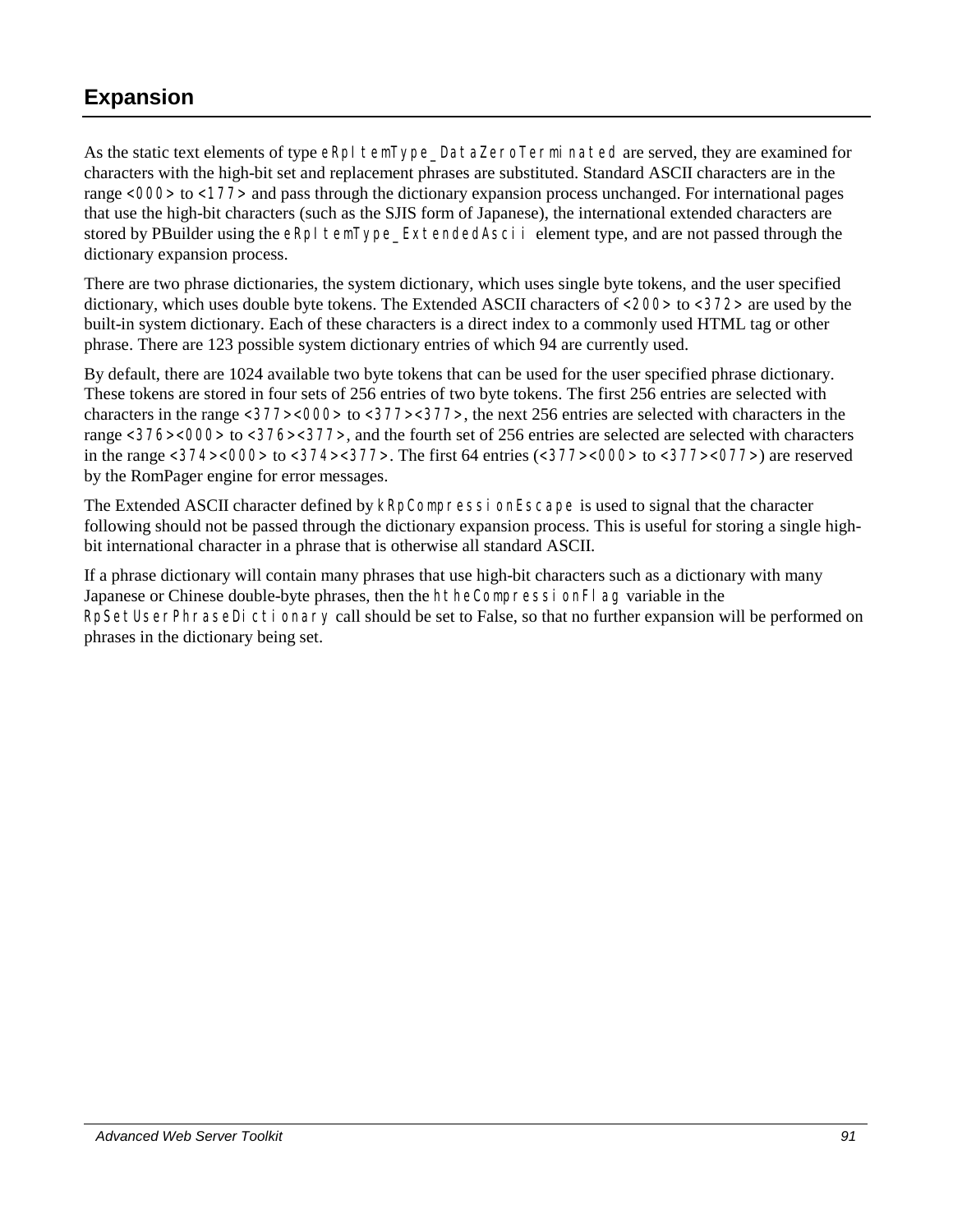# **Expansion**

As the static text elements of type eRpI temType\_DataZeroTerminated are served, they are examined for characters with the high-bit set and replacement phrases are substituted. Standard ASCII characters are in the range <000> to <177> and pass through the dictionary expansion process unchanged. For international pages that use the high-bit characters (such as the SJIS form of Japanese), the international extended characters are stored by PBuilder using the eRpI temType\_ExtendedAscii element type, and are not passed through the dictionary expansion process.

There are two phrase dictionaries, the system dictionary, which uses single byte tokens, and the user specified dictionary, which uses double byte tokens. The Extended ASCII characters of <200> to <372> are used by the built-in system dictionary. Each of these characters is a direct index to a commonly used HTML tag or other phrase. There are 123 possible system dictionary entries of which 94 are currently used.

By default, there are 1024 available two byte tokens that can be used for the user specified phrase dictionary. These tokens are stored in four sets of 256 entries of two byte tokens. The first 256 entries are selected with characters in the range <377><000> to <377><377>, the next 256 entries are selected with characters in the range <376><000> to <376><377>, and the fourth set of 256 entries are selected are selected with characters in the range  $\langle 374 \rangle \langle 000 \rangle$  to  $\langle 374 \rangle \langle 377 \rangle$ . The first 64 entries ( $\langle 377 \rangle \langle 000 \rangle$  to  $\langle 377 \rangle \langle 077 \rangle$ ) are reserved by the RomPager engine for error messages.

The Extended ASCII character defined by kRpCompressionEscape is used to signal that the character following should not be passed through the dictionary expansion process. This is useful for storing a single highbit international character in a phrase that is otherwise all standard ASCII.

If a phrase dictionary will contain many phrases that use high-bit characters such as a dictionary with many Japanese or Chinese double-byte phrases, then the htheCompressionFlag variable in the RpSetUserPhraseDictionary call should be set to False, so that no further expansion will be performed on phrases in the dictionary being set.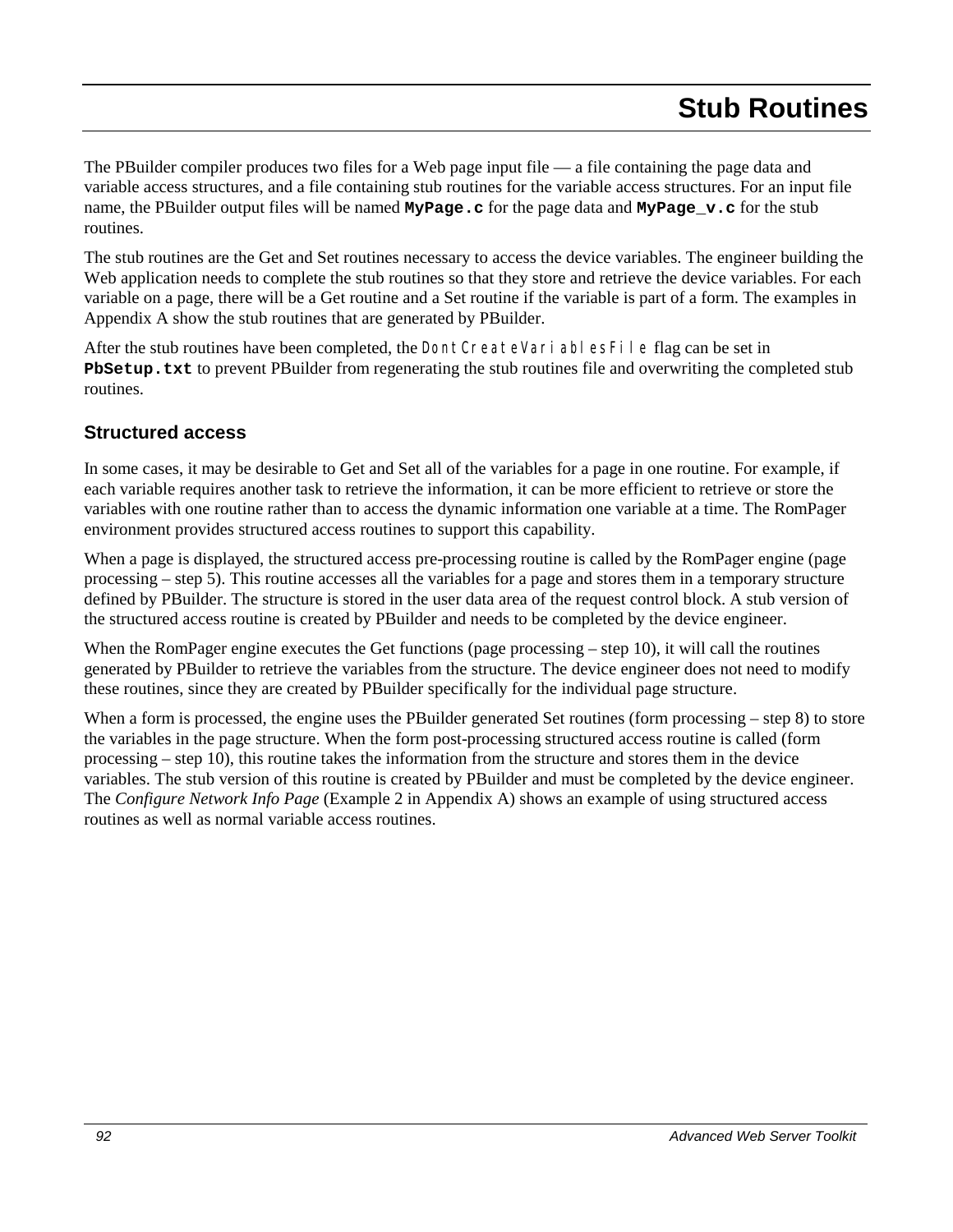The PBuilder compiler produces two files for a Web page input file — a file containing the page data and variable access structures, and a file containing stub routines for the variable access structures. For an input file name, the PBuilder output files will be named **MyPage.c** for the page data and **MyPage\_v.c** for the stub routines.

The stub routines are the Get and Set routines necessary to access the device variables. The engineer building the Web application needs to complete the stub routines so that they store and retrieve the device variables. For each variable on a page, there will be a Get routine and a Set routine if the variable is part of a form. The examples in Appendix A show the stub routines that are generated by PBuilder.

After the stub routines have been completed, the Dont CreateVariablesFile flag can be set in **PbSetup.txt** to prevent PBuilder from regenerating the stub routines file and overwriting the completed stub routines.

## **Structured access**

In some cases, it may be desirable to Get and Set all of the variables for a page in one routine. For example, if each variable requires another task to retrieve the information, it can be more efficient to retrieve or store the variables with one routine rather than to access the dynamic information one variable at a time. The RomPager environment provides structured access routines to support this capability.

When a page is displayed, the structured access pre-processing routine is called by the RomPager engine (page processing – step 5). This routine accesses all the variables for a page and stores them in a temporary structure defined by PBuilder. The structure is stored in the user data area of the request control block. A stub version of the structured access routine is created by PBuilder and needs to be completed by the device engineer.

When the RomPager engine executes the Get functions (page processing – step 10), it will call the routines generated by PBuilder to retrieve the variables from the structure. The device engineer does not need to modify these routines, since they are created by PBuilder specifically for the individual page structure.

When a form is processed, the engine uses the PBuilder generated Set routines (form processing – step 8) to store the variables in the page structure. When the form post-processing structured access routine is called (form processing – step 10), this routine takes the information from the structure and stores them in the device variables. The stub version of this routine is created by PBuilder and must be completed by the device engineer. The *Configure Network Info Page* (Example 2 in Appendix A) shows an example of using structured access routines as well as normal variable access routines.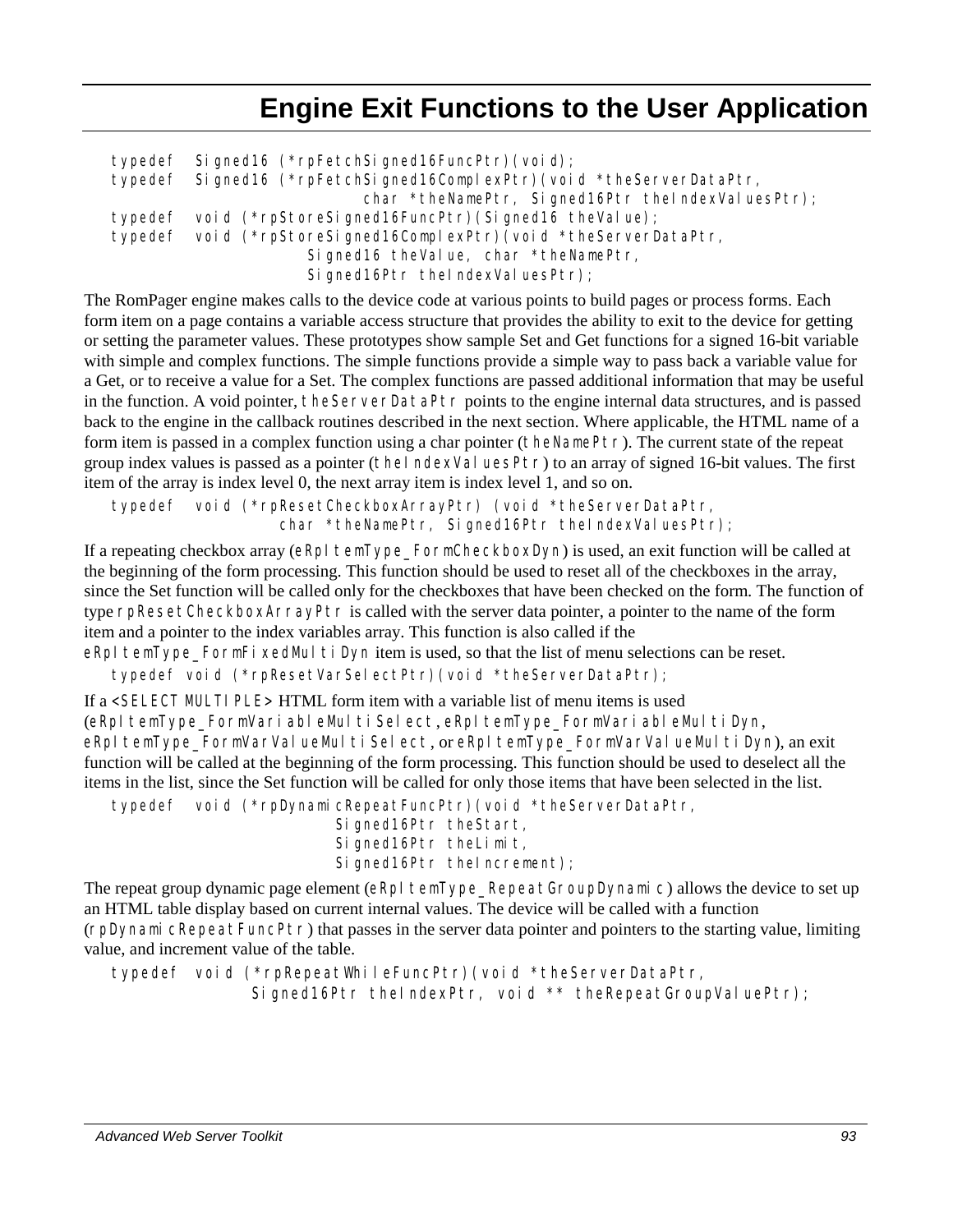# **Engine Exit Functions to the User Application**

```
typedef Signed16 (*rpFetchSigned16FuncPtr)(void); 
typedef Signed16 (*rpFetchSigned16ComplexPtr)(void *theServerDataPtr, 
                           char *theNamePtr, Signed16Ptr theIndexValuesPtr);
typedef void (*rpStoreSigned16FuncPtr)(Signed16 theValue); 
typedef void (*rpStoreSigned16ComplexPtr)(void *theServerDataPtr, 
                     Signed16 theValue, char *theNamePtr,
                     Signed16Ptr theIndexValuesPtr);
```
The RomPager engine makes calls to the device code at various points to build pages or process forms. Each form item on a page contains a variable access structure that provides the ability to exit to the device for getting or setting the parameter values. These prototypes show sample Set and Get functions for a signed 16-bit variable with simple and complex functions. The simple functions provide a simple way to pass back a variable value for a Get, or to receive a value for a Set. The complex functions are passed additional information that may be useful in the function. A void pointer, theServerDataPtr points to the engine internal data structures, and is passed back to the engine in the callback routines described in the next section. Where applicable, the HTML name of a form item is passed in a complex function using a char pointer (theNamePtr). The current state of the repeat group index values is passed as a pointer (the  $| \text{ndexVal} \text{uesPtr} \rangle$  to an array of signed 16-bit values. The first item of the array is index level 0, the next array item is index level 1, and so on.

typedef void (\*rpResetCheckboxArrayPtr) (void \*theServerDataPtr, char \*theNamePtr, Signed16Ptr theIndexValuesPtr);

If a repeating checkbox array (eRpItemType\_FormCheckboxDyn) is used, an exit function will be called at the beginning of the form processing. This function should be used to reset all of the checkboxes in the array, since the Set function will be called only for the checkboxes that have been checked on the form. The function of type rpResetCheckboxArrayPtr is called with the server data pointer, a pointer to the name of the form item and a pointer to the index variables array. This function is also called if the

eRpItemType\_FormFixedMultiDynitem is used, so that the list of menu selections can be reset.

typedef void (\*rpResetVarSelectPtr)(void \*theServerDataPtr);

If a <SELECT MULTI PLE> HTML form item with a variable list of menu items is used (eRpItemType\_FormVariableMultiSelect, eRpItemType\_FormVariableMultiDyn, eRpItemType\_FormVarValueMultiSelect, or eRpItemType\_FormVarValueMultiDyn), an exit function will be called at the beginning of the form processing. This function should be used to deselect all the items in the list, since the Set function will be called for only those items that have been selected in the list.

```
typedef void (*rpDynamicRepeatFuncPtr)(void *theServerDataPtr,
```

```
 Signed16Ptr theStart, 
 Signed16Ptr theLimit, 
Signed16Ptr theIncrement);
```
The repeat group dynamic page element (eRpI temType\_RepeatGroupDynamic) allows the device to set up an HTML table display based on current internal values. The device will be called with a function (rpDynamicRepeatFuncPtr) that passes in the server data pointer and pointers to the starting value, limiting value, and increment value of the table.

typedef void (\*rpRepeatWhileFuncPtr)(void \*theServerDataPtr, Signed16Ptr theIndexPtr, void \*\* theRepeatGroupValuePtr);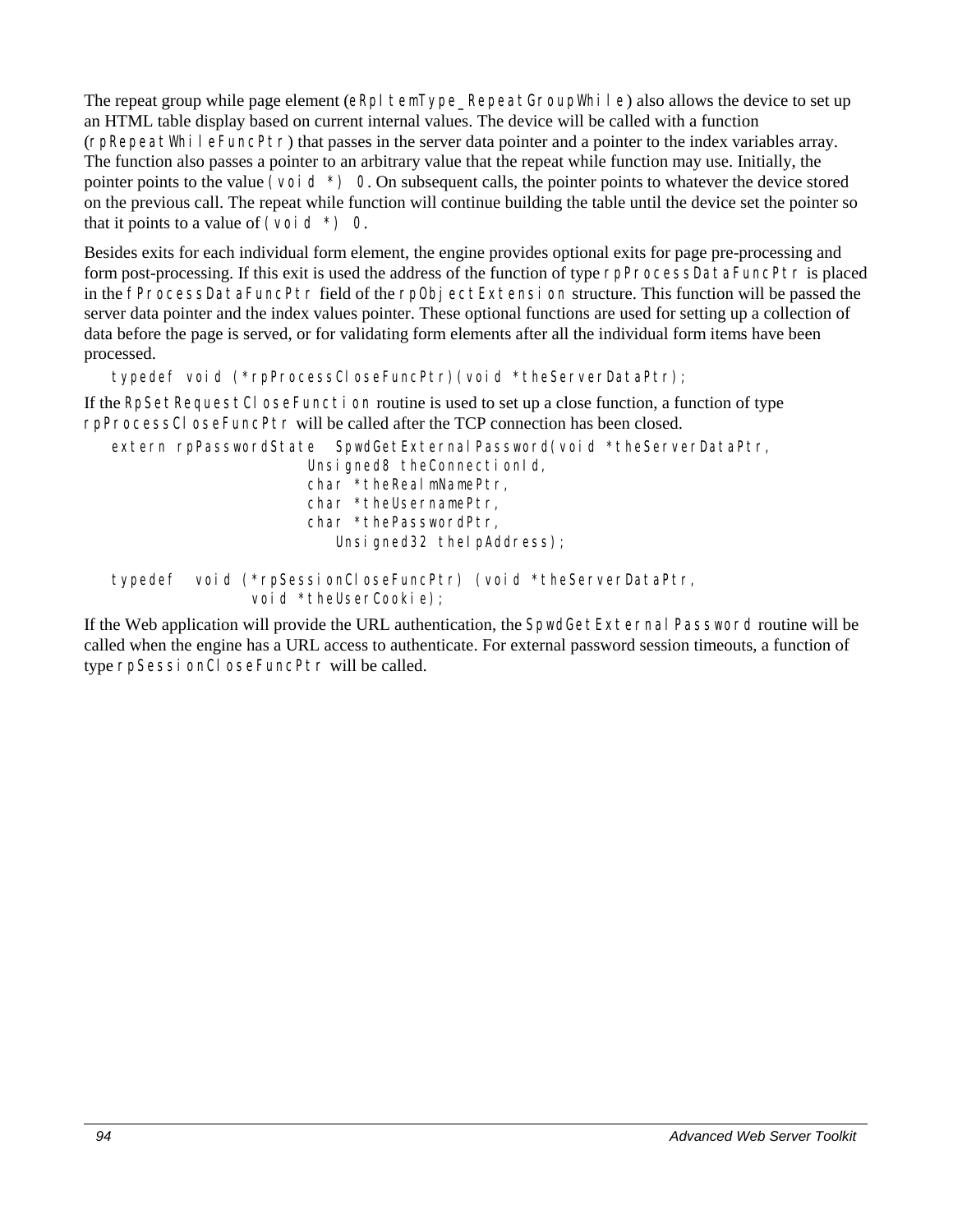The repeat group while page element ( $eRpI$  temType\_RepeatGroupWhile) also allows the device to set up an HTML table display based on current internal values. The device will be called with a function  $(\text{rpRepeatWhi} \mid \text{eFuncPtr})$  that passes in the server data pointer and a pointer to the index variables array. The function also passes a pointer to an arbitrary value that the repeat while function may use. Initially, the pointer points to the value (void  $\star$ ) 0. On subsequent calls, the pointer points to whatever the device stored on the previous call. The repeat while function will continue building the table until the device set the pointer so that it points to a value of (voi d  $*$ ) 0.

Besides exits for each individual form element, the engine provides optional exits for page pre-processing and form post-processing. If this exit is used the address of the function of type rpProcessDataFuncPtr is placed in the fProcessDataFuncPtr field of the rpObjectExtension structure. This function will be passed the server data pointer and the index values pointer. These optional functions are used for setting up a collection of data before the page is served, or for validating form elements after all the individual form items have been processed.

```
typedef void (*rpProcessCloseFuncPtr)(void *theServerDataPtr);
```
If the RpSetRequestCl oseFunction routine is used to set up a close function, a function of type rpProcessCloseFuncPtr will be called after the TCP connection has been closed.

```
extern rpPasswordState SpwdGetExternal Password(void *theServerDataPtr,
                     Unsigned8 theConnectionId,
                     char *theRealmNamePtr, 
                     char *theUsernamePtr, 
                     char *thePasswordPtr, 
                        Unsigned32 theIpAddress);
```

```
typedef void (*rpSessionCloseFuncPtr) (void *theServerDataPtr, 
               void *theUserCookie);
```
If the Web application will provide the URL authentication, the SpwdGetExternal Password routine will be called when the engine has a URL access to authenticate. For external password session timeouts, a function of type rpSessionCloseFuncPtr will be called.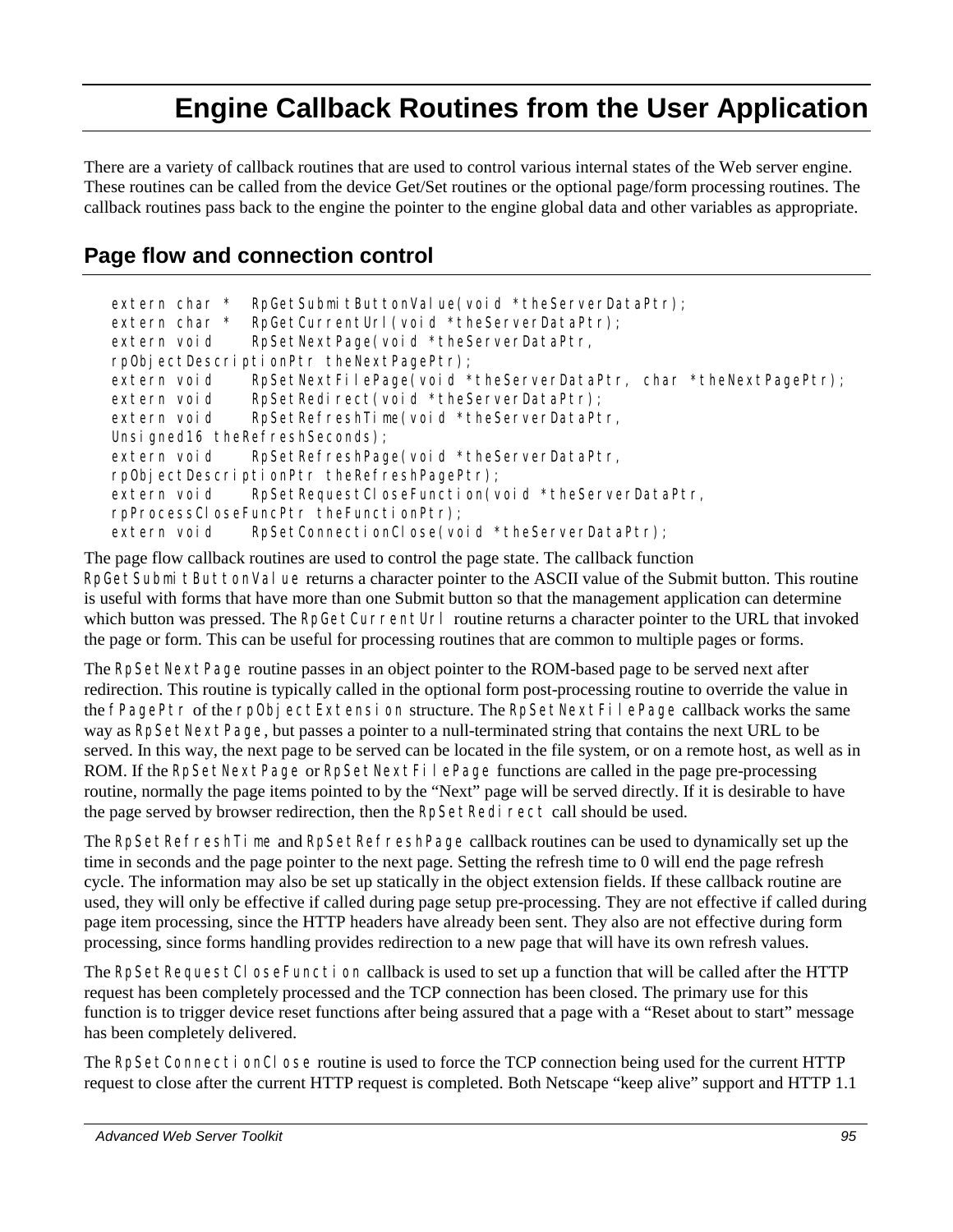# **Engine Callback Routines from the User Application**

There are a variety of callback routines that are used to control various internal states of the Web server engine. These routines can be called from the device Get/Set routines or the optional page/form processing routines. The callback routines pass back to the engine the pointer to the engine global data and other variables as appropriate.

# **Page flow and connection control**

```
extern char * RpGetSubmitButtonValue(void *theServerDataPtr);
extern char * RpGetCurrentUrl (void *theServerDataPtr);
extern void RpSetNextPage(void *theServerDataPtr,
rpObjectDescriptionPtr theNextPagePtr); 
extern void RpSetNextFilePage(void *theServerDataPtr, char *theNextPagePtr);
extern void RpSetRedirect(void *theServerDataPtr);
extern void RpSetRefreshTime(void *theServerDataPtr,
Unsigned16 theRefreshSeconds);
extern void RpSetRefreshPage(void *theServerDataPtr,
rpObjectDescriptionPtr theRefreshPagePtr); 
extern void RpSetRequestCloseFunction(void *theServerDataPtr,
rpProcessCloseFuncPtr theFunctionPtr); 
extern void RpSetConnectionClose(void *theServerDataPtr);
```
The page flow callback routines are used to control the page state. The callback function RpGetSubmit ButtonValue returns a character pointer to the ASCII value of the Submit button. This routine is useful with forms that have more than one Submit button so that the management application can determine which button was pressed. The RpGetCurrentUrl routine returns a character pointer to the URL that invoked the page or form. This can be useful for processing routines that are common to multiple pages or forms.

The RpSetNextPage routine passes in an object pointer to the ROM-based page to be served next after redirection. This routine is typically called in the optional form post-processing routine to override the value in the fPagePtr of the rpObjectExtension structure. The RpSetNextFilePage callback works the same way as RpSetNextPage, but passes a pointer to a null-terminated string that contains the next URL to be served. In this way, the next page to be served can be located in the file system, or on a remote host, as well as in ROM. If the RpSetNextPage or RpSetNextFilePage functions are called in the page pre-processing routine, normally the page items pointed to by the "Next" page will be served directly. If it is desirable to have the page served by browser redirection, then the RpSetRedirect call should be used.

The RpSetRefreshTime and RpSetRefreshPage callback routines can be used to dynamically set up the time in seconds and the page pointer to the next page. Setting the refresh time to 0 will end the page refresh cycle. The information may also be set up statically in the object extension fields. If these callback routine are used, they will only be effective if called during page setup pre-processing. They are not effective if called during page item processing, since the HTTP headers have already been sent. They also are not effective during form processing, since forms handling provides redirection to a new page that will have its own refresh values.

The RpSetRequestCl oseFunction callback is used to set up a function that will be called after the HTTP request has been completely processed and the TCP connection has been closed. The primary use for this function is to trigger device reset functions after being assured that a page with a "Reset about to start" message has been completely delivered.

The RpSetConnectionClose routine is used to force the TCP connection being used for the current HTTP request to close after the current HTTP request is completed. Both Netscape "keep alive" support and HTTP 1.1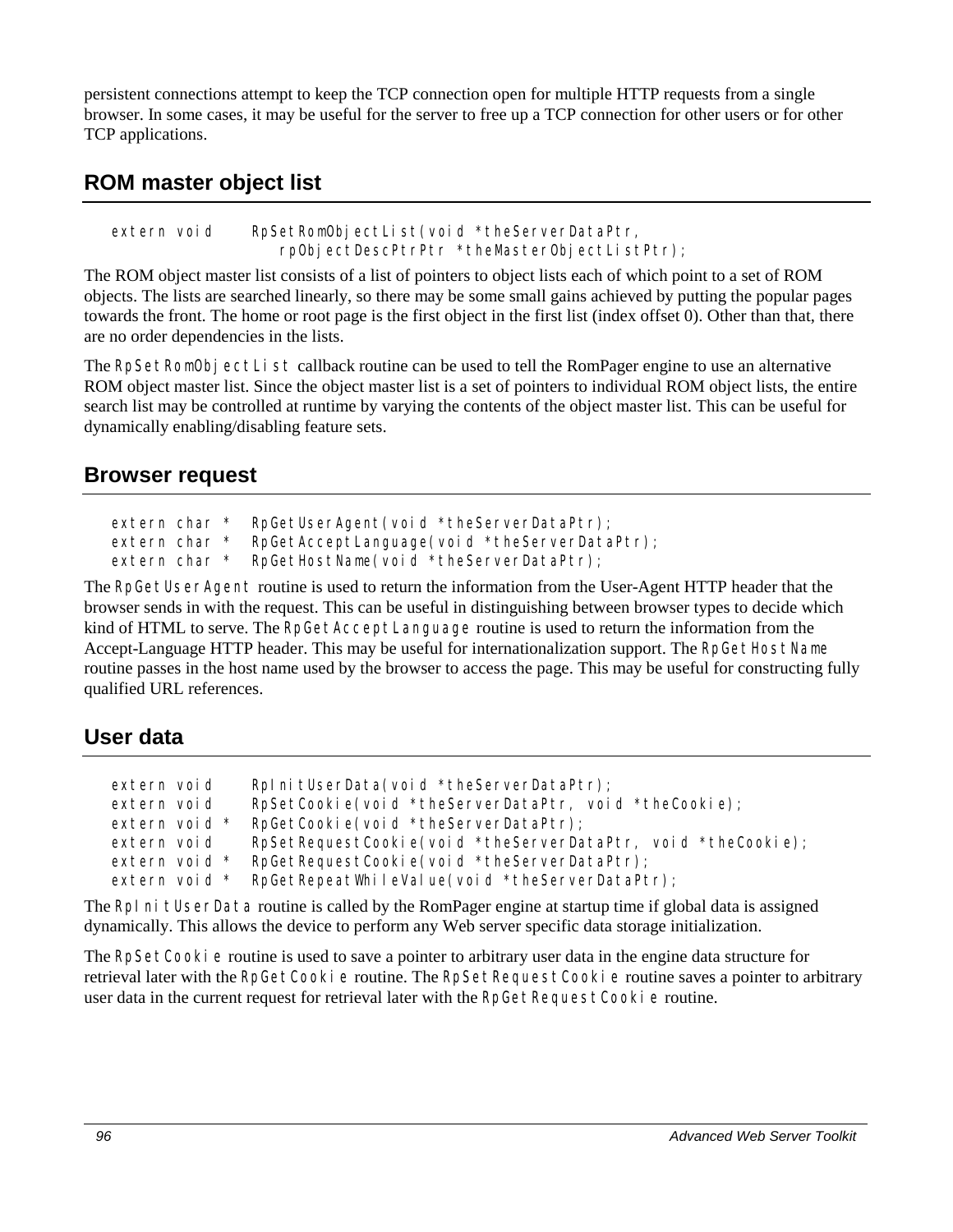persistent connections attempt to keep the TCP connection open for multiple HTTP requests from a single browser. In some cases, it may be useful for the server to free up a TCP connection for other users or for other TCP applications.

# **ROM master object list**

extern void RpSetRomObjectList(void \*theServerDataPtr, rpObjectDescPtrPtr \*theMasterObjectListPtr);

The ROM object master list consists of a list of pointers to object lists each of which point to a set of ROM objects. The lists are searched linearly, so there may be some small gains achieved by putting the popular pages towards the front. The home or root page is the first object in the first list (index offset 0). Other than that, there are no order dependencies in the lists.

The RpSetRomObj ectList callback routine can be used to tell the RomPager engine to use an alternative ROM object master list. Since the object master list is a set of pointers to individual ROM object lists, the entire search list may be controlled at runtime by varying the contents of the object master list. This can be useful for dynamically enabling/disabling feature sets.

## **Browser request**

```
extern char * RpGetUserAgent(void *theServerDataPtr);
extern char * RpGetAcceptLanguage(void *theServerDataPtr);
extern char * RpGetHostName(void *theServerDataPtr);
```
The RpGetUserAgent routine is used to return the information from the User-Agent HTTP header that the browser sends in with the request. This can be useful in distinguishing between browser types to decide which kind of HTML to serve. The RpGetAcceptLanguage routine is used to return the information from the Accept-Language HTTP header. This may be useful for internationalization support. The RpGetHostName routine passes in the host name used by the browser to access the page. This may be useful for constructing fully qualified URL references.

# **User data**

| extern void   | Rpl ni tUserData(void *theServerDataPtr);                    |
|---------------|--------------------------------------------------------------|
| extern void   | RpSetCookie(void *theServerDataPtr, void *theCookie);        |
|               |                                                              |
| extern void * | RpGetCookie(void *theServerDataPtr);                         |
| extern void   | RpSetRequestCookie(void *theServerDataPtr, void *theCookie); |
| extern void * | RpGetRequestCookie(void *theServerDataPtr);                  |
| extern void * | RpGetRepeatWhileValue(void *theServerDataPtr);               |

The RpI ni tUserData routine is called by the RomPager engine at startup time if global data is assigned dynamically. This allows the device to perform any Web server specific data storage initialization.

The RpSetCooki e routine is used to save a pointer to arbitrary user data in the engine data structure for retrieval later with the RpGetCooki e routine. The RpSetRequestCooki e routine saves a pointer to arbitrary user data in the current request for retrieval later with the RpGetRequestCookie routine.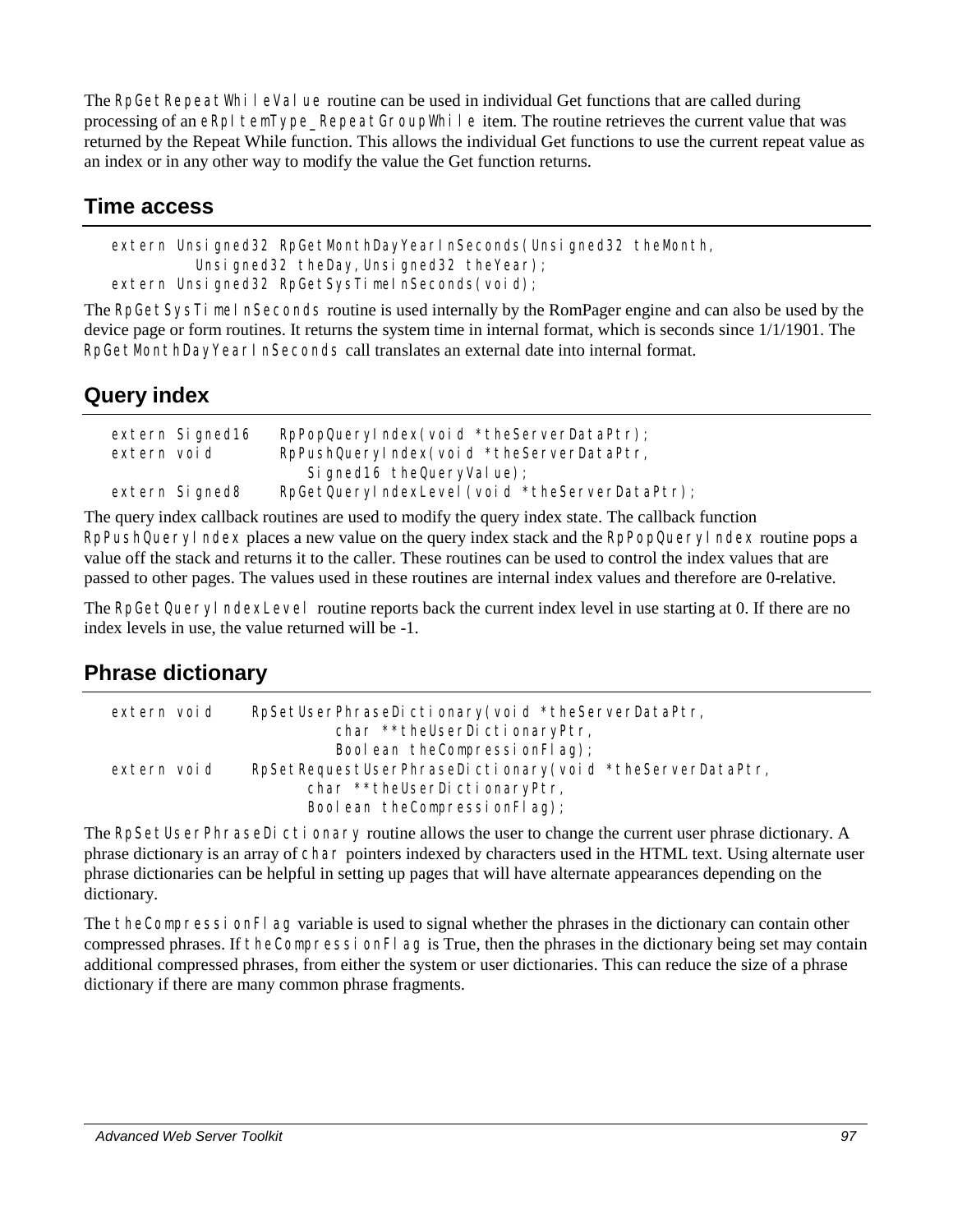The RpGetRepeatWhileValue routine can be used in individual Get functions that are called during processing of an eRpI temType\_RepeatGroupWhile item. The routine retrieves the current value that was returned by the Repeat While function. This allows the individual Get functions to use the current repeat value as an index or in any other way to modify the value the Get function returns.

# **Time access**

```
extern Unsigned32 RpGetMonthDayYearInSeconds(Unsigned32 theMonth,
         Unsigned32 theDay, Unsigned32 theYear);
extern Unsigned32 RpGetSysTimeInSeconds(void);
```
The RpGetSysTimel nSeconds routine is used internally by the RomPager engine and can also be used by the device page or form routines. It returns the system time in internal format, which is seconds since 1/1/1901. The RpGetMonthDayYearInSeconds call translates an external date into internal format.

# **Query index**

|             | extern Signed16 | RpPopQueryIndex(void *theServerDataPtr);       |
|-------------|-----------------|------------------------------------------------|
| extern void |                 | RpPushQueryIndex(void *theServerDataPtr,       |
|             |                 | Signed 16 the Query Value);                    |
|             | extern Signed8  | RpGetQueryIndexLevel (void *theServerDataPtr); |

The query index callback routines are used to modify the query index state. The callback function RpPushQueryIndex places a new value on the query index stack and the RpPopQueryIndex routine pops a value off the stack and returns it to the caller. These routines can be used to control the index values that are passed to other pages. The values used in these routines are internal index values and therefore are 0-relative.

The RpGetQueryIndexLevel routine reports back the current index level in use starting at 0. If there are no index levels in use, the value returned will be -1.

# **Phrase dictionary**

| extern void | RpSetUserPhraseDictionary(void *theServerDataPtr,        |  |
|-------------|----------------------------------------------------------|--|
|             | char **theUserDictionaryPtr,                             |  |
|             | Boolean the Compression Flag);                           |  |
| extern void | RpSetRequestUserPhraseDictionary(void *theServerDataPtr, |  |
|             | char **theUserDictionaryPtr,                             |  |
|             | Boolean the Compression Flag);                           |  |

The RpSetUserPhraseDictionary routine allows the user to change the current user phrase dictionary. A phrase dictionary is an array of char pointers indexed by characters used in the HTML text. Using alternate user phrase dictionaries can be helpful in setting up pages that will have alternate appearances depending on the dictionary.

The theCompressionFl ag variable is used to signal whether the phrases in the dictionary can contain other compressed phrases. If theCompressionFlag is True, then the phrases in the dictionary being set may contain additional compressed phrases, from either the system or user dictionaries. This can reduce the size of a phrase dictionary if there are many common phrase fragments.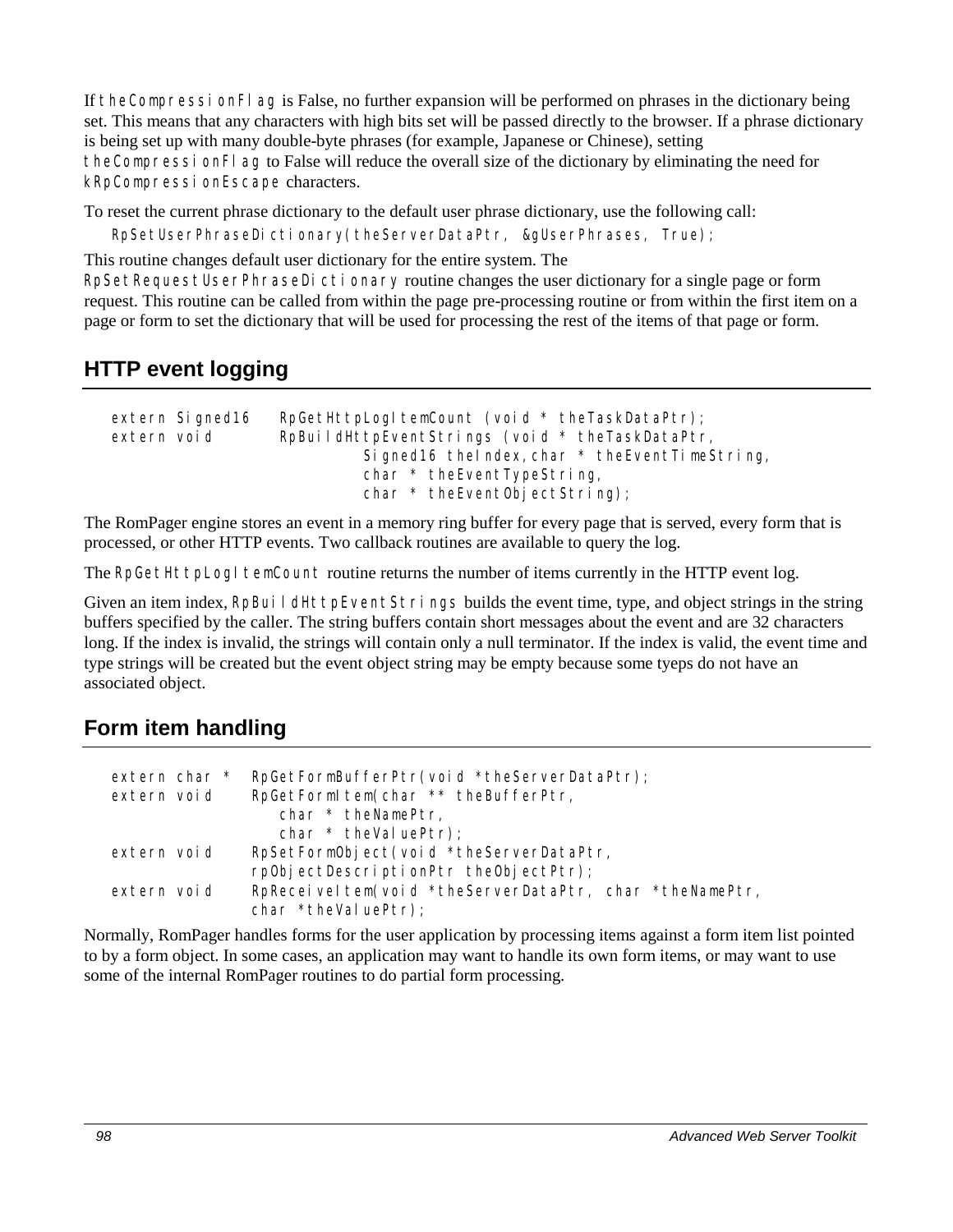If theCompressionFlag is False, no further expansion will be performed on phrases in the dictionary being set. This means that any characters with high bits set will be passed directly to the browser. If a phrase dictionary is being set up with many double-byte phrases (for example, Japanese or Chinese), setting theCompressionFlag to False will reduce the overall size of the dictionary by eliminating the need for kRpCompressionEscape characters.

To reset the current phrase dictionary to the default user phrase dictionary, use the following call:

RpSetUserPhraseDictionary(theServerDataPtr, &gUserPhrases, True);

This routine changes default user dictionary for the entire system. The

RpSetRequestUserPhraseDictionary routine changes the user dictionary for a single page or form request. This routine can be called from within the page pre-processing routine or from within the first item on a page or form to set the dictionary that will be used for processing the rest of the items of that page or form.

# **HTTP event logging**

```
extern Signed16 RpGetHttpLogItemCount (void * theTaskDataPtr);
extern void RpBuildHttpEventStrings (void * theTaskDataPtr,
                           Signed16 the Index, char * the Event TimeString,
                           char * theEventTypeString,
                           char * theEventObjectString);
```
The RomPager engine stores an event in a memory ring buffer for every page that is served, every form that is processed, or other HTTP events. Two callback routines are available to query the log.

The RpGetHttpLogI temCount routine returns the number of items currently in the HTTP event log.

Given an item index, RpBuildHttpEventStrings builds the event time, type, and object strings in the string buffers specified by the caller. The string buffers contain short messages about the event and are 32 characters long. If the index is invalid, the strings will contain only a null terminator. If the index is valid, the event time and type strings will be created but the event object string may be empty because some tyeps do not have an associated object.

# **Form item handling**

| extern char * | RpGetFormBufferPtr(void *theServerDataPtr);             |
|---------------|---------------------------------------------------------|
| extern void   | RpGetFormltem(char ** theBufferPtr,                     |
|               | char * theNamePtr,                                      |
|               | char $*$ the Value Ptr);                                |
| extern void   | RpSetFormObject(void *theServerDataPtr,                 |
|               | rp0bjectDescriptionPtr theObjectPtr);                   |
| extern void   | RpReceiveltem(void *theServerDataPtr, char *theNamePtr, |
|               | char *theValuePtr);                                     |

Normally, RomPager handles forms for the user application by processing items against a form item list pointed to by a form object. In some cases, an application may want to handle its own form items, or may want to use some of the internal RomPager routines to do partial form processing.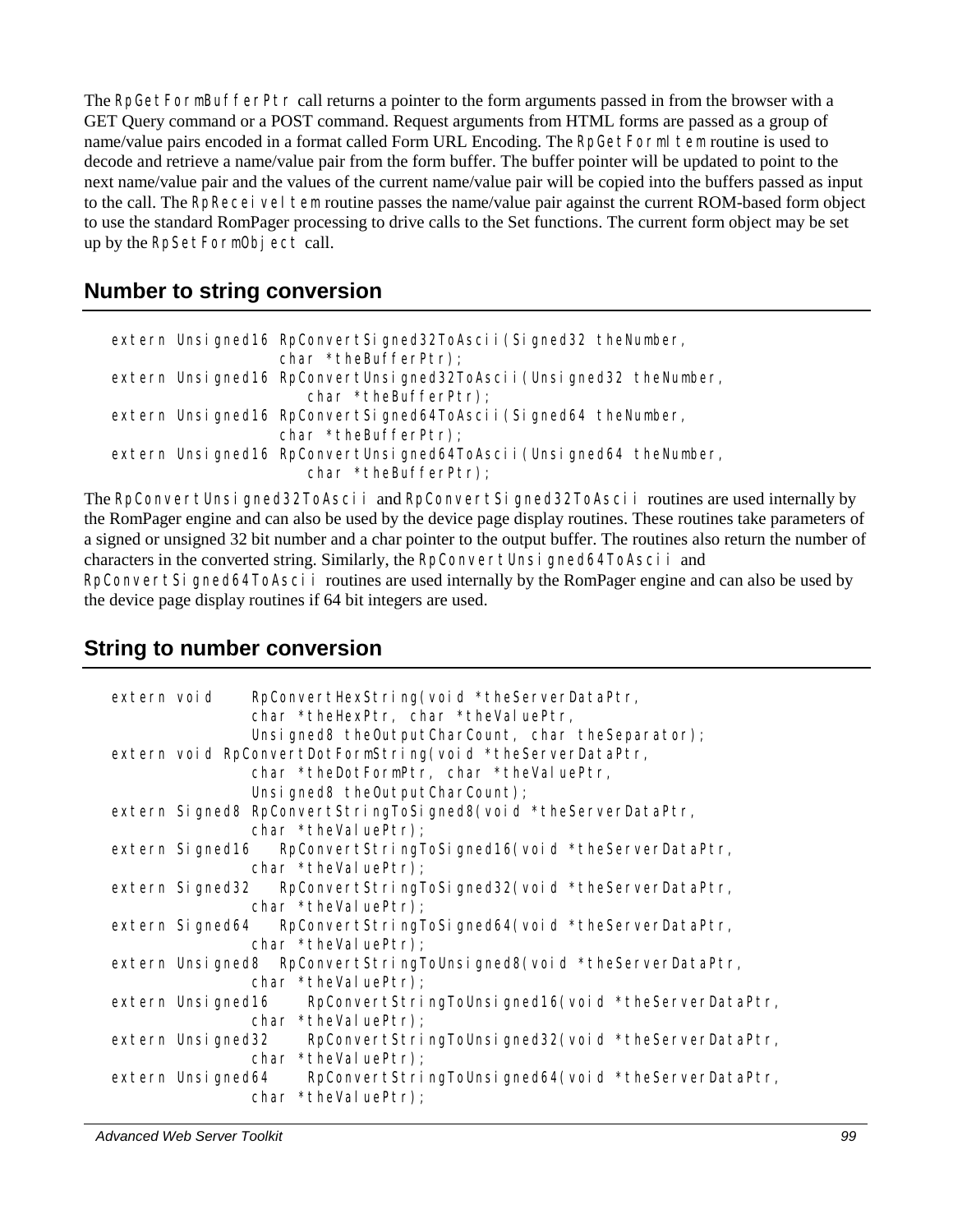The RpGetFormBufferPtr call returns a pointer to the form arguments passed in from the browser with a GET Query command or a POST command. Request arguments from HTML forms are passed as a group of name/value pairs encoded in a format called Form URL Encoding. The RpGetFormI tem routine is used to decode and retrieve a name/value pair from the form buffer. The buffer pointer will be updated to point to the next name/value pair and the values of the current name/value pair will be copied into the buffers passed as input to the call. The RpReceiveI tem routine passes the name/value pair against the current ROM-based form object to use the standard RomPager processing to drive calls to the Set functions. The current form object may be set up by the RpSetFormObject call.

### **Number to string conversion**

```
extern Unsigned16 RpConvertSigned32ToAscii(Signed32 theNumber, 
                   char *theBufferPtr); 
extern Unsigned16 RpConvertUnsigned32ToAscii(Unsigned32 theNumber, 
                       char *theBufferPtr); 
extern Unsigned16 RpConvertSigned64ToAscii(Signed64 theNumber, 
                   char *theBufferPtr); 
extern Unsigned16 RpConvertUnsigned64ToAscii(Unsigned64 theNumber, 
                       char *theBufferPtr);
```
The RpConvertUnsigned32ToAscii and RpConvertSigned32ToAscii routines are used internally by the RomPager engine and can also be used by the device page display routines. These routines take parameters of a signed or unsigned 32 bit number and a char pointer to the output buffer. The routines also return the number of characters in the converted string. Similarly, the RpConvertUnsigned64ToAscii and

RpConvertSigned64ToAscii routines are used internally by the RomPager engine and can also be used by the device page display routines if 64 bit integers are used.

### **String to number conversion**

| extern void |                 | RpConvertHexString(void *theServerDataPtr,<br>char *theHexPtr, char *theValuePtr,<br>Unsigned8 theOutputCharCount, char theSeparator);  |
|-------------|-----------------|-----------------------------------------------------------------------------------------------------------------------------------------|
|             |                 | extern void RpConvertDotFormString(void *theServerDataPtr,<br>char *theDotFormPtr, char *theValuePtr,<br>Unsigned8 theOutputCharCount); |
|             |                 | extern Signed8 RpConvertStringToSigned8(void *theServerDataPtr,<br>char *theValuePtr);                                                  |
|             |                 | extern Signed16 RpConvertStringToSigned16(void *theServerDataPtr,<br>$char * theValuePtr);$                                             |
|             |                 | extern Signed32 RpConvertStringToSigned32(void *theServerDataPtr,<br>char *theValuePtr);                                                |
|             | extern Signed64 | RpConvertStringToSigned64(void *theServerDataPtr,<br>char *theValuePtr);                                                                |
|             |                 | extern Unsigned8 RpConvertStringToUnsigned8(void *theServerDataPtr,<br>char *theValuePtr);                                              |
|             |                 | extern Unsigned16 RpConvertStringToUnsigned16(void *theServerDataPtr,<br>char *theValuePtr);                                            |
|             |                 | extern Unsigned32 RpConvertStringToUnsigned32(void *theServerDataPtr,<br>$char * the Val uePtr);$                                       |
|             |                 | extern Unsigned64 RpConvertStringToUnsigned64(void *theServerDataPtr,<br>$char * theVal uePtr);$                                        |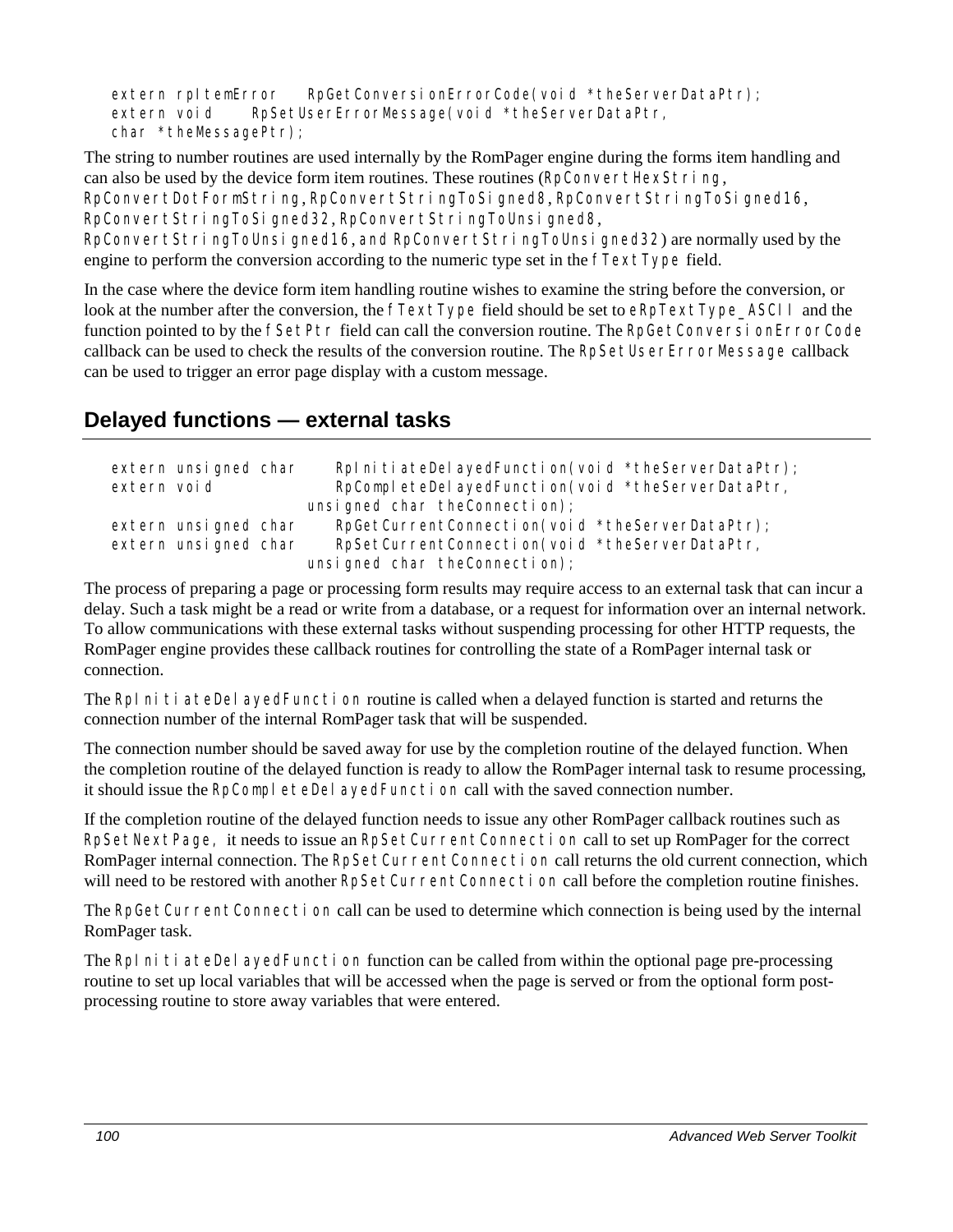```
extern rpItemError RpGetConversionErrorCode(void *theServerDataPtr);
extern void RpSetUserErrorMessage(void *theServerDataPtr,
char *theMessagePtr);
```
The string to number routines are used internally by the RomPager engine during the forms item handling and can also be used by the device form item routines. These routines (RpConvertHexString,

RpConvertDotFormString, RpConvertStringToSigned8, RpConvertStringToSigned16, RpConvertStringToSigned32, RpConvertStringToUnsigned8,

RpConvertStringToUnsigned16, and RpConvertStringToUnsigned32) are normally used by the engine to perform the conversion according to the numeric type set in the fTextType field.

In the case where the device form item handling routine wishes to examine the string before the conversion, or look at the number after the conversion, the  $\tau$ TextType field should be set to eRpTextType ASCII and the function pointed to by the fSetPtr field can call the conversion routine. The RpGetConversionErrorCode callback can be used to check the results of the conversion routine. The RpSetUserErrorMessage callback can be used to trigger an error page display with a custom message.

## **Delayed functions — external tasks**

| extern void | extern unsigned char | RpInitiateDelayedFunction(void *theServerDataPtr);<br>RpCompleteDelayedFunction(void *theServerDataPtr, |
|-------------|----------------------|---------------------------------------------------------------------------------------------------------|
|             |                      | unsigned char the Connection);                                                                          |
|             | extern unsigned char | RpGetCurrentConnection(void *theServerDataPtr);                                                         |
|             | extern unsigned char | RpSetCurrentConnection(void *theServerDataPtr,                                                          |
|             |                      | unsigned char the Connection);                                                                          |

The process of preparing a page or processing form results may require access to an external task that can incur a delay. Such a task might be a read or write from a database, or a request for information over an internal network. To allow communications with these external tasks without suspending processing for other HTTP requests, the RomPager engine provides these callback routines for controlling the state of a RomPager internal task or connection.

The RpInitiateDel ayedFunction routine is called when a delayed function is started and returns the connection number of the internal RomPager task that will be suspended.

The connection number should be saved away for use by the completion routine of the delayed function. When the completion routine of the delayed function is ready to allow the RomPager internal task to resume processing, it should issue the RpCompleteDelayedFunction call with the saved connection number.

If the completion routine of the delayed function needs to issue any other RomPager callback routines such as RpSetNextPage, it needs to issue an RpSetCurrentConnection call to set up RomPager for the correct RomPager internal connection. The RpSetCurrentConnection call returns the old current connection, which will need to be restored with another RpSetCurrentConnection call before the completion routine finishes.

The RpGetCurrentConnection call can be used to determine which connection is being used by the internal RomPager task.

The RpI ni ti ateDel ayedFunction function can be called from within the optional page pre-processing routine to set up local variables that will be accessed when the page is served or from the optional form postprocessing routine to store away variables that were entered.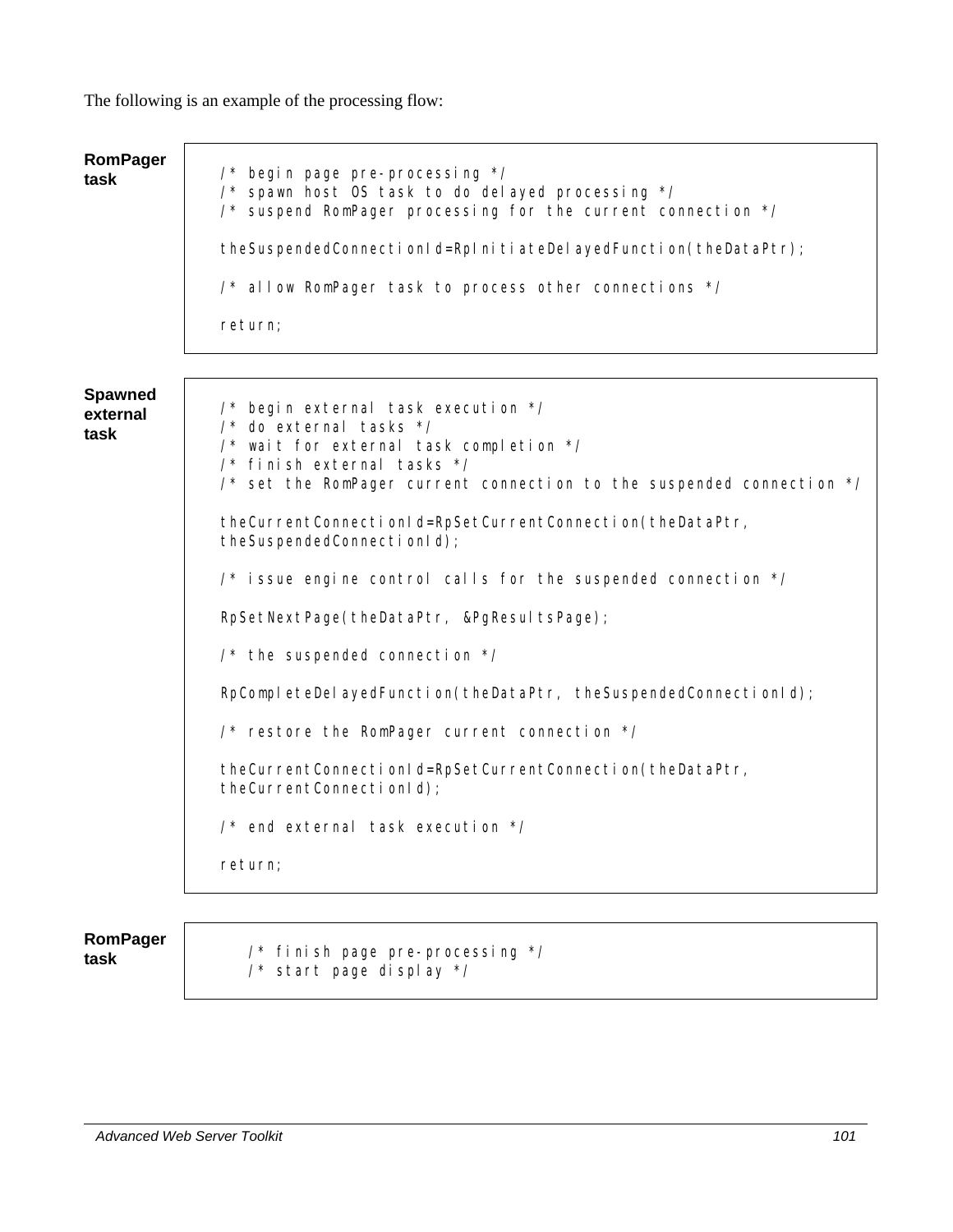The following is an example of the processing flow:

| <b>RomPager</b><br>task            | /* begin page pre-processing */<br>/* spawn host OS task to do delayed processing */<br>/* suspend RomPager processing for the current connection */<br>theSuspendedConnectionId=RpInitiateDeIayedFunction(theDataPtr);<br>/* allow RomPager task to process other connections */ |
|------------------------------------|-----------------------------------------------------------------------------------------------------------------------------------------------------------------------------------------------------------------------------------------------------------------------------------|
|                                    | return;                                                                                                                                                                                                                                                                           |
|                                    |                                                                                                                                                                                                                                                                                   |
| <b>Spawned</b><br>external<br>task | /* begin external task execution */<br>$\prime^*$ do external tasks $\prime\prime$<br>/* wait for external task completion */<br>$\frac{1}{2}$ finish external tasks $\frac{x}{2}$<br>$\frac{1}{2}$ set the RomPager current connection to the suspended connection $\frac{1}{2}$ |
|                                    | theCurrentConnectionId=RpSetCurrentConnection(theDataPtr,<br>theSuspendedConnectionId);                                                                                                                                                                                           |
|                                    | $\prime$ * issue engine control calls for the suspended connection */                                                                                                                                                                                                             |
|                                    | RpSetNextPage(theDataPtr, &PgResultsPage);                                                                                                                                                                                                                                        |
|                                    | $\frac{1}{2}$ the suspended connection $\frac{1}{2}$                                                                                                                                                                                                                              |
|                                    | RpCompleteDelayedFunction(theDataPtr, theSuspendedConnectionId);                                                                                                                                                                                                                  |
|                                    | /* restore the RomPager current connection */                                                                                                                                                                                                                                     |
|                                    | theCurrentConnectionId=RpSetCurrentConnection(theDataPtr,<br>theCurrentConnectionId);                                                                                                                                                                                             |
|                                    | $\frac{1}{2}$ end external task execution $\frac{1}{2}$                                                                                                                                                                                                                           |
|                                    | return;                                                                                                                                                                                                                                                                           |
|                                    |                                                                                                                                                                                                                                                                                   |
| am Dagar                           |                                                                                                                                                                                                                                                                                   |

**RomPager** 

**task** /\* finish page pre-processing \*/ /\* start page display \*/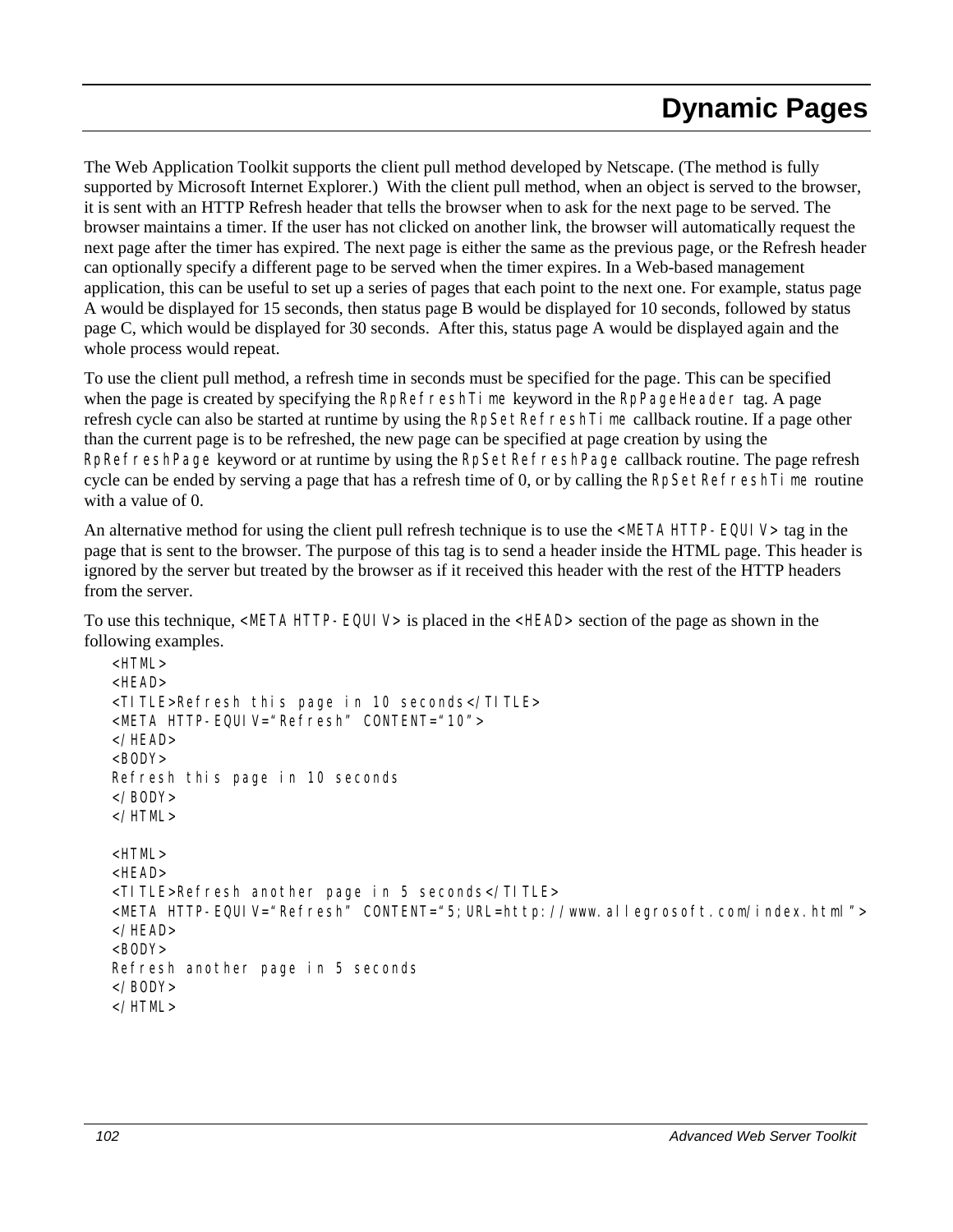The Web Application Toolkit supports the client pull method developed by Netscape. (The method is fully supported by Microsoft Internet Explorer.) With the client pull method, when an object is served to the browser, it is sent with an HTTP Refresh header that tells the browser when to ask for the next page to be served. The browser maintains a timer. If the user has not clicked on another link, the browser will automatically request the next page after the timer has expired. The next page is either the same as the previous page, or the Refresh header can optionally specify a different page to be served when the timer expires. In a Web-based management application, this can be useful to set up a series of pages that each point to the next one. For example, status page A would be displayed for 15 seconds, then status page B would be displayed for 10 seconds, followed by status page C, which would be displayed for 30 seconds. After this, status page A would be displayed again and the whole process would repeat.

To use the client pull method, a refresh time in seconds must be specified for the page. This can be specified when the page is created by specifying the RpRefreshTime keyword in the RpPageHeader tag. A page refresh cycle can also be started at runtime by using the RpSetRefreshTime callback routine. If a page other than the current page is to be refreshed, the new page can be specified at page creation by using the RpRefreshPage keyword or at runtime by using the RpSetRefreshPage callback routine. The page refresh cycle can be ended by serving a page that has a refresh time of 0, or by calling the RpSetRefreshTime routine with a value of 0.

An alternative method for using the client pull refresh technique is to use the <META HTTP-EQUI V> tag in the page that is sent to the browser. The purpose of this tag is to send a header inside the HTML page. This header is ignored by the server but treated by the browser as if it received this header with the rest of the HTTP headers from the server.

To use this technique, <META HTTP-EQUIV> is placed in the <HEAD> section of the page as shown in the following examples.

```
<HTML> 
<HFAD><TITLE>Refresh this page in 10 seconds</TITLE> 
<META HTTP-EQUIV="Refresh" CONTENT="10"> 
</HFAD><BODY>Refresh this page in 10 seconds 
</BODY> 
</HTML> 
<HTML> 
<HEAD> 
<TITLE>Refresh another page in 5 seconds</TITLE> 
<META HTTP-EQUIV="Refresh" CONTENT="5;URL=http://www.allegrosoft.com/index.html"> 
</HEAD> 
<BODY>Refresh another page in 5 seconds 
</BODY> 
</HTML>
```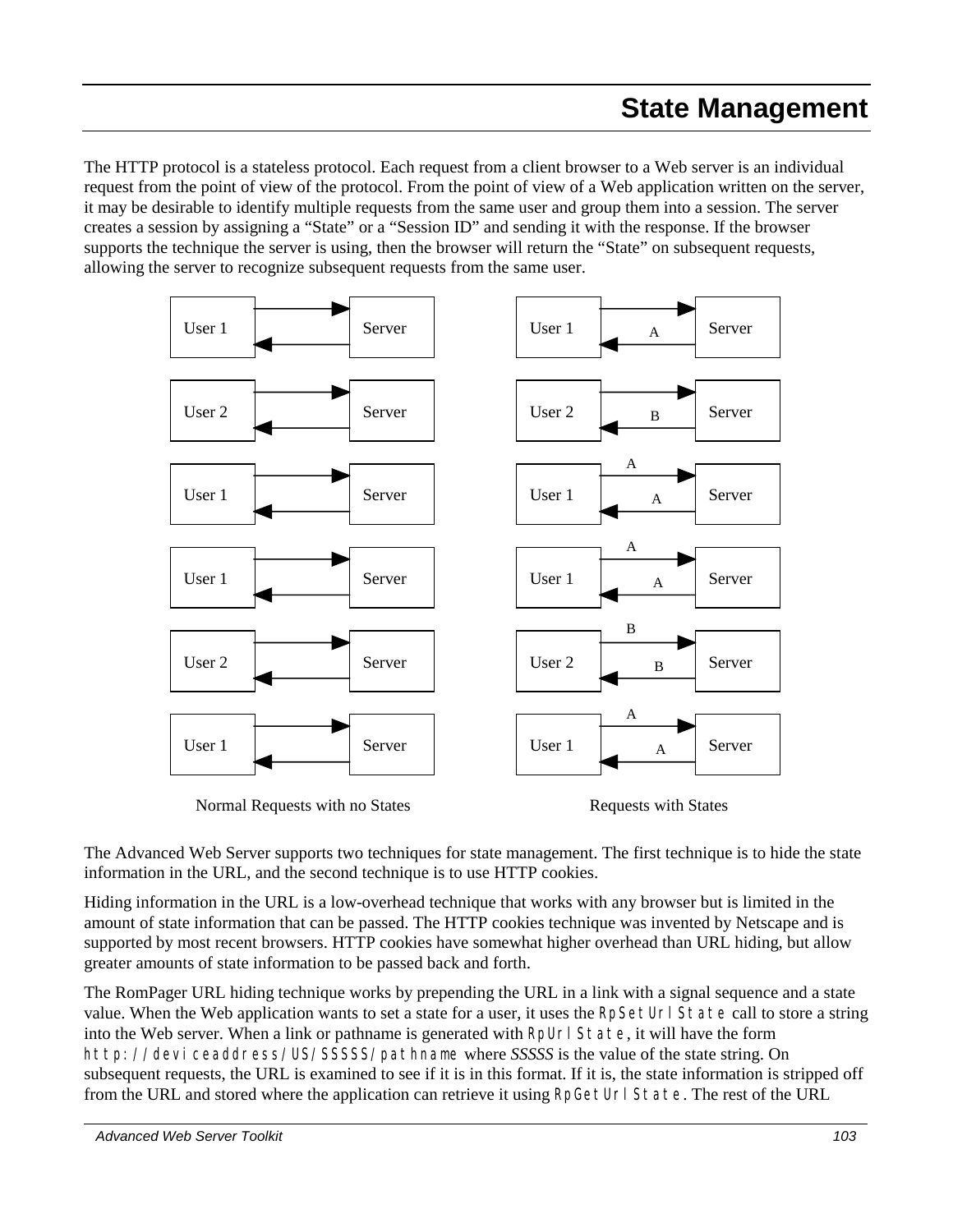The HTTP protocol is a stateless protocol. Each request from a client browser to a Web server is an individual request from the point of view of the protocol. From the point of view of a Web application written on the server, it may be desirable to identify multiple requests from the same user and group them into a session. The server creates a session by assigning a "State" or a "Session ID" and sending it with the response. If the browser supports the technique the server is using, then the browser will return the "State" on subsequent requests, allowing the server to recognize subsequent requests from the same user.



The Advanced Web Server supports two techniques for state management. The first technique is to hide the state information in the URL, and the second technique is to use HTTP cookies.

Hiding information in the URL is a low-overhead technique that works with any browser but is limited in the amount of state information that can be passed. The HTTP cookies technique was invented by Netscape and is supported by most recent browsers. HTTP cookies have somewhat higher overhead than URL hiding, but allow greater amounts of state information to be passed back and forth.

The RomPager URL hiding technique works by prepending the URL in a link with a signal sequence and a state value. When the Web application wants to set a state for a user, it uses the RpSetUrl State call to store a string into the Web server. When a link or pathname is generated with RpUrl State, it will have the form http://*deviceaddress*/US/*SSSSS*/*pathname* where *SSSSS* is the value of the state string. On subsequent requests, the URL is examined to see if it is in this format. If it is, the state information is stripped off from the URL and stored where the application can retrieve it using RpGetUrl State. The rest of the URL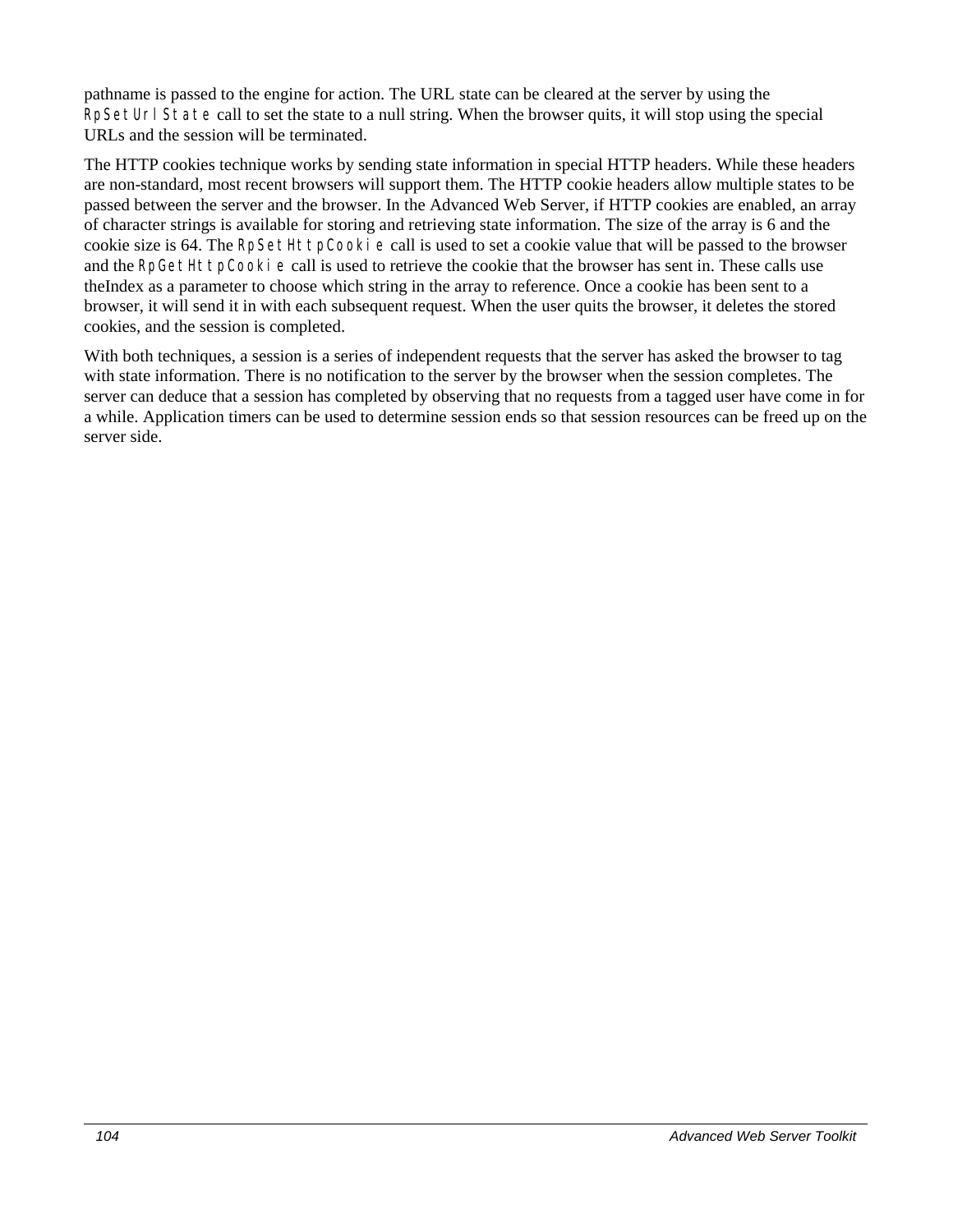pathname is passed to the engine for action. The URL state can be cleared at the server by using the RpSetUrl State call to set the state to a null string. When the browser quits, it will stop using the special URLs and the session will be terminated.

The HTTP cookies technique works by sending state information in special HTTP headers. While these headers are non-standard, most recent browsers will support them. The HTTP cookie headers allow multiple states to be passed between the server and the browser. In the Advanced Web Server, if HTTP cookies are enabled, an array of character strings is available for storing and retrieving state information. The size of the array is 6 and the cookie size is 64. The RpSetHttpCookie call is used to set a cookie value that will be passed to the browser and the RpGetHttpCooki e call is used to retrieve the cookie that the browser has sent in. These calls use theIndex as a parameter to choose which string in the array to reference. Once a cookie has been sent to a browser, it will send it in with each subsequent request. When the user quits the browser, it deletes the stored cookies, and the session is completed.

With both techniques, a session is a series of independent requests that the server has asked the browser to tag with state information. There is no notification to the server by the browser when the session completes. The server can deduce that a session has completed by observing that no requests from a tagged user have come in for a while. Application timers can be used to determine session ends so that session resources can be freed up on the server side.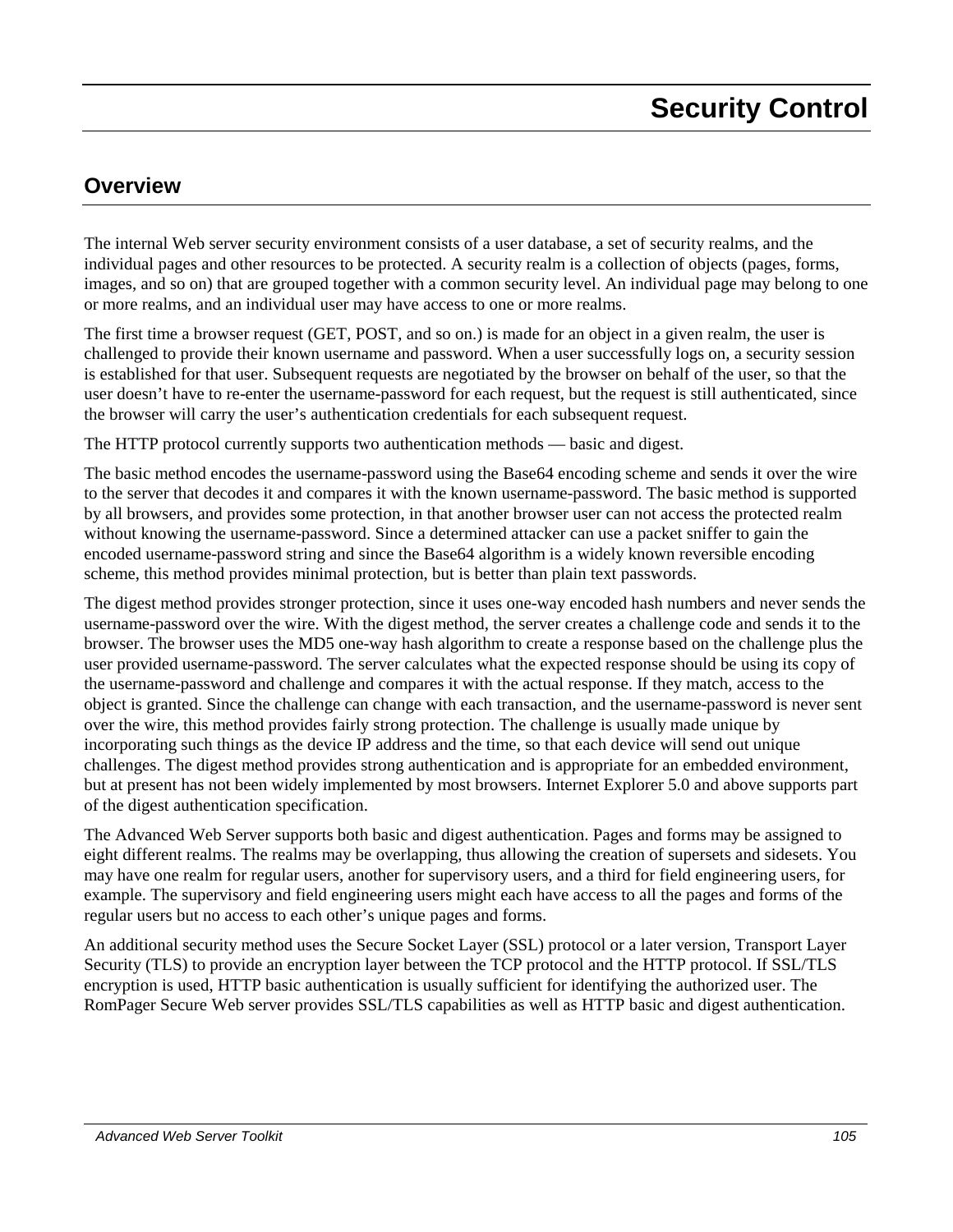## **Overview**

The internal Web server security environment consists of a user database, a set of security realms, and the individual pages and other resources to be protected. A security realm is a collection of objects (pages, forms, images, and so on) that are grouped together with a common security level. An individual page may belong to one or more realms, and an individual user may have access to one or more realms.

The first time a browser request (GET, POST, and so on.) is made for an object in a given realm, the user is challenged to provide their known username and password. When a user successfully logs on, a security session is established for that user. Subsequent requests are negotiated by the browser on behalf of the user, so that the user doesn't have to re-enter the username-password for each request, but the request is still authenticated, since the browser will carry the user's authentication credentials for each subsequent request.

The HTTP protocol currently supports two authentication methods — basic and digest.

The basic method encodes the username-password using the Base64 encoding scheme and sends it over the wire to the server that decodes it and compares it with the known username-password. The basic method is supported by all browsers, and provides some protection, in that another browser user can not access the protected realm without knowing the username-password. Since a determined attacker can use a packet sniffer to gain the encoded username-password string and since the Base64 algorithm is a widely known reversible encoding scheme, this method provides minimal protection, but is better than plain text passwords.

The digest method provides stronger protection, since it uses one-way encoded hash numbers and never sends the username-password over the wire. With the digest method, the server creates a challenge code and sends it to the browser. The browser uses the MD5 one-way hash algorithm to create a response based on the challenge plus the user provided username-password. The server calculates what the expected response should be using its copy of the username-password and challenge and compares it with the actual response. If they match, access to the object is granted. Since the challenge can change with each transaction, and the username-password is never sent over the wire, this method provides fairly strong protection. The challenge is usually made unique by incorporating such things as the device IP address and the time, so that each device will send out unique challenges. The digest method provides strong authentication and is appropriate for an embedded environment, but at present has not been widely implemented by most browsers. Internet Explorer 5.0 and above supports part of the digest authentication specification.

The Advanced Web Server supports both basic and digest authentication. Pages and forms may be assigned to eight different realms. The realms may be overlapping, thus allowing the creation of supersets and sidesets. You may have one realm for regular users, another for supervisory users, and a third for field engineering users, for example. The supervisory and field engineering users might each have access to all the pages and forms of the regular users but no access to each other's unique pages and forms.

An additional security method uses the Secure Socket Layer (SSL) protocol or a later version, Transport Layer Security (TLS) to provide an encryption layer between the TCP protocol and the HTTP protocol. If SSL/TLS encryption is used, HTTP basic authentication is usually sufficient for identifying the authorized user. The RomPager Secure Web server provides SSL/TLS capabilities as well as HTTP basic and digest authentication.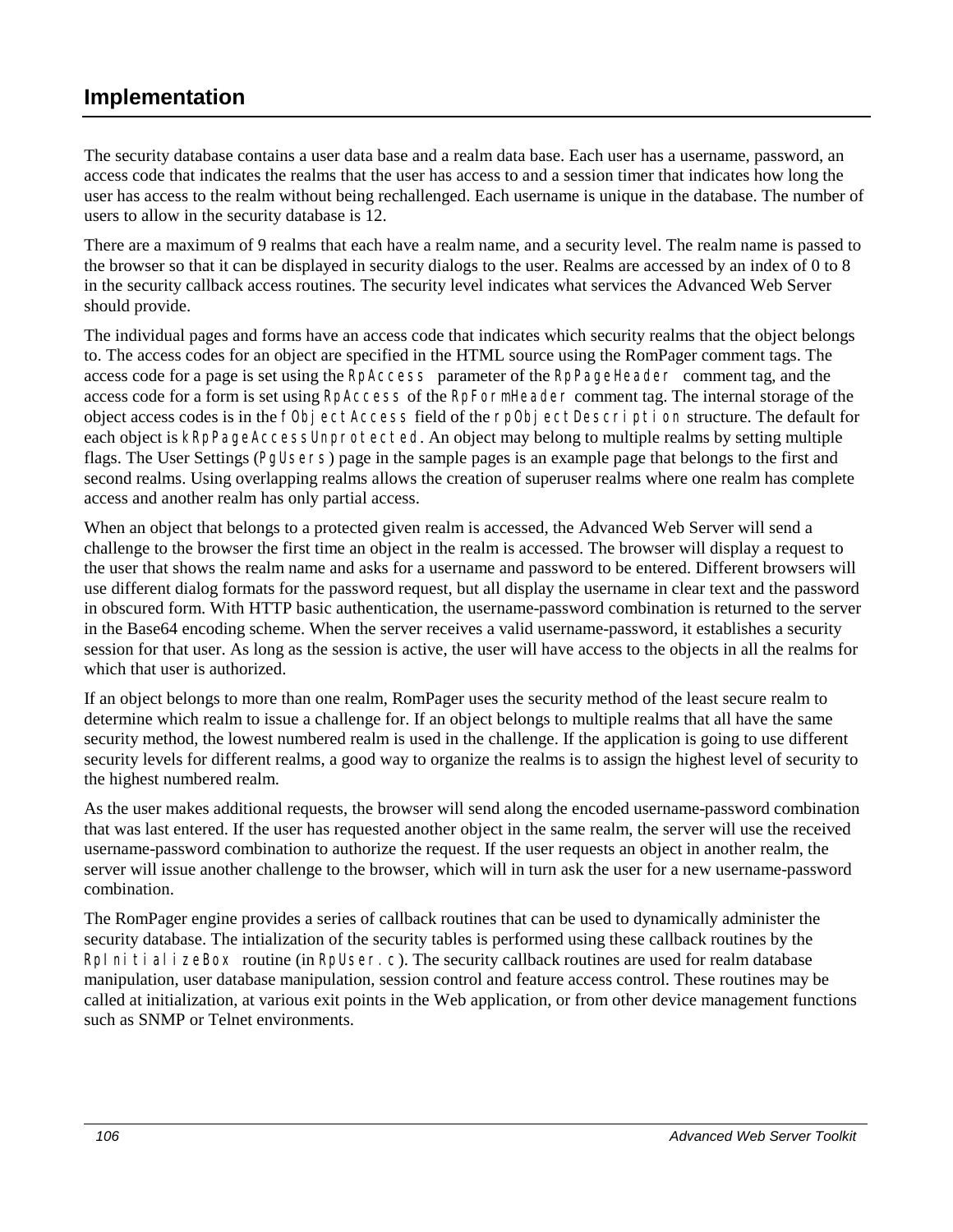## **Implementation**

The security database contains a user data base and a realm data base. Each user has a username, password, an access code that indicates the realms that the user has access to and a session timer that indicates how long the user has access to the realm without being rechallenged. Each username is unique in the database. The number of users to allow in the security database is 12.

There are a maximum of 9 realms that each have a realm name, and a security level. The realm name is passed to the browser so that it can be displayed in security dialogs to the user. Realms are accessed by an index of 0 to 8 in the security callback access routines. The security level indicates what services the Advanced Web Server should provide.

The individual pages and forms have an access code that indicates which security realms that the object belongs to. The access codes for an object are specified in the HTML source using the RomPager comment tags. The access code for a page is set using the RpAccess parameter of the RpPageHeader comment tag, and the access code for a form is set using RpAccess of the RpFormHeader comment tag. The internal storage of the object access codes is in the fObjectAccess field of the rpObjectDescription structure. The default for each object is kRpPageAccessUnprotected. An object may belong to multiple realms by setting multiple flags. The User Settings (PgUsers) page in the sample pages is an example page that belongs to the first and second realms. Using overlapping realms allows the creation of superuser realms where one realm has complete access and another realm has only partial access.

When an object that belongs to a protected given realm is accessed, the Advanced Web Server will send a challenge to the browser the first time an object in the realm is accessed. The browser will display a request to the user that shows the realm name and asks for a username and password to be entered. Different browsers will use different dialog formats for the password request, but all display the username in clear text and the password in obscured form. With HTTP basic authentication, the username-password combination is returned to the server in the Base64 encoding scheme. When the server receives a valid username-password, it establishes a security session for that user. As long as the session is active, the user will have access to the objects in all the realms for which that user is authorized.

If an object belongs to more than one realm, RomPager uses the security method of the least secure realm to determine which realm to issue a challenge for. If an object belongs to multiple realms that all have the same security method, the lowest numbered realm is used in the challenge. If the application is going to use different security levels for different realms, a good way to organize the realms is to assign the highest level of security to the highest numbered realm.

As the user makes additional requests, the browser will send along the encoded username-password combination that was last entered. If the user has requested another object in the same realm, the server will use the received username-password combination to authorize the request. If the user requests an object in another realm, the server will issue another challenge to the browser, which will in turn ask the user for a new username-password combination.

The RomPager engine provides a series of callback routines that can be used to dynamically administer the security database. The intialization of the security tables is performed using these callback routines by the RpInitializeBox routine (in RpUser.c). The security callback routines are used for realm database manipulation, user database manipulation, session control and feature access control. These routines may be called at initialization, at various exit points in the Web application, or from other device management functions such as SNMP or Telnet environments.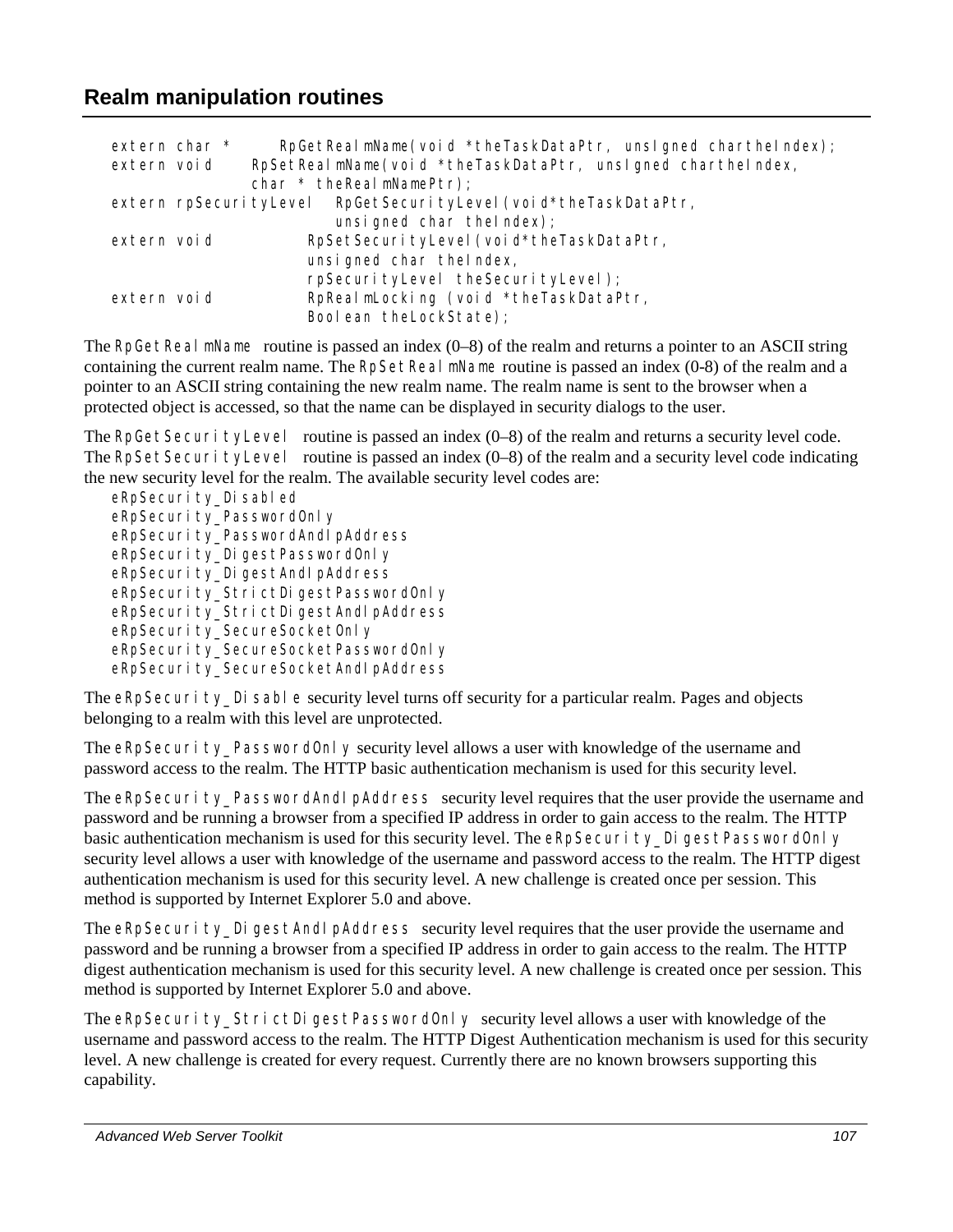## **Realm manipulation routines**

| extern char * | RpGetRealmName(void *theTaskDataPtr, unsigned charthelndex);       |
|---------------|--------------------------------------------------------------------|
| extern void   | RpSetReal mName(void *theTaskDataPtr, unslgned charthelndex,       |
|               | char * the Real mNamePtr);                                         |
|               | extern rpSecuri tyLevel  RpGetSecuri tyLevel (void*theTaskDataPtr, |
|               | unsigned char the index);                                          |
| extern void   | RpSetSecuri tyLevel (voi d*theTaskDataPtr,                         |
|               | unsigned char thelndex,                                            |
|               | rpSecurityLevel theSecurityLevel);                                 |
| extern void   | RpReal mLocking (void *theTaskDataPtr,                             |
|               | Boolean the LockState);                                            |

The RpGetReal mName routine is passed an index (0–8) of the realm and returns a pointer to an ASCII string containing the current realm name. The RpSetReal mName routine is passed an index (0-8) of the realm and a pointer to an ASCII string containing the new realm name. The realm name is sent to the browser when a protected object is accessed, so that the name can be displayed in security dialogs to the user.

The RpGetSecurityLevel routine is passed an index (0–8) of the realm and returns a security level code. The RpSetSecurityLevel routine is passed an index  $(0-8)$  of the realm and a security level code indicating the new security level for the realm. The available security level codes are:

eRpSecurity\_Disabled eRpSecurity PasswordOnly eRpSecurity\_PasswordAndIpAddress eRpSecurity\_DigestPasswordOnly eRpSecurity\_DigestAndIpAddress eRpSecurity\_StrictDigestPasswordOnly eRpSecurity\_StrictDigestAndlpAddress eRpSecurity\_SecureSocketOnly eRpSecurity\_SecureSocketPasswordOnly eRpSecurity\_SecureSocketAndIpAddress

The eRpSecurity Disable security level turns off security for a particular realm. Pages and objects belonging to a realm with this level are unprotected.

The eRpSecurity PasswordOnly security level allows a user with knowledge of the username and password access to the realm. The HTTP basic authentication mechanism is used for this security level.

The eRpSecurity PasswordAndIpAddress security level requires that the user provide the username and password and be running a browser from a specified IP address in order to gain access to the realm. The HTTP basic authentication mechanism is used for this security level. The eRpSecurity\_DigestPasswordOnly security level allows a user with knowledge of the username and password access to the realm. The HTTP digest authentication mechanism is used for this security level. A new challenge is created once per session. This method is supported by Internet Explorer 5.0 and above.

The eRpSecurity DigestAndIpAddress security level requires that the user provide the username and password and be running a browser from a specified IP address in order to gain access to the realm. The HTTP digest authentication mechanism is used for this security level. A new challenge is created once per session. This method is supported by Internet Explorer 5.0 and above.

The eRpSecurity\_StrictDigestPasswordOnly security level allows a user with knowledge of the username and password access to the realm. The HTTP Digest Authentication mechanism is used for this security level. A new challenge is created for every request. Currently there are no known browsers supporting this capability.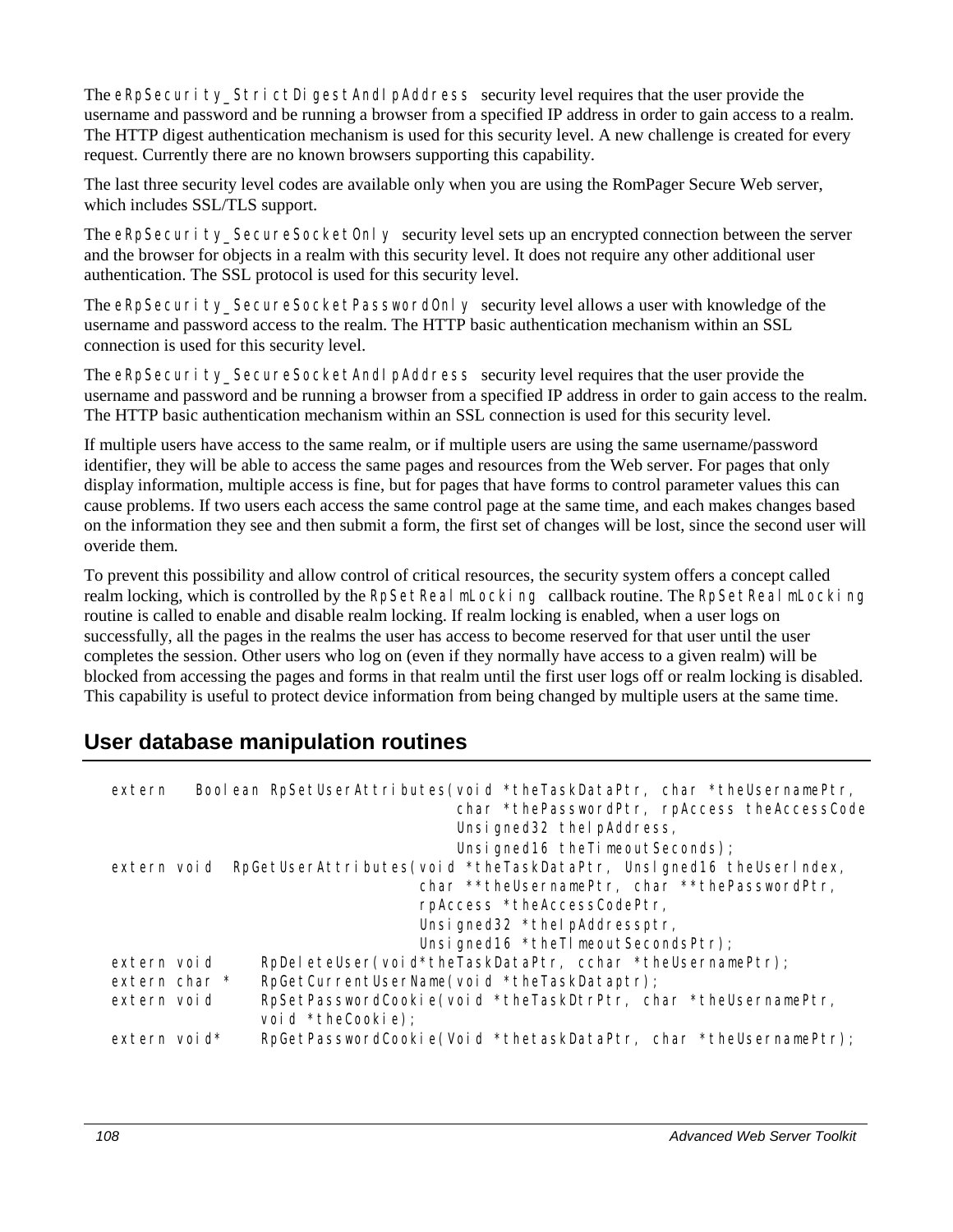The eRpSecurity StrictDigestAndIpAddress security level requires that the user provide the username and password and be running a browser from a specified IP address in order to gain access to a realm. The HTTP digest authentication mechanism is used for this security level. A new challenge is created for every request. Currently there are no known browsers supporting this capability.

The last three security level codes are available only when you are using the RomPager Secure Web server, which includes SSL/TLS support.

The  $eRp$ Security SecureSocketOnly security level sets up an encrypted connection between the server and the browser for objects in a realm with this security level. It does not require any other additional user authentication. The SSL protocol is used for this security level.

The eRpSecurity\_SecureSocketPasswordOnly security level allows a user with knowledge of the username and password access to the realm. The HTTP basic authentication mechanism within an SSL connection is used for this security level.

The eRpSecurity\_SecureSocketAndIpAddress security level requires that the user provide the username and password and be running a browser from a specified IP address in order to gain access to the realm. The HTTP basic authentication mechanism within an SSL connection is used for this security level.

If multiple users have access to the same realm, or if multiple users are using the same username/password identifier, they will be able to access the same pages and resources from the Web server. For pages that only display information, multiple access is fine, but for pages that have forms to control parameter values this can cause problems. If two users each access the same control page at the same time, and each makes changes based on the information they see and then submit a form, the first set of changes will be lost, since the second user will overide them.

To prevent this possibility and allow control of critical resources, the security system offers a concept called realm locking, which is controlled by the RpSetReal mLocking callback routine. The RpSetReal mLocking routine is called to enable and disable realm locking. If realm locking is enabled, when a user logs on successfully, all the pages in the realms the user has access to become reserved for that user until the user completes the session. Other users who log on (even if they normally have access to a given realm) will be blocked from accessing the pages and forms in that realm until the first user logs off or realm locking is disabled. This capability is useful to protect device information from being changed by multiple users at the same time.

### **User database manipulation routines**

| extern        | Boolean RpSetUserAttributes(void *theTaskDataPtr, char *theUsernamePtr,<br>char *thePasswordPtr, rpAccess theAccessCode |
|---------------|-------------------------------------------------------------------------------------------------------------------------|
|               | Unsigned 32 the pAddress,                                                                                               |
|               | Unsigned 16 the Timeout Seconds);                                                                                       |
|               | extern void RpGetUserAttributes(void *theTaskDataPtr, UnsIgned16 theUserIndex,                                          |
|               | char **theUsernamePtr, char **thePasswordPtr,                                                                           |
|               | rpAccess *theAccessCodePtr,                                                                                             |
|               | Unsigned32 *thelpAddressptr,                                                                                            |
|               | Unsigned16 *theTImeoutSecondsPtr);                                                                                      |
| extern void   | RpDeleteUser(void*theTaskDataPtr, cchar *theUsernamePtr);                                                               |
| extern char * | RpGetCurrentUserName(void *theTaskDataptr);                                                                             |
| extern void   | RpSetPasswordCookie(void *theTaskDtrPtr, char *theUsernamePtr,<br>void *theCookie);                                     |
| extern void*  | RpGetPasswordCookie(Void *thetaskDataPtr, char *theUsernamePtr);                                                        |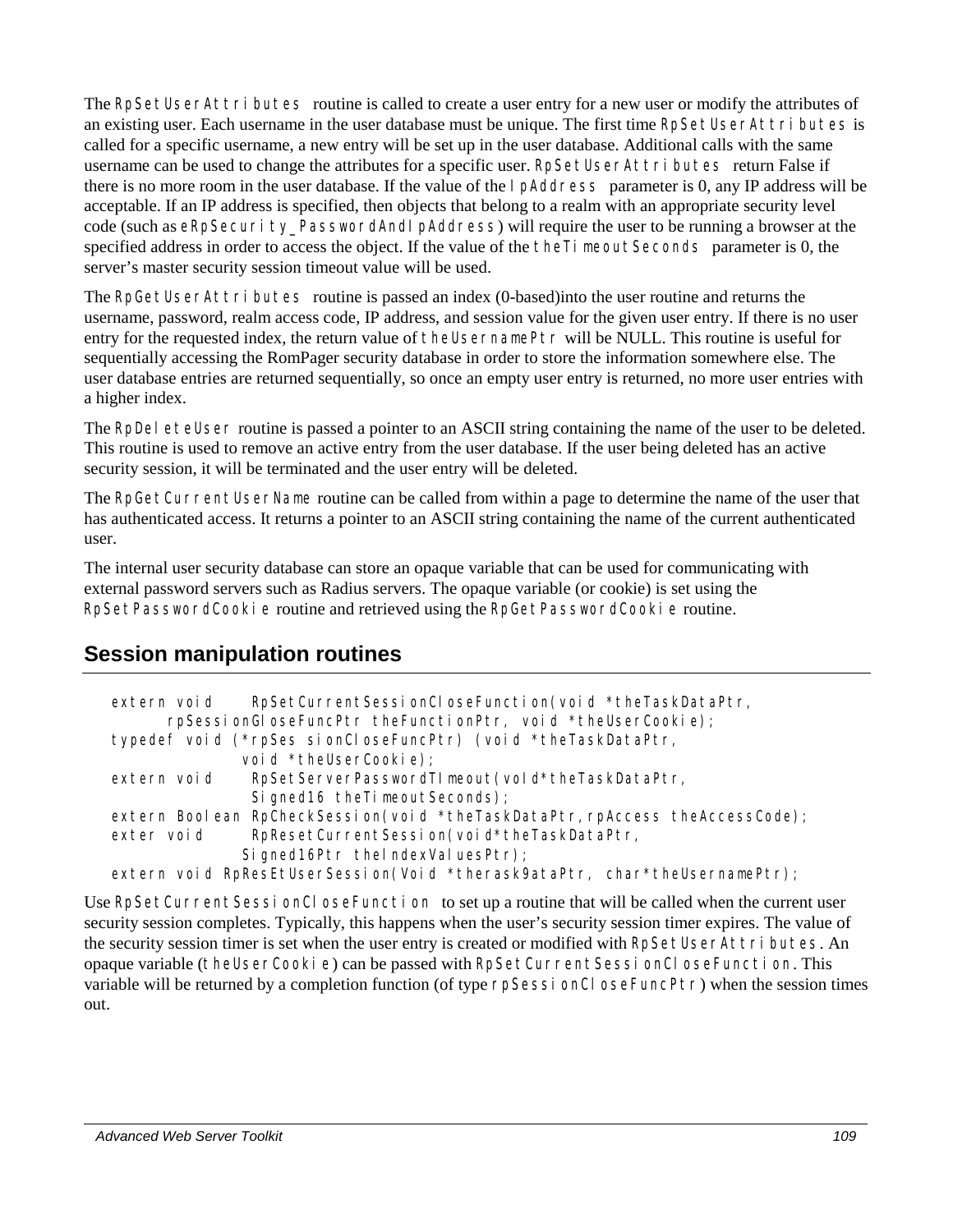The RpSetUserAttri butes routine is called to create a user entry for a new user or modify the attributes of an existing user. Each username in the user database must be unique. The first time RpSetUserAttri butes is called for a specific username, a new entry will be set up in the user database. Additional calls with the same username can be used to change the attributes for a specific user. RpSetUserAttri butes return False if there is no more room in the user database. If the value of the IpAddress parameter is 0, any IP address will be acceptable. If an IP address is specified, then objects that belong to a realm with an appropriate security level code (such as eRpSecurity PasswordAndIpAddress) will require the user to be running a browser at the specified address in order to access the object. If the value of the theTimeoutSeconds parameter is 0, the server's master security session timeout value will be used.

The RpGetUserAttri butes routine is passed an index (0-based) into the user routine and returns the username, password, realm access code, IP address, and session value for the given user entry. If there is no user entry for the requested index, the return value of theUsernamePtr will be NULL. This routine is useful for sequentially accessing the RomPager security database in order to store the information somewhere else. The user database entries are returned sequentially, so once an empty user entry is returned, no more user entries with a higher index.

The RpDel eteUser routine is passed a pointer to an ASCII string containing the name of the user to be deleted. This routine is used to remove an active entry from the user database. If the user being deleted has an active security session, it will be terminated and the user entry will be deleted.

The RpGetCurrentUserName routine can be called from within a page to determine the name of the user that has authenticated access. It returns a pointer to an ASCII string containing the name of the current authenticated user.

The internal user security database can store an opaque variable that can be used for communicating with external password servers such as Radius servers. The opaque variable (or cookie) is set using the RpSetPasswordCookie routine and retrieved using the RpGetPasswordCookie routine.

# **Session manipulation routines**

| RpSetCurrentSessionCloseFunction(void *theTaskDataPtr,<br>extern void<br>rpSessionGloseFuncPtr theFunctionPtr, void *theUserCookie); |
|--------------------------------------------------------------------------------------------------------------------------------------|
| typedef void (*rpSes sionCloseFuncPtr) (void *theTaskDataPtr,                                                                        |
| void *theUserCookie);                                                                                                                |
| RpSetServerPasswordTImeout(vold*theTaskDataPtr,<br>extern void                                                                       |
| Signed 16 the Timeout Seconds);                                                                                                      |
| extern Boolean RpCheckSession(void *theTaskDataPtr, rpAccess theAccessCode);                                                         |
| RpResetCurrentSession(void*theTaskDataPtr,<br>exter void                                                                             |
| Signed16Ptr thelndexValuesPtr);                                                                                                      |
| extern void RpResEtUserSession(Void *therask9ataPtr, char*theUsernamePtr);                                                           |

Use RpSetCurrentSessionCloseFunction to set up a routine that will be called when the current user security session completes. Typically, this happens when the user's security session timer expires. The value of the security session timer is set when the user entry is created or modified with RpSetUserAttri butes. An opaque variable (theUserCookie) can be passed with RpSetCurrentSessionCloseFunction. This variable will be returned by a completion function (of type rpSessionCloseFuncPtr) when the session times out.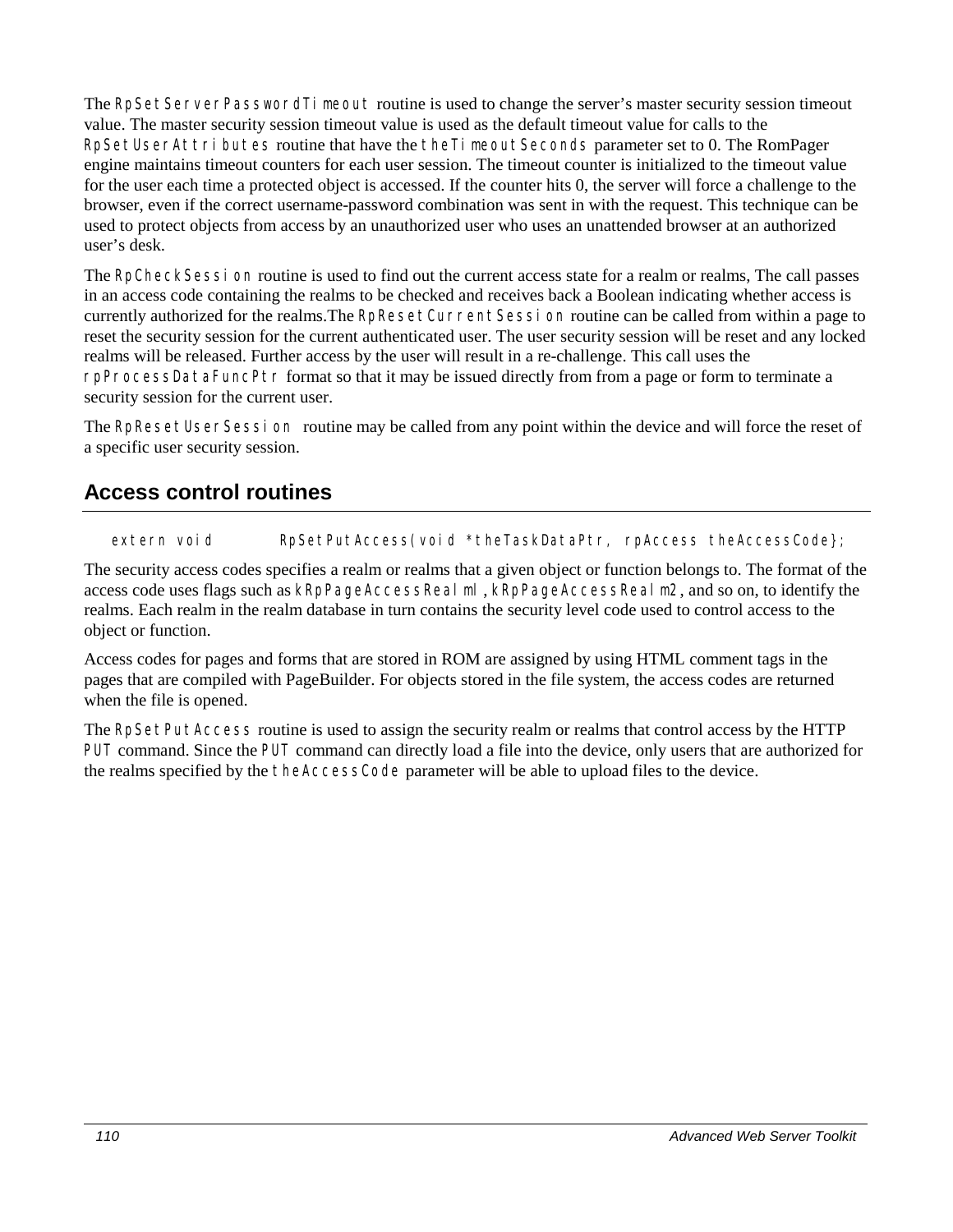The RpSetServerPasswordTimeout routine is used to change the server's master security session timeout value. The master security session timeout value is used as the default timeout value for calls to the RpSetUserAttri butes routine that have the theTimeoutSeconds parameter set to 0. The RomPager engine maintains timeout counters for each user session. The timeout counter is initialized to the timeout value for the user each time a protected object is accessed. If the counter hits 0, the server will force a challenge to the browser, even if the correct username-password combination was sent in with the request. This technique can be used to protect objects from access by an unauthorized user who uses an unattended browser at an authorized user's desk.

The RpCheckSession routine is used to find out the current access state for a realm or realms, The call passes in an access code containing the realms to be checked and receives back a Boolean indicating whether access is currently authorized for the realms.The RpResetCurrentSession routine can be called from within a page to reset the security session for the current authenticated user. The user security session will be reset and any locked realms will be released. Further access by the user will result in a re-challenge. This call uses the rpProcessDataFuncPtr format so that it may be issued directly from from a page or form to terminate a security session for the current user.

The RpResetUserSession routine may be called from any point within the device and will force the reset of a specific user security session.

### **Access control routines**

extern void RpSetPutAccess(void \*theTaskDataPtr, rpAccess theAccessCode};

The security access codes specifies a realm or realms that a given object or function belongs to. The format of the access code uses flags such as kRpPageAccessRealml, kRpPageAccessRealm2, and so on, to identify the realms. Each realm in the realm database in turn contains the security level code used to control access to the object or function.

Access codes for pages and forms that are stored in ROM are assigned by using HTML comment tags in the pages that are compiled with PageBuilder. For objects stored in the file system, the access codes are returned when the file is opened.

The RpSetPutAccess routine is used to assign the security realm or realms that control access by the HTTP PUT command. Since the PUT command can directly load a file into the device, only users that are authorized for the realms specified by the theAccessCode parameter will be able to upload files to the device.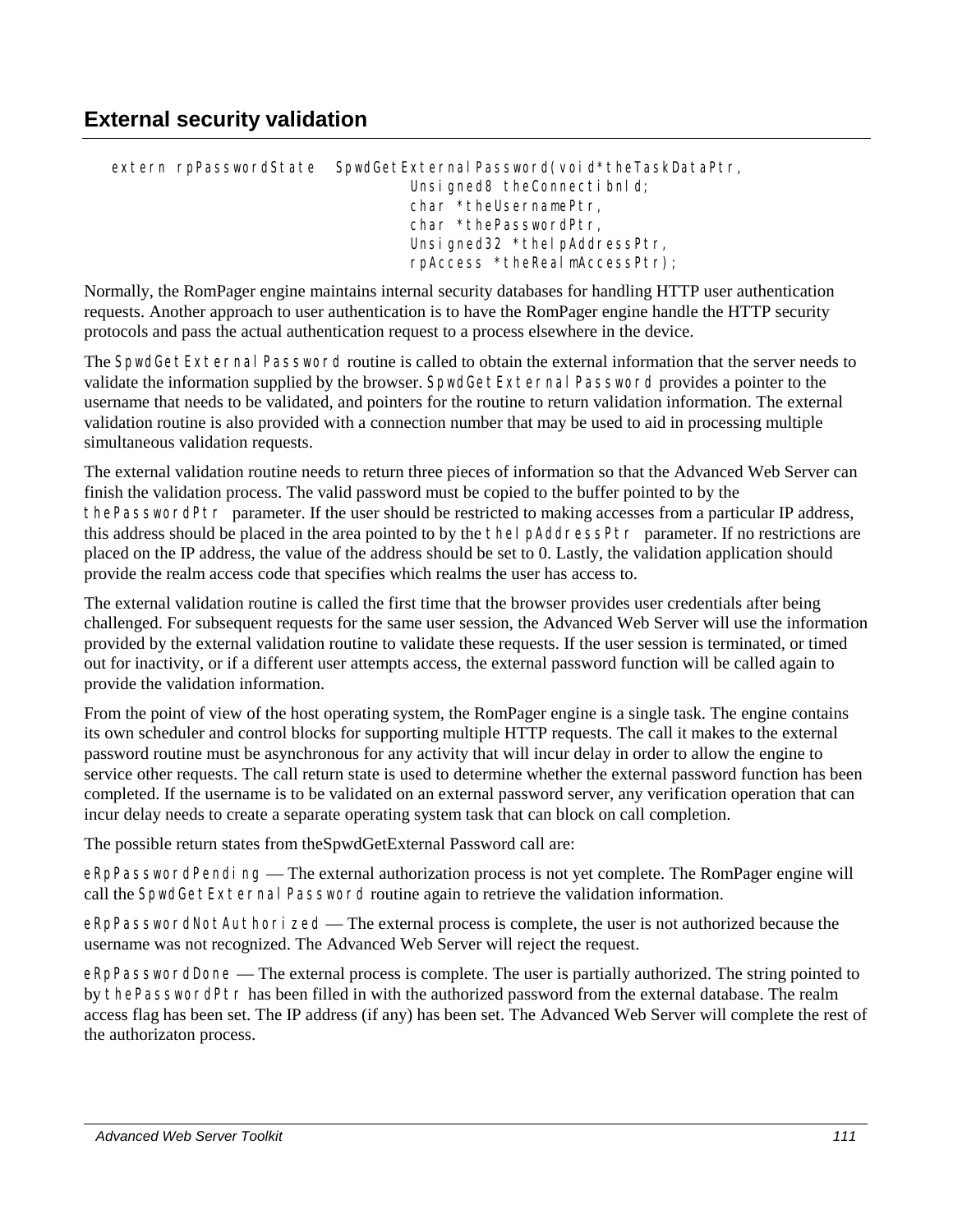extern rpPasswordState SpwdGetExternal Password(void\*theTaskDataPtr, Unsigned8 theConnectibnld; char \*theUsernamePtr, char \*thePasswordPtr, Unsigned32 \*thelpAddressPtr, rpAccess \*theRealmAccessPtr);

Normally, the RomPager engine maintains internal security databases for handling HTTP user authentication requests. Another approach to user authentication is to have the RomPager engine handle the HTTP security protocols and pass the actual authentication request to a process elsewhere in the device.

The SpwdGetExternal Password routine is called to obtain the external information that the server needs to validate the information supplied by the browser. SpwdGetExternal Password provides a pointer to the username that needs to be validated, and pointers for the routine to return validation information. The external validation routine is also provided with a connection number that may be used to aid in processing multiple simultaneous validation requests.

The external validation routine needs to return three pieces of information so that the Advanced Web Server can finish the validation process. The valid password must be copied to the buffer pointed to by the thePasswordPtr parameter. If the user should be restricted to making accesses from a particular IP address, this address should be placed in the area pointed to by the theIpAddressPtr parameter. If no restrictions are placed on the IP address, the value of the address should be set to 0. Lastly, the validation application should provide the realm access code that specifies which realms the user has access to.

The external validation routine is called the first time that the browser provides user credentials after being challenged. For subsequent requests for the same user session, the Advanced Web Server will use the information provided by the external validation routine to validate these requests. If the user session is terminated, or timed out for inactivity, or if a different user attempts access, the external password function will be called again to provide the validation information.

From the point of view of the host operating system, the RomPager engine is a single task. The engine contains its own scheduler and control blocks for supporting multiple HTTP requests. The call it makes to the external password routine must be asynchronous for any activity that will incur delay in order to allow the engine to service other requests. The call return state is used to determine whether the external password function has been completed. If the username is to be validated on an external password server, any verification operation that can incur delay needs to create a separate operating system task that can block on call completion.

The possible return states from theSpwdGetExternal Password call are:

eRpPasswordPending — The external authorization process is not yet complete. The RomPager engine will call the SpwdGetExternal Password routine again to retrieve the validation information.

eRpPasswordNotAuthorized — The external process is complete, the user is not authorized because the username was not recognized. The Advanced Web Server will reject the request.

eRpPasswordDone — The external process is complete. The user is partially authorized. The string pointed to by thePasswordPtr has been filled in with the authorized password from the external database. The realm access flag has been set. The IP address (if any) has been set. The Advanced Web Server will complete the rest of the authorizaton process.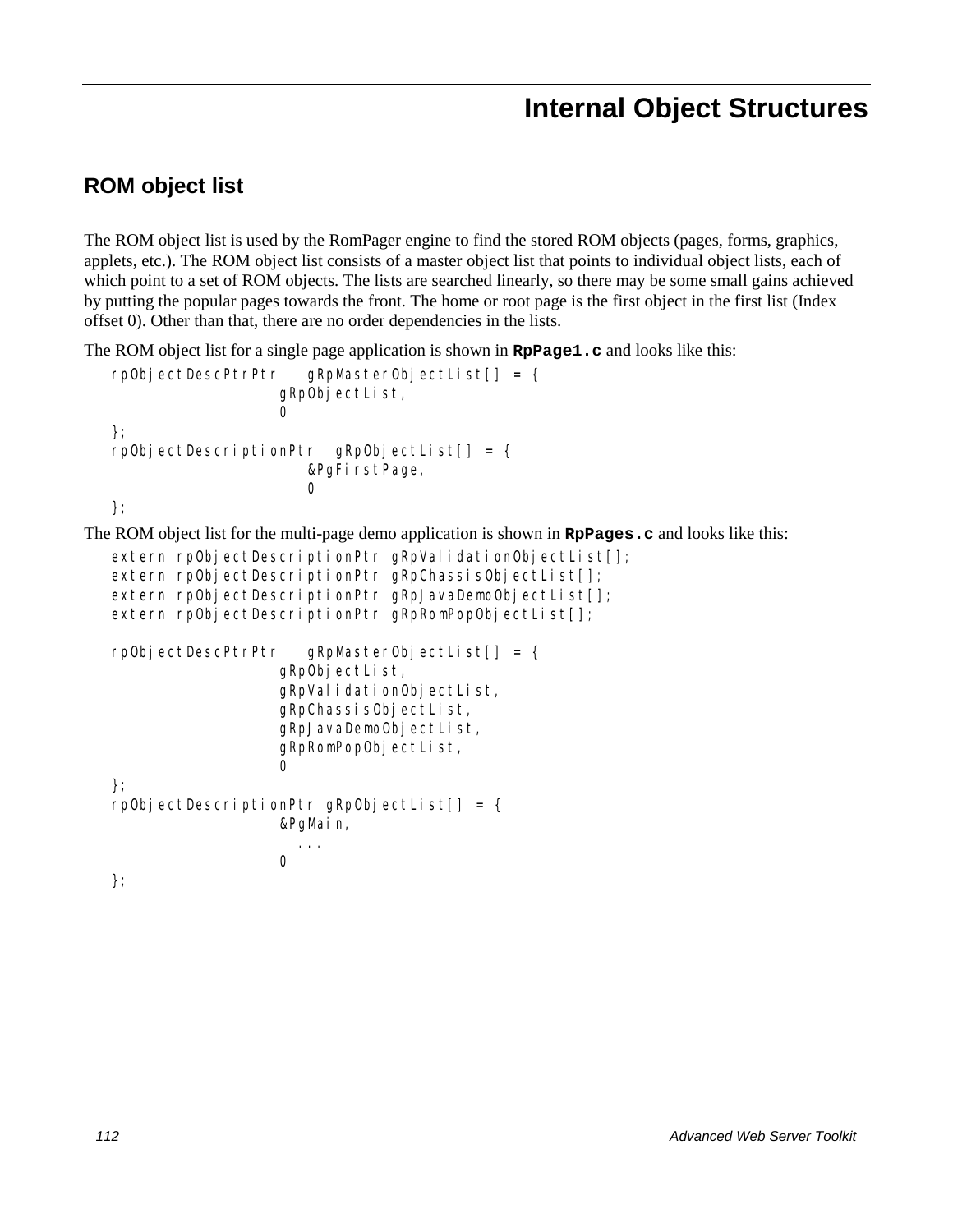# **ROM object list**

The ROM object list is used by the RomPager engine to find the stored ROM objects (pages, forms, graphics, applets, etc.). The ROM object list consists of a master object list that points to individual object lists, each of which point to a set of ROM objects. The lists are searched linearly, so there may be some small gains achieved by putting the popular pages towards the front. The home or root page is the first object in the first list (Index offset 0). Other than that, there are no order dependencies in the lists.

The ROM object list for a single page application is shown in **RpPage1.c** and looks like this:

```
rpObjectDescPtrPtr gRpMasterObjectList[] = { 
                       gRpObjectList,
                       \cap}; 
   rpObjectDescriptionPtr gRpObjectList[] = { 
                          &PgFirstPage, 
                          \Omega}; 
The ROM object list for the multi-page demo application is shown in RpPages.c and looks like this: 
   extern rpObjectDescriptionPtr gRpValidationObjectList[];
   extern rpObjectDescriptionPtr gRpChassisObjectList[];
   extern rpObjectDescriptionPtr gRpJavaDemoObjectList[];
   extern rpObjectDescriptionPtr gRpRomPopObjectList[];
   rpObjectDescPtrPtr gRpMasterObjectList[] = { 
                       gRpObjectList, 
                       gRpValidationObjectList, 
                       gRpChassisObjectList, 
                       gRpJavaDemoObjectList, 
                       gRpRomPopObjectList, 
                       0 
   }; 
   rpObjectDescriptionPtr gRpObjectList[] = { 
                       &PgMain, 
                        ... 
                       0 
   };
```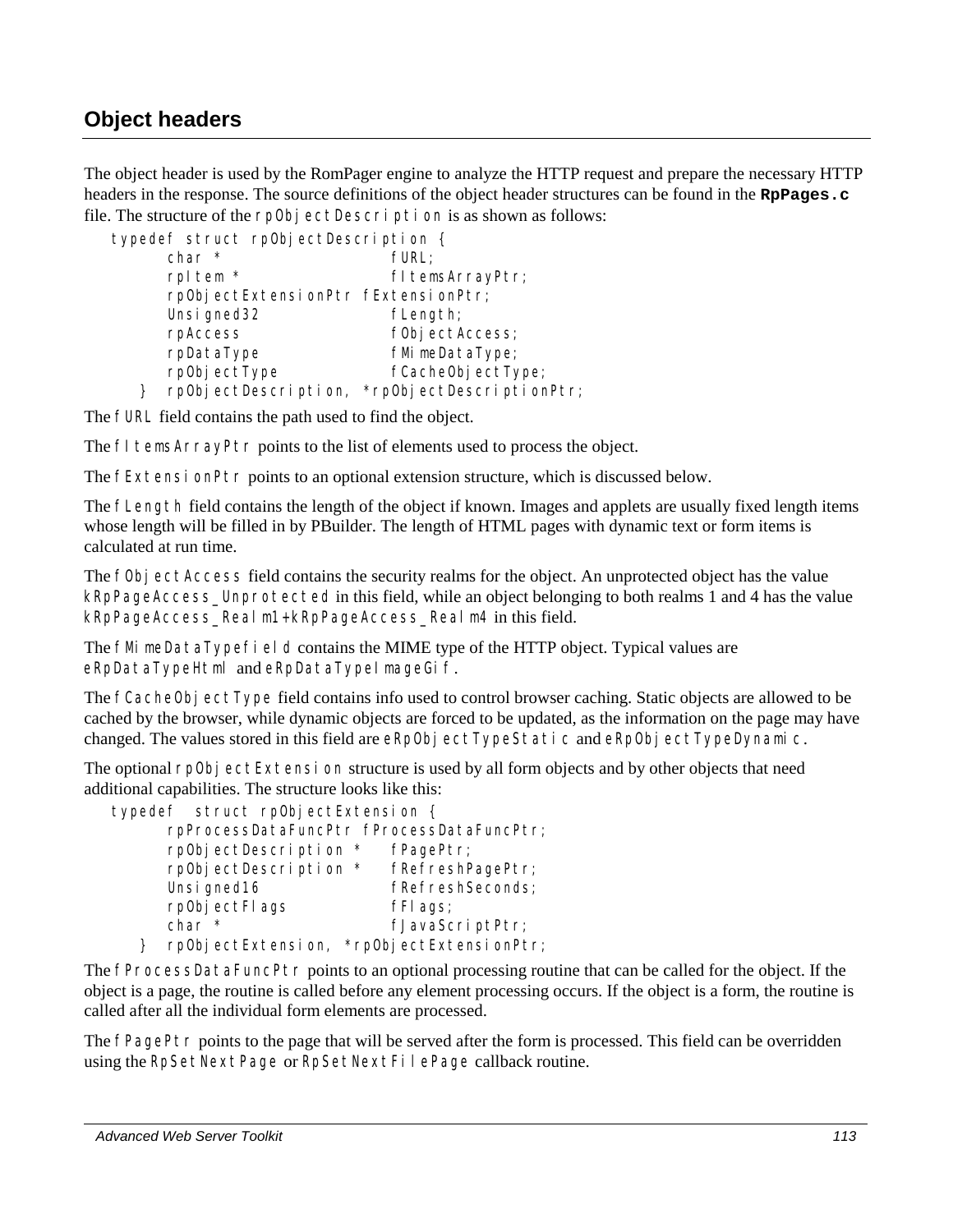## **Object headers**

The object header is used by the RomPager engine to analyze the HTTP request and prepare the necessary HTTP headers in the response. The source definitions of the object header structures can be found in the **RpPages.c** file. The structure of the rp0bj ectDescription is as shown as follows:

| typedef struct rp0bjectDescription { |                                               |
|--------------------------------------|-----------------------------------------------|
| $char *$                             | fURL:                                         |
| rpl tem *                            | fl temsArrayPtr;                              |
| rp0bjectExtensionPtr fExtensionPtr;  |                                               |
| Unsi gned32                          | fLength;                                      |
| rpAccess                             | f0bj ectAccess;                               |
| rpDataType                           | fMimeDataType;                                |
| rp0bjectType                         | fCacheObjectType;                             |
|                                      | rpObjectDescription, *rpObjectDescriptionPtr; |

The fURL field contains the path used to find the object.

The fl temsArrayPtr points to the list of elements used to process the object.

The  $f$ Extensi on $P$ tr points to an optional extension structure, which is discussed below.

The fLength field contains the length of the object if known. Images and applets are usually fixed length items whose length will be filled in by PBuilder. The length of HTML pages with dynamic text or form items is calculated at run time.

The fObj ectAccess field contains the security realms for the object. An unprotected object has the value kRpPageAccess\_Unprotected in this field, while an object belonging to both realms 1 and 4 has the value kRpPageAccess Realm1+kRpPageAccess Realm4 in this field.

The fMimeDataTypefield contains the MIME type of the HTTP object. Typical values are eRpDataTypeHtml and eRpDataTypeImageGif.

The fCacheObj ectType field contains info used to control browser caching. Static objects are allowed to be cached by the browser, while dynamic objects are forced to be updated, as the information on the page may have changed. The values stored in this field are eRpObjectTypeStatic and eRpObjectTypeDynamic.

The optional rpObjectExtension structure is used by all form objects and by other objects that need additional capabilities. The structure looks like this:

|                    | typedef struct rp0bjectExtension { |                                           |
|--------------------|------------------------------------|-------------------------------------------|
|                    |                                    | rpProcessDataFuncPtr fProcessDataFuncPtr; |
|                    | rp0bjectDescription *              | fPagePtr;                                 |
|                    | rpObjectDescription *              | fRefreshPagePtr;                          |
| Unsi gned16        |                                    | fRefreshSeconds;                          |
| rp0bjectFlags      |                                    | fFI ags;                                  |
| $char *$           |                                    | fJavaScriptPtr;                           |
| rp0bjectExtension, |                                    | *rp0bjectExtensionPtr;                    |

The fProcessDataFuncPtr points to an optional processing routine that can be called for the object. If the object is a page, the routine is called before any element processing occurs. If the object is a form, the routine is called after all the individual form elements are processed.

The fPagePtr points to the page that will be served after the form is processed. This field can be overridden using the RpSetNextPage or RpSetNextFilePage callback routine.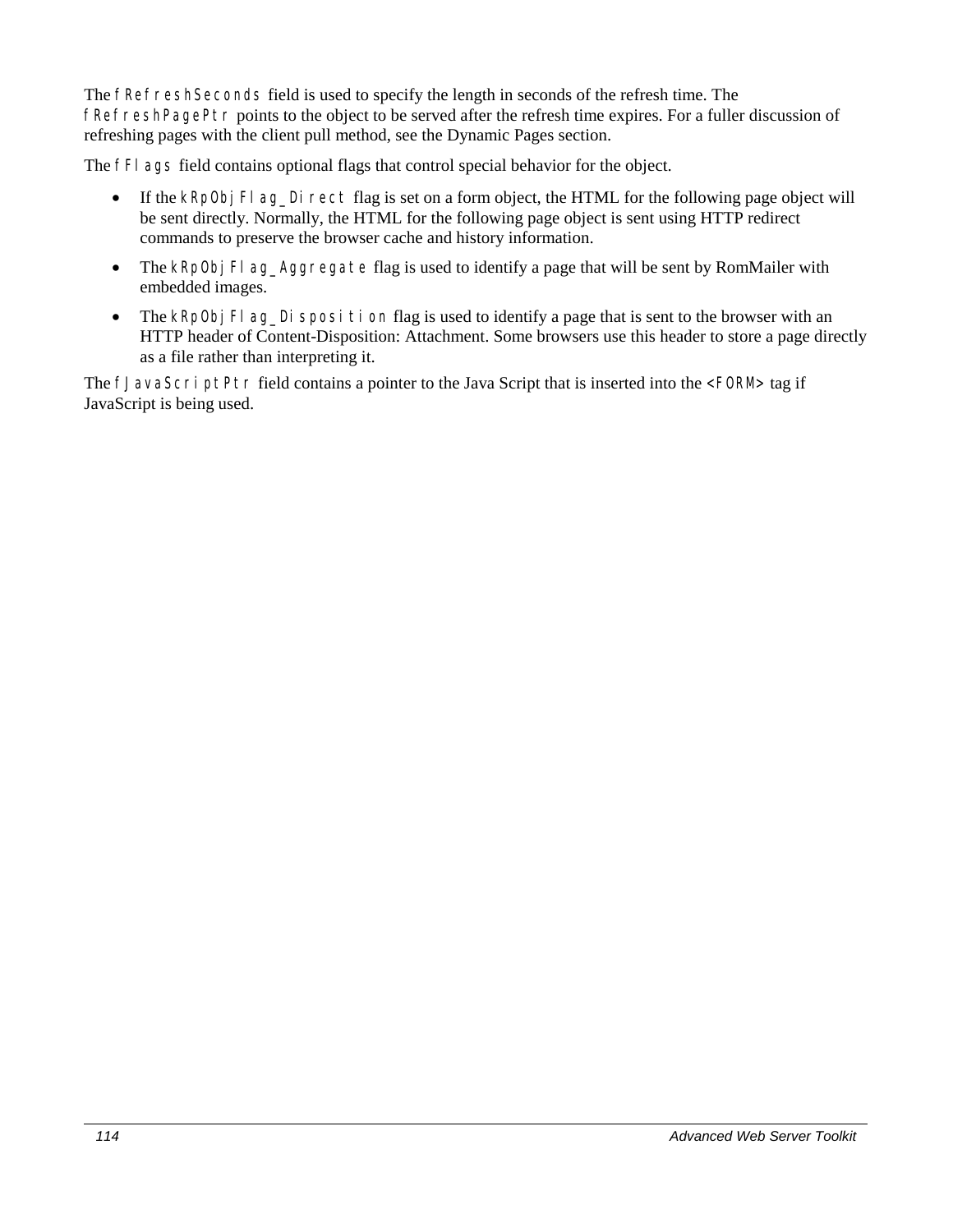The fRefreshSeconds field is used to specify the length in seconds of the refresh time. The fRefreshPagePtr points to the object to be served after the refresh time expires. For a fuller discussion of refreshing pages with the client pull method, see the Dynamic Pages section.

The fFI ags field contains optional flags that control special behavior for the object.

- If the kRpObj Fl ag\_Direct flag is set on a form object, the HTML for the following page object will be sent directly. Normally, the HTML for the following page object is sent using HTTP redirect commands to preserve the browser cache and history information.
- The kRpObj Fl ag\_Aggregate flag is used to identify a page that will be sent by RomMailer with embedded images.
- The kRpObj Fl ag\_Di sposition flag is used to identify a page that is sent to the browser with an HTTP header of Content-Disposition: Attachment. Some browsers use this header to store a page directly as a file rather than interpreting it.

The fJavaScriptPtr field contains a pointer to the Java Script that is inserted into the <FORM> tag if JavaScript is being used.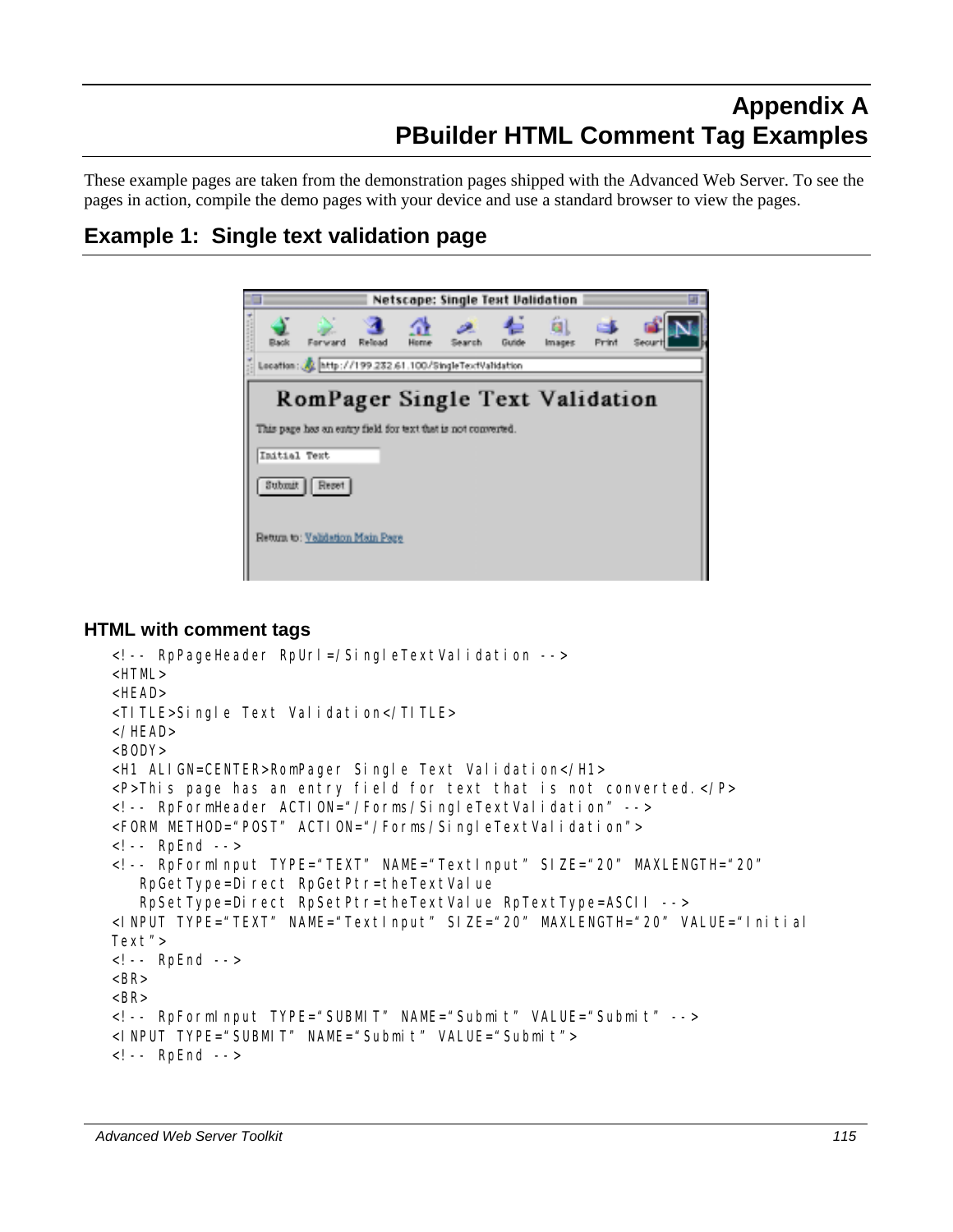# **Appendix A PBuilder HTML Comment Tag Examples**

These example pages are taken from the demonstration pages shipped with the Advanced Web Server. To see the pages in action, compile the demo pages with your device and use a standard browser to view the pages.

## **Example 1: Single text validation page**



#### **HTML with comment tags**

```
<!-- RpPageHeader RpUrl=/SingleTextValidation --> 
<HTML> 
<HEAD> 
<TITLE>Single Text Validation</TITLE> 
</HEAD> 
<BODY> 
<H1 ALIGN=CENTER>RomPager Single Text Validation</H1> 
<P>This page has an entry field for text that is not converted.</P> 
<!-- RpFormHeader ACTION="/Forms/SingleTextValidation" --> 
<FORM METHOD="POST" ACTION="/Forms/SingleTextValidation">
<!-- RpEnd --> 
<!-- RpFormInput TYPE="TEXT" NAME="TextInput" SIZE="20" MAXLENGTH="20" 
   RpGetType=Direct RpGetPtr=theTextValue
    RpSetType=Direct RpSetPtr=theTextValue RpTextType=ASCII --> 
<INPUT TYPE="TEXT" NAME="TextInput" SIZE="20" MAXLENGTH="20" VALUE="Initial 
Text"> 
<!-- RpEnd --> 
<BR><BR><!-- RpFormInput TYPE="SUBMIT" NAME="Submit" VALUE="Submit" --> 
<INPUT TYPE="SUBMIT" NAME="Submit" VALUE="Submit"> 
<!-- RpEnd -->
```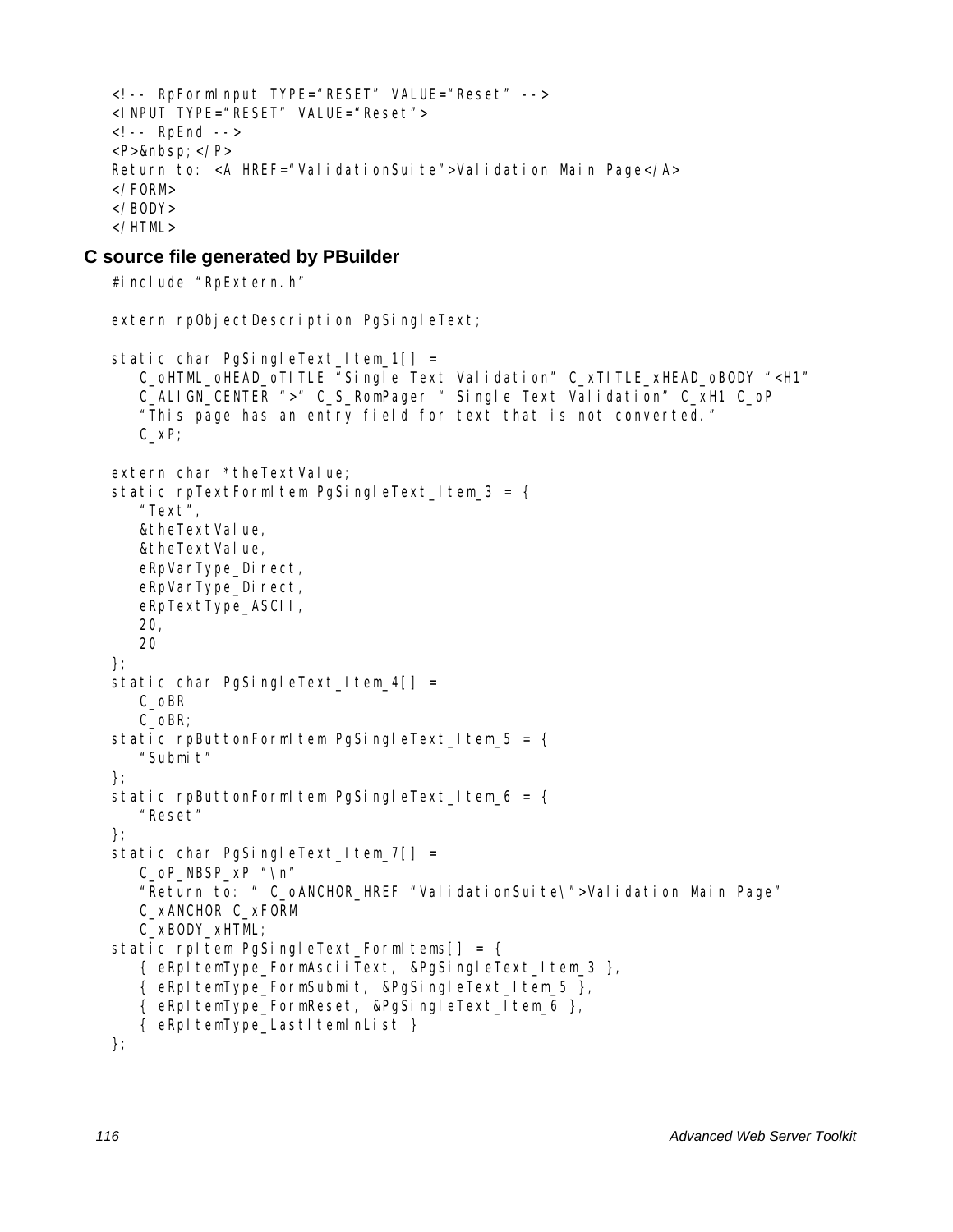```
<!-- RpFormInput TYPE="RESET" VALUE="Reset" --> 
<INPUT TYPE="RESET" VALUE="Reset"> 
<!-- RpEnd --> 
<P>  </P>Return to: <A HREF="ValidationSuite">Validation Main Page</A>
</FORM> 
</BODY> 
</HTML>
```
#### **C source file generated by PBuilder**

```
#include "RpExtern.h"
extern rpObjectDescription PgSingleText;
static char PgSingleText_Item_1[] =
    C_oHTML_oHEAD_oTITLE "Single Text Validation" C_xTITLE_xHEAD_oBODY "<H1" 
    C_ALIGN_CENTER ">" C_S_RomPager " Single Text Validation" C_xH1 C_oP 
    "This page has an entry field for text that is not converted." 
    C_xP; 
extern char *theTextValue;
static rpTextFormItem PqSingleText Item 3 = \{ "Text", 
   &theTextValue,
   &theTextValue,
   eRpVarType_Direct,
    eRpVarType_Direct, 
    eRpTextType_ASCII, 
    20, 
    20 
}; 
static char PgSingleText\lfloorltem\lfloor 4 \rfloor] =
    C_oBR 
    C_oBR; 
static rpButtonFormItem PgSingleText Item 5 = { "Submit" 
}; 
static rpButtonFormItem PgSingleText_Item_6 = {
    "Reset" 
}; 
static char PgSingleText_Item_7[] =
    C_oP_NBSP_xP "\n" 
    "Return to: " C_oANCHOR_HREF "ValidationSuite\">Validation Main Page" 
    C_xANCHOR C_xFORM 
    C_xBODY_xHTML; 
static rpItem PgSingleText_FormItems[] = {
    { eRpItemType_FormAsciiText, &PgSingleText_Item_3 }, 
    { eRpItemType_FormSubmit, &PgSingleText_Item_5 }, 
    { eRpItemType_FormReset, &PgSingleText_Item_6 }, 
    { eRpItemType_LastItemInList } 
};
```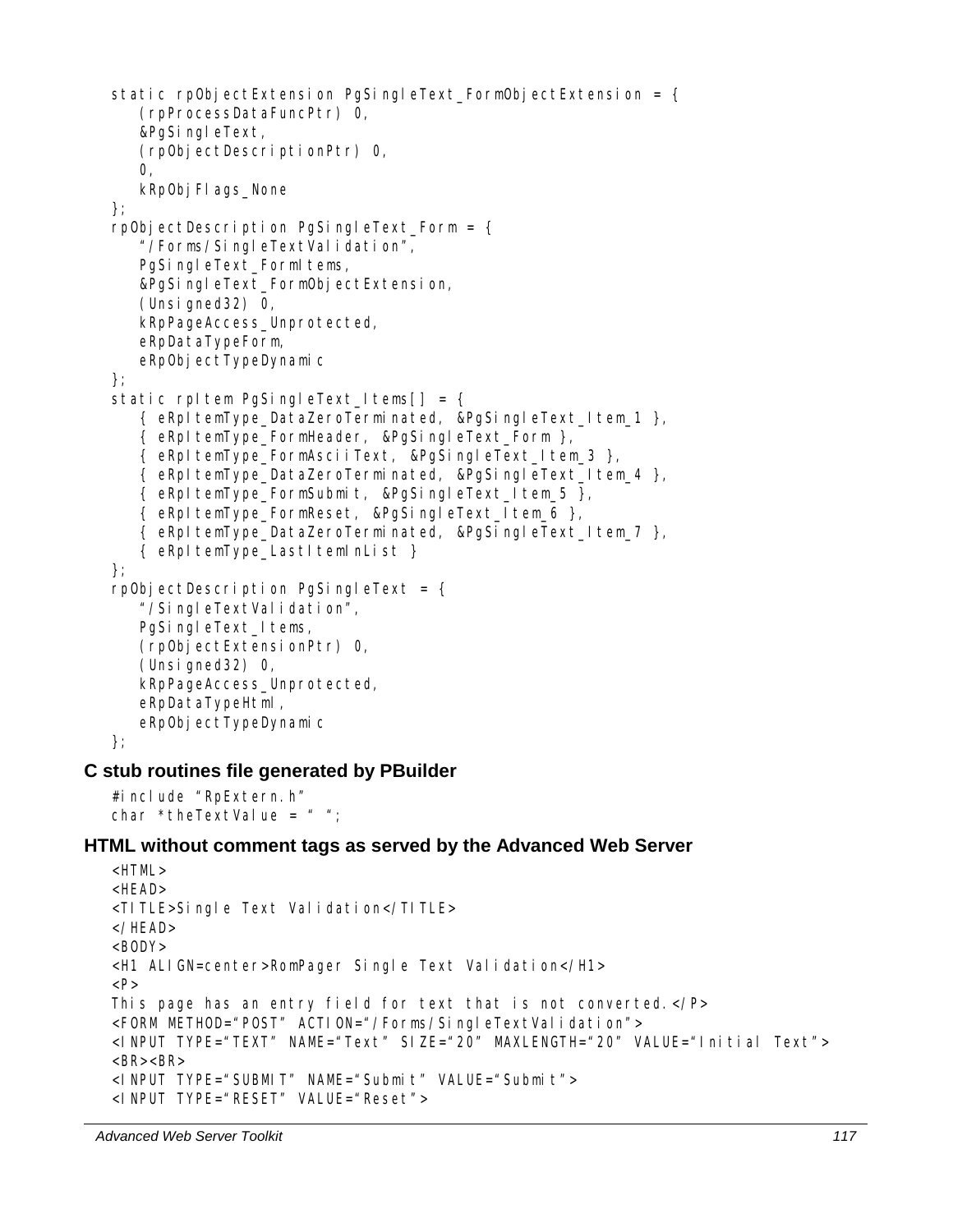```
static rpObjectExtension PgSingleText_FormObjectExtension = {
       (rpProcessDataFuncPtr) 0, 
       &PgSingleText, 
       (rpObjectDescriptionPtr) 0, 
       0, 
      kRp0bj Fl ags_None
   }; 
   rpObjectDescription PgSingleText_Form = { 
       "/Forms/SingleTextValidation", 
      PgSingleText_FormItems,
       &PgSingleText_FormObjectExtension, 
      (Unsigned32) 0,
       kRpPageAccess_Unprotected, 
       eRpDataTypeForm, 
      eRpObjectTypeDynamic
   }; 
   static rpItem PgSingleText Items[] = { { eRpItemType_DataZeroTerminated, &PgSingleText_Item_1 }, 
       { eRpItemType_FormHeader, &PgSingleText_Form }, 
       { eRpItemType_FormAsciiText, &PgSingleText_Item_3 }, 
       { eRpItemType_DataZeroTerminated, &PgSingleText_Item_4 }, 
       { eRpItemType_FormSubmit, &PgSingleText_Item_5 }, 
       { eRpItemType_FormReset, &PgSingleText_Item_6 }, 
       { eRpItemType_DataZeroTerminated, &PgSingleText_Item_7 }, 
       { eRpItemType_LastItemInList } 
   }; 
   rpObjectDescription PgSingleText = \{ "/SingleTextValidation", 
      PgSingleText_Items,
       (rpObjectExtensionPtr) 0, 
       (Unsigned32) 0, 
       kRpPageAccess_Unprotected, 
       eRpDataTypeHtml, 
      eRpObjectTypeDynamic
   }; 
C stub routines file generated by PBuilder 
   #include "RpExtern.h" 
   char *theTextValue = " "HTML without comment tags as served by the Advanced Web Server 
   <HTML> 
   <HEAD> 
   <TITLE>Single Text Validation</TITLE> 
   </HEAD> 
   <BODY><H1 ALIGN=center>RomPager Single Text Validation</H1> 
   PThis page has an entry field for text that is not converted.</P> 
   <FORM METHOD="POST" ACTION="/Forms/SingleTextValidation">
```

```
<INPUT TYPE="TEXT" NAME="Text" SIZE="20" MAXLENGTH="20" VALUE="Initial Text">
```

```
<BR><BR><INPUT TYPE="SUBMIT" NAME="Submit" VALUE="Submit"> 
<INPUT TYPE="RESET" VALUE="Reset">
```

```
Advanced Web Server Toolkit 117
```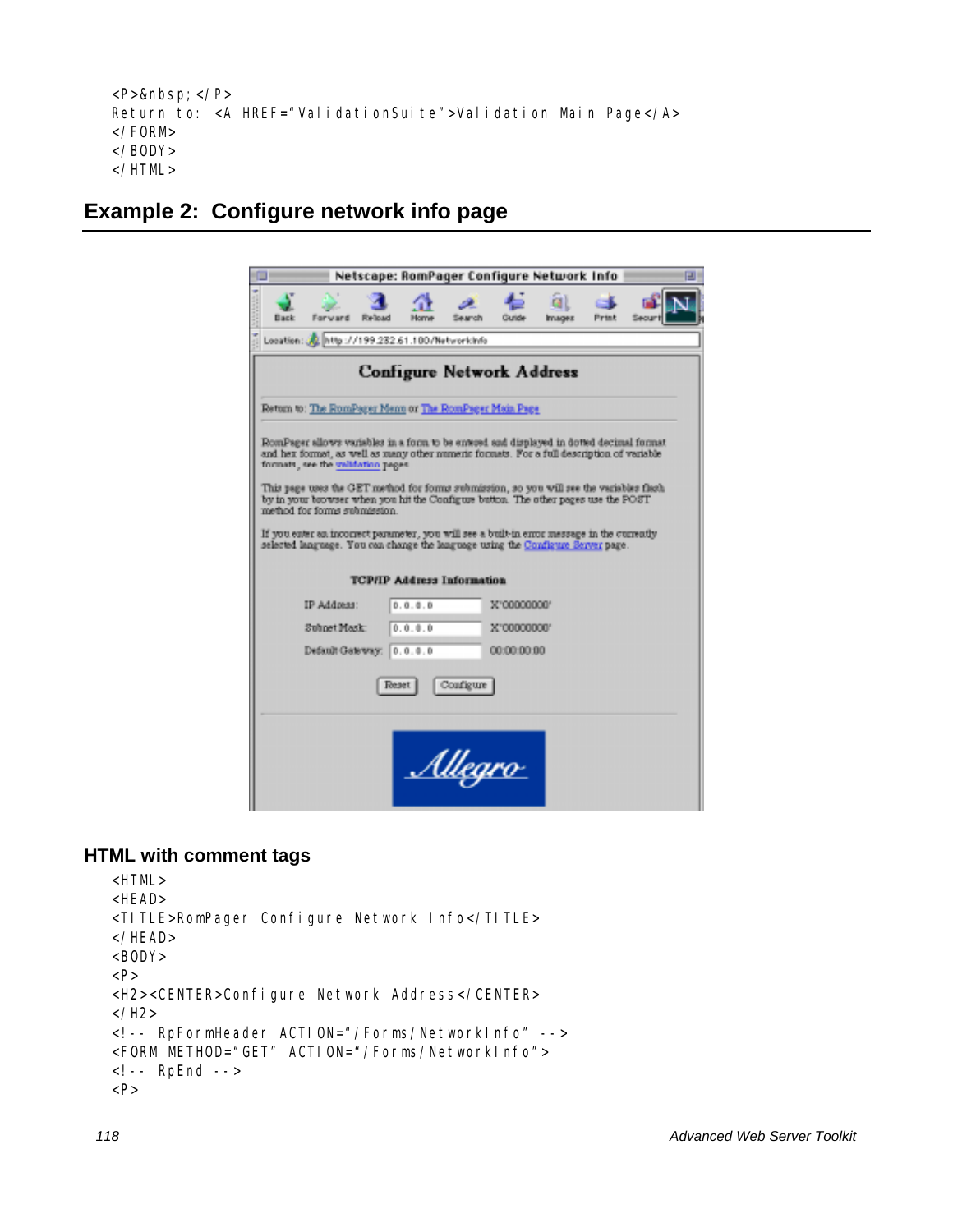```
<P>&nbsp; </P>
Return to: <A HREF="ValidationSuite">Validation Main Page</A>
</FORM> 
</BODY> 
</HTML>
```
## **Example 2: Configure network info page**

|                                                                                                                                                                                                                             | Netscape: RomPager Configure Network Info |                |             |               |              |  |
|-----------------------------------------------------------------------------------------------------------------------------------------------------------------------------------------------------------------------------|-------------------------------------------|----------------|-------------|---------------|--------------|--|
| Back<br>Forward                                                                                                                                                                                                             | <b>Reload</b>                             |                | Gunde       | <b>Images</b> | <b>Print</b> |  |
| Location: 32 http://199.232.61.100/Networkinfo                                                                                                                                                                              |                                           |                |             |               |              |  |
|                                                                                                                                                                                                                             | <b>Configure Network Address</b>          |                |             |               |              |  |
| Return to: The RomPager Menn or The RomPager Main Page                                                                                                                                                                      |                                           |                |             |               |              |  |
| RomPager allows variables in a form to be entered and displayed in dotted decimal format<br>and hex formet, as well as many other numeric formats. For a full description of variable<br>formats, see the validation pages. |                                           |                |             |               |              |  |
| This page uses the GET method for forms submission, so you will see the variables flesh<br>by in your browser when you hit the Configure button. The other pages use the POST<br>method for forms submission.               |                                           |                |             |               |              |  |
| If you eater as incorrect parameter, you will see a built-in error message in the currently                                                                                                                                 |                                           |                |             |               |              |  |
| selected language. You can change the language using the Configure Server page.                                                                                                                                             |                                           |                |             |               |              |  |
|                                                                                                                                                                                                                             | <b>TCP/IP Address Information</b>         |                |             |               |              |  |
| IP Address:                                                                                                                                                                                                                 | 0.0.0.0                                   |                | X"00000000" |               |              |  |
| Subpet Mask:                                                                                                                                                                                                                | 0.0.0.0                                   |                | X'00000000' |               |              |  |
|                                                                                                                                                                                                                             | Default Gateway: 0.0.0.0                  |                | 00:00:00:00 |               |              |  |
|                                                                                                                                                                                                                             | Reset                                     | Configure      |             |               |              |  |
|                                                                                                                                                                                                                             |                                           |                |             |               |              |  |
|                                                                                                                                                                                                                             |                                           |                |             |               |              |  |
|                                                                                                                                                                                                                             |                                           |                |             |               |              |  |
|                                                                                                                                                                                                                             |                                           | <u>Allegro</u> |             |               |              |  |
|                                                                                                                                                                                                                             |                                           |                |             |               |              |  |

#### **HTML with comment tags**

```
<HTML> 
<HEAD> 
<TITLE>RomPager Configure Network Info</TITLE> 
</HEAD> 
<BODY> 
<P> 
<H2><CENTER>Configure Network Address</CENTER> 
</H2><!-- RpFormHeader ACTION="/Forms/NetworkInfo" --> 
<FORM METHOD="GET" ACTION="/Forms/NetworkInfo"> 
<!-- RpEnd --> 
<P>
```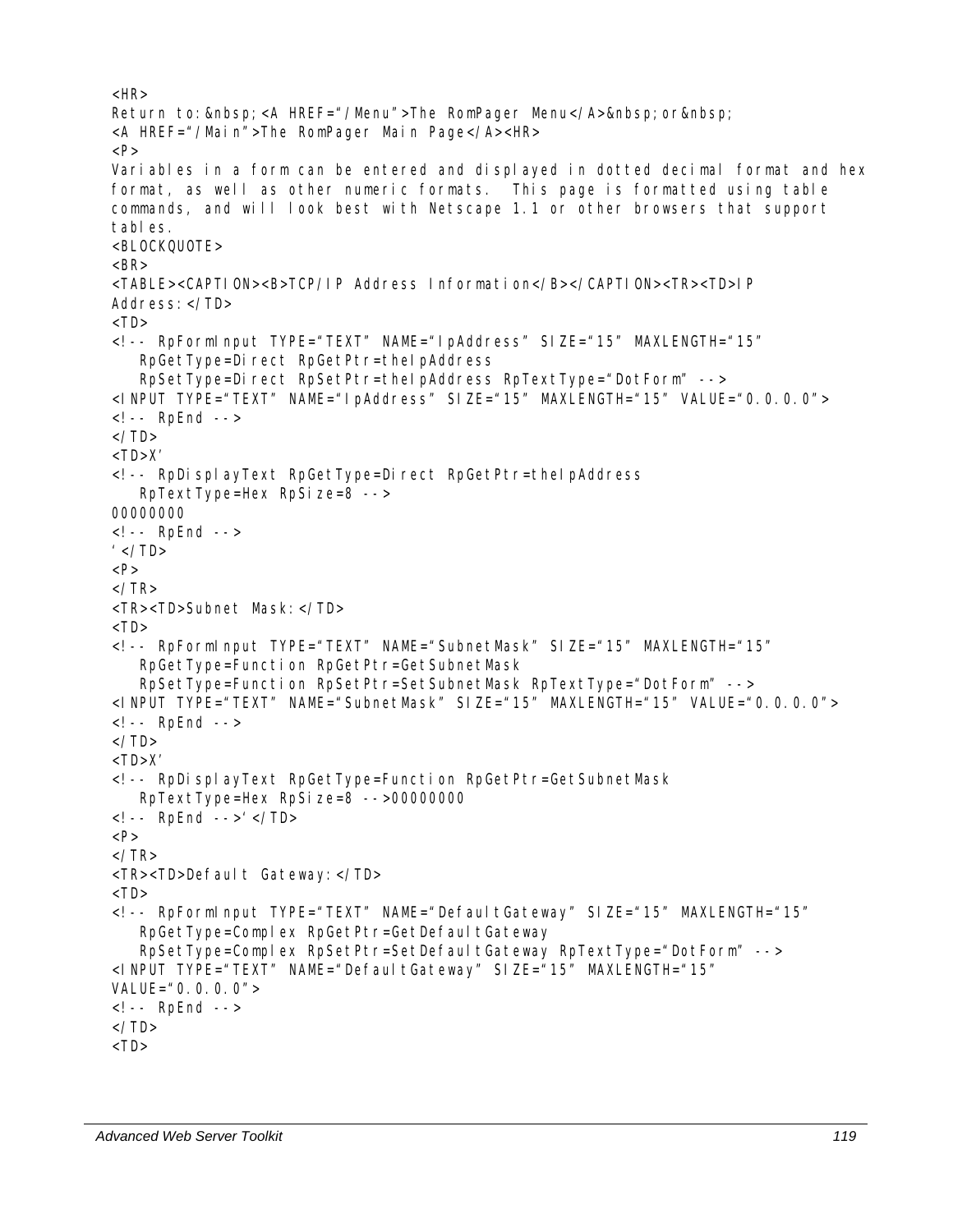```
<HR>Return to:   <A HREF="/Menu">The RomPager Menu</A>&nbsp; or&nbsp;
<A HREF="/Main">The RomPager Main Page</A><HR> 
<P> 
Variables in a form can be entered and displayed in dotted decimal format and hex 
format, as well as other numeric formats. This page is formatted using table 
commands, and will look best with Netscape 1.1 or other browsers that support 
tables. 
<BLOCKQUOTE> 
\langle RR \rangle<TABLE><CAPTION><B>TCP/IP Address Information</B></CAPTION><TR><TD>IP 
Address:</TD> 
<TD><!-- RpFormInput TYPE="TEXT" NAME="IpAddress" SIZE="15" MAXLENGTH="15" 
   RpGetType=Direct RpGetPtr=theIpAddress
    RpSetType=Direct RpSetPtr=theIpAddress RpTextType="DotForm" --> 
<INPUT TYPE="TEXT" NAME="IpAddress" SIZE="15" MAXLENGTH="15" VALUE="0.0.0.0"> 
<!-- RpEnd --> 
\langle/TD\rangle<TD>X'
<!-- RpDisplayText RpGetType=Direct RpGetPtr=theIpAddress 
    RpTextType=Hex RpSize=8 --> 
00000000 
<!-- RpEnd --> 
' </TD>
P\angle/TR\sim<TR><TD>Subnet Mask:</TD> 
<TD><!-- RpFormInput TYPE="TEXT" NAME="SubnetMask" SIZE="15" MAXLENGTH="15" 
    RpGetType=Function RpGetPtr=GetSubnetMask 
    RpSetType=Function RpSetPtr=SetSubnetMask RpTextType="DotForm" --> 
<INPUT TYPE="TEXT" NAME="SubnetMask" SIZE="15" MAXLENGTH="15" VALUE="0.0.0.0"> 
<!-- RpEnd --> 
\langle/TD\rangle<TD>X'
<!-- RpDisplayText RpGetType=Function RpGetPtr=GetSubnetMask 
    RpTextType=Hex RpSize=8 -->00000000 
\langle!-- RpEnd -->' \langle/TD>
P\langle/TR><TR><TD>Default Gateway:</TD> 
<TD><!-- RpFormInput TYPE="TEXT" NAME="DefaultGateway" SIZE="15" MAXLENGTH="15" 
   RpGetType=Complex RpGetPtr=GetDefaultGateway
    RpSetType=Complex RpSetPtr=SetDefaultGateway RpTextType="DotForm" --> 
<INPUT TYPE="TEXT" NAME="DefaultGateway" SIZE="15" MAXLENGTH="15" 
VALUE="0.0.0.0" >
<!-- RpEnd --> 
\langle/TD\rangle<TD>
```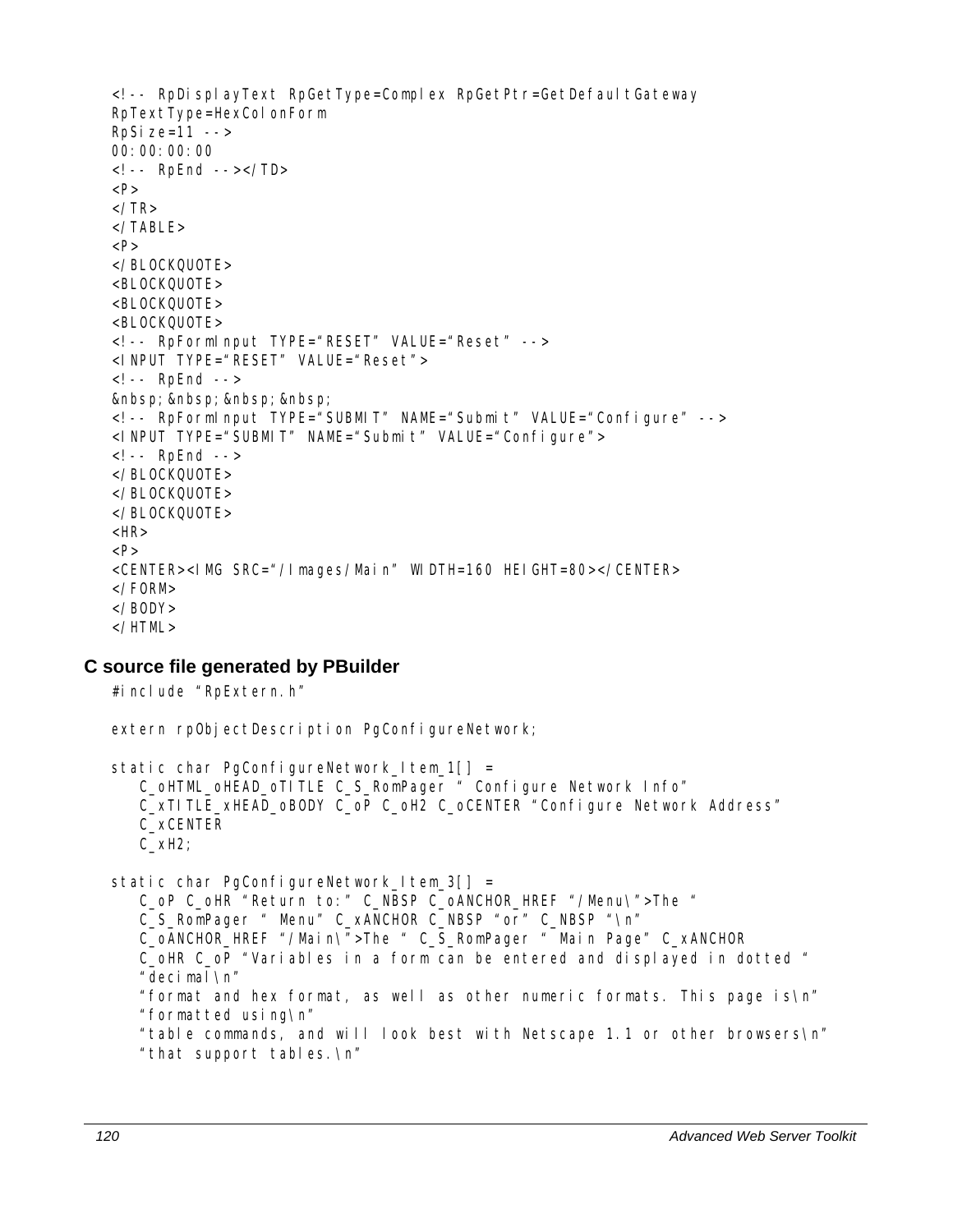```
<!-- RpDisplayText RpGetType=Complex RpGetPtr=GetDefaultGateway
RpTextType=HexColonForm 
RpSi ze=11 -->
00:00:00:00 
<!-- RpEnd --></TD> 
P</TR></TABLE> 
P</BLOCKQUOTE> 
<BLOCKQUOTE> 
<BLOCKQUOTE> 
<BLOCKQUOTE> 
<!-- RpFormInput TYPE="RESET" VALUE="Reset" --> 
<INPUT TYPE="RESET" VALUE="Reset"> 
<!-- RpEnd --> 
       
<!-- RpFormInput TYPE="SUBMIT" NAME="Submit" VALUE="Configure" --> 
<INPUT TYPE="SUBMIT" NAME="Submit" VALUE="Configure"> 
<!-- RpEnd --> 
</BLOCKQUOTE> 
</BLOCKQUOTE> 
</BLOCKQUOTE> 
<HR>P<CENTER><IMG SRC="/Images/Main" WIDTH=160 HEIGHT=80></CENTER> 
</FORM> 
</BODY> 
</HTML>
```
#### **C source file generated by PBuilder**

#include "RpExtern.h"

extern rpObjectDescription PgConfigureNetwork;

```
static char PgConfigureNetwork\lfloorltem\lfloor 1 \rfloor \rfloor = C_oHTML_oHEAD_oTITLE C_S_RomPager " Configure Network Info" 
    C_xTITLE_xHEAD_oBODY C_oP C_oH2 C_oCENTER "Configure Network Address" 
    C_xCENTER 
    C_xH2; 
static char PgConfigureNetwork_Item_3[] =
```
 C\_oP C\_oHR "Return to:" C\_NBSP C\_oANCHOR\_HREF "/Menu\">The " C\_S\_RomPager " Menu" C\_xANCHOR C\_NBSP "or" C\_NBSP "\n" C\_oANCHOR\_HREF "/Main\">The " C\_S\_RomPager " Main Page" C\_xANCHOR C\_oHR C\_oP "Variables in a form can be entered and displayed in dotted " "decimal\n" "format and hex format, as well as other numeric formats. This page is\n" "formatted using\n"

"table commands, and will look best with Netscape 1.1 or other browsers\n"

```
 "that support tables.\n"
```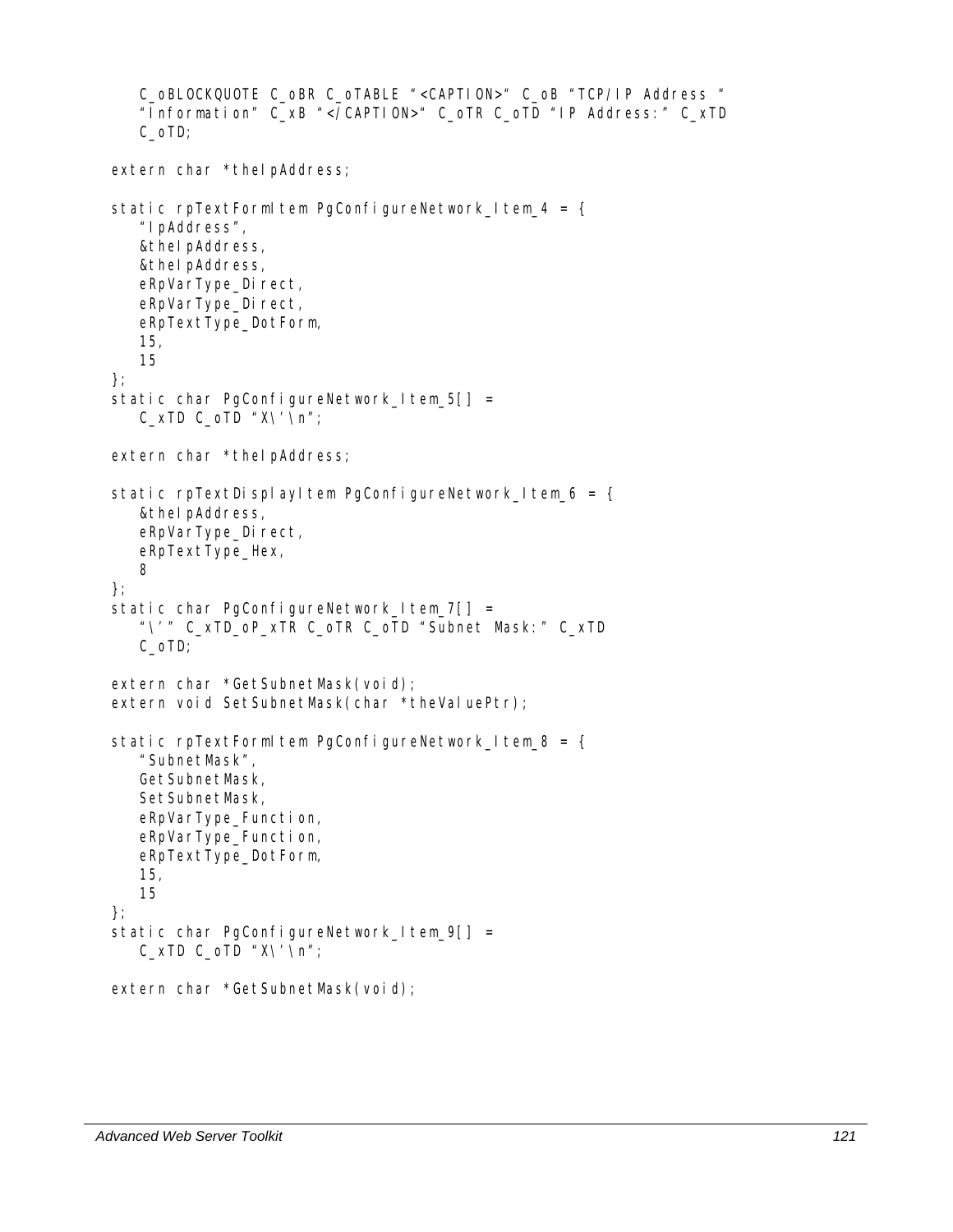```
C_oBLOCKQUOTE C_oBR C_oTABLE "<CAPTION>" C_oB "TCP/IP Address " 
    "Information" C_xB "</CAPTION>" C_oTR C_oTD "IP Address:" C_xTD 
    C_oTD; 
extern char *theIpAddress;
static rpTextFormItem PgConfigureNetwork Item_4 = {
    "IpAddress", 
    &theIpAddress, 
    &theIpAddress, 
   eRpVarType_Direct,
   eRpVarType_Direct,
    eRpTextType_DotForm, 
    15, 
    15 
}; 
static char PgConfigureNetwork_Item_5[] =
   C_XTD C_OTD "X\ Y \ \ Yn";
extern char *theIpAddress;
static rpTextDisplayItem PgConfigureNetwork_Item_6 = {
    &theIpAddress, 
   eRpVarType_Direct,
    eRpTextType_Hex, 
    8 
}; 
static char PgConfigureNetwork_Item_7[] =
    "\'" C_xTD_oP_xTR C_oTR C_oTD "Subnet Mask:" C_xTD 
    C_oTD; 
extern char *GetSubnetMask(void);
extern void SetSubnetMask(char *theValuePtr);
static rpTextFormItem PgConfigureNetwork_Item_8 = {
    "SubnetMask", 
    GetSubnetMask, 
    SetSubnetMask, 
    eRpVarType_Function, 
    eRpVarType_Function, 
    eRpTextType_DotForm, 
    15, 
    15 
}; 
static char PgConfigureNetwork_Item_9[] =
   C_XTD C_OTD "X\ Y \ \ Yn";
extern char *GetSubnetMask(void);
```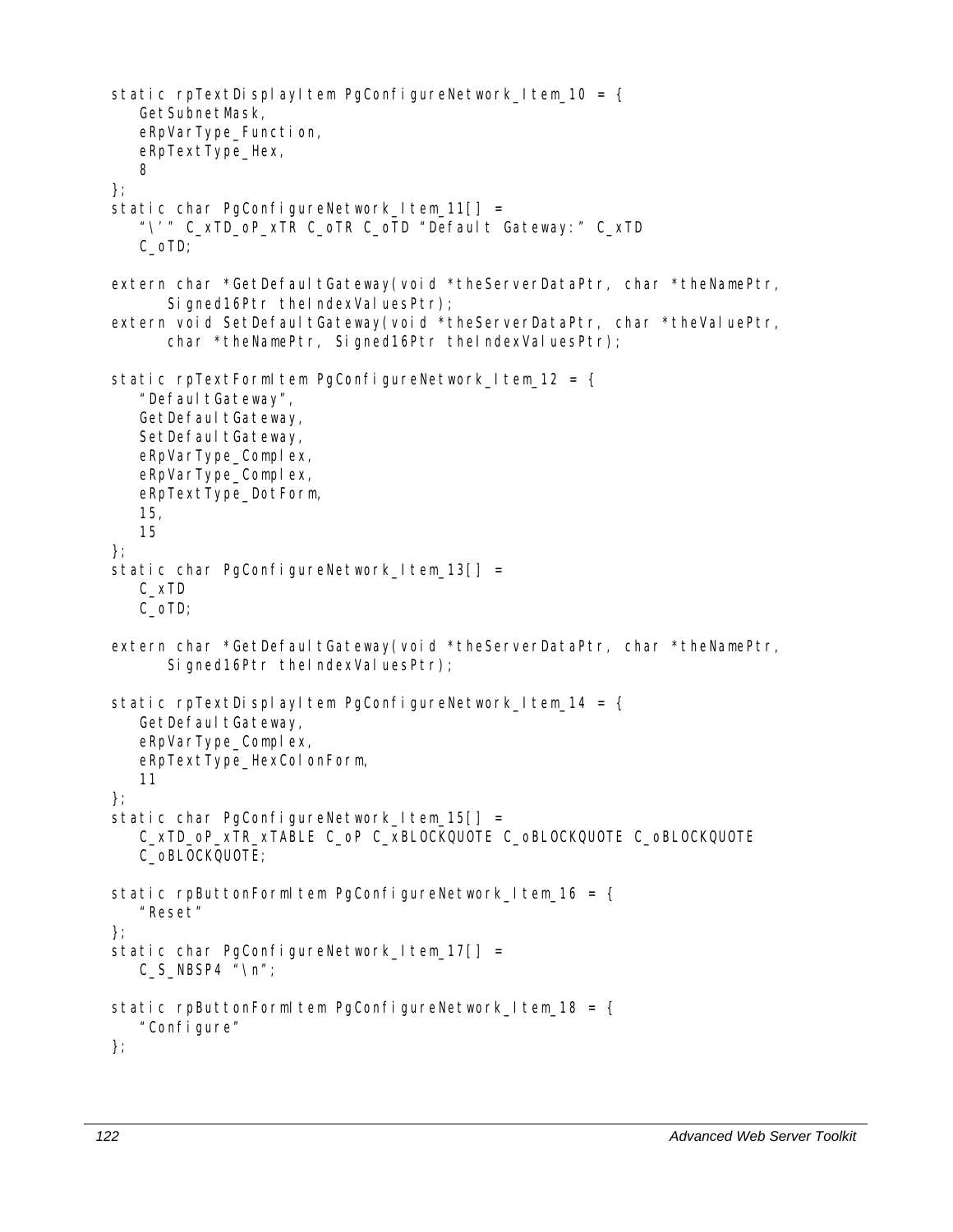```
static rpTextDisplayItem PgConfigureNetwork_Item_10 = {
    GetSubnetMask, 
    eRpVarType_Function, 
    eRpTextType_Hex, 
    8 
}; 
static char PgConfigureNetwork | tem 11| =
    "\'" C_xTD_oP_xTR C_oTR C_oTD "Default Gateway:" C_xTD 
    C_oTD; 
extern char *GetDefaultGateway(void *theServerDataPtr, char *theNamePtr,
      Signed16Ptr theIndexValuesPtr);
extern void SetDefaultGateway(void *theServerDataPtr, char *theValuePtr,
      char *theNamePtr, Signed16Ptr theIndexValuesPtr);
static rpTextFormItem PgConfigureNetwork Item_12 = {
   "DefaultGateway",
   GetDefaultGateway,
   SetDefaultGateway,
    eRpVarType_Complex, 
   eRpVarType_Complex,
    eRpTextType_DotForm, 
    15, 
    15 
}; 
static char PgConfigureNetwork Item 13[] =
    C_xTD 
    C_oTD; 
extern char *GetDefaultGateway(void *theServerDataPtr, char *theNamePtr,
      Signed16Ptr theIndexValuesPtr);
static rpTextDisplayItem PgConfigureNetwork_Item_14 = \{GetDefaultGateway,
    eRpVarType_Complex, 
    eRpTextType_HexColonForm, 
    11 
}; 
static char PgConfigureNetwork Item 15[] = C_xTD_oP_xTR_xTABLE C_oP C_xBLOCKQUOTE C_oBLOCKQUOTE C_oBLOCKQUOTE 
    C_oBLOCKQUOTE; 
static rpButtonFormItem PgConfigureNetwork\angleItem\angle16 = {
    "Reset" 
}; 
static char PgConfigureNetwork\lfloortem\lfloor 17 \rfloor \rfloor =C_S NBSP4 "\n";
static rpButtonFormItem PgConfigureNetwork_Item_18 = {
    "Configure" 
};
```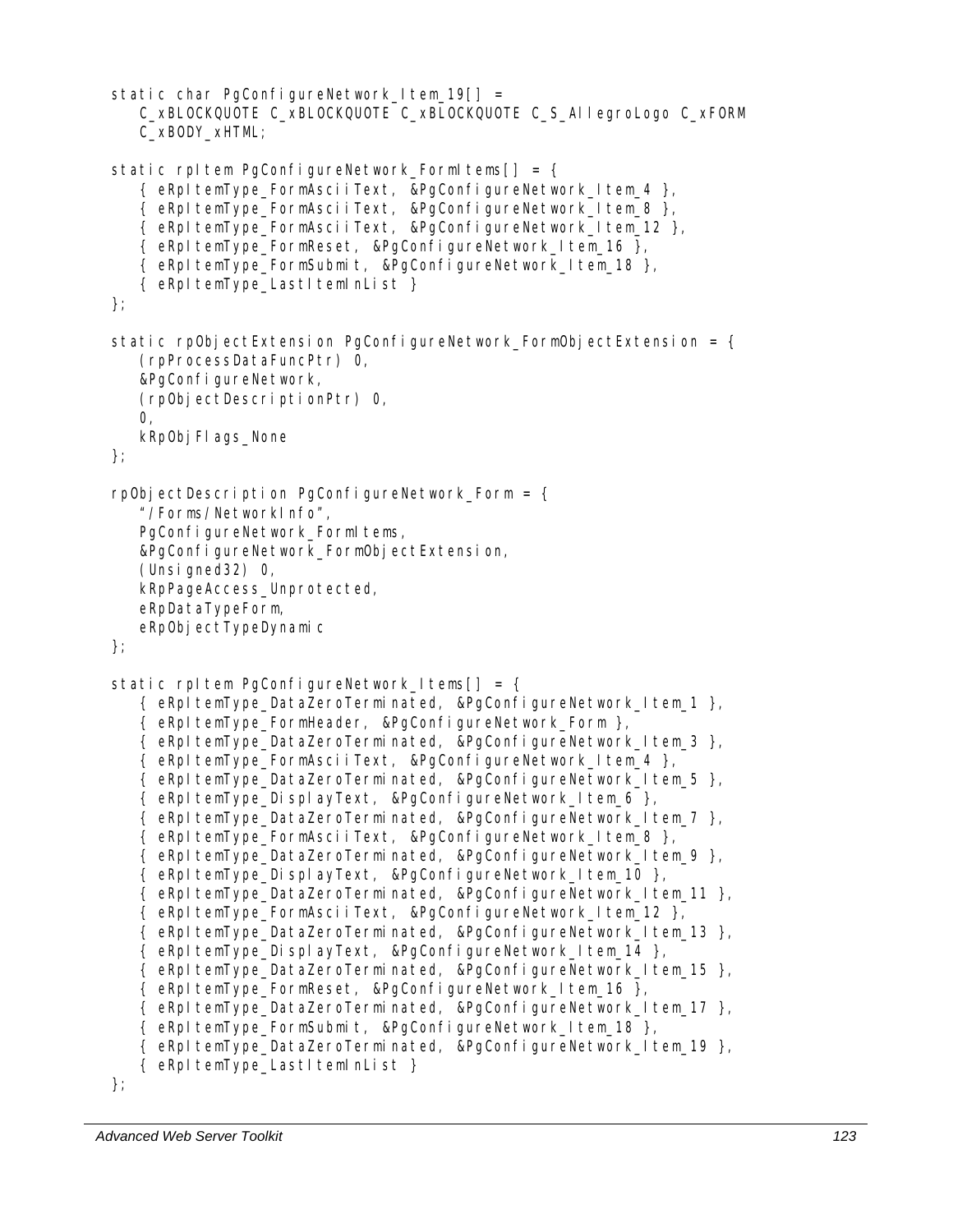```
static char PgConfigureNetwork Item 19[ =
    C_xBLOCKQUOTE C_xBLOCKQUOTE C_xBLOCKQUOTE C_S_AllegroLogo C_xFORM 
    C_xBODY_xHTML; 
static rpItem PgConfigureNetwork_FormItems[] = {
   { eRpItemType_FormAsciiText, &PgConfigureNetwork_Item_4 },
    { eRpItemType_FormAsciiText, &PgConfigureNetwork_Item_8 }, 
    { eRpItemType_FormAsciiText, &PgConfigureNetwork_Item_12 }, 
    { eRpItemType_FormReset, &PgConfigureNetwork_Item_16 }, 
    { eRpItemType_FormSubmit, &PgConfigureNetwork_Item_18 }, 
   { eRpItemType LastItemInList }
}; 
static rpObjectExtension PgConfigureNetwork FormObjectExtension = \{ (rpProcessDataFuncPtr) 0, 
    &PgConfigureNetwork, 
    (rpObjectDescriptionPtr) 0, 
    0, 
   kRp0bj Fl ags_None
}; 
rpObjectDescription PgConfigureNetwork_Form = \{ "/Forms/NetworkInfo", 
   PgConfigureNetwork_FormItems,
    &PgConfigureNetwork_FormObjectExtension, 
    (Unsigned32) 0, 
    kRpPageAccess_Unprotected, 
    eRpDataTypeForm, 
   eRpObjectTypeDynamic
}; 
static rpItem PqConfigureNetwork | tems| = {
    { eRpItemType_DataZeroTerminated, &PgConfigureNetwork_Item_1 }, 
   { eRpItemType_FormHeader, &PgConfigureNetwork_Form },
    { eRpItemType_DataZeroTerminated, &PgConfigureNetwork_Item_3 }, 
   { eRpItemType_FormAsciiText, &PgConfigureNetwork_Item_4 },
    { eRpItemType_DataZeroTerminated, &PgConfigureNetwork_Item_5 }, 
   { eRpItemType_DisplayText, &PgConfigureNetwork_Item_6 },
   \{ eRpItemType DataZeroTerminated, &PgConfigureNetwork Item 7 \},
   { eRpItemType FormAsciiText, &PgConfigureNetwork_Item_8 },
    { eRpItemType_DataZeroTerminated, &PgConfigureNetwork_Item_9 }, 
   { eRpItemType DisplayText, &PgConfigureNetwork ltem 10 },
    { eRpItemType_DataZeroTerminated, &PgConfigureNetwork_Item_11 }, 
    { eRpItemType_FormAsciiText, &PgConfigureNetwork_Item_12 }, 
    { eRpItemType_DataZeroTerminated, &PgConfigureNetwork_Item_13 }, 
    { eRpItemType_DisplayText, &PgConfigureNetwork_Item_14 }, 
    { eRpItemType_DataZeroTerminated, &PgConfigureNetwork_Item_15 }, 
   { eRpItemType FormReset, &PgConfigureNetwork ltem 16 },
    { eRpItemType_DataZeroTerminated, &PgConfigureNetwork_Item_17 }, 
    { eRpItemType_FormSubmit, &PgConfigureNetwork_Item_18 }, 
    { eRpItemType_DataZeroTerminated, &PgConfigureNetwork_Item_19 }, 
   { eRpItemType_LastItemInList }
};
```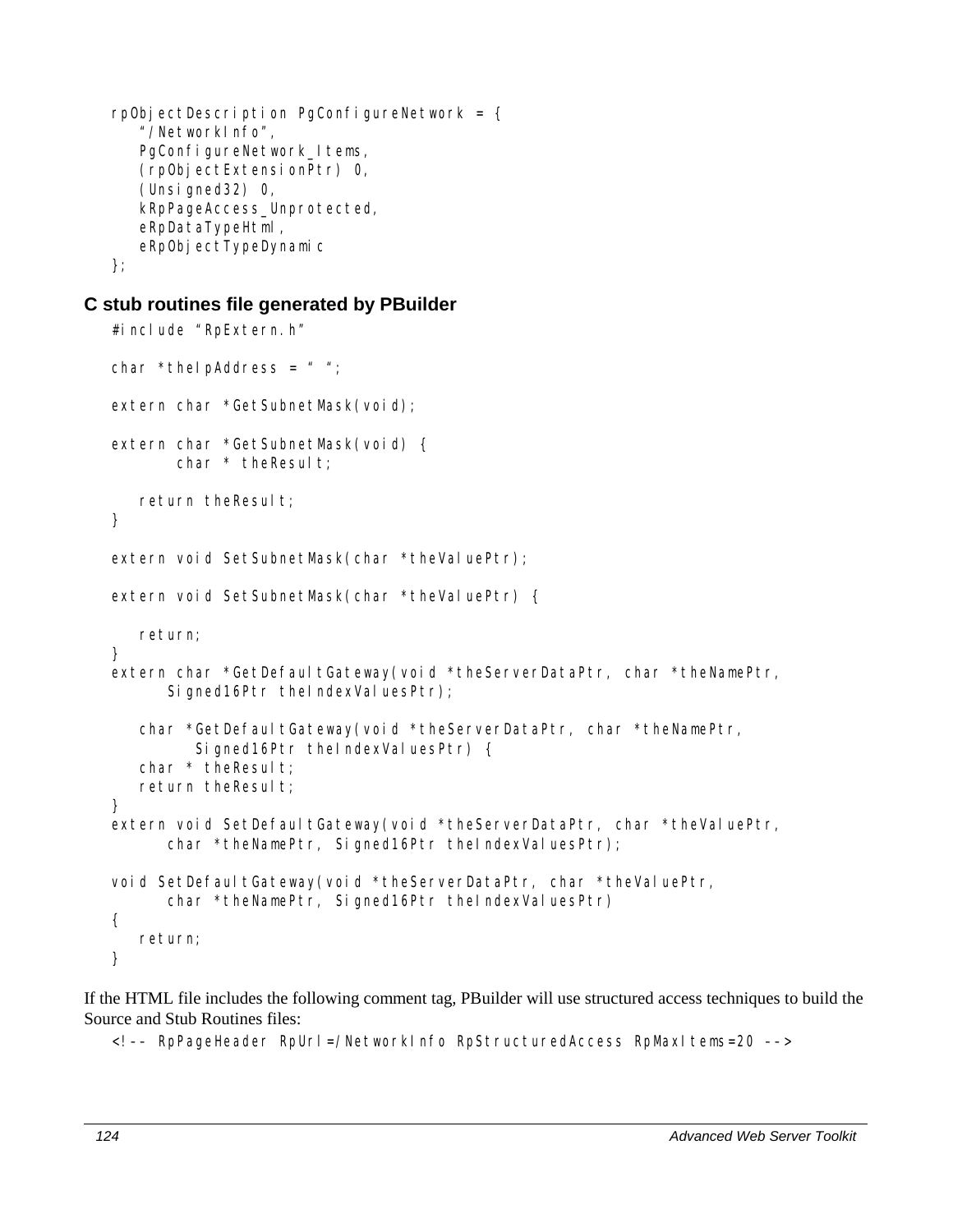```
rpObjectDescription PgConfigureNetwork = \{ "/NetworkInfo", 
   PgConfigureNetwork_Items,
    (rpObjectExtensionPtr) 0, 
    (Unsigned32) 0, 
    kRpPageAccess_Unprotected, 
    eRpDataTypeHtml, 
   eRpObjectTypeDynamic
};
```
#### **C stub routines file generated by PBuilder**

```
#include "RpExtern.h"
char *theIpAddress = " ";
extern char *GetSubnetMask(void);
extern char *GetSubnetMask(void) { 
       char * the Result;
   return theResult;
} 
extern void SetSubnetMask(char *theValuePtr);
extern void SetSubnetMask(char *theValuePtr) {
    return; 
} 
extern char *GetDefaultGateway(void *theServerDataPtr, char *theNamePtr,
      Signed16Ptr theIndexValuesPtr);
   char *GetDefaultGateway(void *theServerDataPtr, char *theNamePtr,
         Signed16Ptr theIndexValuesPtr) {
   char * the Result;
   return theResult;
} 
extern void SetDefaultGateway(void *theServerDataPtr, char *theValuePtr,
      char *theNamePtr, Signed16Ptr theIndexValuesPtr);
void SetDefaultGateway(void *theServerDataPtr, char *theValuePtr,
      char *theNamePtr, Signed16Ptr theIndexValuesPtr)
{ 
    return; 
}
```
If the HTML file includes the following comment tag, PBuilder will use structured access techniques to build the Source and Stub Routines files:

<!–– RpPageHeader RpUrl=/NetworkInfo RpStructuredAccess RpMaxItems=20 ––>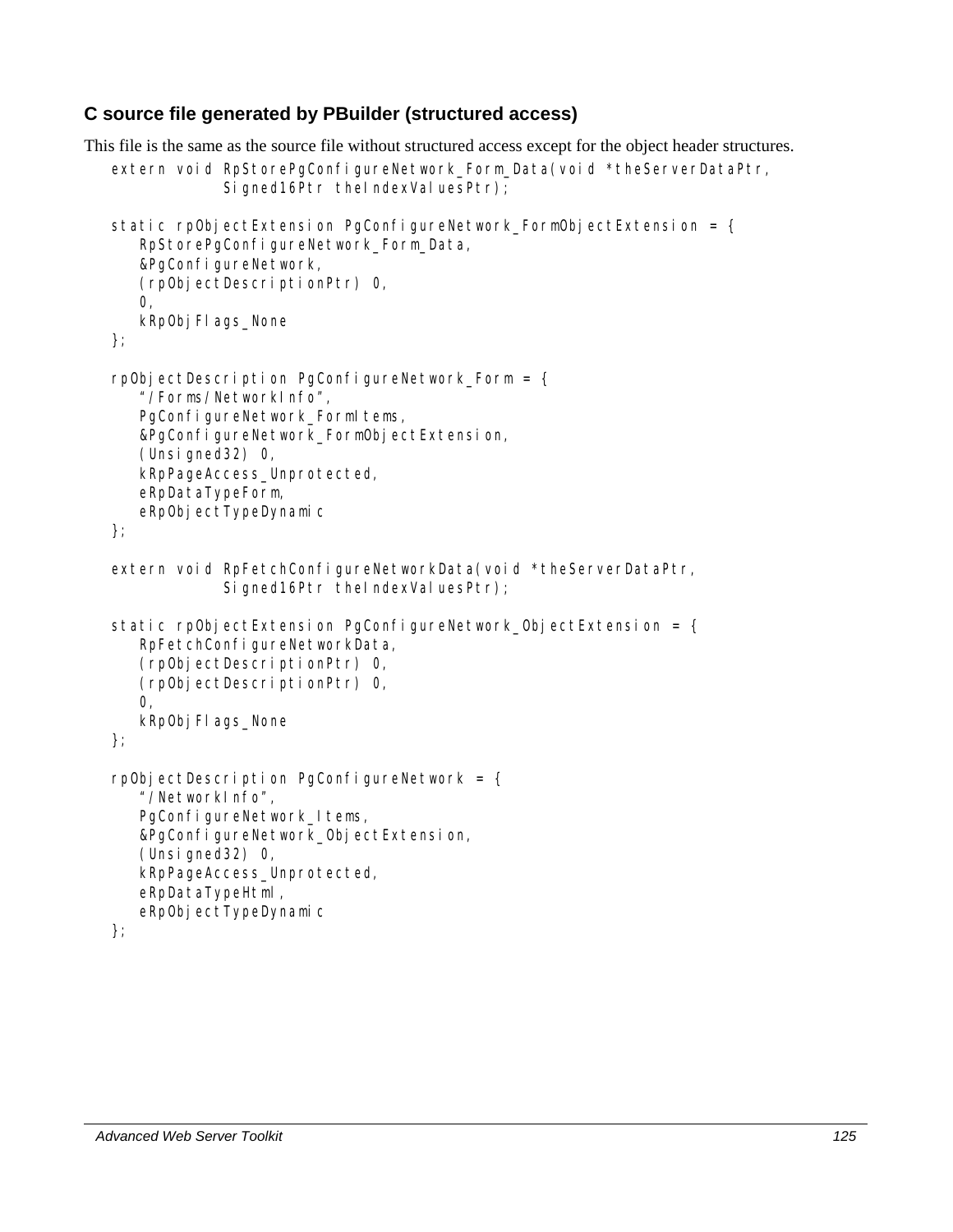#### **C source file generated by PBuilder (structured access)**

```
This file is the same as the source file without structured access except for the object header structures. 
   extern void RpStorePqConfigureNetwork Form Data(void *theServerDataPtr,
                Signed16Ptr theIndexValuesPtr);
   static rpObjectExtension PgConfigureNetwork FormObjectExtension = \{ RpStorePgConfigureNetwork_Form_Data, 
       &PgConfigureNetwork, 
       (rpObjectDescriptionPtr) 0, 
       0, 
      kRp0bj Fl ags_None
   }; 
   rpObjectDescription PgConfigureNetwork Form = \{ "/Forms/NetworkInfo", 
      PgConfigureNetwork_FormItems,
       &PgConfigureNetwork_FormObjectExtension, 
       (Unsigned32) 0, 
       kRpPageAccess_Unprotected, 
       eRpDataTypeForm, 
      eRpObjectTypeDynamic
   }; 
   extern void RpFetchConfigureNetworkData(void *theServerDataPtr,
                Signed16Ptr theIndexValuesPtr);
   static rpObjectExtension PgConfigureNetwork ObjectExtension = \{ RpFetchConfigureNetworkData, 
       (rpObjectDescriptionPtr) 0, 
       (rpObjectDescriptionPtr) 0, 
      O<sub>1</sub>kRp0bj Fl ags_None
   }; 
   rpObjectDescription PgConfigureNetwork = { 
       "/NetworkInfo", 
      PgConfigureNetwork Items,
       &PgConfigureNetwork_ObjectExtension, 
       (Unsigned32) 0, 
       kRpPageAccess_Unprotected, 
       eRpDataTypeHtml, 
      eRpObjectTypeDynamic
   };
```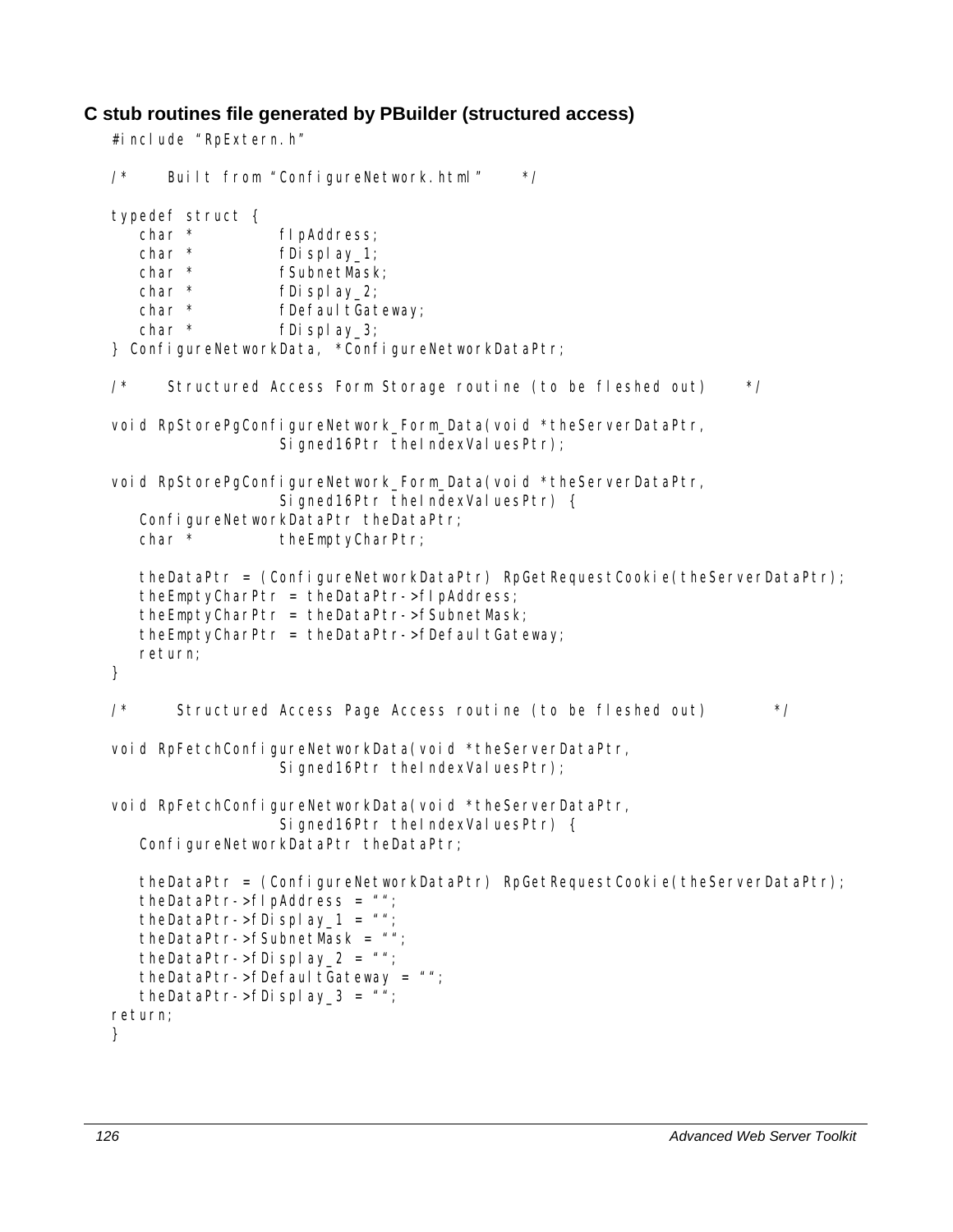#### **C stub routines file generated by PBuilder (structured access)**

```
#include "RpExtern.h" 
/* Built from "ConfigureNetwork.html" */ 
typedef struct { 
  char * fIpAddress;
  char * fDisplay_1;
  char * fSubnetMask;
  char * fDisplay_2;
  char * fDefaultGateway;
  char * fDisplay 3;
} ConfigureNetworkData, *ConfigureNetworkDataPtr; 
\frac{7}{10} Structured Access Form Storage routine (to be fleshed out) \frac{\pi}{4}void RpStorePgConfigureNetwork_Form_Data(void *theServerDataPtr, 
                 Signed16Ptr theIndexValuesPtr);
void RpStorePgConfigureNetwork_Form_Data(void *theServerDataPtr,
                 Signed16Ptr theIndexValuesPtr) {
   ConfigureNetworkDataPtr theDataPtr;
   char * theEmptyCharPtr;
    theDataPtr = (ConfigureNetworkDataPtr) RpGetRequestCookie(theServerDataPtr); 
    theEmptyCharPtr = theDataPtr->fIpAddress; 
    theEmptyCharPtr = theDataPtr->fSubnetMask; 
   theEmptyCharPtr = theDataPtr->fDefaultGateway;
   return; 
} 
/* Structured Access Page Access routine (to be fleshed out) */ 
void RpFetchConfigureNetworkData(void *theServerDataPtr,
                 Signed16Ptr theIndexValuesPtr);
void RpFetchConfigureNetworkData(void *theServerDataPtr,
                 Signed16Ptr theIndexValuesPtr) {
  ConfigureNetworkDataPtr theDataPtr;
   theDataPtr = (ConfigureNetworkDataPtr) RpGetRequestCookie(theServerDataPtr); 
   theDataPtr->flpAddress = ";
  theDataPtr->fDisplay_1 = ";
    theDataPtr->fSubnetMask = ""; 
  theDataPtr->fDisplay_2 = ";
  theDataPtr->fDefaultGateway = ";
  theDataPtr->fDisplay_3 = ";
return; 
}
```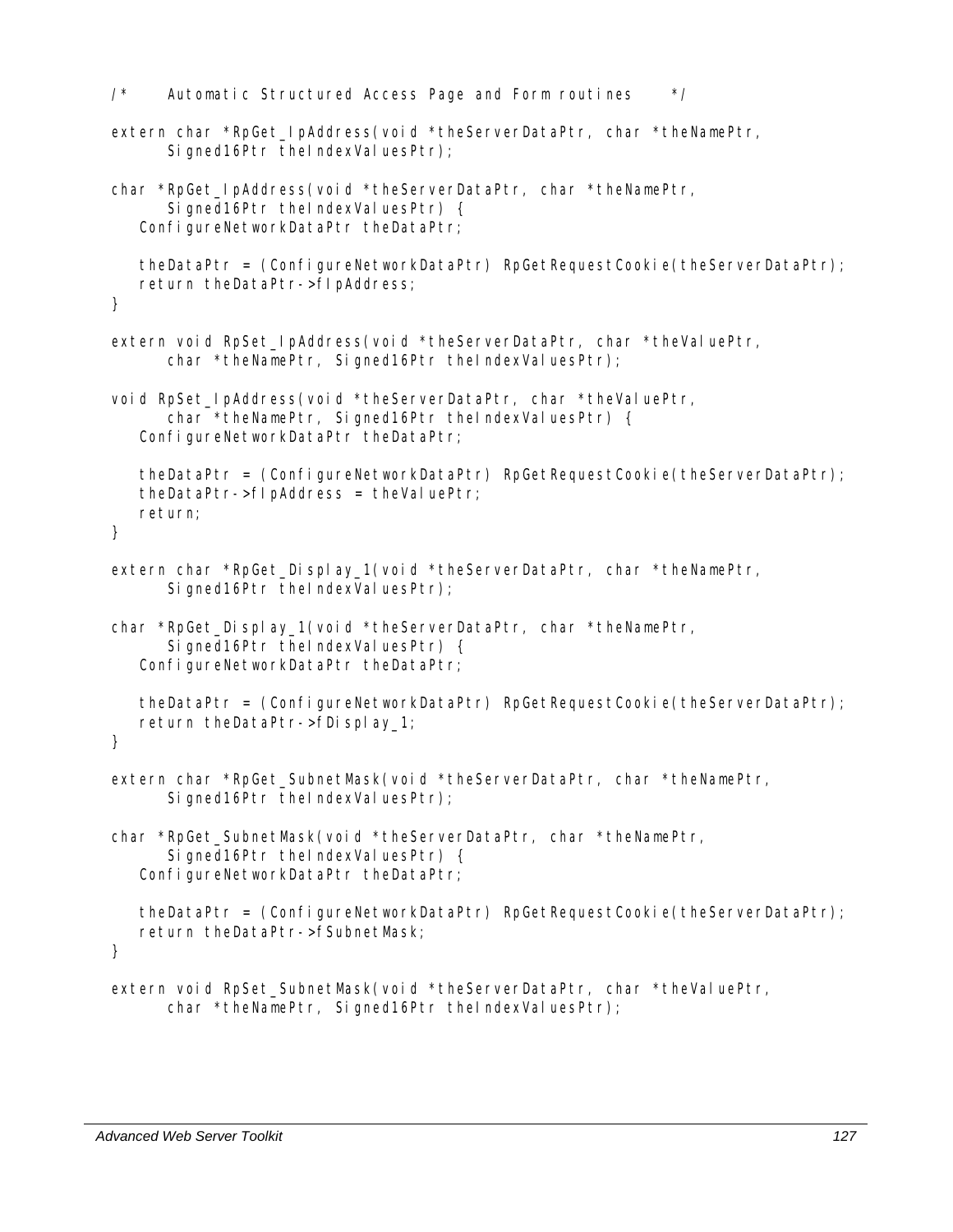```
/* Automatic Structured Access Page and Form routines */ 
extern char *RpGet_IpAddress(void *theServerDataPtr, char *theNamePtr, 
      Signed16Ptr theIndexValuesPtr);
char *RpGet_IpAddress(void *theServerDataPtr, char *theNamePtr, 
      Signed16Ptr theIndexValuesPtr) {
   ConfigureNetworkDataPtr theDataPtr;
    theDataPtr = (ConfigureNetworkDataPtr) RpGetRequestCookie(theServerDataPtr); 
    return theDataPtr->fIpAddress; 
} 
extern void RpSet_IpAddress(void *theServerDataPtr, char *theValuePtr, 
      char *theNamePtr, Signed16Ptr theIndexValuesPtr);
void RpSet IpAddress(void *theServerDataPtr, char *theValuePtr,
      char *theNamePtr, Signed16Ptr theIndexValuesPtr) {
   ConfigureNetworkDataPtr theDataPtr;
    theDataPtr = (ConfigureNetworkDataPtr) RpGetRequestCookie(theServerDataPtr); 
   the DataPtr->fl pAddress = theVal uePtr; return; 
} 
extern char *RpGet Display 1(void *theServerDataPtr, char *theNamePtr,
      Signed16Ptr theIndexValuesPtr);
char *RpGet_Display_1(void *theServerDataPtr, char *theNamePtr, 
      Signed16Ptr theIndexValuesPtr) {
   ConfigureNetworkDataPtr theDataPtr;
    theDataPtr = (ConfigureNetworkDataPtr) RpGetRequestCookie(theServerDataPtr); 
    return theDataPtr->fDisplay_1; 
} 
extern char *RpGet SubnetMask(void *theServerDataPtr, char *theNamePtr,
      Signed16Ptr theIndexValuesPtr);
char *RpGet_SubnetMask(void *theServerDataPtr, char *theNamePtr, 
      Signed16Ptr theIndexValuesPtr) {
   ConfigureNetworkDataPtr theDataPtr;
    theDataPtr = (ConfigureNetworkDataPtr) RpGetRequestCookie(theServerDataPtr); 
   return theDataPtr->fSubnetMask; 
} 
extern void RpSet SubnetMask(void *theServerDataPtr, char *theValuePtr,
```

```
char *theNamePtr, Signed16Ptr theIndexValuesPtr);
```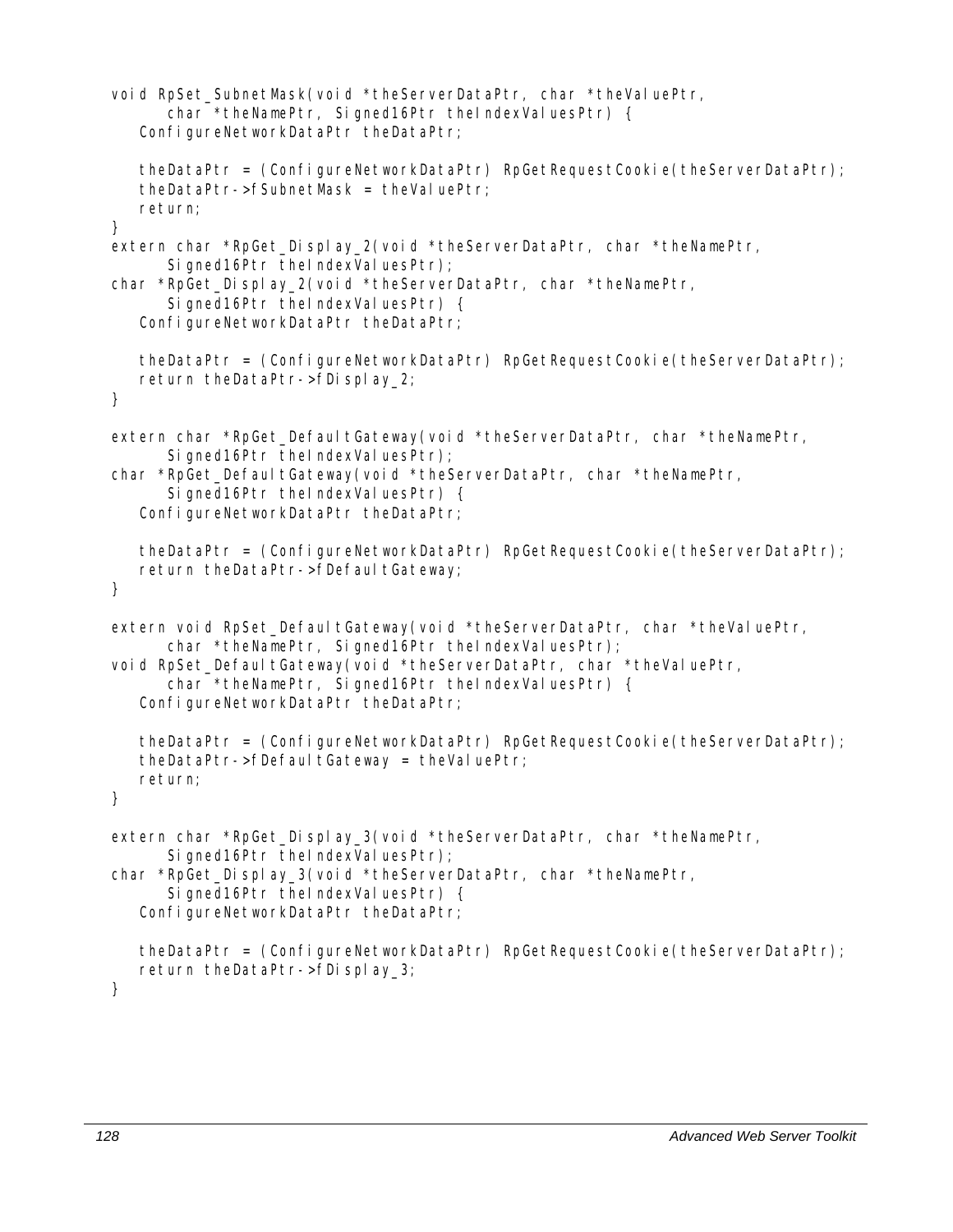```
void RpSet SubnetMask(void *theServerDataPtr, char *theValuePtr,
      char *theNamePtr, Signed16Ptr theIndexValuesPtr) {
   ConfigureNetworkDataPtr theDataPtr;
    theDataPtr = (ConfigureNetworkDataPtr) RpGetRequestCookie(theServerDataPtr); 
   theDataPtr->fSubnetMask = theValuePtr;
   return; 
} 
extern char *RpGet_Display_2(void *theServerDataPtr, char *theNamePtr,
      Signed16Ptr theIndexValuesPtr);
char *RpGet_Display_2(void *theServerDataPtr, char *theNamePtr, 
      Signed16Ptr theIndexValuesPtr) {
   ConfigureNetworkDataPtr theDataPtr;
    theDataPtr = (ConfigureNetworkDataPtr) RpGetRequestCookie(theServerDataPtr); 
    return theDataPtr->fDisplay_2; 
} 
extern char *RpGet_DefaultGateway(void *theServerDataPtr, char *theNamePtr,
      Signed16Ptr theIndexValuesPtr);
char *RpGet_DefaultGateway(void *theServerDataPtr, char *theNamePtr,
      Signed16Ptr theIndexValuesPtr) {
   ConfigureNetworkDataPtr theDataPtr;
    theDataPtr = (ConfigureNetworkDataPtr) RpGetRequestCookie(theServerDataPtr); 
  return theDataPtr->fDefaultGateway;
} 
extern void RpSet_DefaultGateway(void *theServerDataPtr, char *theValuePtr,
      char *theNamePtr, Signed16Ptr theIndexValuesPtr);
void RpSet_DefaultGateway(void *theServerDataPtr, char *theValuePtr,
      char *theNamePtr, Signed16Ptr theIndexValuesPtr) {
   ConfigureNetworkDataPtr theDataPtr;
    theDataPtr = (ConfigureNetworkDataPtr) RpGetRequestCookie(theServerDataPtr); 
   theDataPtr->fDefaultGateway = theValuePtr; return; 
} 
extern char *RpGet_Display_3(void *theServerDataPtr, char *theNamePtr,
      Signed16Ptr theIndexValuesPtr);
char *RpGet Display 3(void *theServerDataPtr, char *theNamePtr,
      Signed16Ptr theIndexValuesPtr) {
   ConfigureNetworkDataPtr theDataPtr;
    theDataPtr = (ConfigureNetworkDataPtr) RpGetRequestCookie(theServerDataPtr); 
   return theDataPtr->fDisplay_3; 
}
```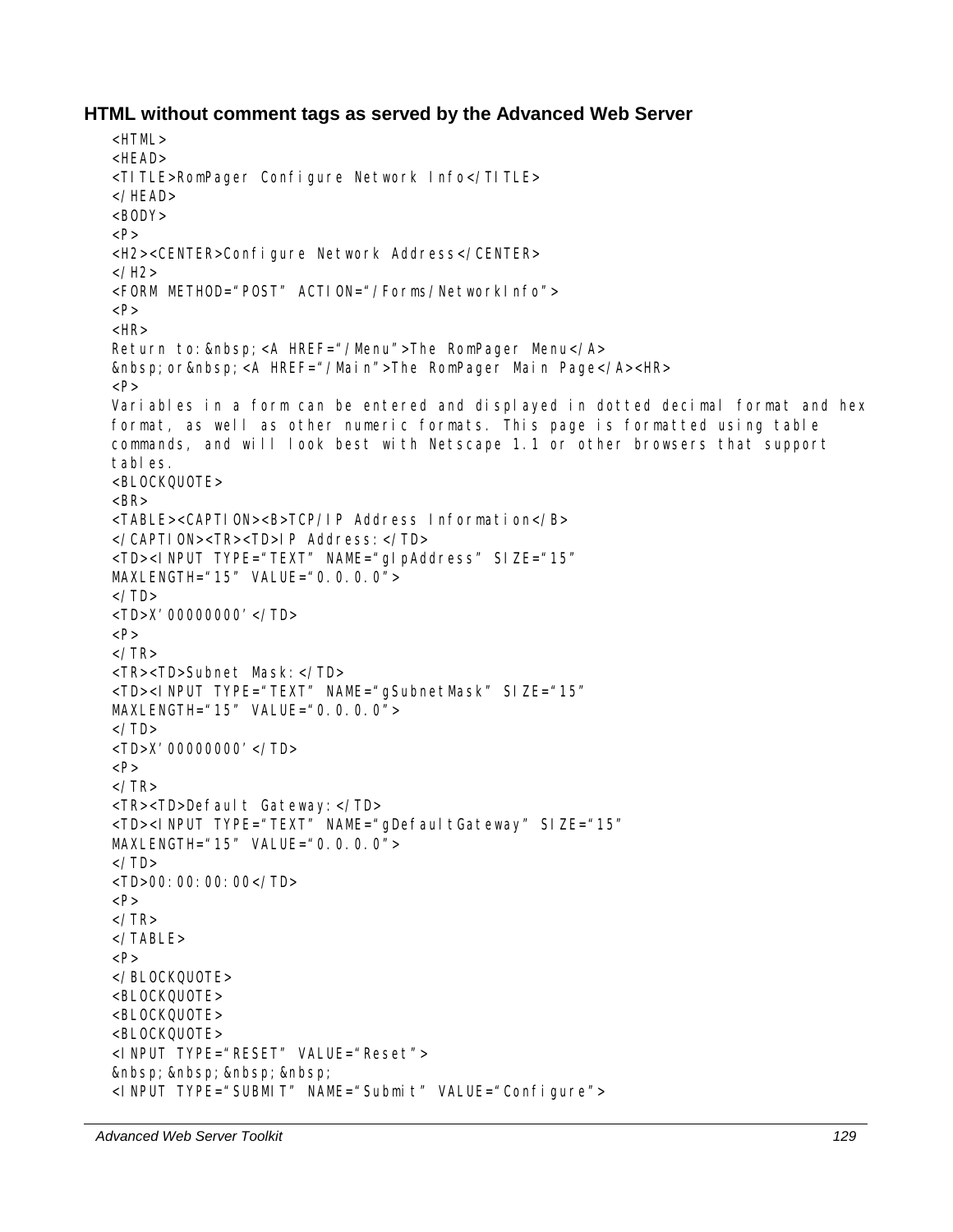#### **HTML without comment tags as served by the Advanced Web Server**

```
<HTML> 
HFAD<TITLE>RomPager Configure Network Info</TITLE> 
</HEAD> 
<BODY>P<H2><CENTER>Configure Network Address</CENTER> 
</H<sub>2</sub>><FORM METHOD="POST" ACTION="/Forms/NetworkInfo"> 
P<HR>Return to:   <A HREF="/Menu" >The RomPager Menu</A>
  or  <A HREF="/Main">The RomPager Main Page</A><HR>
PVariables in a form can be entered and displayed in dotted decimal format and hex 
format, as well as other numeric formats. This page is formatted using table 
commands, and will look best with Netscape 1.1 or other browsers that support 
tables. 
<BLOCKQUOTE> 
<BR><TABLE><CAPTION><B>TCP/IP Address Information</B> 
</CAPTION><TR><TD>IP Address:</TD> 
<TD><INPUT TYPE="TEXT" NAME="gIpAddress" SIZE="15" 
MAXLENGTH="15" VALUE="0.0.0.0"> 
\langle/TD><TD>X'00000000'</TD> 
P\langle/TR><TR><TD>Subnet Mask:</TD> 
<TD><INPUT TYPE="TEXT" NAME="gSubnetMask" SIZE="15" 
MAXLENGTH="15" VALUE="0.0.0.0"> 
\langle/TD\rangle<TD>X'00000000'</TD> 
P</TR><TR><TD>Default Gateway:</TD> 
<TD><INPUT TYPE="TEXT" NAME="gDefaultGateway" SIZE="15" 
MAXLENGTH="15" VALUE="0.0.0.0"> 
\langle/TD\rangle<TD>00:00:00:00</TD> 
P\langle/TR></TABLE> 
P</BLOCKQUOTE> 
<BLOCKQUOTE> 
\leqBLOCKOUOTE><BLOCKQUOTE> 
<INPUT TYPE="RESET" VALUE="Reset"> 
       
<INPUT TYPE="SUBMIT" NAME="Submit" VALUE="Configure">
```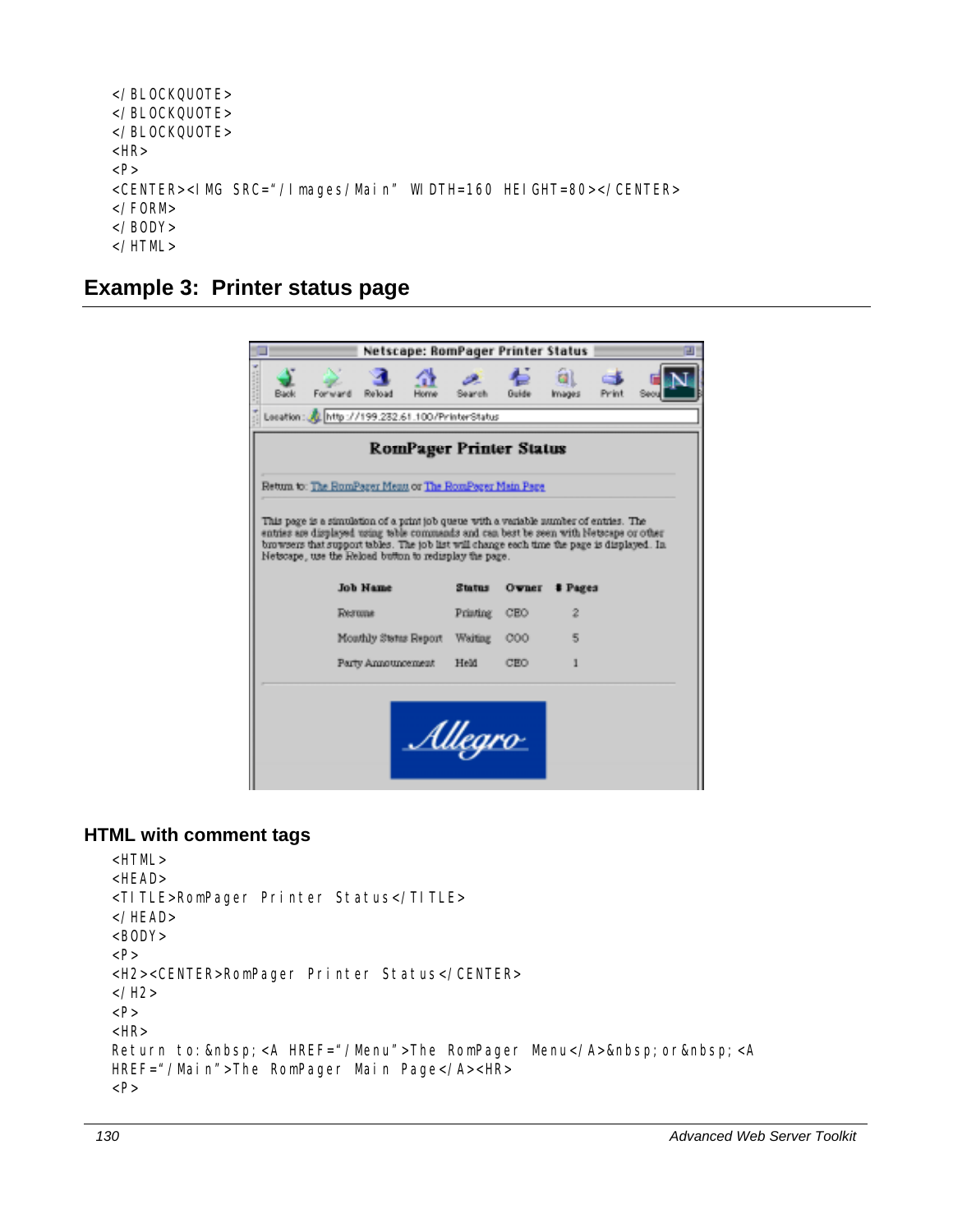```
</BLOCKQUOTE> 
</BLOCKQUOTE> 
</BLOCKQUOTE> 
<HR> 
P<CENTER><IMG SRC="/Images/Main" WIDTH=160 HEIGHT=80></CENTER> 
</FORM> 
</BODY> 
</HTML>
```
## **Example 3: Printer status page**

|             | Netscape: RomPager Printer Status                                                                                                                                                                                                              |                           |                     |                       |       |  |
|-------------|------------------------------------------------------------------------------------------------------------------------------------------------------------------------------------------------------------------------------------------------|---------------------------|---------------------|-----------------------|-------|--|
| <b>Bank</b> | Forward<br>Reload<br>Honw                                                                                                                                                                                                                      | Search                    | Guide               | <b>e</b> al<br>Images | Print |  |
|             | Lecation: 2 http://199.232.61.100/PrinterStatus                                                                                                                                                                                                |                           |                     |                       |       |  |
|             | <b>RomPager Printer Status</b>                                                                                                                                                                                                                 |                           |                     |                       |       |  |
|             | Return to: The RomPager Menu or The RomPager Main Page                                                                                                                                                                                         |                           |                     |                       |       |  |
|             | This page is a simulation of a print job queue with a variable number of entries. The                                                                                                                                                          |                           |                     |                       |       |  |
|             | entries are displayed using table commands and can best be seen with Netscape or other<br>browsers that support tables. The job list will change each time the page is displayed. In<br>Netscape, use the Reload button to redisplay the page. |                           |                     |                       |       |  |
|             | <b>Job Hame</b><br>Rerome                                                                                                                                                                                                                      | <b>Status</b><br>Printing | <b>Ovner</b><br>CEO | # Pages<br>2          |       |  |
|             | Mouthly Status Report                                                                                                                                                                                                                          | Waiting                   | 000                 | 5                     |       |  |

#### **HTML with comment tags**

```
<HTML> 
<HEAD> 
<TITLE>RomPager Printer Status</TITLE> 
</HEAD> 
<BODY><P> 
<H2><CENTER>RomPager Printer Status</CENTER> 
</H2>
<P> 
<HR> 
Return to:   <A HREF="/Menu">The RomPager Menu</A>>&nbsp; or&nbsp; <A
HREF="/Main">The RomPager Main Page</A><HR> 
< P>
```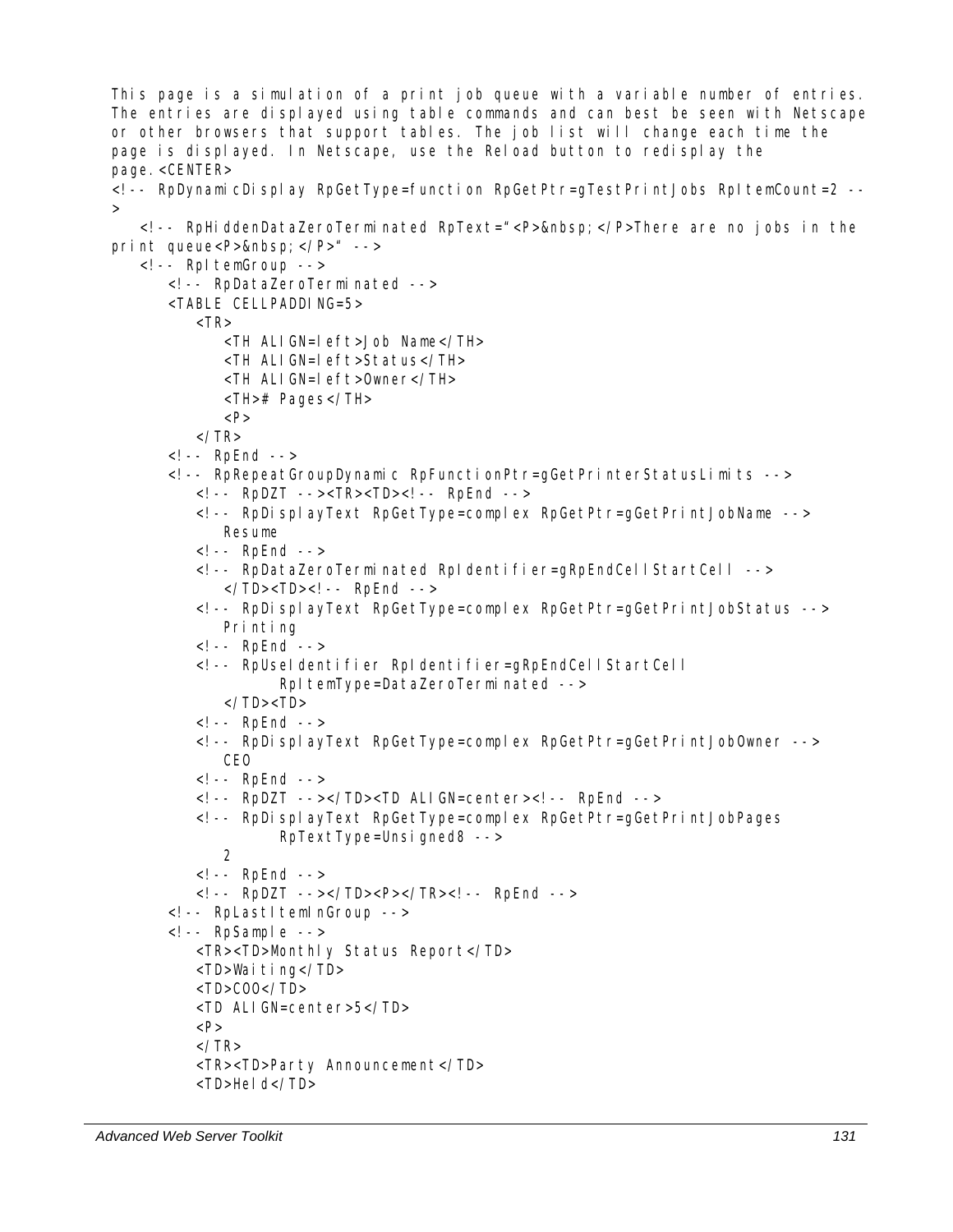This page is a simulation of a print job queue with a variable number of entries. The entries are displayed using table commands and can best be seen with Netscape or other browsers that support tables. The job list will change each time the page is displayed. In Netscape, use the Reload button to redisplay the page.<CENTER> <!-- RpDynamicDisplay RpGetType=function RpGetPtr=gTestPrintJobs RpItemCount=2 --  $>$  <!-- RpHiddenDataZeroTerminated RpText="<P>&nbsp;</P>There are no jobs in the print queue<P>&nbsp; </P>" --> <!-- RpItemGroup --> <!-- RpDataZeroTerminated --> <TABLE CELLPADDING=5>  $<$ TR $>$  <TH ALIGN=left>Job Name</TH> <TH ALIGN=left>Status</TH> <TH ALIGN=left>Owner</TH> <TH># Pages</TH>  $< P>$  $<$ /TR $>$  <!-- RpEnd --> <!-- RpRepeatGroupDynamic RpFunctionPtr=gGetPrinterStatusLimits --> <!-- RpDZT --><TR><TD><!-- RpEnd --> <!-- RpDisplayText RpGetType=complex RpGetPtr=gGetPrintJobName --> Resume <!-- RpEnd --> <!-- RpDataZeroTerminated RpIdentifier=gRpEndCellStartCell --> </TD><TD><! -- RpEnd --> <!-- RpDisplayText RpGetType=complex RpGetPtr=gGetPrintJobStatus --> Printing <!-- RpEnd --> <!-- RpUseIdentifier RpIdentifier=gRpEndCellStartCell RpItemType=DataZeroTerminated --> </TD><TD> <!-- RpEnd --> <!-- RpDisplayText RpGetType=complex RpGetPtr=gGetPrintJobOwner --> CEO <!-- RpEnd --> <!-- RpDZT --></TD><TD ALIGN=center><!-- RpEnd --> <!-- RpDisplayText RpGetType=complex RpGetPtr=gGetPrintJobPages RpTextType=Unsigned8 --> 2 <!-- RpEnd --> <!-- RpDZT --></TD><P></TR><!-- RpEnd --> <!-- RpLastItemInGroup -->  $\left\langle -\right\rangle$  -- RpSample --> <TR><TD>Monthly Status Report</TD> <TD>Waiting</TD>  $<$ TD $>$ COO $<$ /TD $>$  <TD ALIGN=center>5</TD>  $P$  $<$ /TR $>$ <TR><TD>Party Announcement</TD>

```
 <TD>Held</TD>
```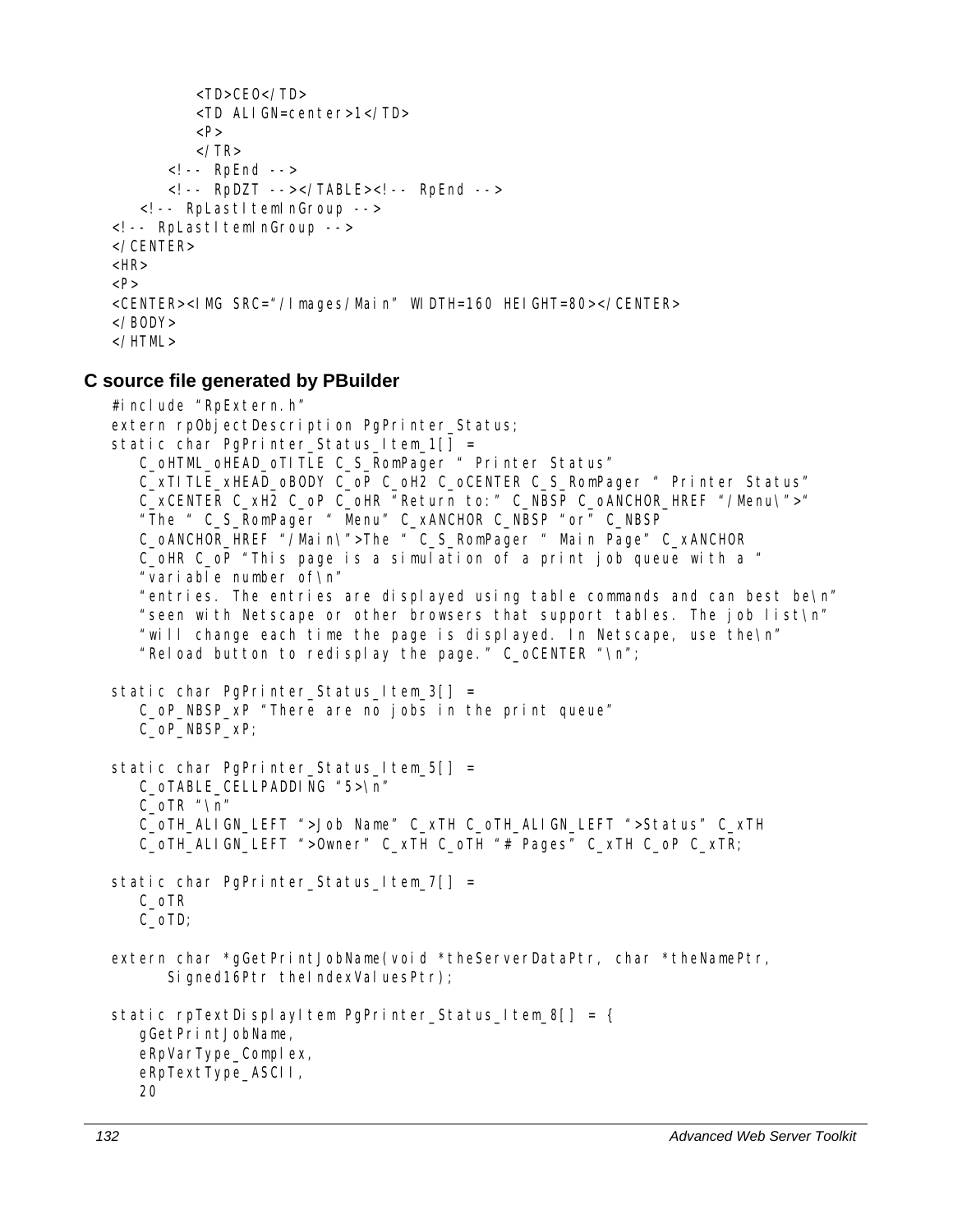```
 <TD>CEO</TD> 
          <TD ALIGN=center>1</TD> 
         P\langle/TR> <!-- RpEnd --> 
      <!-- RpDZT --></TABLE><!-- RpEnd -->
   <!-- RpLastItemInGroup -->
<!-- RpLastItemInGroup --> 
</CENTER> 
<HR>P<CENTER><IMG SRC="/Images/Main" WIDTH=160 HEIGHT=80></CENTER> 
</BODY> 
</HTML>
```
#### **C source file generated by PBuilder**

```
#include "RpExtern.h" 
extern rpObjectDescription PgPrinter_Status;
static char PgPrinter_Status_Item_1[] =
    C_oHTML_oHEAD_oTITLE C_S_RomPager " Printer Status" 
    C_xTITLE_xHEAD_oBODY C_oP C_oH2 C_oCENTER C_S_RomPager " Printer Status" 
    C_xCENTER C_xH2 C_oP C_oHR "Return to:" C_NBSP C_oANCHOR_HREF "/Menu\">" 
    "The " C_S_RomPager " Menu" C_xANCHOR C_NBSP "or" C_NBSP 
    C_oANCHOR_HREF "/Main\">The " C_S_RomPager " Main Page" C_xANCHOR 
    C_oHR C_oP "This page is a simulation of a print job queue with a " 
    "variable number of\n" 
    "entries. The entries are displayed using table commands and can best be\n" 
    "seen with Netscape or other browsers that support tables. The job list\n" 
    "will change each time the page is displayed. In Netscape, use the\n" 
    "Reload button to redisplay the page." C_oCENTER "\n"; 
static char PgPrinter_Status_Item_3[] =
    C_oP_NBSP_xP "There are no jobs in the print queue" 
    C_oP_NBSP_xP; 
static char PgPrinter_Status_Item_5[] =
    C_oTABLE_CELLPADDING "5>\n" 
    C_oTR "\n" 
    C_oTH_ALIGN_LEFT ">Job Name" C_xTH C_oTH_ALIGN_LEFT ">Status" C_xTH 
    C_oTH_ALIGN_LEFT ">Owner" C_xTH C_oTH "# Pages" C_xTH C_oP C_xTR; 
static char PgPrinter_Status_Item_7[] =
    C_oTR 
    C_oTD; 
extern char *gGetPrintJobName(void *theServerDataPtr, char *theNamePtr,
      Signed16Ptr theIndexValuesPtr);
static rpTextDisplayItem PgPrinter_Status_Item_8[] = {
    gGetPrintJobName, 
   eRpVarType_Complex,
    eRpTextType_ASCII, 
    20
```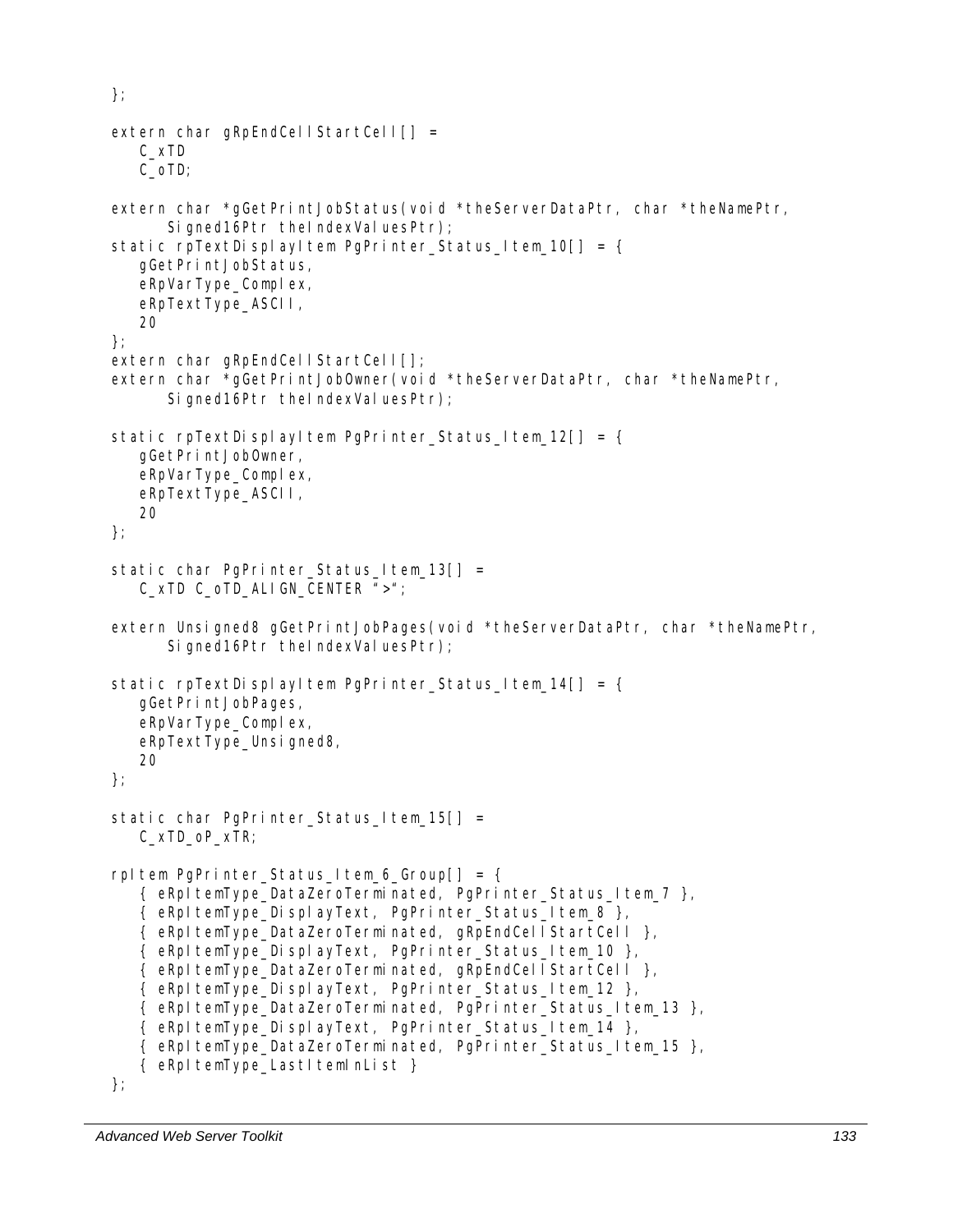```
}; 
extern char gRpEndCellStartCell[] = C_xTD 
    C_oTD; 
extern char *gGetPrintJobStatus(void *theServerDataPtr, char *theNamePtr, 
      Signed16Ptr theIndexValuesPtr);
static rpTextDisplayItem PgPrinter_Status_Item_10[] = {
    gGetPrintJobStatus, 
    eRpVarType_Complex, 
    eRpTextType_ASCII, 
    20 
}; 
extern char gRpEndCellStartCell[];
extern char *gGetPrintJobOwner(void *theServerDataPtr, char *theNamePtr, 
      Signed16Ptr theIndexValuesPtr);
static rpTextDisplayItem PgPrinter_Status_Item_12[] = {
    gGetPrintJobOwner, 
   eRpVarType_Complex,
    eRpTextType_ASCII, 
    20 
}; 
static char PgPrinter Status Item 13[] = C_xTD C_oTD_ALIGN_CENTER ">"; 
extern Unsigned8 gGetPrintJobPages(void *theServerDataPtr, char *theNamePtr,
      Signed16Ptr theIndexValuesPtr);
static rpTextDisplayItem PgPrinter_Status_Item_14[] = {
    gGetPrintJobPages, 
   eRpVarType Complex,
   eRpTextType_Unsigned8,
    20 
}; 
static char PgPrinter_Status_Item_15[] =
    C_xTD_oP_xTR; 
rpItem PgPrinter Status Item 6 Group[] = {
    { eRpItemType_DataZeroTerminated, PgPrinter_Status_Item_7 }, 
    { eRpItemType_DisplayText, PgPrinter_Status_Item_8 }, 
    { eRpItemType_DataZeroTerminated, gRpEndCellStartCell }, 
    { eRpItemType_DisplayText, PgPrinter_Status_Item_10 }, 
    { eRpItemType_DataZeroTerminated, gRpEndCellStartCell }, 
    { eRpItemType_DisplayText, PgPrinter_Status_Item_12 }, 
    { eRpItemType_DataZeroTerminated, PgPrinter_Status_Item_13 }, 
    { eRpItemType_DisplayText, PgPrinter_Status_Item_14 }, 
   { eRpItemType DataZeroTerminated, PgPrinter Status Item 15 },
   { eRpItemType_LastItemInList }
```

```
};
```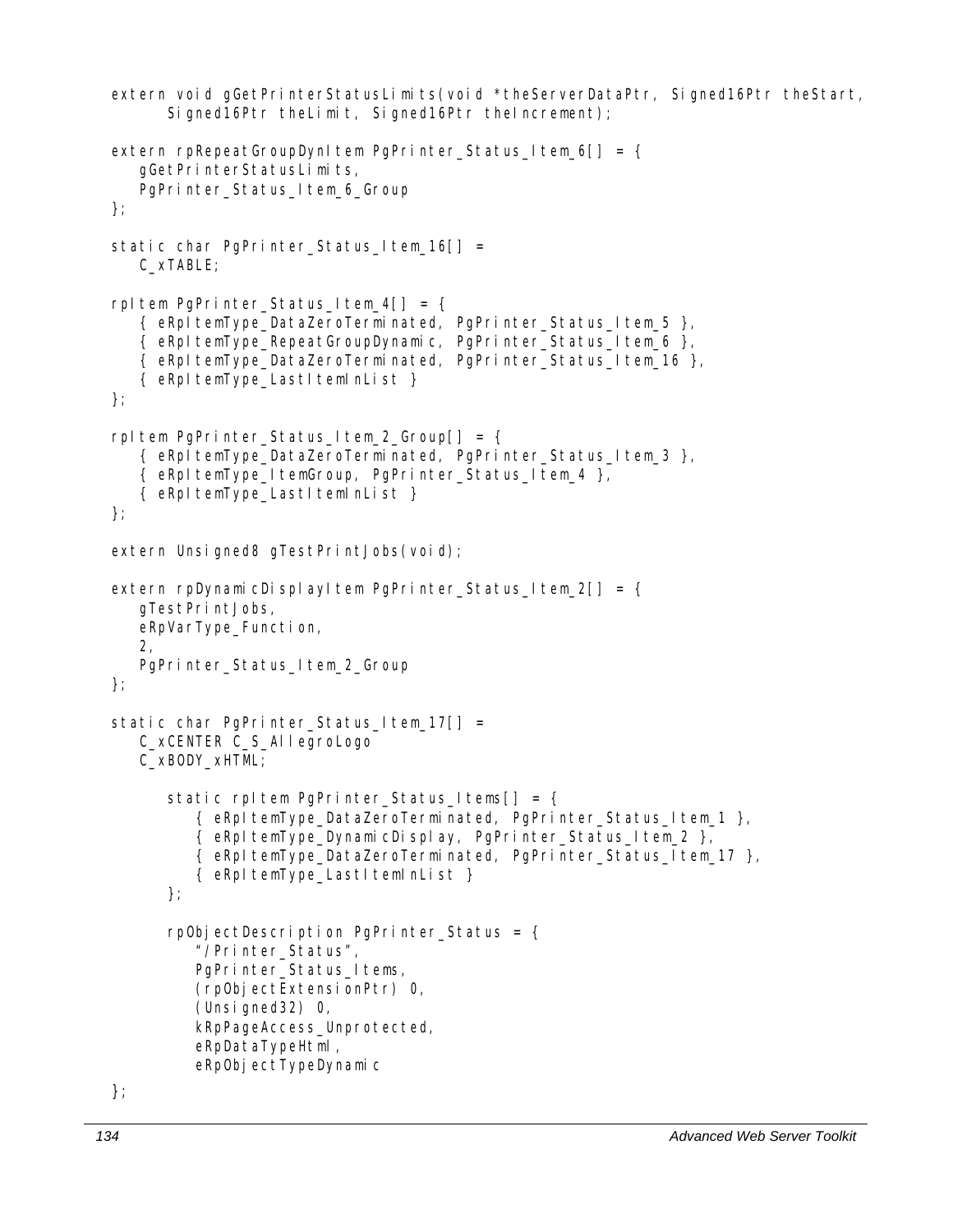```
extern void gGetPrinterStatusLimits(void *theServerDataPtr, Signed16Ptr theStart,
      Signed16Ptr theLimit, Signed16Ptr theIncrement);
extern rpRepeatGroupDynItem PqPrinter_Status_Item 6[] = { gGetPrinterStatusLimits, 
   PgPrinter_Status_Item_6_Group
}; 
static char PgPrinter_Status_Item_16[] =
    C_xTABLE; 
rpItem PgPrinter_Status_Item_4[] = {
   \{ eRpItemType DataZeroTerminated, PgPrinter Status Item 5 \},{ eRpItemType_RepeatGroupDynamic, PgPrinter_Status_Item_6 },
    { eRpItemType_DataZeroTerminated, PgPrinter_Status_Item_16 }, 
    { eRpItemType_LastItemInList } 
}; 
rpItem PgPrinter_Status_Item_2_Group[] = { 
   \{ eRpItemType DataZeroTerminated, PgPrinter Status Item 3 \}, { eRpItemType_ItemGroup, PgPrinter_Status_Item_4 }, 
    { eRpItemType_LastItemInList } 
}; 
extern Unsigned8 gTestPrintJobs(void);
extern rpDynamicDisplayItem PgPrinter_Status_Item_2[] = {
    gTestPrintJobs, 
    eRpVarType_Function, 
    2, 
    PgPrinter_Status_Item_2_Group 
}; 
static char PgPrinter_Status_Item_17[] =
    C_xCENTER C_S_AllegroLogo 
    C_xBODY_xHTML; 
      static rpItem PqPrinter_Status_Items[] = {
          { eRpItemType_DataZeroTerminated, PgPrinter_Status_Item_1 }, 
          { eRpItemType_DynamicDisplay, PgPrinter_Status_Item_2 }, 
          { eRpItemType_DataZeroTerminated, PgPrinter_Status_Item_17 }, 
         { eRpItemType LastItemInList }
      }; 
      rpObjectDescription PgPrinter Status = \{ "/Printer_Status", 
         PgPrinter_Status_Items,
          (rpObjectExtensionPtr) 0, 
          (Unsigned32) 0, 
          kRpPageAccess_Unprotected, 
          eRpDataTypeHtml, 
         eRpObjectTypeDynamic
```

```
};
```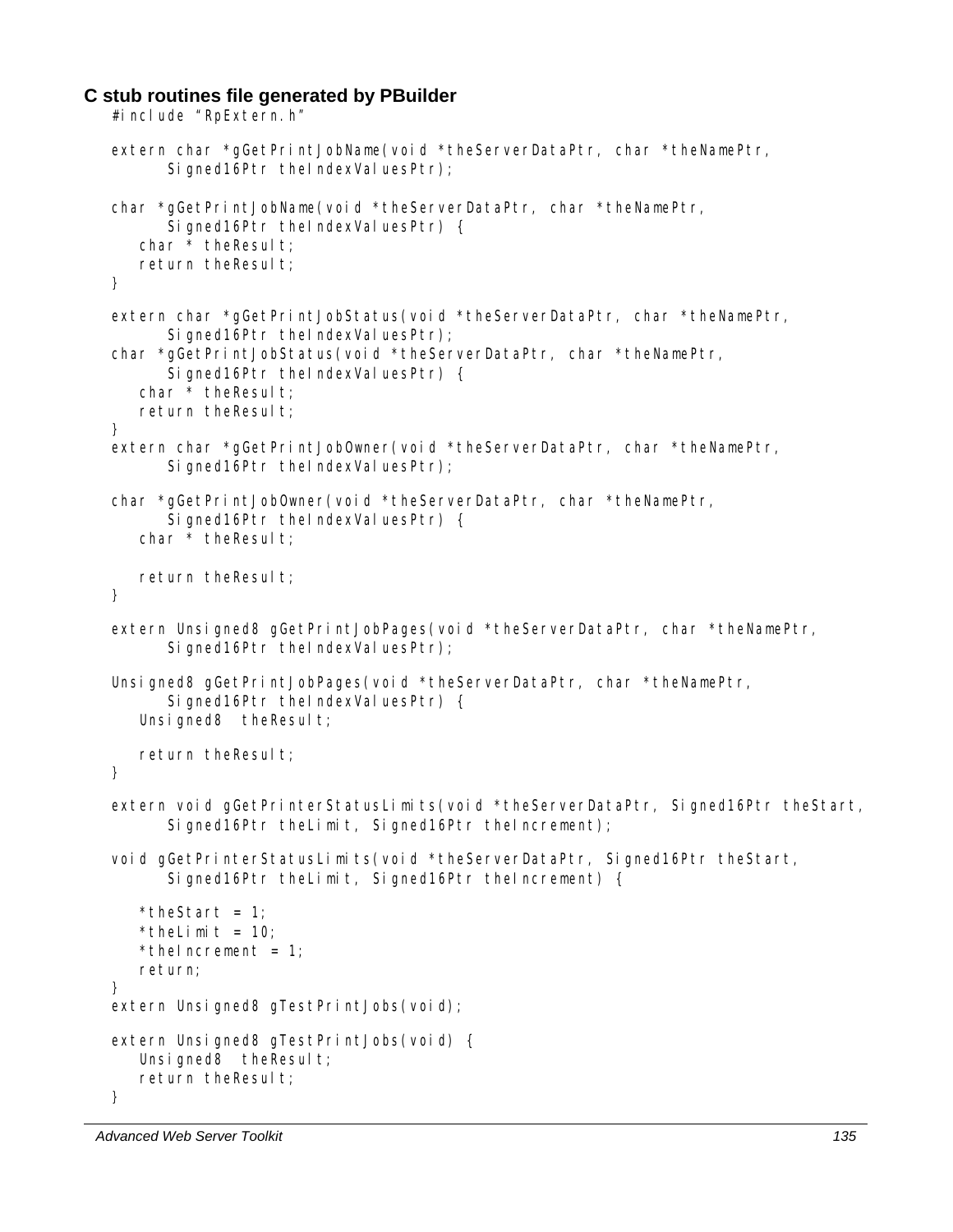#### **C stub routines file generated by PBuilder**

```
#include "RpExtern.h"
extern char *gGetPrintJobName(void *theServerDataPtr, char *theNamePtr, 
      Signed16Ptr theIndexValuesPtr);
char *gGetPrintJobName(void *theServerDataPtr, char *theNamePtr, 
      Signed16Ptr theIndexValuesPtr) {
   char * the Result;
   return theResult;
} 
extern char *gGetPrintJobStatus(void *theServerDataPtr, char *theNamePtr, 
      Signed16Ptr theIndexValuesPtr);
char *gGetPrintJobStatus(void *theServerDataPtr, char *theNamePtr, 
      Signed16Ptr theIndexValuesPtr) {
  char * the Result;
   return theResult;
} 
extern char *gGetPrintJobOwner(void *theServerDataPtr, char *theNamePtr, 
      Signed16Ptr theIndexValuesPtr);
char *gGetPrintJobOwner(void *theServerDataPtr, char *theNamePtr, 
      Signed16Ptr theIndexValuesPtr) {
   char * theResult;
  return theResult;
} 
extern Unsigned8 gGetPrintJobPages(void *theServerDataPtr, char *theNamePtr, 
      Signed16Ptr theIndexValuesPtr);
Unsigned8 gGetPrintJobPages(void *theServerDataPtr, char *theNamePtr,
      Signed16Ptr theIndexValuesPtr) {
   Unsigned8 theResult;
   return theResult;
} 
extern void gGetPrinterStatusLimits(void *theServerDataPtr, Signed16Ptr theStart,
      Signed16Ptr theLimit, Signed16Ptr theIncrement);
void gGetPrinterStatusLimits(void *theServerDataPtr, Signed16Ptr theStart,
       Signed16Ptr theLimit, Signed16Ptr theIncrement) { 
   *theStart = 1;
   *theLimit = 10;
   *thelncrement = 1;
   return; 
} 
extern Unsigned8 gTestPrintJobs(void);
extern Unsigned8 gTestPrintJobs(void) { 
   Unsigned8 theResult;
  return theResult;
}
```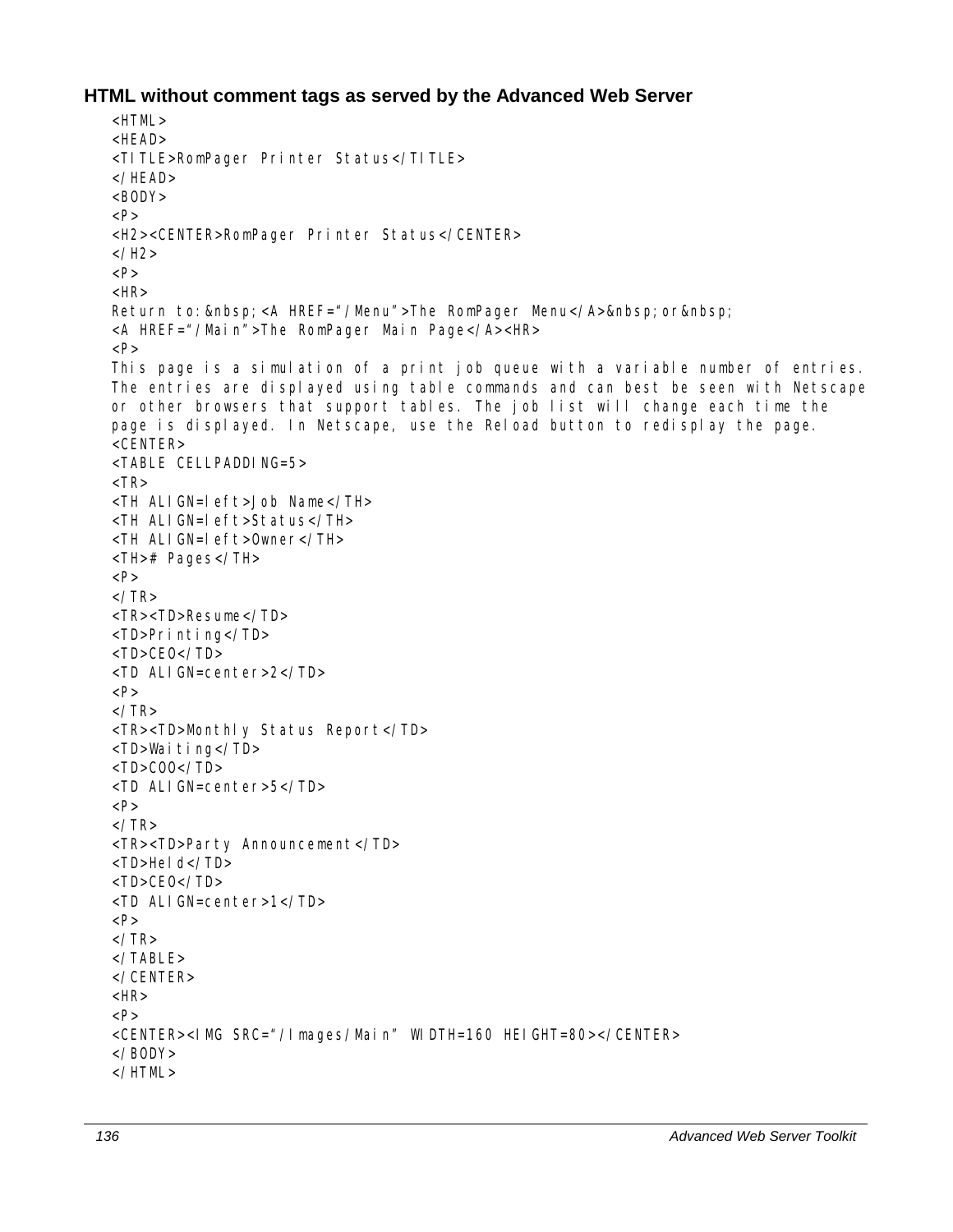### **HTML without comment tags as served by the Advanced Web Server**

```
>HTMI ><HEAD> 
<TITLE>RomPager Printer Status</TITLE> 
</HEAD> 
<BODY>< P><H2><CENTER>RomPager Printer Status</CENTER> 
</H<sub>2</sub>>P<HR>Return to:   <A HREF="/Menu">The RomPager Menu</A>&nbsp; or&nbsp;
<A HREF="/Main">The RomPager Main Page</A><HR> 
< P>This page is a simulation of a print job queue with a variable number of entries. 
The entries are displayed using table commands and can best be seen with Netscape 
or other browsers that support tables. The job list will change each time the 
page is displayed. In Netscape, use the Reload button to redisplay the page. 
<CENTER> 
<TABLE CELLPADDING=5> 
<TR><TH ALIGN=left>Job Name</TH> 
<TH ALIGN=left>Status</TH> 
<TH ALIGN=left>Owner</TH> 
<TH># Pages</TH> 
P\langle/TR><TR><TD>Resume</TD> 
<TD>Printing</TD> 
<TD>CEO</TD> 
<TD ALIGN=center>2</TD> 
P\langle/TR><TR><TD>Monthly Status Report</TD> 
<TD>Waiting</TD> 
<TD>COO</TD> 
<TD ALIGN=center>5</TD> 
P\langle/TR><TR><TD>Party Announcement</TD> 
<TD>Held</TD>
<TD>CEO</TD> 
<TD ALIGN=center>1</TD> 
P</TR></TABI F></CENTER> 
<HR>P<CENTER><IMG SRC="/Images/Main" WIDTH=160 HEIGHT=80></CENTER> 
</BODY> 
</HTML>
```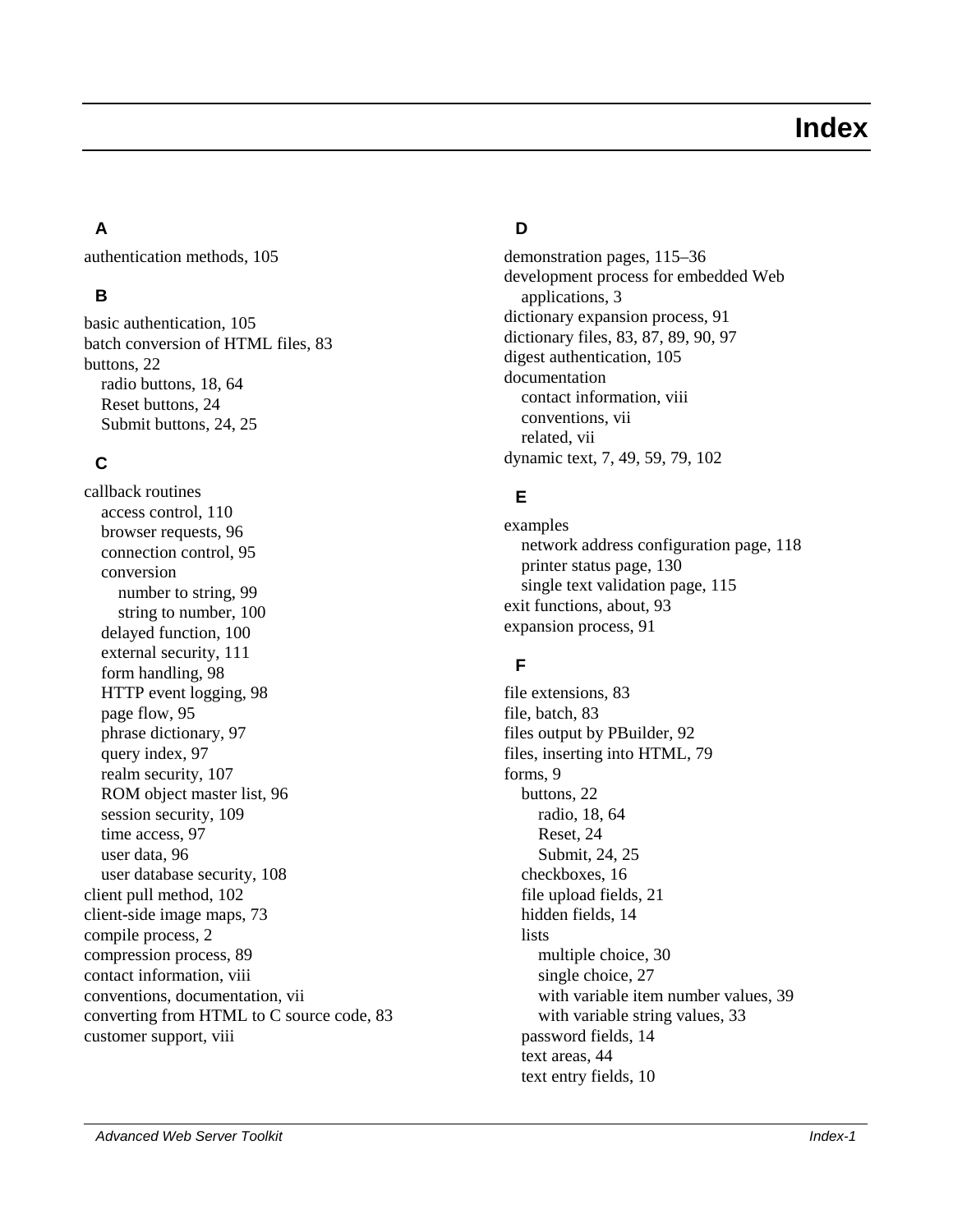# **Index**

# **A**

authentication methods, 105

# **B**

basic authentication, 105 batch conversion of HTML files, 83 buttons, 22 radio buttons, 18, 64 Reset buttons, 24 Submit buttons, 24, 25

# **C**

callback routines access control, 110 browser requests, 96 connection control, 95 conversion number to string, 99 string to number, 100 delayed function, 100 external security, 111 form handling, 98 HTTP event logging, 98 page flow, 95 phrase dictionary, 97 query index, 97 realm security, 107 ROM object master list, 96 session security, 109 time access, 97 user data, 96 user database security, 108 client pull method, 102 client-side image maps, 73 compile process, 2 compression process, 89 contact information, viii conventions, documentation, vii converting from HTML to C source code, 83 customer support, viii

# **D**

demonstration pages, 115–36 development process for embedded Web applications, 3 dictionary expansion process, 91 dictionary files, 83, 87, 89, 90, 97 digest authentication, 105 documentation contact information, viii conventions, vii related, vii dynamic text, 7, 49, 59, 79, 102

# **E**

examples network address configuration page, 118 printer status page, 130 single text validation page, 115 exit functions, about, 93 expansion process, 91

# **F**

file extensions, 83 file, batch, 83 files output by PBuilder, 92 files, inserting into HTML, 79 forms, 9 buttons, 22 radio, 18, 64 Reset, 24 Submit, 24, 25 checkboxes, 16 file upload fields, 21 hidden fields, 14 **lists** multiple choice, 30 single choice, 27 with variable item number values, 39 with variable string values, 33 password fields, 14 text areas, 44 text entry fields, 10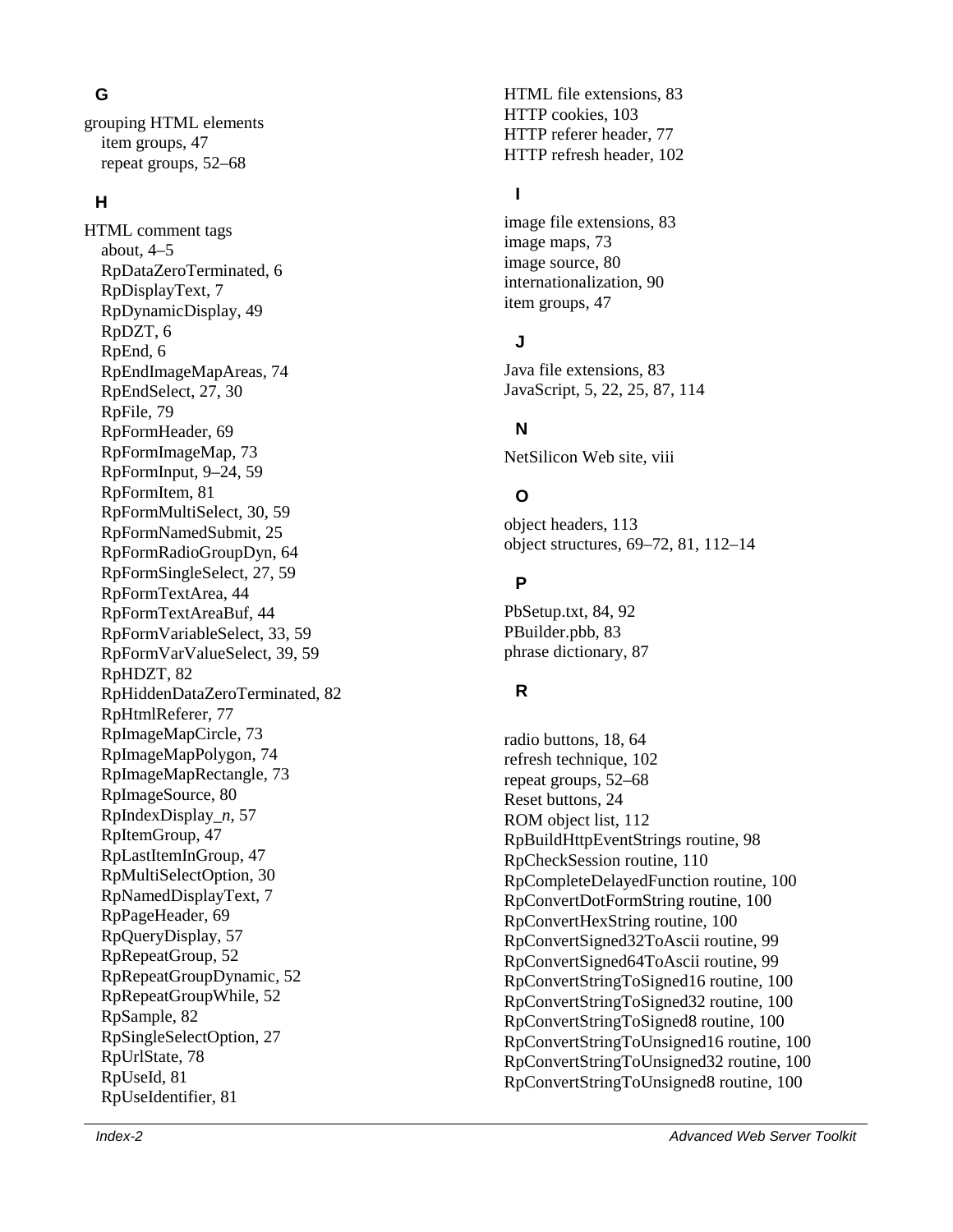grouping HTML elements item groups, 47 repeat groups, 52–68

#### **H**

**IF** ML cleared Web Server Tools: A HTML cleared Web Server Stephen Considers and the same of the same of the same of the same of the same of the same of the same of the same of the same of the same of the same of the sam HTML comment tags about, 4–5 RpDataZeroTerminated, 6 RpDisplayText, 7 RpDynamicDisplay, 49 RpDZT, 6 RpEnd, 6 RpEndImageMapAreas, 74 RpEndSelect, 27, 30 RpFile, 79 RpFormHeader, 69 RpFormImageMap, 73 RpFormInput, 9–24, 59 RpFormItem, 81 RpFormMultiSelect, 30, 59 RpFormNamedSubmit, 25 RpFormRadioGroupDyn, 64 RpFormSingleSelect, 27, 59 RpFormTextArea, 44 RpFormTextAreaBuf, 44 RpFormVariableSelect, 33, 59 RpFormVarValueSelect, 39, 59 RpHDZT, 82 RpHiddenDataZeroTerminated, 82 RpHtmlReferer, 77 RpImageMapCircle, 73 RpImageMapPolygon, 74 RpImageMapRectangle, 73 RpImageSource, 80 RpIndexDisplay\_ *n*, 57 RpItemGroup, 47 RpLastItemInGroup, 47 RpMultiSelectOption, 30 RpNamedDisplayText, 7 RpPageHeader, 69 RpQueryDisplay, 57 RpRepeatGroup, 52 RpRepeatGroupDynamic, 52 RpRepeatGroupWhile, 52 RpSample, 82 RpSingleSelectOption, 27 RpUrlState, 78 RpUseId, 81 RpUseIdentifier, 81

HTML file extensions, 83 HTTP cookies, 103 HTTP referer header, 77 HTTP refresh header, 102

#### **I**

image file extensions, 83 image maps, 73 image source, 80 internationalization, 90 item groups, 47

#### **J**

Java file extensions, 83 JavaScript, 5, 22, 25, 87, 114

# **N**

NetSilicon Web site, viii

### **O**

object headers, 113 object structures, 69–72, 81, 112–14

#### **P**

PbSetup.txt, 84, 92 PBuilder.pbb, 83 phrase dictionary, 87

### **R**

radio buttons, 18, 64 refresh technique, 102 repeat groups, 52–68 Reset buttons, 24 ROM object list, 112 RpBuildHttpEventStrings routine, 98 RpCheckSession routine, 110 RpCompleteDelayedFunction routine, 100 RpConvertDotFormString routine, 100 RpConvertHexString routine, 100 RpConvertSigned32ToAscii routine, 99 RpConvertSigned64ToAscii routine, 99 RpConvertStringToSigned16 routine, 100 RpConvertStringToSigned32 routine, 100 RpConvertStringToSigned8 routine, 100 RpConvertStringToUnsigned16 routine, 100 RpConvertStringToUnsigned32 routine, 100 RpConvertStringToUnsigned8 routine, 100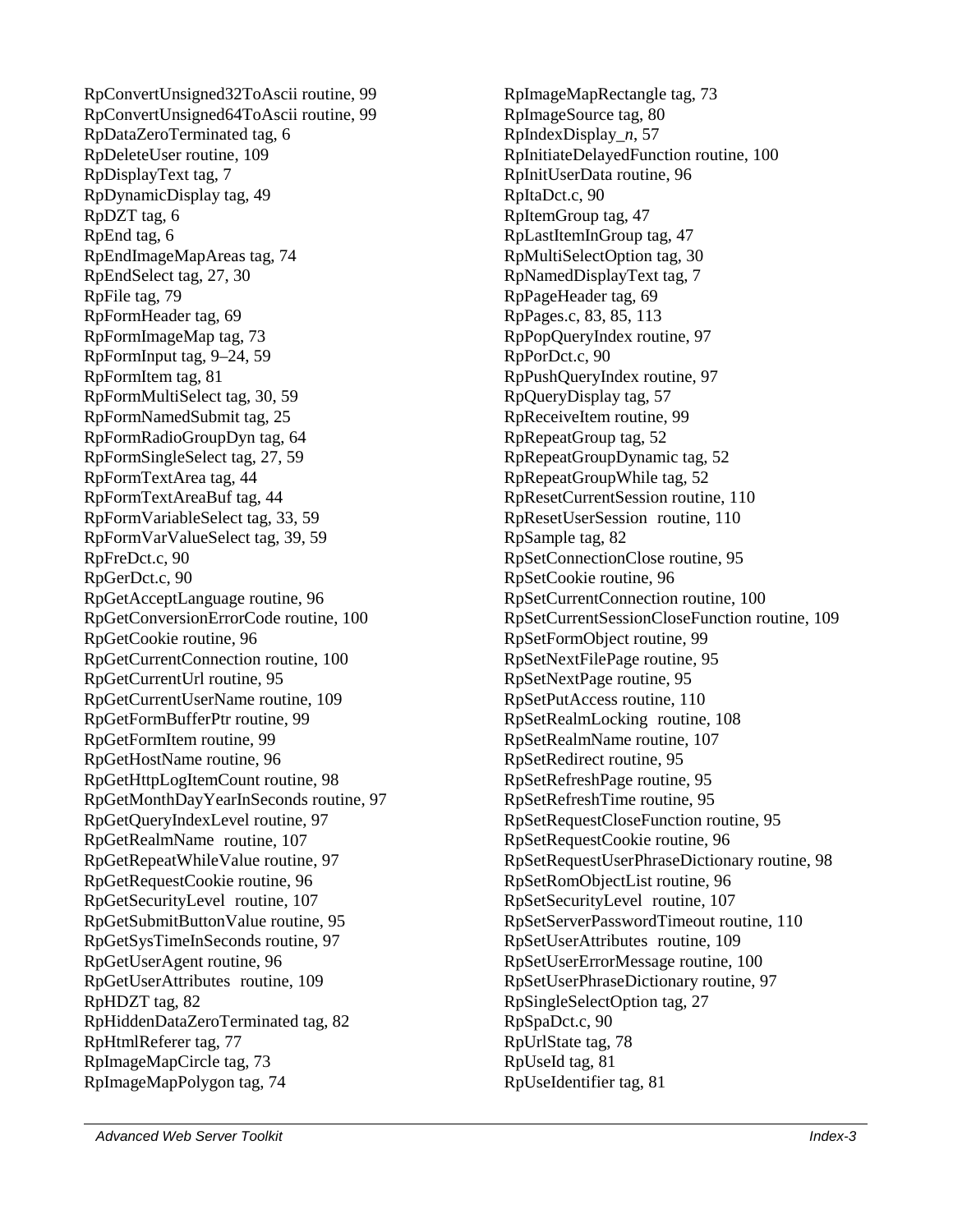RpConvertUnsigned32ToAscii routine, 99 RpConvertUnsigned64ToAscii routine, 99 RpDataZeroTerminated tag, 6 RpDeleteUser routine, 109 RpDisplayText tag, 7 RpDynamicDisplay tag, 49 RpDZT tag, 6 RpEnd tag, 6 RpEndImageMapAreas tag, 74 RpEndSelect tag, 27, 30 RpFile tag, 79 RpFormHeader tag, 69 RpFormImageMap tag, 73 RpFormInput tag, 9–24, 59 RpFormItem tag, 81 RpFormMultiSelect tag, 30, 59 RpFormNamedSubmit tag, 25 RpFormRadioGroupDyn tag, 64 RpFormSingleSelect tag, 27, 59 RpFormTextArea tag, 44 RpFormTextAreaBuf tag, 44 RpFormVariableSelect tag, 33, 59 RpFormVarValueSelect tag, 39, 59 RpFreDct.c, 90 RpGerDct.c, 90 RpGetAcceptLanguage routine, 96 RpGetConversionErrorCode routine, 100 RpGetCookie routine, 96 RpGetCurrentConnection routine, 100 RpGetCurrentUrl routine, 95 RpGetCurrentUserName routine, 109 RpGetFormBufferPtr routine, 99 RpGetFormItem routine, 99 RpGetHostName routine, 96 RpGetHttpLogItemCount routine, 98 RpGetMonthDayYearInSeconds routine, 97 RpGetQueryIndexLevel routine, 97 RpGetRealmName routine, 107 RpGetRepeatWhileValue routine, 97 RpGetRequestCookie routine, 96 RpGetSecurityLevel routine, 107 RpGetSubmitButtonValue routine, 95 RpGetSysTimeInSeconds routine, 97 RpGetUserAgent routine, 96 RpGetUserAttributes routine, 109 RpHDZT tag, 82 RpHiddenDataZeroTerminated tag, 82 RpHtmlReferer tag, 77 RpImageMapCircle tag, 73 RpImageMapPolygon tag, 74

RpImageMapRectangle tag, 73 RpImageSource tag, 80 RpIndexDisplay\_*n*, 57 RpInitiateDelayedFunction routine, 100 RpInitUserData routine, 96 RpItaDct.c, 90 RpItemGroup tag, 47 RpLastItemInGroup tag, 47 RpMultiSelectOption tag, 30 RpNamedDisplayText tag, 7 RpPageHeader tag, 69 RpPages.c, 83, 85, 113 RpPopQueryIndex routine, 97 RpPorDct.c, 90 RpPushQueryIndex routine, 97 RpQueryDisplay tag, 57 RpReceiveItem routine, 99 RpRepeatGroup tag, 52 RpRepeatGroupDynamic tag, 52 RpRepeatGroupWhile tag, 52 RpResetCurrentSession routine, 110 RpResetUserSession routine, 110 RpSample tag, 82 RpSetConnectionClose routine, 95 RpSetCookie routine, 96 RpSetCurrentConnection routine, 100 RpSetCurrentSessionCloseFunction routine, 109 RpSetFormObject routine, 99 RpSetNextFilePage routine, 95 RpSetNextPage routine, 95 RpSetPutAccess routine, 110 RpSetRealmLocking routine, 108 RpSetRealmName routine, 107 RpSetRedirect routine, 95 RpSetRefreshPage routine, 95 RpSetRefreshTime routine, 95 RpSetRequestCloseFunction routine, 95 RpSetRequestCookie routine, 96 RpSetRequestUserPhraseDictionary routine, 98 RpSetRomObjectList routine, 96 RpSetSecurityLevel routine, 107 RpSetServerPasswordTimeout routine, 110 RpSetUserAttributes routine, 109 RpSetUserErrorMessage routine, 100 RpSetUserPhraseDictionary routine, 97 RpSingleSelectOption tag, 27 RpSpaDct.c, 90 RpUrlState tag, 78 RpUseId tag, 81 RpUseIdentifier tag, 81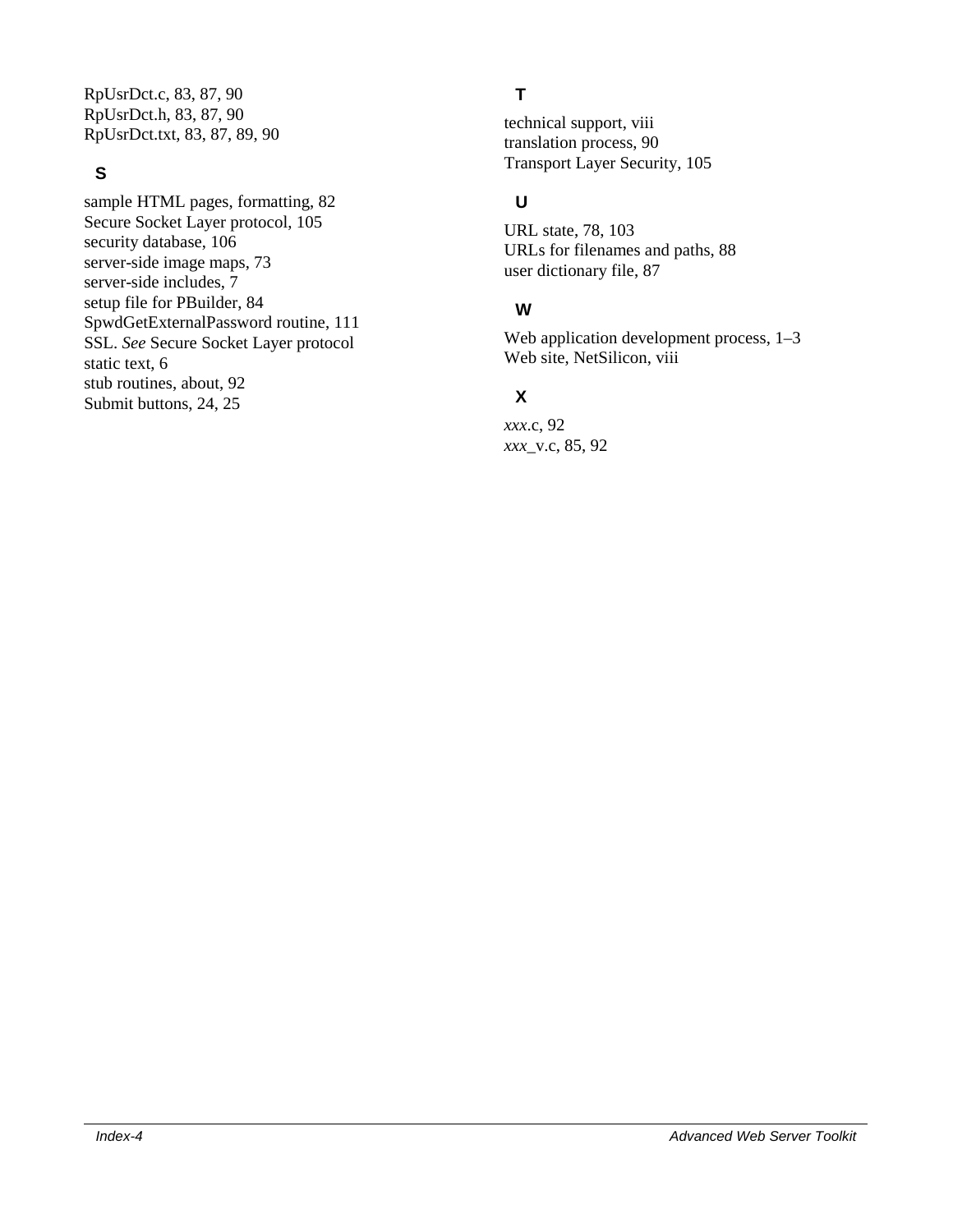RpUsrDct.c, 83, 87, 90 RpUsrDct.h, 83, 87, 90 RpUsrDct.txt, 83, 87, 89, 90

#### **S**

sample HTML pages, formatting, 82 Secure Socket Layer protocol, 105 security database, 106 server-side image maps, 73 server-side includes, 7 setup file for PBuilder, 84 SpwdGetExternalPassword routine, 111 SSL. *See* Secure Socket Layer protocol static text, 6 stub routines, about, 92 Submit buttons, 24, 25

# **T**

technical support, viii translation process, 90 Transport Layer Security, 105

# **U**

URL state, 78, 103 URLs for filenames and paths, 88 user dictionary file, 87

#### **W**

Web application development process,  $1-3$ Web site, NetSilicon, viii

### **X**

*xxx*.c, 92 *xxx*\_v.c, 85, 92